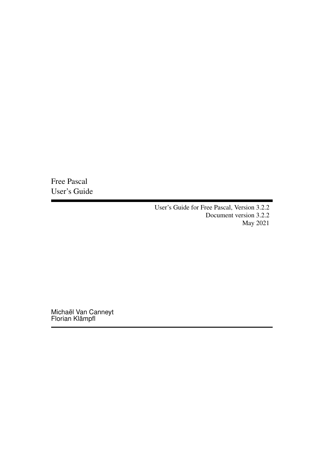Free Pascal User's Guide

> User's Guide for Free Pascal, Version 3.2.2 Document version 3.2.2 May 2021

Michaël Van Canneyt Florian Klämpfl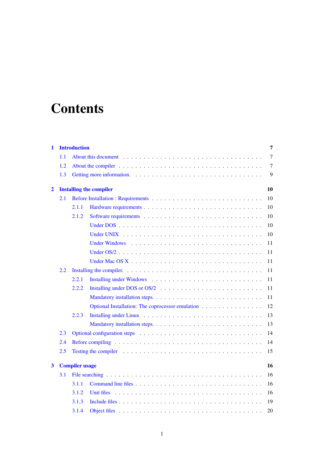# **Contents**

| 1                       |     | <b>Introduction</b>   |                                                  | 7  |
|-------------------------|-----|-----------------------|--------------------------------------------------|----|
|                         | 1.1 |                       |                                                  | 7  |
|                         | 1.2 |                       |                                                  | 7  |
|                         | 1.3 |                       |                                                  | 9  |
| $\overline{2}$          |     |                       | <b>Installing the compiler</b>                   | 10 |
|                         | 2.1 |                       |                                                  | 10 |
|                         |     | 2.1.1                 |                                                  | 10 |
|                         |     | 2.1.2                 |                                                  | 10 |
|                         |     |                       |                                                  | 10 |
|                         |     |                       |                                                  | 10 |
|                         |     |                       |                                                  | 11 |
|                         |     |                       |                                                  | 11 |
|                         |     |                       |                                                  | 11 |
|                         | 2.2 |                       |                                                  | 11 |
|                         |     | 2.2.1                 |                                                  | 11 |
|                         |     | 2.2.2                 |                                                  | 11 |
|                         |     |                       |                                                  | 11 |
|                         |     |                       | Optional Installation: The coprocessor emulation | 12 |
|                         |     | 2.2.3                 |                                                  | 13 |
|                         |     |                       |                                                  | 13 |
|                         | 2.3 |                       |                                                  | 14 |
|                         | 2.4 |                       |                                                  | 14 |
|                         | 2.5 |                       |                                                  | 15 |
| $\overline{\mathbf{3}}$ |     | <b>Compiler usage</b> |                                                  | 16 |
|                         | 3.1 |                       |                                                  | 16 |
|                         |     | 3.1.1                 |                                                  | 16 |
|                         |     | 3.1.2                 |                                                  | 16 |
|                         |     | 3.1.3                 |                                                  | 19 |
|                         |     | 3.1.4                 |                                                  | 20 |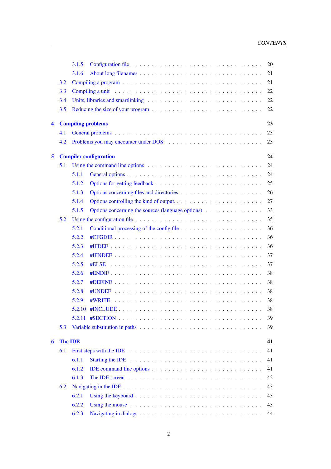|    |                | 3.1.5<br>20                                                                                                                                                                                                                         |  |
|----|----------------|-------------------------------------------------------------------------------------------------------------------------------------------------------------------------------------------------------------------------------------|--|
|    |                | 21<br>3.1.6                                                                                                                                                                                                                         |  |
|    | 3.2            | 21                                                                                                                                                                                                                                  |  |
|    | 3.3            | Compiling a unit respectively respectively in the contract of the contract of the contract of the contract of the contract of the contract of the contract of the contract of the contract of the contract of the contract of<br>22 |  |
|    | 3.4            | 22                                                                                                                                                                                                                                  |  |
|    | 3.5            | 22                                                                                                                                                                                                                                  |  |
| 4  |                | 23<br><b>Compiling problems</b>                                                                                                                                                                                                     |  |
|    | 4.1            | 23                                                                                                                                                                                                                                  |  |
|    | 4.2            | 23                                                                                                                                                                                                                                  |  |
| 5. |                | <b>Compiler configuration</b><br>24                                                                                                                                                                                                 |  |
|    | 5.1            | 24<br>Using the command line options $\dots \dots \dots \dots \dots \dots \dots \dots \dots \dots \dots$                                                                                                                            |  |
|    |                | 5.1.1<br>24                                                                                                                                                                                                                         |  |
|    |                | 25<br>5.1.2                                                                                                                                                                                                                         |  |
|    |                | 5.1.3<br>26                                                                                                                                                                                                                         |  |
|    |                | 5.1.4<br>27                                                                                                                                                                                                                         |  |
|    |                | 5.1.5<br>33<br>Options concerning the sources (language options) $\dots \dots \dots \dots$                                                                                                                                          |  |
|    | 5.2            | 35<br>Using the configuration file $\dots \dots \dots \dots \dots \dots \dots \dots \dots \dots \dots \dots$                                                                                                                        |  |
|    |                | 36<br>5.2.1                                                                                                                                                                                                                         |  |
|    |                | 36<br>5.2.2                                                                                                                                                                                                                         |  |
|    |                | 36<br>5.2.3                                                                                                                                                                                                                         |  |
|    |                | 37<br>5.2.4                                                                                                                                                                                                                         |  |
|    |                | 5.2.5<br>37                                                                                                                                                                                                                         |  |
|    |                | 38<br>5.2.6                                                                                                                                                                                                                         |  |
|    |                | 38<br>5.2.7                                                                                                                                                                                                                         |  |
|    |                | 38<br>5.2.8                                                                                                                                                                                                                         |  |
|    |                | 5.2.9<br>38                                                                                                                                                                                                                         |  |
|    |                | 38<br>5.2.10                                                                                                                                                                                                                        |  |
|    |                | 39                                                                                                                                                                                                                                  |  |
|    | 5.3            | 39                                                                                                                                                                                                                                  |  |
| 6  | <b>The IDE</b> | 41                                                                                                                                                                                                                                  |  |
|    | 6.1            | 41                                                                                                                                                                                                                                  |  |
|    |                | 6.1.1<br>41                                                                                                                                                                                                                         |  |
|    |                | 41<br>6.1.2<br>IDE command line options $\ldots \ldots \ldots \ldots \ldots \ldots \ldots \ldots \ldots \ldots$                                                                                                                     |  |
|    |                | 42<br>6.1.3                                                                                                                                                                                                                         |  |
|    | 6.2            | 43                                                                                                                                                                                                                                  |  |
|    |                | 6.2.1<br>43                                                                                                                                                                                                                         |  |
|    |                | 6.2.2<br>43                                                                                                                                                                                                                         |  |
|    |                | 6.2.3<br>44                                                                                                                                                                                                                         |  |
|    |                |                                                                                                                                                                                                                                     |  |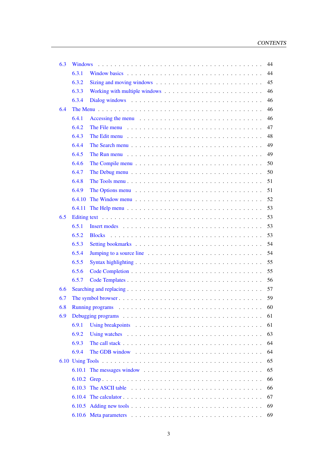| 6.3 | <b>Windows</b> |                                                                                                           | 44 |
|-----|----------------|-----------------------------------------------------------------------------------------------------------|----|
|     | 6.3.1          |                                                                                                           | 44 |
|     | 6.3.2          |                                                                                                           | 45 |
|     | 6.3.3          | Working with multiple windows $\dots \dots \dots \dots \dots \dots \dots \dots \dots$                     | 46 |
|     | 6.3.4          |                                                                                                           | 46 |
| 6.4 |                |                                                                                                           | 46 |
|     | 6.4.1          |                                                                                                           | 46 |
|     | 6.4.2          |                                                                                                           | 47 |
|     | 6.4.3          |                                                                                                           | 48 |
|     | 6.4.4          |                                                                                                           | 49 |
|     | 6.4.5          |                                                                                                           | 49 |
|     | 6.4.6          |                                                                                                           | 50 |
|     | 6.4.7          |                                                                                                           | 50 |
|     | 6.4.8          |                                                                                                           | 51 |
|     | 6.4.9          |                                                                                                           | 51 |
|     | 6.4.10         |                                                                                                           | 52 |
|     | 6.4.11         |                                                                                                           | 53 |
| 6.5 |                |                                                                                                           | 53 |
|     | 6.5.1          |                                                                                                           | 53 |
|     | 6.5.2          |                                                                                                           | 53 |
|     | 6.5.3          |                                                                                                           | 54 |
|     | 6.5.4          |                                                                                                           | 54 |
|     | 6.5.5          |                                                                                                           | 55 |
|     | 6.5.6          |                                                                                                           | 55 |
|     | 6.5.7          |                                                                                                           | 56 |
| 6.6 |                |                                                                                                           | 57 |
| 6.7 |                |                                                                                                           | 59 |
| 6.8 |                |                                                                                                           | 60 |
| 6.9 |                |                                                                                                           | 61 |
|     | 6.9.1          |                                                                                                           | 61 |
|     | 6.9.2          |                                                                                                           | 63 |
|     | 6.9.3          |                                                                                                           | 64 |
|     | 6.9.4          |                                                                                                           | 64 |
|     |                |                                                                                                           | 65 |
|     |                | 6.10.1 The messages window $\ldots \ldots \ldots \ldots \ldots \ldots \ldots \ldots \ldots \ldots \ldots$ | 65 |
|     |                |                                                                                                           | 66 |
|     |                |                                                                                                           | 66 |
|     |                |                                                                                                           | 67 |
|     |                |                                                                                                           | 69 |
|     |                |                                                                                                           | 69 |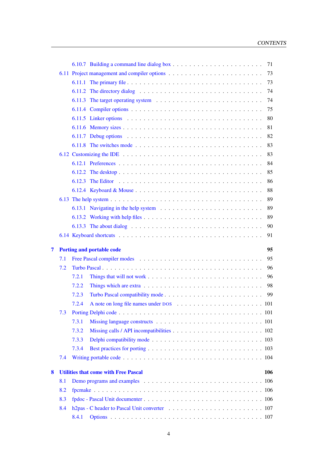|   |     |                                                                                                        | 71  |
|---|-----|--------------------------------------------------------------------------------------------------------|-----|
|   |     |                                                                                                        | 73  |
|   |     | 6.11.1 The primary file $\ldots \ldots \ldots \ldots \ldots \ldots \ldots \ldots \ldots \ldots \ldots$ | 73  |
|   |     |                                                                                                        | 74  |
|   |     |                                                                                                        | 74  |
|   |     |                                                                                                        | 75  |
|   |     |                                                                                                        | 80  |
|   |     |                                                                                                        | 81  |
|   |     |                                                                                                        | 82  |
|   |     |                                                                                                        | 83  |
|   |     |                                                                                                        | 83  |
|   |     |                                                                                                        | 84  |
|   |     |                                                                                                        | 85  |
|   |     |                                                                                                        | 86  |
|   |     |                                                                                                        | 88  |
|   |     |                                                                                                        | 89  |
|   |     | 6.13.1 Navigating in the help system $\ldots \ldots \ldots \ldots \ldots \ldots \ldots \ldots$         | 89  |
|   |     |                                                                                                        | 89  |
|   |     |                                                                                                        | 90  |
|   |     |                                                                                                        | 91  |
|   |     |                                                                                                        |     |
| 7 |     | <b>Porting and portable code</b>                                                                       | 95  |
|   | 7.1 |                                                                                                        | 95  |
|   | 7.2 |                                                                                                        | 96  |
|   |     | 7.2.1                                                                                                  | 96  |
|   |     | 7.2.2                                                                                                  | 98  |
|   |     | 7.2.3                                                                                                  | 99  |
|   |     | 7.2.4                                                                                                  |     |
|   | 7.3 |                                                                                                        |     |
|   |     | 7.3.1                                                                                                  |     |
|   |     | 7.3.2                                                                                                  |     |
|   |     | 7.3.3                                                                                                  |     |
|   |     | 7.3.4                                                                                                  |     |
|   | 7.4 |                                                                                                        |     |
| 8 |     | <b>Utilities that come with Free Pascal</b>                                                            | 106 |
|   | 8.1 |                                                                                                        |     |
|   | 8.2 |                                                                                                        |     |
|   | 8.3 |                                                                                                        |     |
|   | 8.4 |                                                                                                        |     |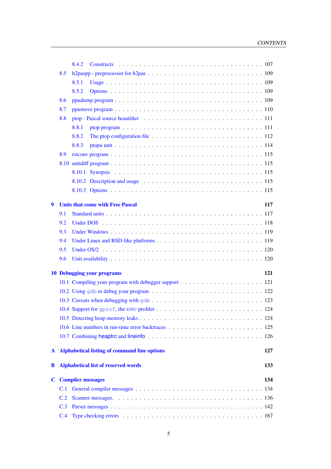|              |     | 8.4.2                                                                                                                   |     |
|--------------|-----|-------------------------------------------------------------------------------------------------------------------------|-----|
|              | 8.5 |                                                                                                                         |     |
|              |     | 8.5.1                                                                                                                   |     |
|              |     | 8.5.2                                                                                                                   |     |
|              | 8.6 | ppudump program $\ldots \ldots \ldots \ldots \ldots \ldots \ldots \ldots \ldots \ldots \ldots \ldots \ldots$            |     |
|              | 8.7 |                                                                                                                         |     |
|              | 8.8 |                                                                                                                         |     |
|              |     | 8.8.1                                                                                                                   |     |
|              |     | 8.8.2<br>The ptop configuration file $\ldots \ldots \ldots \ldots \ldots \ldots \ldots \ldots \ldots \ldots \ldots 112$ |     |
|              |     | 8.8.3                                                                                                                   |     |
|              | 8.9 |                                                                                                                         |     |
|              |     |                                                                                                                         |     |
|              |     |                                                                                                                         |     |
|              |     |                                                                                                                         |     |
|              |     |                                                                                                                         |     |
| 9            |     | <b>Units that come with Free Pascal</b>                                                                                 | 117 |
|              | 9.1 |                                                                                                                         |     |
|              | 9.2 |                                                                                                                         |     |
|              | 9.3 |                                                                                                                         |     |
|              | 9.4 |                                                                                                                         |     |
|              | 9.5 |                                                                                                                         |     |
|              | 9.6 |                                                                                                                         |     |
|              |     |                                                                                                                         |     |
|              |     | <b>10 Debugging your programs</b>                                                                                       | 121 |
|              |     |                                                                                                                         |     |
|              |     |                                                                                                                         |     |
|              |     |                                                                                                                         |     |
|              |     |                                                                                                                         |     |
|              |     |                                                                                                                         |     |
|              |     |                                                                                                                         |     |
|              |     |                                                                                                                         |     |
| $\mathbf{A}$ |     | <b>Alphabetical listing of command line options</b>                                                                     | 127 |
| В            |     | <b>Alphabetical list of reserved words</b>                                                                              | 133 |
|              |     | <b>C</b> Compiler messages                                                                                              | 134 |
|              | C.1 |                                                                                                                         | 134 |
|              | C.2 |                                                                                                                         |     |
|              | C.3 |                                                                                                                         |     |
|              | C.4 | Type checking errors $\ldots \ldots \ldots \ldots \ldots \ldots \ldots \ldots \ldots \ldots \ldots \ldots 167$          |     |
|              |     |                                                                                                                         |     |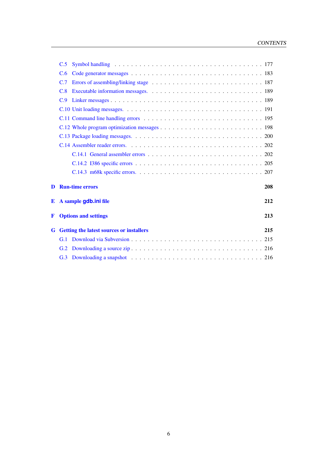|   | C.5                                               |     |
|---|---------------------------------------------------|-----|
|   | C.6                                               |     |
|   | C.7                                               |     |
|   | C.8                                               |     |
|   | C.9                                               |     |
|   |                                                   |     |
|   |                                                   |     |
|   |                                                   |     |
|   |                                                   |     |
|   |                                                   |     |
|   |                                                   |     |
|   |                                                   |     |
|   |                                                   |     |
|   | <b>D</b> Run-time errors                          | 208 |
|   | E A sample gdb.ini file                           | 212 |
| F | <b>Options and settings</b>                       | 213 |
|   |                                                   |     |
|   | <b>G</b> Getting the latest sources or installers | 215 |
|   | G <sub>1</sub>                                    |     |
|   | G.2                                               |     |
|   | G.3                                               |     |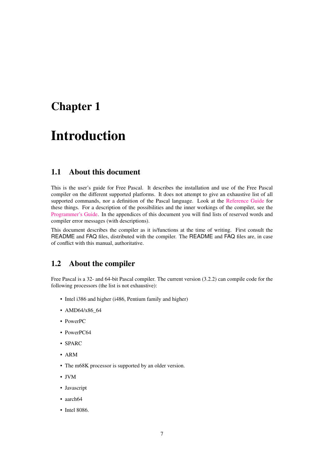## <span id="page-7-0"></span>Chapter 1

# Introduction

## <span id="page-7-1"></span>1.1 About this document

This is the user's guide for Free Pascal. It describes the installation and use of the Free Pascal compiler on the different supported platforms. It does not attempt to give an exhaustive list of all supported commands, nor a definition of the Pascal language. Look at the [Reference Guide](../ref/ref.html) for these things. For a description of the possibilities and the inner workings of the compiler, see the [Programmer's Guide.](../prog/prog.html) In the appendices of this document you will find lists of reserved words and compiler error messages (with descriptions).

This document describes the compiler as it is/functions at the time of writing. First consult the README and FAQ files, distributed with the compiler. The README and FAQ files are, in case of conflict with this manual, authoritative.

## <span id="page-7-2"></span>1.2 About the compiler

Free Pascal is a 32- and 64-bit Pascal compiler. The current version (3.2.2) can compile code for the following processors (the list is not exhaustive):

- Intel i386 and higher (i486, Pentium family and higher)
- AMD64/x86\_64
- PowerPC
- PowerPC64
- SPARC
- ARM
- The m68K processor is supported by an older version.
- JVM
- Javascript
- aarch64
- Intel 8086.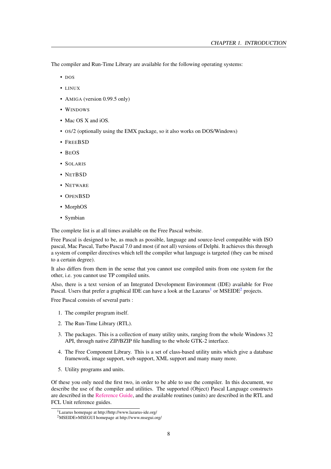The compiler and Run-Time Library are available for the following operating systems:

- DOS
- LINUX
- AMIGA (version 0.99.5 only)
- WINDOWS
- Mac OS X and iOS.
- OS/2 (optionally using the EMX package, so it also works on DOS/Windows)
- FREEBSD
- BEOS
- SOLARIS
- NETBSD
- NETWARE
- OPENBSD
- MorphOS
- Symbian

The complete list is at all times available on the Free Pascal website.

Free Pascal is designed to be, as much as possible, language and source-level compatible with ISO pascal, Mac Pascal, Turbo Pascal 7.0 and most (if not all) versions of Delphi. It achieves this through a system of compiler directives which tell the compiler what language is targeted (they can be mixed to a certain degree).

It also differs from them in the sense that you cannot use compiled units from one system for the other, i.e. you cannot use TP compiled units.

Also, there is a text version of an Integrated Development Environment (IDE) available for Free Pascal. Users that prefer a graphical IDE can have a look at the Lazarus<sup>[1](#page-8-0)</sup> or MSEIDE<sup>[2](#page-8-1)</sup> projects.

Free Pascal consists of several parts :

- 1. The compiler program itself.
- 2. The Run-Time Library (RTL).
- 3. The packages. This is a collection of many utility units, ranging from the whole Windows 32 API, through native ZIP/BZIP file handling to the whole GTK-2 interface.
- 4. The Free Component Library. This is a set of class-based utility units which give a database framework, image support, web support, XML support and many many more.
- 5. Utility programs and units.

Of these you only need the first two, in order to be able to use the compiler. In this document, we describe the use of the compiler and utilities. The supported (Object) Pascal Language constructs are described in the [Reference Guide,](../ref/ref.html) and the available routines (units) are described in the RTL and FCL Unit reference guides.

<span id="page-8-0"></span><sup>1</sup>Lazarus homepage at http://http://www.lazarus-ide.org/

<span id="page-8-1"></span><sup>2</sup>MSEIDE+MSEGUI homepage at http://www.msegui.org/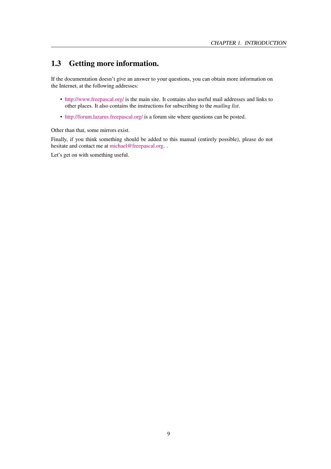## <span id="page-9-0"></span>1.3 Getting more information.

If the documentation doesn't give an answer to your questions, you can obtain more information on the Internet, at the following addresses:

- [http://www.freepascal.org/](http://www.freepascal.org) is the main site. It contains also useful mail addresses and links to other places. It also contains the instructions for subscribing to the *mailing list*.
- <http://forum.lazarus.freepascal.org/> is a forum site where questions can be posted.

Other than that, some mirrors exist.

Finally, if you think something should be added to this manual (entirely possible), please do not hesitate and contact me at [michael@freepascal.org.](mailto:michael@freepascal.org) .

Let's get on with something useful.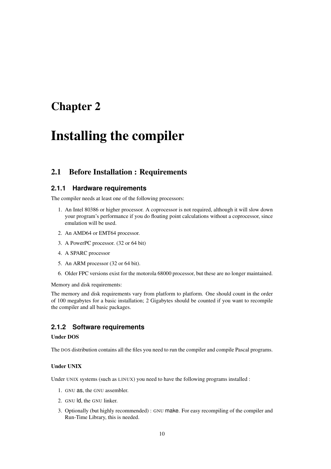## <span id="page-10-0"></span>Chapter 2

# Installing the compiler

## <span id="page-10-1"></span>2.1 Before Installation : Requirements

### <span id="page-10-2"></span>**2.1.1 Hardware requirements**

The compiler needs at least one of the following processors:

- 1. An Intel 80386 or higher processor. A coprocessor is not required, although it will slow down your program's performance if you do floating point calculations without a coprocessor, since emulation will be used.
- 2. An AMD64 or EMT64 processor.
- 3. A PowerPC processor. (32 or 64 bit)
- 4. A SPARC processor
- 5. An ARM processor (32 or 64 bit).
- 6. Older FPC versions exist for the motorola 68000 processor, but these are no longer maintained.

Memory and disk requirements:

The memory and disk requirements vary from platform to platform. One should count in the order of 100 megabytes for a basic installation; 2 Gigabytes should be counted if you want to recompile the compiler and all basic packages.

### <span id="page-10-3"></span>**2.1.2 Software requirements**

#### <span id="page-10-4"></span>Under DOS

The DOS distribution contains all the files you need to run the compiler and compile Pascal programs.

#### <span id="page-10-5"></span>Under UNIX

Under UNIX systems (such as LINUX) you need to have the following programs installed :

- 1. GNU as, the GNU assembler.
- 2. GNU ld, the GNU linker.
- 3. Optionally (but highly recommended) : GNU make. For easy recompiling of the compiler and Run-Time Library, this is needed.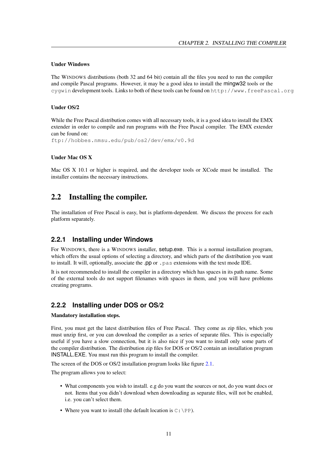#### <span id="page-11-0"></span>Under Windows

The WINDOWS distributions (both 32 and 64 bit) contain all the files you need to run the compiler and compile Pascal programs. However, it may be a good idea to install the mingw32 tools or the cygwin development tools. Links to both of these tools can be found on http://www.freePascal.org

#### <span id="page-11-1"></span>Under OS/2

While the Free Pascal distribution comes with all necessary tools, it is a good idea to install the EMX extender in order to compile and run programs with the Free Pascal compiler. The EMX extender can be found on:

```
ftp://hobbes.nmsu.edu/pub/os2/dev/emx/v0.9d
```
#### <span id="page-11-2"></span>Under Mac OS X

Mac OS X 10.1 or higher is required, and the developer tools or XCode must be installed. The installer contains the necessary instructions.

## <span id="page-11-3"></span>2.2 Installing the compiler.

The installation of Free Pascal is easy, but is platform-dependent. We discuss the process for each platform separately.

### <span id="page-11-4"></span>**2.2.1 Installing under Windows**

For WINDOWS, there is a WINDOWS installer, setup.exe. This is a normal installation program, which offers the usual options of selecting a directory, and which parts of the distribution you want to install. It will, optionally, associate the .pp or . pas extensions with the text mode IDE.

It is not recommended to install the compiler in a directory which has spaces in its path name. Some of the external tools do not support filenames with spaces in them, and you will have problems creating programs.

### <span id="page-11-5"></span>**2.2.2 Installing under DOS or OS/2**

#### <span id="page-11-6"></span>Mandatory installation steps.

First, you must get the latest distribution files of Free Pascal. They come as zip files, which you must unzip first, or you can download the compiler as a series of separate files. This is especially useful if you have a slow connection, but it is also nice if you want to install only some parts of the compiler distribution. The distribution zip files for DOS or OS/2 contain an installation program INSTALL.EXE. You must run this program to install the compiler.

The screen of the DOS or OS/2 installation program looks like figure [2.1.](#page-12-1)

The program allows you to select:

- What components you wish to install. e.g do you want the sources or not, do you want docs or not. Items that you didn't download when downloading as separate files, will not be enabled, i.e. you can't select them.
- Where you want to install (the default location is  $C: \PPP$ ).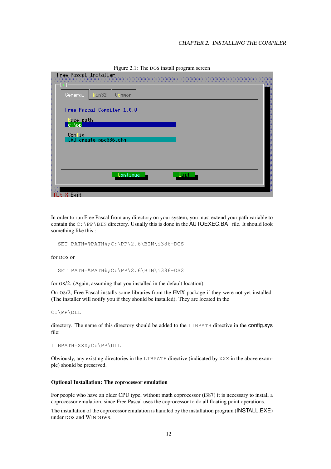| Free Pascal Installer | c<br>х.<br>$\circ$              |
|-----------------------|---------------------------------|
| General               | $\text{Win32}$<br>Common        |
|                       | Free Pascal Compiler 1.0.0      |
| Base path<br>C:\pp    |                                 |
|                       | Config<br>[X] create ppc386.cfg |
|                       |                                 |
|                       |                                 |
|                       | Continue<br>0uH                 |
| Alt-X Exit            |                                 |

<span id="page-12-1"></span>Figure 2.1: The DOS install program screen

In order to run Free Pascal from any directory on your system, you must extend your path variable to contain the C: \PP\BIN directory. Usually this is done in the AUTOEXEC.BAT file. It should look something like this :

SET PATH=%PATH%;C:\PP\2.6\BIN\i386-DOS

for DOS or

SET PATH=%PATH%;C:\PP\2.6\BIN\i386-OS2

for OS/2. (Again, assuming that you installed in the default location).

On OS/2, Free Pascal installs some libraries from the EMX package if they were not yet installed. (The installer will notify you if they should be installed). They are located in the

#### C:\PP\DLL

directory. The name of this directory should be added to the LIBPATH directive in the config.sys file:

LIBPATH=XXX;C:\PP\DLL

Obviously, any existing directories in the LIBPATH directive (indicated by XXX in the above example) should be preserved.

#### <span id="page-12-0"></span>Optional Installation: The coprocessor emulation

For people who have an older CPU type, without math coprocessor (i387) it is necessary to install a coprocessor emulation, since Free Pascal uses the coprocessor to do all floating point operations.

The installation of the coprocessor emulation is handled by the installation program (INSTALL.EXE) under DOS and WINDOWS.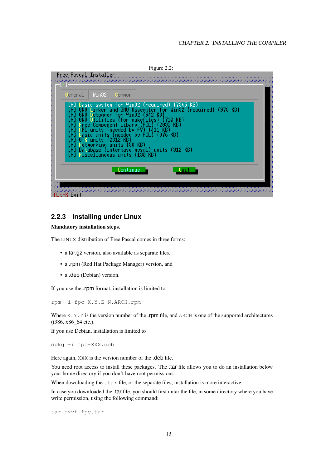|                              | Free Pascal Installer   |                                                                                                                                                                                                                                                                                                                                                                                                                                                            | Figure 2.2: |  |  |
|------------------------------|-------------------------|------------------------------------------------------------------------------------------------------------------------------------------------------------------------------------------------------------------------------------------------------------------------------------------------------------------------------------------------------------------------------------------------------------------------------------------------------------|-------------|--|--|
|                              |                         |                                                                                                                                                                                                                                                                                                                                                                                                                                                            |             |  |  |
| General                      | Win32                   | Common                                                                                                                                                                                                                                                                                                                                                                                                                                                     |             |  |  |
|                              | [X] GTK units (2812 KB) | [X] Basic system for Win32 (required) (7345 KB)<br>[X] GNU Linker and GNU Assembler for Win32 (required) (978 KB)<br>GNU Debugger for Win32 (942 KB)<br>[X] GNU Utilities (for makefiles) (710 KB)<br>[X] Free Component Libary (FCL) (2033 KB)<br>[X] API units (needed by FV) (411 KB)<br>[X] Basic units (needed by FCL) (376 KB)<br>[X] Networking units (50 KB)<br>[X] Database (interbase, mysql) units (312 KB)<br>[X] Miscellaneous units (130 KB) |             |  |  |
|                              |                         | Continue                                                                                                                                                                                                                                                                                                                                                                                                                                                   |             |  |  |
|                              |                         |                                                                                                                                                                                                                                                                                                                                                                                                                                                            |             |  |  |
| $01 + -V$ F <sub>v</sub> ; + |                         |                                                                                                                                                                                                                                                                                                                                                                                                                                                            |             |  |  |

## <span id="page-13-0"></span>**2.2.3 Installing under Linux**

#### <span id="page-13-1"></span>Mandatory installation steps.

The LINUX distribution of Free Pascal comes in three forms:

- a tar.gz version, also available as separate files.
- a .rpm (Red Hat Package Manager) version, and
- a .deb (Debian) version.

If you use the .rpm format, installation is limited to

rpm -i fpc-X.Y.Z-N.ARCH.rpm

Where  $X, Y, Z$  is the version number of the .rpm file, and ARCH is one of the supported architectures (i386, x86\_64 etc.).

If you use Debian, installation is limited to

dpkg -i fpc-XXX.deb

Here again, XXX is the version number of the .deb file.

You need root access to install these packages. The .tar file allows you to do an installation below your home directory if you don't have root permissions.

When downloading the .tar file, or the separate files, installation is more interactive.

In case you downloaded the .tar file, you should first untar the file, in some directory where you have write permission, using the following command:

tar -xvf fpc.tar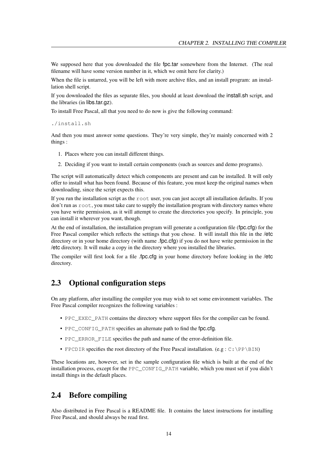We supposed here that you downloaded the file fpc.tar somewhere from the Internet. (The real filename will have some version number in it, which we omit here for clarity.)

When the file is untarred, you will be left with more archive files, and an install program: an installation shell script.

If you downloaded the files as separate files, you should at least download the install.sh script, and the libraries (in libs.tar.gz).

To install Free Pascal, all that you need to do now is give the following command:

```
./install.sh
```
And then you must answer some questions. They're very simple, they're mainly concerned with 2 things :

- 1. Places where you can install different things.
- 2. Deciding if you want to install certain components (such as sources and demo programs).

The script will automatically detect which components are present and can be installed. It will only offer to install what has been found. Because of this feature, you must keep the original names when downloading, since the script expects this.

If you run the installation script as the root user, you can just accept all installation defaults. If you don't run as root, you must take care to supply the installation program with directory names where you have write permission, as it will attempt to create the directories you specify. In principle, you can install it wherever you want, though.

At the end of installation, the installation program will generate a configuration file (fpc.cfg) for the Free Pascal compiler which reflects the settings that you chose. It will install this file in the /etc directory or in your home directory (with name .fpc.cfg) if you do not have write permission in the /etc directory. It will make a copy in the directory where you installed the libraries.

The compiler will first look for a file .fpc.cfg in your home directory before looking in the /etc directory.

## <span id="page-14-0"></span>2.3 Optional configuration steps

On any platform, after installing the compiler you may wish to set some environment variables. The Free Pascal compiler recognizes the following variables :

- PPC\_EXEC\_PATH contains the directory where support files for the compiler can be found.
- PPC CONFIG PATH specifies an alternate path to find the fpc.cfg.
- PPC ERROR FILE specifies the path and name of the error-definition file.
- FPCDIR specifies the root directory of the Free Pascal installation. (e.g :  $C:\PP\BIN$ )

These locations are, however, set in the sample configuration file which is built at the end of the installation process, except for the PPC\_CONFIG\_PATH variable, which you must set if you didn't install things in the default places.

## <span id="page-14-1"></span>2.4 Before compiling

Also distributed in Free Pascal is a README file. It contains the latest instructions for installing Free Pascal, and should always be read first.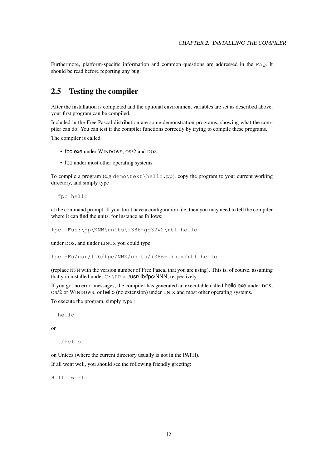Furthermore, platform-specific information and common questions are addressed in the FAQ. It should be read before reporting any bug.

## <span id="page-15-0"></span>2.5 Testing the compiler

After the installation is completed and the optional environment variables are set as described above, your first program can be compiled.

Included in the Free Pascal distribution are some demonstration programs, showing what the compiler can do. You can test if the compiler functions correctly by trying to compile these programs. The compiler is called

• fpc.exe under WINDOWS, OS/2 and DOS.

• fpc under most other operating systems.

To compile a program (e.g demo $\text{text}$ ) text $\text{label}$ , pp), copy the program to your current working directory, and simply type :

fpc hello

at the command prompt. If you don't have a configuration file, then you may need to tell the compiler where it can find the units, for instance as follows:

fpc -Fuc:\pp\NNN\units\i386-go32v2\rtl hello

under DOS, and under LINUX you could type

fpc -Fu/usr/lib/fpc/NNN/units/i386-linux/rtl hello

(replace NNN with the version number of Free Pascal that you are using). This is, of course, assuming that you installed under  $C: \PPP$  or /usr/lib/fpc/NNN, respectively.

If you got no error messages, the compiler has generated an executable called hello.exe under DOS, OS/2 or WINDOWS, or hello (no extension) under UNIX and most other operating systems.

To execute the program, simply type :

hello

or

./hello

on Unices (where the current directory usually is not in the PATH).

If all went well, you should see the following friendly greeting:

Hello world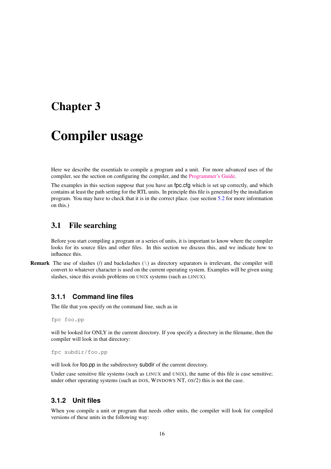## <span id="page-16-0"></span>Chapter 3

# Compiler usage

Here we describe the essentials to compile a program and a unit. For more advanced uses of the compiler, see the section on configuring the compiler, and the [Programmer's Guide.](../prog/prog.html)

The examples in this section suppose that you have an fpc.cfg which is set up correctly, and which contains at least the path setting for the RTL units. In principle this file is generated by the installation program. You may have to check that it is in the correct place. (see section [5.2](#page-35-0) for more information on this.)

## <span id="page-16-1"></span>3.1 File searching

Before you start compiling a program or a series of units, it is important to know where the compiler looks for its source files and other files. In this section we discuss this, and we indicate how to influence this.

**Remark** The use of slashes ( $\theta$ ) and backslashes ( $\lambda$ ) as directory separators is irrelevant, the compiler will convert to whatever character is used on the current operating system. Examples will be given using slashes, since this avoids problems on UNIX systems (such as LINUX).

## <span id="page-16-2"></span>**3.1.1 Command line files**

The file that you specify on the command line, such as in

```
fpc foo.pp
```
will be looked for ONLY in the current directory. If you specify a directory in the filename, then the compiler will look in that directory:

```
fpc subdir/foo.pp
```
will look for foo.pp in the subdirectory subdir of the current directory.

Under case sensitive file systems (such as LINUX and UNIX), the name of this file is case sensitive; under other operating systems (such as DOS, WINDOWS NT, OS/2) this is not the case.

## <span id="page-16-3"></span>**3.1.2 Unit files**

When you compile a unit or program that needs other units, the compiler will look for compiled versions of these units in the following way: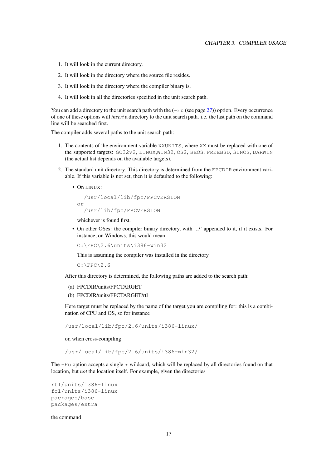- 1. It will look in the current directory.
- 2. It will look in the directory where the source file resides.
- 3. It will look in the directory where the compiler binary is.
- 4. It will look in all the directories specified in the unit search path.

You can add a directory to the unit search path with the  $(-F<sub>u</sub>$  (see page [27\)](#page-26-0)) option. Every occurrence of one of these options will *insert* a directory to the unit search path. i.e. the last path on the command line will be searched first.

The compiler adds several paths to the unit search path:

- 1. The contents of the environment variable XXUNITS, where XX must be replaced with one of the supported targets: GO32V2, LINUX,WIN32, OS2, BEOS, FREEBSD, SUNOS, DARWIN (the actual list depends on the available targets).
- 2. The standard unit directory. This directory is determined from the FPCDIR environment variable. If this variable is not set, then it is defaulted to the following:
	- On LINUX:

```
/usr/local/lib/fpc/FPCVERSION
or
  /usr/lib/fpc/FPCVERSION
```
whichever is found first.

• On other OSes: the compiler binary directory, with '../' appended to it, if it exists. For instance, on Windows, this would mean

C:\FPC\2.6\units\i386-win32

This is assuming the compiler was installed in the directory

 $C:\FPC\2.6$ 

After this directory is determined, the following paths are added to the search path:

- (a) FPCDIR/units/FPCTARGET
- (b) FPCDIR/units/FPCTARGET/rtl

Here target must be replaced by the name of the target you are compiling for: this is a combination of CPU and OS, so for instance

/usr/local/lib/fpc/2.6/units/i386-linux/

or, when cross-compiling

/usr/local/lib/fpc/2.6/units/i386-win32/

The  $-Fu$  option accepts a single  $\star$  wildcard, which will be replaced by all directories found on that location, but *not* the location itself. For example, given the directories

rtl/units/i386-linux fcl/units/i386-linux packages/base packages/extra

the command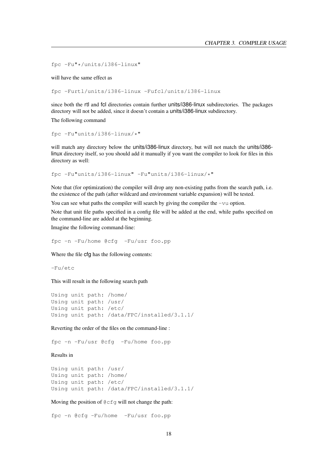fpc -Fu"\*/units/i386-linux"

will have the same effect as

fpc -Furtl/units/i386-linux -Fufcl/units/i386-linux

since both the rtl and fcl directories contain further units/i386-linux subdirectories. The packages directory will not be added, since it doesn't contain a units/i386-linux subdirectory.

The following command

fpc -Fu"units/i386-linux/\*"

will match any directory below the units/i386-linux directory, but will not match the units/i386linux directory itself, so you should add it manually if you want the compiler to look for files in this directory as well:

fpc -Fu"units/i386-linux" -Fu"units/i386-linux/\*"

Note that (for optimization) the compiler will drop any non-existing paths from the search path, i.e. the existence of the path (after wildcard and environment variable expansion) will be tested.

You can see what paths the compiler will search by giving the compiler the  $-\nu u$  option.

Note that unit file paths specified in a config file will be added at the end, while paths specified on the command-line are added at the beginning.

Imagine the following command-line:

fpc -n -Fu/home @cfg -Fu/usr foo.pp

Where the file cfg has the following contents:

-Fu/etc

This will result in the following search path

```
Using unit path: /home/
Using unit path: /usr/
Using unit path: /etc/
Using unit path: /data/FPC/installed/3.1.1/
```
Reverting the order of the files on the command-line :

fpc -n -Fu/usr @cfg -Fu/home foo.pp

#### Results in

Using unit path: /usr/ Using unit path: /home/ Using unit path: /etc/ Using unit path: /data/FPC/installed/3.1.1/

Moving the position of @cfg will not change the path:

fpc -n @cfg -Fu/home -Fu/usr foo.pp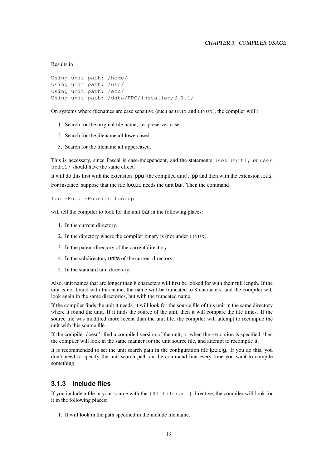#### Results in

```
Using unit path: /home/
Using unit path: /usr/
Using unit path: /etc/
Using unit path: /data/FPC/installed/3.1.1/
```
On systems where filenames are case sensitive (such as UNIX and LINUX), the compiler will :

- 1. Search for the original file name, i.e. preserves case.
- 2. Search for the filename all lowercased.
- 3. Search for the filename all uppercased.

This is necessary, since Pascal is case-independent, and the statements Uses Unit1; or uses unit1; should have the same effect.

It will do this first with the extension .ppu (the compiled unit), .pp and then with the extension .pas. For instance, suppose that the file foo.pp needs the unit bar. Then the command

fpc -Fu.. -Fuunits foo.pp

will tell the compiler to look for the unit bar in the following places:

- 1. In the current directory.
- 2. In the directory where the compiler binary is (not under LINUX).
- 3. In the parent directory of the current directory.
- 4. In the subdirectory units of the current directory
- 5. In the standard unit directory.

Also, unit names that are longer than 8 characters will first be looked for with their full length. If the unit is not found with this name, the name will be truncated to 8 characters, and the compiler will look again in the same directories, but with the truncated name.

If the compiler finds the unit it needs, it will look for the source file of this unit in the same directory where it found the unit. If it finds the source of the unit, then it will compare the file times. If the source file was modified more recent than the unit file, the compiler will attempt to recompile the unit with this source file.

If the compiler doesn't find a compiled version of the unit, or when the -B option is specified, then the compiler will look in the same manner for the unit source file, and attempt to recompile it.

It is recommended to set the unit search path in the configuration file fpc.cfg. If you do this, you don't need to specify the unit search path on the command line every time you want to compile something.

#### <span id="page-19-0"></span>**3.1.3 Include files**

If you include a file in your source with the  $\{\$I \$  filename} directive, the compiler will look for it in the following places:

1. It will look in the path specified in the include file name.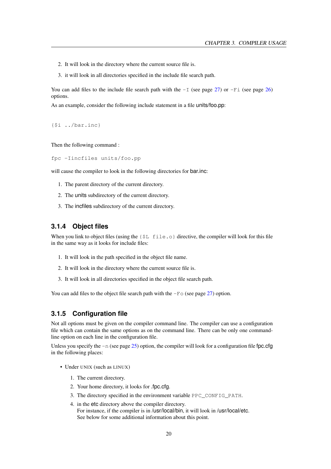- 2. It will look in the directory where the current source file is.
- 3. it will look in all directories specified in the include file search path.

You can add files to the include file search path with the  $-I$  (see page [27\)](#page-26-0) or  $-Fi$  (see page [26\)](#page-26-0) options.

As an example, consider the following include statement in a file units/foo.pp:

{\$i ../bar.inc}

Then the following command :

fpc -Iincfiles units/foo.pp

will cause the compiler to look in the following directories for **bar.inc**:

- 1. The parent directory of the current directory.
- 2. The units subdirectory of the current directory.
- 3. The incfiles subdirectory of the current directory.

#### <span id="page-20-0"></span>**3.1.4 Object files**

When you link to object files (using the  $\{ $L \text{ file } . \circ$}$ ) directive, the compiler will look for this file in the same way as it looks for include files:

- 1. It will look in the path specified in the object file name.
- 2. It will look in the directory where the current source file is.
- 3. It will look in all directories specified in the object file search path.

You can add files to the object file search path with the  $-F \circ$  (see page [27\)](#page-26-0) option.

### <span id="page-20-1"></span>**3.1.5 Configuration file**

Not all options must be given on the compiler command line. The compiler can use a configuration file which can contain the same options as on the command line. There can be only one commandline option on each line in the configuration file.

Unless you specify the  $-n$  (see page [25\)](#page-24-2) option, the compiler will look for a configuration file fpc.cfg in the following places:

- Under UNIX (such as LINUX)
	- 1. The current directory.
	- 2. Your home directory, it looks for .fpc.cfg.
	- 3. The directory specified in the environment variable PPC\_CONFIG\_PATH.
	- 4. in the etc directory above the compiler directory. For instance, if the compiler is in /usr/local/bin, it will look in /usr/local/etc. See below for some additional information about this point.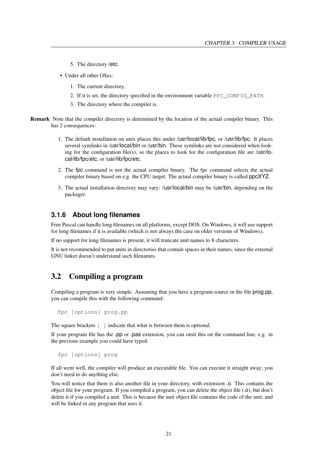- 5. The directory /etc.
- Under all other OSes:
	- 1. The current directory.
	- 2. If it is set, the directory specified in the environment variable PPC\_CONFIG\_PATH.
	- 3. The directory where the compiler is.

Remark Note that the compiler directory is determined by the location of the actual compiler binary. This has 2 consequences:

- 1. The default installation on unix places this under /usr/local/lib/fpc, or /usr/lib/fpc. It places several symlinks in /usr/local/bin or /usr/bin. These symlinks are not considered when looking for the configuration file(s), so the places to look for the configuration file are /usr/local/lib/fpc/etc, or /usr/lib/fpc/etc.
- 2. The fpc command is not the actual compiler binary. The fpc command selects the actual compiler binary based on e.g. the CPU target. The actual compiler binary is called ppcXYZ.
- 3. The actual installation directory may vary: /usr/local/bin may be /usr/bin, depending on the packager.

### <span id="page-21-0"></span>**3.1.6 About long filenames**

Free Pascal can handle long filenames on all platforms, except DOS. On Windows, it will use support for long filenames if it is available (which is not always the case on older versions of Windows).

If no support for long filenames is present, it will truncate unit names to 8 characters.

It is not recommended to put units in directories that contain spaces in their names, since the external GNU linker doesn't understand such filenames.

## <span id="page-21-1"></span>3.2 Compiling a program

Compiling a program is very simple. Assuming that you have a program source in the file prog.pp, you can compile this with the following command:

```
fpc [options] prog.pp
```
The square brackets  $\lceil \cdot \rceil$  indicate that what is between them is optional.

If your program file has the .pp or .pas extension, you can omit this on the command line, e.g. in the previous example you could have typed:

fpc [options] prog

If all went well, the compiler will produce an executable file. You can execute it straight away; you don't need to do anything else.

You will notice that there is also another file in your directory, with extension .0. This contains the object file for your program. If you compiled a program, you can delete the object file (.o), but don't delete it if you compiled a unit. This is because the unit object file contains the code of the unit, and will be linked in any program that uses it.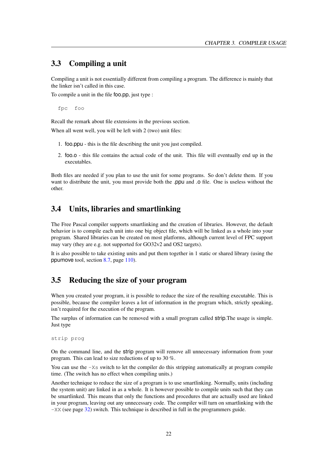## <span id="page-22-0"></span>3.3 Compiling a unit

Compiling a unit is not essentially different from compiling a program. The difference is mainly that the linker isn't called in this case.

To compile a unit in the file foo.pp, just type :

fpc foo

Recall the remark about file extensions in the previous section.

When all went well, you will be left with 2 (two) unit files:

- 1. foo.ppu this is the file describing the unit you just compiled.
- 2. foo.o this file contains the actual code of the unit. This file will eventually end up in the executables.

Both files are needed if you plan to use the unit for some programs. So don't delete them. If you want to distribute the unit, you must provide both the .ppu and .o file. One is useless without the other.

## <span id="page-22-1"></span>3.4 Units, libraries and smartlinking

The Free Pascal compiler supports smartlinking and the creation of libraries. However, the default behavior is to compile each unit into one big object file, which will be linked as a whole into your program. Shared libraries can be created on most platforms, although current level of FPC support may vary (they are e.g. not supported for GO32v2 and OS2 targets).

It is also possible to take existing units and put them together in 1 static or shared library (using the ppumove tool, section [8.7,](#page-110-0) page [110\)](#page-110-0).

## <span id="page-22-2"></span>3.5 Reducing the size of your program

When you created your program, it is possible to reduce the size of the resulting executable. This is possible, because the compiler leaves a lot of information in the program which, strictly speaking, isn't required for the execution of the program.

The surplus of information can be removed with a small program called strip.The usage is simple. Just type

strip prog

On the command line, and the strip program will remove all unnecessary information from your program. This can lead to size reductions of up to 30 %.

You can use the  $-Xs$  switch to let the compiler do this stripping automatically at program compile time. (The switch has no effect when compiling units.)

Another technique to reduce the size of a program is to use smartlinking. Normally, units (including the system unit) are linked in as a whole. It is however possible to compile units such that they can be smartlinked. This means that only the functions and procedures that are actually used are linked in your program, leaving out any unnecessary code. The compiler will turn on smartlinking with the  $-XX$  (see page [32\)](#page-27-0) switch. This technique is described in full in the programmers guide.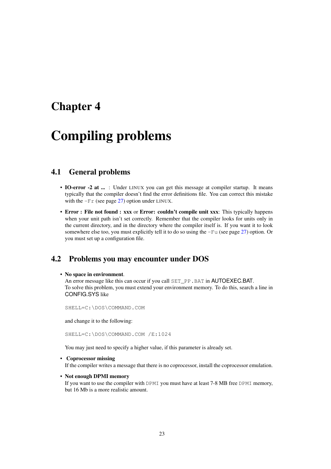## <span id="page-23-0"></span>Chapter 4

# Compiling problems

## <span id="page-23-1"></span>4.1 General problems

- **IO-error -2 at ...** : Under LINUX you can get this message at compiler startup. It means typically that the compiler doesn't find the error definitions file. You can correct this mistake with the  $-Fr$  (see page [27\)](#page-26-0) option under LINUX.
- Error : File not found : xxx or Error: couldn't compile unit xxx: This typically happens when your unit path isn't set correctly. Remember that the compiler looks for units only in the current directory, and in the directory where the compiler itself is. If you want it to look somewhere else too, you must explicitly tell it to do so using the  $-Fu$  (see page [27\)](#page-26-0) option. Or you must set up a configuration file.

## <span id="page-23-2"></span>4.2 Problems you may encounter under DOS

#### • No space in environment.

An error message like this can occur if you call SET\_PP.BAT in AUTOEXEC.BAT. To solve this problem, you must extend your environment memory. To do this, search a line in CONFIG.SYS like

SHELL=C:\DOS\COMMAND.COM

and change it to the following:

SHELL=C:\DOS\COMMAND.COM /E:1024

You may just need to specify a higher value, if this parameter is already set.

• Coprocessor missing

If the compiler writes a message that there is no coprocessor, install the coprocessor emulation.

• Not enough DPMI memory

If you want to use the compiler with DPMI you must have at least 7-8 MB free DPMI memory, but 16 Mb is a more realistic amount.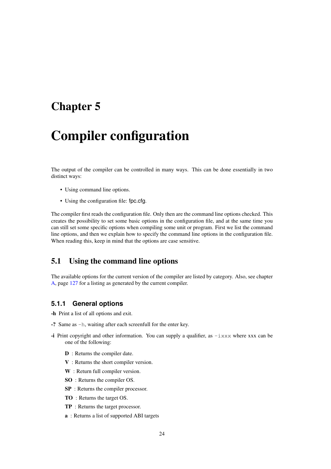## <span id="page-24-0"></span>Chapter 5

# Compiler configuration

The output of the compiler can be controlled in many ways. This can be done essentially in two distinct ways:

- Using command line options.
- Using the configuration file: fpc.cfg.

The compiler first reads the configuration file. Only then are the command line options checked. This creates the possibility to set some basic options in the configuration file, and at the same time you can still set some specific options when compiling some unit or program. First we list the command line options, and then we explain how to specify the command line options in the configuration file. When reading this, keep in mind that the options are case sensitive.

## <span id="page-24-1"></span>5.1 Using the command line options

The available options for the current version of the compiler are listed by category. Also, see chapter [A,](#page-127-0) page [127](#page-127-0) for a listing as generated by the current compiler.

#### <span id="page-24-2"></span>**5.1.1 General options**

- -h Print a list of all options and exit.
- -? Same as -h, waiting after each screenfull for the enter key.
- -i Print copyright and other information. You can supply a qualifier, as  $-i \times x \times$  where xxx can be one of the following:
	- D : Returns the compiler date.
	- V : Returns the short compiler version.
	- W: Return full compiler version.
	- SO : Returns the compiler OS.
	- SP : Returns the compiler processor.
	- TO : Returns the target OS.
	- TP : Returns the target processor.
	- a : Returns a list of supported ABI targets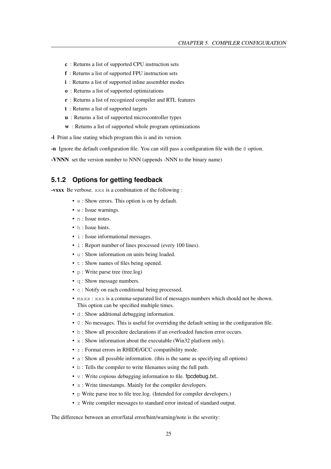- c : Returns a list of supported CPU instruction sets
- f : Returns a list of supported FPU instruction sets
- i : Returns a list of supported inline assembler modes
- o : Returns a list of supported optimizations
- r : Returns a list of recognized compiler and RTL features
- t : Returns a list of supported targets
- u : Returns a list of supported microcontroller types
- w: Returns a list of supported whole program optimizations

-l Print a line stating which program this is and its version.

-n Ignore the default configuration file. You can still pass a configuration file with the @ option.

-VNNN set the version number to NNN (appends -NNN to the binary name)

### <span id="page-25-0"></span>**5.1.2 Options for getting feedback**

-vxxx Be verbose. xxx is a combination of the following :

- e : Show errors. This option is on by default.
- w : Issue warnings.
- n : Issue notes.
- h : Issue hints.
- i : Issue informational messages.
- 1 : Report number of lines processed (every 100 lines).
- u : Show information on units being loaded.
- t : Show names of files being opened.
- p : Write parse tree (tree.log)
- q : Show message numbers.
- c : Notify on each conditional being processed.
- mxxx : xxx is a comma-separated list of messages numbers which should not be shown. This option can be specified multiple times.
- d : Show additional debugging information.
- 0 : No messages. This is useful for overriding the default setting in the configuration file.
- b : Show all procedure declarations if an overloaded function error occurs.
- x : Show information about the executable (Win32 platform only).
- $r$ : Format errors in RHIDE/GCC compatibility mode.
- a : Show all possible information. (this is the same as specifying all options)
- b : Tells the compiler to write filenames using the full path.
- $\nu$  : Write copious debugging information to file. fpcdebug.txt..
- s : Write timestamps. Mainly for the compiler developers.
- p Write parse tree to file tree.log. (Intended for compiler developers.)
- z Write compiler messages to standard error instead of standard output.

The difference between an error/fatal error/hint/warning/note is the severity: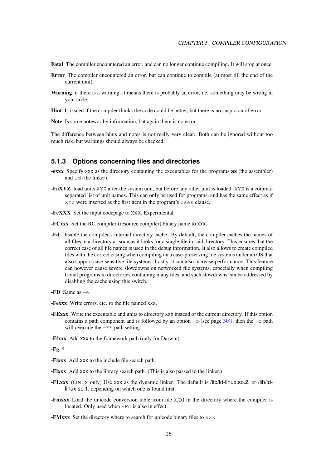- Fatal The compiler encountered an error, and can no longer continue compiling. It will stop at once.
- Error The compiler encountered an error, but can continue to compile (at most till the end of the current unit).
- Warning if there is a warning, it means there is probably an error, i.e. something may be wrong in your code.
- Hint Is issued if the compiler thinks the code could be better, but there is no suspicion of error.
- Note Is some noteworthy information, but again there is no error.

The difference between hints and notes is not really very clear. Both can be ignored without too much risk, but warnings should always be checked.

#### <span id="page-26-0"></span>**5.1.3 Options concerning files and directories**

- -exxx Specify xxx as the directory containing the executables for the programs as (the assembler) and ld (the linker).
- -FaXYZ load units XYZ after the system unit, but before any other unit is loaded. XYZ is a commaseparated list of unit names. This can only be used for programs, and has the same effect as if XYZ were inserted as the first item in the program's uses clause.

-FcXXX Set the input codepage to XXX. Experimental.

-FCxxx Set the RC compiler (resource compiler) binary name to xxx.

-Fd Disable the compiler's internal directory cache. By default, the compiler caches the names of all files in a directory as soon as it looks for a single file in said directory. This ensures that the correct case of all file names is used in the debug information. It also allows to create compiled files with the correct casing when compiling on a case-preserving file systems under an OS that also support case-sensitive file systems. Lastly, it can also increase performance. This feature can however cause severe slowdowns on networked file systems, especially when compiling trivial programs in directories containing many files, and such slowdowns can be addressed by disabling the cache using this switch.

- -Fexxx Write errors, etc. to the file named xxx.
- -FExxx Write the executable and units to directory xxx instead of the current directory. If this option contains a path component and is followed by an option  $-\circ$  (see page [30\)](#page-27-0)), then the  $-\circ$  path will override the  $-FE$  path setting.
- -Ffxxx Add xxx to the framework path (only for Darwin).

-Fg ?

- -Fixxx Add xxx to the include file search path.
- -Flxxx Add xxx to the library search path. (This is also passed to the linker.)
- -FLxxx (LINUX only) Use xxx as the dynamic linker. The default is /lib/ld-linux.so.2, or /lib/ldlinux.so.1, depending on which one is found first.
- -Fmxxx Load the unicode conversion table from file x.txt in the directory where the compiler is located. Only used when  $-Fc$  is also in effect.
- -FMxxx Set the directory where to search for unicode binary files to xxx.

<sup>-</sup>FD Same as  $-e$ .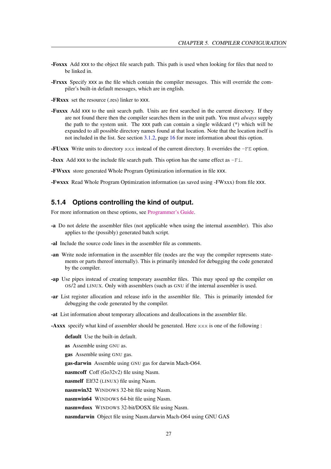- -Foxxx Add xxx to the object file search path. This path is used when looking for files that need to be linked in.
- -Frxxx Specify xxx as the file which contain the compiler messages. This will override the compiler's built-in default messages, which are in english.
- -FRxxx set the resource (.res) linker to xxx.
- -Fuxxx Add xxx to the unit search path. Units are first searched in the current directory. If they are not found there then the compiler searches them in the unit path. You must *always* supply the path to the system unit. The xxx path can contain a single wildcard (\*) which will be expanded to all possible directory names found at that location. Note that the location itself is not included in the list. See section [3.1.2,](#page-16-3) page [16](#page-16-3) for more information about this option.
- -**FUxxx** Write units to directory  $x \times x$  instead of the current directory. It overrides the  $-FE$  option.

-Ixxx Add xxx to the include file search path. This option has the same effect as  $-Fi$ .

-FWxxx store generated Whole Program Optimization information in file xxx.

-Fwxxx Read Whole Program Optimization information (as saved using -FWxxx) from file xxx.

### <span id="page-27-0"></span>**5.1.4 Options controlling the kind of output.**

For more information on these options, see [Programmer's Guide.](../prog/prog.html)

- -a Do not delete the assembler files (not applicable when using the internal assembler). This also applies to the (possibly) generated batch script.
- -al Include the source code lines in the assembler file as comments.
- -an Write node information in the assembler file (nodes are the way the compiler represents statements or parts thereof internally). This is primarily intended for debugging the code generated by the compiler.
- -ap Use pipes instead of creating temporary assembler files. This may speed up the compiler on OS/2 and LINUX. Only with assemblers (such as GNU if the internal assembler is used.
- -ar List register allocation and release info in the assembler file. This is primarily intended for debugging the code generated by the compiler.
- -at List information about temporary allocations and deallocations in the assembler file.
- -**Axxx** specify what kind of assembler should be generated. Here  $x \times x$  is one of the following :

default Use the built-in default.

as Assemble using GNU as.

gas Assemble using GNU gas.

gas-darwin Assemble using GNU gas for darwin Mach-O64.

nasmcoff Coff (Go32v2) file using Nasm.

nasmelf Elf32 (LINUX) file using Nasm.

nasmwin32 WINDOWS 32-bit file using Nasm.

nasmwin64 WINDOWS 64-bit file using Nasm.

nasmwdosx WINDOWS 32-bit/DOSX file using Nasm.

nasmdarwin Object file using Nasm.darwin Mach-O64 using GNU GAS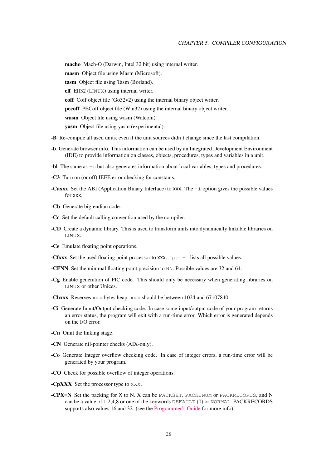macho Mach-O (Darwin, Intel 32 bit) using internal writer. masm Object file using Masm (Microsoft). tasm Object file using Tasm (Borland). elf Elf32 (LINUX) using internal writer. coff Coff object file (Go32v2) using the internal binary object writer. pecoff PECoff object file (Win32) using the internal binary object writer. wasm Object file using wasm (Watcom). yasm Object file using yasm (experimental).

- -B Re-compile all used units, even if the unit sources didn't change since the last compilation.
- -b Generate browser info. This information can be used by an Integrated Development Environment (IDE) to provide information on classes, objects, procedures, types and variables in a unit.
- -bl The same as -b but also generates information about local variables, types and procedures.
- -C3 Turn on (or off) IEEE error checking for constants.
- -Caxxx Set the ABI (Application Binary Interface) to xxx. The  $-i$  option gives the possible values for xxx.
- -Cb Generate big-endian code.
- -Cc Set the default calling convention used by the compiler.
- -CD Create a dynamic library. This is used to transform units into dynamically linkable libraries on LINUX.
- -Ce Emulate floating point operations.
- **-Cfxxx** Set the used floating point processor to xxx.  $f_{\text{PC}}$  -i lists all possible values.
- -CFNN Set the minimal floating point precision to NN. Possible values are 32 and 64.
- -Cg Enable generation of PIC code. This should only be necessary when generating libraries on LINUX or other Unices.
- -Chxxx Reserves xxx bytes heap. xxx should be between 1024 and 67107840.
- -Ci Generate Input/Output checking code. In case some input/output code of your program returns an error status, the program will exit with a run-time error. Which error is generated depends on the I/O error.
- -Cn Omit the linking stage.
- -CN Generate nil-pointer checks (AIX-only).
- -Co Generate Integer overflow checking code. In case of integer errors, a run-time error will be generated by your program.
- -CO Check for possible overflow of integer operations.
- -CpXXX Set the processor type to XXX.
- $-CPX=N$  Set the packing for X to N. X can be PACKSET, PACKENUM or PACKRECORDS, and N can be a value of 1,2,4,8 or one of the keywords DEFAULT (0) or NORMAL. PACKRECORDS supports also values 16 and 32. (see the [Programmer's Guide](../prog/prog.html) for more info).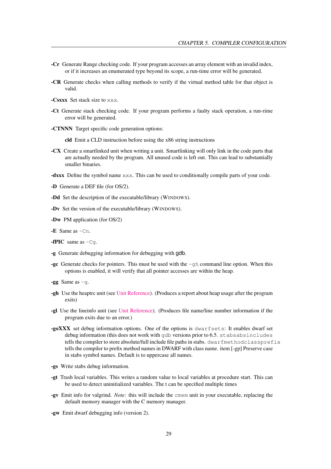- -Cr Generate Range checking code. If your program accesses an array element with an invalid index, or if it increases an enumerated type beyond its scope, a run-time error will be generated.
- -CR Generate checks when calling methods to verify if the virtual method table for that object is valid.
- -Csxxx Set stack size to xxx.
- -Ct Generate stack checking code. If your program performs a faulty stack operation, a run-rime error will be generated.
- -CTNNN Target specific code generation options:
	- cld Emit a CLD instruction before using the x86 string instructions
- -CX Create a smartlinked unit when writing a unit. Smartlinking will only link in the code parts that are actually needed by the program. All unused code is left out. This can lead to substantially smaller binaries.
- -dxxx Define the symbol name xxx. This can be used to conditionally compile parts of your code.
- -D Generate a DEF file (for OS/2).
- -Dd Set the description of the executable/library (WINDOWS).
- -Dv Set the version of the executable/library (WINDOWS).
- -Dw PM application (for OS/2)
- - $E$  Same as  $-Cn$ .
- **-fPIC** same as  $-Cq$ .
- -g Generate debugging information for debugging with gdb.
- **-gc** Generate checks for pointers. This must be used with the  $-\eta h$  command line option. When this options is enabled, it will verify that all pointer accesses are within the heap.
- -gg Same as  $-q$ .
- -gh Use the heaptrc unit (see [Unit Reference\)](../rtl/index.html). (Produces a report about heap usage after the program exits)
- -gl Use the lineinfo unit (see [Unit Reference\)](../rtl/index.html). (Produces file name/line number information if the program exits due to an error.)
- $-g\textbf{0}$  set debug information options. One of the options is dwarfsets: It enables dwarf set debug information (this does not work with gdb versions prior to 6.5. stabsabsincludes tells the compiler to store absolute/full include file paths in stabs. dwarfmethodclassprefix tells the compiler to prefix method names in DWARF with class name. item [-gp] Preserve case in stabs symbol names. Default is to uppercase all names.
- -gs Write stabs debug information.
- -gt Trash local variables. This writes a random value to local variables at procedure start. This can be used to detect uninitialized variables. The t can be specified multiple times
- -gv Emit info for valgrind. *Note:* this will include the cmem unit in your executable, replacing the default memory manager with the C memory manager.
- -gw Emit dwarf debugging info (version 2).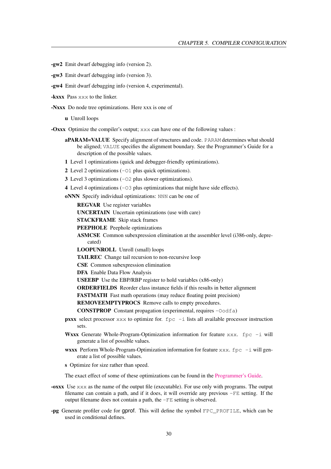- -gw2 Emit dwarf debugging info (version 2).
- -gw3 Emit dwarf debugging info (version 3).
- -gw4 Emit dwarf debugging info (version 4, experimental).
- -kxxx Pass xxx to the linker.
- -Nxxx Do node tree optimizations. Here xxx is one of
	- u Unroll loops

-Oxxx Optimize the compiler's output; xxx can have one of the following values :

- aPARAM=VALUE Specify alignment of structures and code. PARAM determines what should be aligned; VALUE specifies the alignment boundary. See the Programmer's Guide for a description of the possible values.
- 1 Level 1 optimizations (quick and debugger-friendly optimizations).
- 2 Level 2 optimizations (-O1 plus quick optimizations).
- 3 Level 3 optimizations (-O2 plus slower optimizations).
- 4 Level 4 optimizations (-O3 plus optimizations that might have side effects).

oNNN Specify individual optimizations: NNN can be one of

REGVAR Use register variables

UNCERTAIN Uncertain optimizations (use with care)

STACKFRAME Skip stack frames

PEEPHOLE Peephole optimizations

ASMCSE Common subexpression elimination at the assembler level (i386-only, deprecated)

LOOPUNROLL Unroll (small) loops

TAILREC Change tail recursion to non-recursive loop

CSE Common subexpression elimination

DFA Enable Data Flow Analysis

USEEBP Use the EBP/RBP register to hold variables (x86-only)

ORDERFIELDS Reorder class instance fields if this results in better alignment

FASTMATH Fast math operations (may reduce floating point precision)

REMOVEEMPTYPROCS Remove calls to empty procedures.

CONSTPROP Constant propagation (experimental, requires -Oodfa)

- **pxxx** select processor xxx to optimize for.  $fpc i$  lists all available processor instruction sets.
- **WXXX** Generate Whole-Program-Optimization information for feature  $xxx$ . fpc  $-i$  will generate a list of possible values.
- **wxxx** Perform Whole-Program-Optimization information for feature xxx. fpc  $-i$  will generate a list of possible values.
- s Optimize for size rather than speed.

The exact effect of some of these optimizations can be found in the [Programmer's Guide.](../prog/prog.html)

- -oxxx Use xxx as the name of the output file (executable). For use only with programs. The output filename can contain a path, and if it does, it will override any previous  $-FE$  setting. If the output filename does not contain a path, the -FE setting is observed.
- -pg Generate profiler code for gprof. This will define the symbol FPC\_PROFILE, which can be used in conditional defines.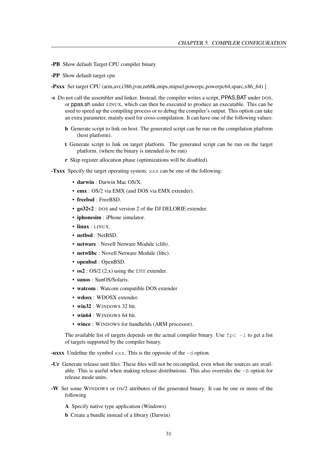- -PB Show default Target CPU compiler binary
- -PP Show default target cpu
- -Pxxx Set target CPU (arm,avr,i386,jvm,m68k,mips,mipsel,powerpc,powerpc64,sparc,x86\_64) ]
- -s Do not call the assembler and linker. Instead, the compiler writes a script, PPAS.BAT under DOS, or ppas.sh under LINUX, which can then be executed to produce an executable. This can be used to speed up the compiling process or to debug the compiler's output. This option can take an extra parameter, mainly used for cross-compilation. It can have one of the following values:
	- h Generate script to link on host. The generated script can be run on the compilation platform (host platform).
	- t Generate script to link on target platform. The generated script can be run on the target platform. (where the binary is intended to be run)
	- r Skip register allocation phase (optimizations will be disabled).
- -Txxx Specify the target operating system. xxx can be one of the following:
	- darwin : Darwin Mac OS/X.
	- emx : OS/2 via EMX (and DOS via EMX extender).
	- freebsd : FreeBSD.
	- go32v2 : DOS and version 2 of the DJ DELORIE extender.
	- **iphonesim** : iPhone simulator.
	- linux : LINUX.
	- netbsd : NetBSD.
	- netware : Novell Netware Module (clib).
	- netwlibc : Novell Netware Module (libc).
	- openbsd : OpenBSD.
	- $\cos 2 : OS/2 (2.x)$  using the EMX extender.
	- sunos : SunOS/Solaris.
	- watcom : Watcom compatible DOS extender
	- wdosx : WDOSX extender.
	- win32 : WINDOWS 32 bit.
	- win64 : WINDOWS 64 bit.
	- wince : WINDOWS for handhelds (ARM processor).

The available list of targets depends on the actual compiler binary. Use  $f_{\text{pc}} - i$  to get a list of targets supported by the compiler binary.

**-uxxx** Undefine the symbol  $x \times x$ . This is the opposite of the  $-d$  option.

- -Ur Generate release unit files. These files will not be recompiled, even when the sources are available. This is useful when making release distributions. This also overrides the  $-B$  option for release mode units.
- -W Set some WINDOWS or OS/2 attributes of the generated binary. It can be one or more of the following
	- A Specify native type application (Windows)
	- b Create a bundle instead of a library (Darwin)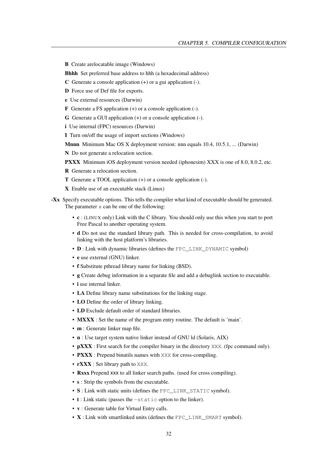- B Create arelocatable image (Windows)
- Bhhh Set preferred base address to hhh (a hexadecimal address)
- C Generate a console application (+) or a gui application (-).
- D Force use of Def file for exports.
- e Use external resources (Darwin)
- F Generate a FS application (+) or a console application (-).
- G Generate a GUI application (+) or a console application (-).
- i Use internal (FPC) resources (Darwin)
- I Turn on/off the usage of import sections (Windows)
- Mnnn Minimum Mac OS X deployment version: nnn equals 10.4, 10.5.1, ... (Darwin)
- N Do not generate a relocation section.
- PXXX Minimum iOS deployment version needed (iphonesim) XXX is one of 8.0, 8.0.2, etc.
- R Generate a relocation section.
- T Generate a TOOL application (+) or a console application (-).
- X Enable use of an executable stack (Linux)
- -Xx Specify executable options. This tells the compiler what kind of executable should be generated. The parameter x can be one of the following:
	- c : (LINUX only) Link with the C library. You should only use this when you start to port Free Pascal to another operating system.
	- d Do not use the standard library path. This is needed for cross-compilation, to avoid linking with the host platform's libraries.
	- D : Link with dynamic libraries (defines the FPC\_LINK\_DYNAMIC symbol)
	- e use external (GNU) linker.
	- f Substitute pthread library name for linking (BSD).
	- g Create debug information in a separate file and add a debuglink section to executable.
	- **i** use internal linker.
	- LA Define library name substitutions for the linking stage.
	- LO Define the order of library linking.
	- LD Exclude default order of standard libraries.
	- MXXX : Set the name of the program entry routine. The default is 'main'.
	- **m** : Generate linker map file.
	- n : Use target system native linker instead of GNU ld (Solaris, AIX)
	- **pXXX** : First search for the compiler binary in the directory XXX. (fpc command only).
	- **PXXX** : Prepend binutils names with XXX for cross-compiling.
	- **rXXX** : Set library path to XXX.
	- Rxxx Prepend xxx to all linker search paths. (used for cross compiling).
	- s : Strip the symbols from the executable.
	- S: Link with static units (defines the FPC LINK STATIC symbol).
	- t : Link static (passes the -static option to the linker).
	- v : Generate table for Virtual Entry calls.
	- X : Link with smartlinked units (defines the FPC\_LINK\_SMART symbol).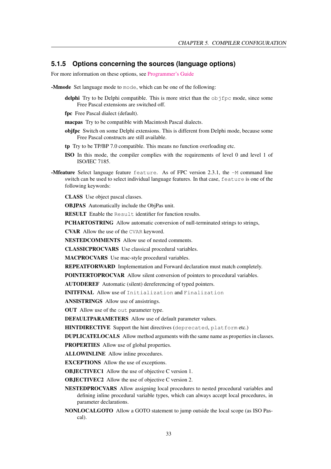### <span id="page-33-0"></span>**5.1.5 Options concerning the sources (language options)**

For more information on these options, see [Programmer's Guide](../prog/prog.html)

-Mmode Set language mode to mode, which can be one of the following:

- delphi Try to be Delphi compatible. This is more strict than the  $\circ$ b $\dagger$ fpc mode, since some Free Pascal extensions are switched off.
- fpc Free Pascal dialect (default).
- macpas Try to be compatible with Macintosh Pascal dialects.
- objfpc Switch on some Delphi extensions. This is different from Delphi mode, because some Free Pascal constructs are still available.
- tp Try to be TP/BP 7.0 compatible. This means no function overloading etc.
- ISO In this mode, the compiler complies with the requirements of level 0 and level 1 of ISO/IEC 7185.
- -Mfeature Select language feature feature. As of FPC version 2.3.1, the -M command line switch can be used to select individual language features. In that case, feature is one of the following keywords:

CLASS Use object pascal classes.

OBJPAS Automatically include the ObjPas unit.

RESULT Enable the Result identifier for function results.

PCHARTOSTRING Allow automatic conversion of null-terminated strings to strings,

CVAR Allow the use of the CVAR keyword.

NESTEDCOMMENTS Allow use of nested comments.

CLASSICPROCVARS Use classical procedural variables.

MACPROCVARS Use mac-style procedural variables.

REPEATFORWARD Implementation and Forward declaration must match completely.

POINTERTOPROCVAR Allow silent conversion of pointers to procedural variables.

AUTODEREF Automatic (silent) dereferencing of typed pointers.

INITFINAL Allow use of Initialization and Finalization

ANSISTRINGS Allow use of ansistrings.

OUT Allow use of the out parameter type.

DEFAULTPARAMETERS Allow use of default parameter values.

HINTDIRECTIVE Support the hint directives (deprecated, platform etc.)

DUPLICATELOCALS Allow method arguments with the same name as properties in classes.

PROPERTIES Allow use of global properties.

ALLOWINLINE Allow inline procedures.

EXCEPTIONS Allow the use of exceptions.

**OBJECTIVEC1** Allow the use of objective C version 1.

**OBJECTIVEC2** Allow the use of objective C version 2.

- NESTEDPROCVARS Allow assigning local procedures to nested procedural variables and defining inline procedural variable types, which can always accept local procedures, in parameter declarations.
- NONLOCALGOTO Allow a GOTO statement to jump outside the local scope (as ISO Pascal).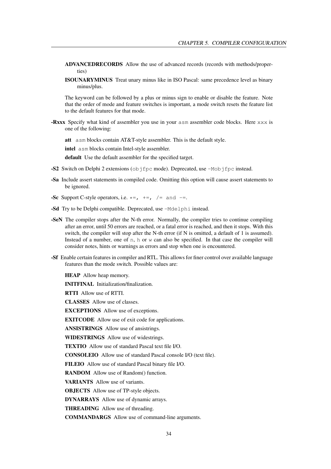- ADVANCEDRECORDS Allow the use of advanced records (records with methods/properties)
- ISOUNARYMINUS Treat unary minus like in ISO Pascal: same precedence level as binary minus/plus.

The keyword can be followed by a plus or minus sign to enable or disable the feature. Note that the order of mode and feature switches is important, a mode switch resets the feature list to the default features for that mode.

-Rxxx Specify what kind of assembler you use in your asm assembler code blocks. Here xxx is one of the following:

att asm blocks contain AT&T-style assembler. This is the default style.

intel asm blocks contain Intel-style assembler.

default Use the default assembler for the specified target.

- $-S2$  Switch on Delphi 2 extensions (objfpc mode). Deprecated, use  $-Mob$  if pc instead.
- -Sa Include assert statements in compiled code. Omitting this option will cause assert statements to be ignored.
- -Sc Support C-style operators, i.e.  $\ast =$ ,  $\div =$ ,  $\div =$  and  $\div =$ .
- -Sd Try to be Delphi compatible. Deprecated, use -Mdelphi instead.
- -SeN The compiler stops after the N-th error. Normally, the compiler tries to continue compiling after an error, until 50 errors are reached, or a fatal error is reached, and then it stops. With this switch, the compiler will stop after the N-th error (if N is omitted, a default of 1 is assumed). Instead of a number, one of n, h or w can also be specified. In that case the compiler will consider notes, hints or warnings as errors and stop when one is encountered.
- -Sf Enable certain features in compiler and RTL. This allows for finer control over available language features than the mode switch. Possible values are:

**HEAP** Allow heap memory.

INITFINAL Initialization/finalization.

RTTI Allow use of RTTI.

CLASSES Allow use of classes.

EXCEPTIONS Allow use of exceptions.

EXITCODE Allow use of exit code for applications.

ANSISTRINGS Allow use of ansistrings.

WIDESTRINGS Allow use of widestrings.

TEXTIO Allow use of standard Pascal text file I/O.

CONSOLEIO Allow use of standard Pascal console I/O (text file).

FILEIO Allow use of standard Pascal binary file I/O.

RANDOM Allow use of Random() function.

VARIANTS Allow use of variants.

**OBJECTS** Allow use of TP-style objects.

DYNARRAYS Allow use of dynamic arrays.

THREADING Allow use of threading.

COMMANDARGS Allow use of command-line arguments.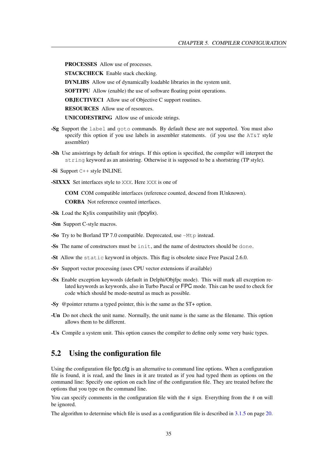PROCESSES Allow use of processes.

STACKCHECK Enable stack checking.

DYNLIBS Allow use of dynamically loadable libraries in the system unit.

SOFTFPU Allow (enable) the use of software floating point operations.

**OBJECTIVEC1** Allow use of Objective C support routines.

RESOURCES Allow use of resources.

UNICODESTRING Allow use of unicode strings.

- -Sg Support the label and goto commands. By default these are not supported. You must also specify this option if you use labels in assembler statements. (if you use the  $AT\&T$  style assembler)
- -Sh Use ansistrings by default for strings. If this option is specified, the compiler will interpret the string keyword as an ansistring. Otherwise it is supposed to be a shortstring (TP style).
- -Si Support C++ style INLINE.
- -SIXXX Set interfaces style to XXX. Here XXX is one of

COM COM compatible interfaces (reference counted, descend from IUnknown).

CORBA Not reference counted interfaces.

- -Sk Load the Kylix compatibility unit (fpcylix).
- -Sm Support C-style macros.
- -So Try to be Borland TP 7.0 compatible. Deprecated, use -Mtp instead.
- -Ss The name of constructors must be init, and the name of destructors should be done.
- -St Allow the static keyword in objects. This flag is obsolete since Free Pascal 2.6.0.
- -Sv Support vector processing (uses CPU vector extensions if available)
- -Sx Enable exception keywords (default in Delphi/Objfpc mode). This will mark all exception related keywords as keywords, also in Turbo Pascal or FPC mode. This can be used to check for code which should be mode-neutral as much as possible.
- -Sy @pointer returns a typed pointer, this is the same as the \$T+ option.
- -Un Do not check the unit name. Normally, the unit name is the same as the filename. This option allows them to be different.
- -Us Compile a system unit. This option causes the compiler to define only some very basic types.

## <span id="page-35-0"></span>5.2 Using the configuration file

Using the configuration file fpc.cfg is an alternative to command line options. When a configuration file is found, it is read, and the lines in it are treated as if you had typed them as options on the command line: Specify one option on each line of the configuration file. They are treated before the options that you type on the command line.

You can specify comments in the configuration file with the  $\#$  sign. Everything from the  $\#$  on will be ignored.

The algorithm to determine which file is used as a configuration file is described in [3.1.5](#page-20-1) on page [20.](#page-20-1)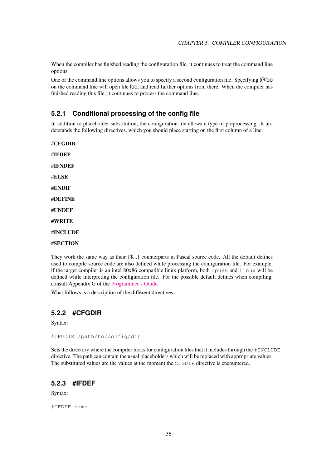When the compiler has finished reading the configuration file, it continues to treat the command line options.

One of the command line options allows you to specify a second configuration file: Specifying @foo on the command line will open file foo, and read further options from there. When the compiler has finished reading this file, it continues to process the command line.

#### **5.2.1 Conditional processing of the config file**

In addition to placeholder substitution, the configuration file allows a type of preprocessing. It understands the following directives, which you should place starting on the first column of a line:

#CFGDIR #IFDEF #IFNDEF #ELSE #ENDIF #DEFINE #UNDEF #WRITE #INCLUDE #SECTION

They work the same way as their {\$...} counterparts in Pascal source code. All the default defines used to compile source code are also defined while processing the configuration file. For example, if the target compiler is an intel 80x86 compatible linux platform, both cpu86 and linux will be defined while interpreting the configuration file. For the possible default defines when compiling, consult Appendix G of the [Programmer's Guide.](../prog/prog.html)

What follows is a description of the different directives.

# **5.2.2 #CFGDIR**

Syntax:

#CFGDIR /path/to/config/dir

Sets the directory where the compiler looks for configuration files that it includes through the #INCLUDE directive. The path can contain the usual placeholders which will be replaced with appropriate values. The substituted values are the values at the moment the CFGDIR directive is encountered.

#### **5.2.3 #IFDEF**

Syntax:

#IFDEF name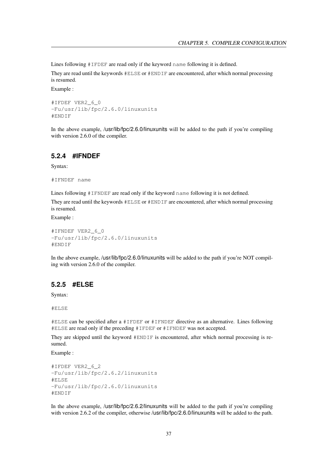Lines following #IFDEF are read only if the keyword name following it is defined.

They are read until the keywords #ELSE or #ENDIF are encountered, after which normal processing is resumed.

Example :

```
#IFDEF VER2_6_0
-Fu/usr/lib/fpc/2.6.0/linuxunits
#ENDIF
```
In the above example, /usr/lib/fpc/2.6.0/linuxunits will be added to the path if you're compiling with version 2.6.0 of the compiler.

# **5.2.4 #IFNDEF**

Syntax:

```
#IFNDEF name
```
Lines following #IFNDEF are read only if the keyword name following it is not defined.

They are read until the keywords #ELSE or #ENDIF are encountered, after which normal processing is resumed.

Example :

```
#IFNDEF VER2 6 0
-Fu/usr/lib/fpc/2.6.0/linuxunits
#ENDIF
```
In the above example, /usr/lib/fpc/2.6.0/linuxunits will be added to the path if you're NOT compiling with version 2.6.0 of the compiler.

# **5.2.5 #ELSE**

Syntax:

#ELSE

#ELSE can be specified after a #IFDEF or #IFNDEF directive as an alternative. Lines following #ELSE are read only if the preceding #IFDEF or #IFNDEF was not accepted.

They are skipped until the keyword #ENDIF is encountered, after which normal processing is resumed.

Example :

```
#IFDEF VER2_6_2
-Fu/usr/lib/fpc/2.6.2/linuxunits
#ELSE
-Fu/usr/lib/fpc/2.6.0/linuxunits
#ENDIF
```
In the above example, /usr/lib/fpc/2.6.2/linuxunits will be added to the path if you're compiling with version 2.6.2 of the compiler, otherwise /usr/lib/fpc/2.6.0/linuxunits will be added to the path.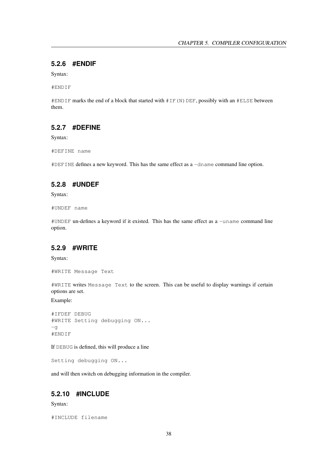# **5.2.6 #ENDIF**

Syntax:

#ENDIF

#ENDIF marks the end of a block that started with #IF(N)DEF, possibly with an #ELSE between them.

# **5.2.7 #DEFINE**

Syntax:

#DEFINE name

#DEFINE defines a new keyword. This has the same effect as a -dname command line option.

# **5.2.8 #UNDEF**

Syntax:

#UNDEF name

#UNDEF un-defines a keyword if it existed. This has the same effect as a -uname command line option.

# **5.2.9 #WRITE**

Syntax:

```
#WRITE Message Text
```
#WRITE writes Message Text to the screen. This can be useful to display warnings if certain options are set.

Example:

```
#IFDEF DEBUG
#WRITE Setting debugging ON...
-q#ENDIF
```
If DEBUG is defined, this will produce a line

Setting debugging ON...

and will then switch on debugging information in the compiler.

# **5.2.10 #INCLUDE**

Syntax:

#INCLUDE filename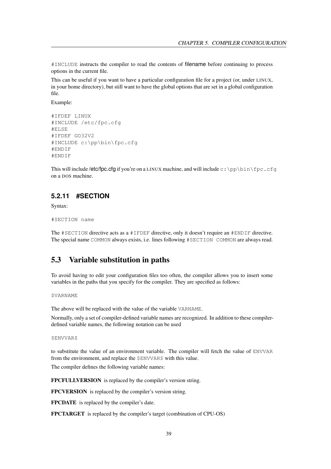#INCLUDE instructs the compiler to read the contents of filename before continuing to process options in the current file.

This can be useful if you want to have a particular configuration file for a project (or, under LINUX, in your home directory), but still want to have the global options that are set in a global configuration file.

Example:

```
#IFDEF LINUX
#INCLUDE /etc/fpc.cfg
#ELSE
#IFDEF GO32V2
#INCLUDE c:\pp\bin\fpc.cfg
#ENDIF
#ENDIF
```
This will include /etc/fpc.cfg if you're on a LINUX machine, and will include  $c:$  \pp\bin\fpc.cfq on a DOS machine.

# **5.2.11 #SECTION**

Syntax:

```
#SECTION name
```
The #SECTION directive acts as a #IFDEF directive, only it doesn't require an #ENDIF directive. The special name COMMON always exists, i.e. lines following #SECTION COMMON are always read.

# 5.3 Variable substitution in paths

To avoid having to edit your configuration files too often, the compiler allows you to insert some variables in the paths that you specify for the compiler. They are specified as follows:

\$VARNAME

The above will be replaced with the value of the variable VARNAME.

Normally, only a set of compiler-defined variable names are recognized. In addition to these compilerdefined variable names, the following notation can be used

\$ENVVAR\$

to substitute the value of an environment variable. The compiler will fetch the value of ENVVAR from the environment, and replace the \$ENVVAR\$ with this value.

The compiler defines the following variable names:

FPCFULLVERSION is replaced by the compiler's version string.

FPCVERSION is replaced by the compiler's version string.

FPCDATE is replaced by the compiler's date.

FPCTARGET is replaced by the compiler's target (combination of CPU-OS)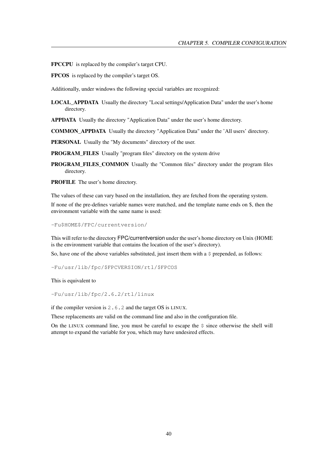FPCCPU is replaced by the compiler's target CPU.

FPCOS is replaced by the compiler's target OS.

Additionally, under windows the following special variables are recognized:

LOCAL\_APPDATA Usually the directory "Local settings/Application Data" under the user's home directory.

APPDATA Usually the directory "Application Data" under the user's home directory.

COMMON\_APPDATA Usually the directory "Application Data" under the 'All users' directory.

PERSONAL Usually the "My documents" directory of the user.

PROGRAM\_FILES Usually "program files" directory on the system drive

PROGRAM\_FILES\_COMMON Usually the "Common files" directory under the program files directory.

PROFILE The user's home directory.

The values of these can vary based on the installation, they are fetched from the operating system.

If none of the pre-defines variable names were matched, and the template name ends on \$, then the environment variable with the same name is used:

-Fu\$HOME\$/FPC/currentversion/

This will refer to the directory FPC/currentversion under the user's home directory on Unix (HOME is the environment variable that contains the location of the user's directory).

So, have one of the above variables substituted, just insert them with a  $\frac{1}{2}$  prepended, as follows:

-Fu/usr/lib/fpc/\$FPCVERSION/rtl/\$FPCOS

This is equivalent to

-Fu/usr/lib/fpc/2.6.2/rtl/linux

if the compiler version is 2.6.2 and the target OS is LINUX.

These replacements are valid on the command line and also in the configuration file.

On the LINUX command line, you must be careful to escape the  $\frac{1}{2}$  since otherwise the shell will attempt to expand the variable for you, which may have undesired effects.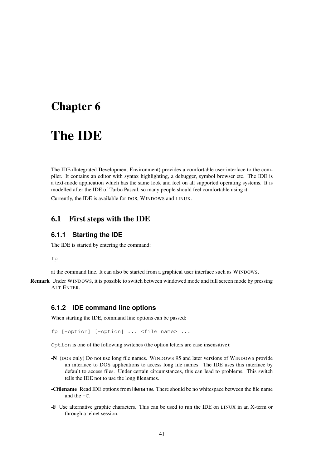# Chapter 6

# The IDE

The IDE (Integrated Development Environment) provides a comfortable user interface to the compiler. It contains an editor with syntax highlighting, a debugger, symbol browser etc. The IDE is a text-mode application which has the same look and feel on all supported operating systems. It is modelled after the IDE of Turbo Pascal, so many people should feel comfortable using it.

Currently, the IDE is available for DOS, WINDOWS and LINUX.

# 6.1 First steps with the IDE

# **6.1.1 Starting the IDE**

The IDE is started by entering the command:

fp

at the command line. It can also be started from a graphical user interface such as WINDOWS.

Remark Under WINDOWS, it is possible to switch between windowed mode and full screen mode by pressing ALT-ENTER.

#### **6.1.2 IDE command line options**

When starting the IDE, command line options can be passed:

fp [-option] [-option] ... <file name> ...

Option is one of the following switches (the option letters are case insensitive):

- -N (DOS only) Do not use long file names. WINDOWS 95 and later versions of WINDOWS provide an interface to DOS applications to access long file names. The IDE uses this interface by default to access files. Under certain circumstances, this can lead to problems. This switch tells the IDE not to use the long filenames.
- -Cfilename Read IDE options from filename. There should be no whitespace between the file name and the  $-C$ .
- -F Use alternative graphic characters. This can be used to run the IDE on LINUX in an X-term or through a telnet session.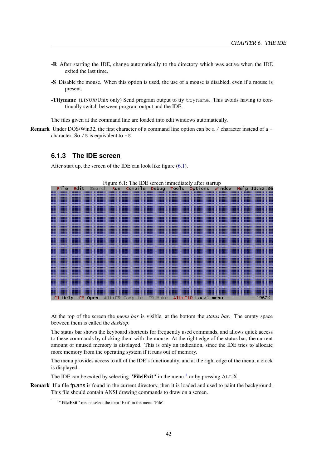- -R After starting the IDE, change automatically to the directory which was active when the IDE exited the last time.
- -S Disable the mouse. When this option is used, the use of a mouse is disabled, even if a mouse is present.
- -Tttyname (LINUX/Unix only) Send program output to tty ttyname. This avoids having to continually switch between program output and the IDE.

The files given at the command line are loaded into edit windows automatically.

**Remark** Under DOS/Win32, the first character of a command line option can be a  $\prime$  character instead of a character. So  $\sqrt{s}$  is equivalent to  $-S$ .

# **6.1.3 The IDE screen**

<span id="page-42-0"></span>After start up, the screen of the IDE can look like figure [\(6.1\)](#page-42-0).



At the top of the screen the *menu bar* is visible, at the bottom the *status bar*. The empty space between them is called the *desktop*.

The status bar shows the keyboard shortcuts for frequently used commands, and allows quick access to these commands by clicking them with the mouse. At the right edge of the status bar, the current amount of unused memory is displayed. This is only an indication, since the IDE tries to allocate more memory from the operating system if it runs out of memory.

The menu provides access to all of the IDE's functionality, and at the right edge of the menu, a clock is displayed.

The IDE can be exited by selecting "**File Exit**" in the menu  $\frac{1}{1}$  $\frac{1}{1}$  $\frac{1}{1}$  or by pressing ALT-X.

Remark If a file fp.ans is found in the current directory, then it is loaded and used to paint the background. This file should contain ANSI drawing commands to draw on a screen.

<span id="page-42-1"></span><sup>1</sup>"File|Exit" means select the item 'Exit' in the menu 'File'.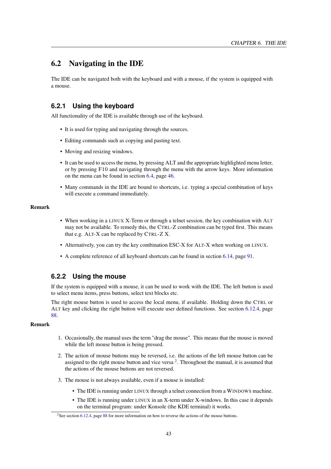# 6.2 Navigating in the IDE

The IDE can be navigated both with the keyboard and with a mouse, if the system is equipped with a mouse.

# **6.2.1 Using the keyboard**

All functionality of the IDE is available through use of the keyboard.

- It is used for typing and navigating through the sources.
- Editing commands such as copying and pasting text.
- Moving and resizing windows.
- It can be used to access the menu, by pressing ALT and the appropriate highlighted menu letter, or by pressing F10 and navigating through the menu with the arrow keys. More information on the menu can be found in section [6.4,](#page-46-0) page [46.](#page-46-0)
- Many commands in the IDE are bound to shortcuts, i.e. typing a special combination of keys will execute a command immediately.

#### Remark

- When working in a LINUX X-Term or through a telnet session, the key combination with ALT may not be available. To remedy this, the CTRL-Z combination can be typed first. This means that e.g. ALT-X can be replaced by CTRL-Z X.
- Alternatively, you can try the key combination ESC-X for ALT-X when working on LINUX.
- A complete reference of all keyboard shortcuts can be found in section [6.14,](#page-91-0) page [91.](#page-91-0)

# **6.2.2 Using the mouse**

If the system is equipped with a mouse, it can be used to work with the IDE. The left button is used to select menu items, press buttons, select text blocks etc.

The right mouse button is used to access the local menu, if available. Holding down the CTRL or ALT key and clicking the right button will execute user defined functions. See section [6.12.4,](#page-88-0) page [88.](#page-88-0)

#### Remark

- 1. Occasionally, the manual uses the term "drag the mouse". This means that the mouse is moved while the left mouse button is being pressed.
- 2. The action of mouse buttons may be reversed, i.e. the actions of the left mouse button can be assigned to the right mouse button and vice versa  $2$ . Throughout the manual, it is assumed that the actions of the mouse buttons are not reversed.
- 3. The mouse is not always available, even if a mouse is installed:
	- The IDE is running under LINUX through a telnet connection from a WINDOWS machine.
	- The IDE is running under LINUX in an X-term under X-windows. In this case it depends on the terminal program: under Konsole (the KDE terminal) it works.

<span id="page-43-0"></span><sup>&</sup>lt;sup>2</sup>See section [6.12.4,](#page-88-0) page [88](#page-88-0) for more information on how to reverse the actions of the mouse buttons.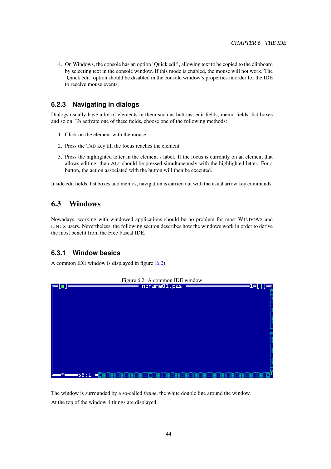4. On Windows, the console has an option 'Quick edit', allowing text to be copied to the clipboard by selecting text in the console window. If this mode is enabled, the mouse will not work. The 'Quick edit' option should be disabled in the console window's properties in order for the IDE to receive mouse events.

# **6.2.3 Navigating in dialogs**

Dialogs usually have a lot of elements in them such as buttons, edit fields, memo fields, list boxes and so on. To activate one of these fields, choose one of the following methods:

- 1. Click on the element with the mouse.
- 2. Press the TAB key till the focus reaches the element.
- 3. Press the highlighted letter in the element's label. If the focus is currently on an element that allows editing, then ALT should be pressed simultaneously with the highlighted letter. For a button, the action associated with the button will then be executed.

Inside edit fields, list boxes and memos, navigation is carried out with the usual arrow key commands.

# <span id="page-44-1"></span>6.3 Windows

Nowadays, working with windowed applications should be no problem for most WINDOWS and LINUX users. Nevertheless, the following section describes how the windows work in order to derive the most benefit from the Free Pascal IDE.

# **6.3.1 Window basics**

<span id="page-44-0"></span>A common IDE window is displayed in figure [\(6.2\)](#page-44-0).



The window is surrounded by a so-called *frame*, the white double line around the window. At the top of the window 4 things are displayed: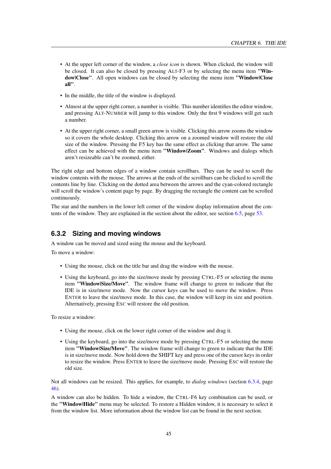- At the upper left corner of the window, a *close icon* is shown. When clicked, the window will be closed. It can also be closed by pressing ALT-F3 or by selecting the menu item "WindowlClose". All open windows can be closed by selecting the menu item "WindowlClose all".
- In the middle, the title of the window is displayed.
- Almost at the upper right corner, a number is visible. This number identifies the editor window, and pressing ALT-NUMBER will jump to this window. Only the first 9 windows will get such a number.
- At the upper right corner, a small green arrow is visible. Clicking this arrow zooms the window so it covers the whole desktop. Clicking this arrow on a zoomed window will restore the old size of the window. Pressing the F5 key has the same effect as clicking that arrow. The same effect can be achieved with the menu item "Window|Zoom". Windows and dialogs which aren't resizeable can't be zoomed, either.

The right edge and bottom edges of a window contain scrollbars. They can be used to scroll the window contents with the mouse. The arrows at the ends of the scrollbars can be clicked to scroll the contents line by line. Clicking on the dotted area between the arrows and the cyan-colored rectangle will scroll the window's content page by page. By dragging the rectangle the content can be scrolled continuously.

The star and the numbers in the lower left corner of the window display information about the contents of the window. They are explained in the section about the editor, see section [6.5,](#page-53-0) page [53.](#page-53-0)

#### **6.3.2 Sizing and moving windows**

A window can be moved and sized using the mouse and the keyboard.

To move a window:

- Using the mouse, click on the title bar and drag the window with the mouse.
- Using the keyboard, go into the size/move mode by pressing CTRL-F5 or selecting the menu item "Window|Size/Move". The window frame will change to green to indicate that the IDE is in size/move mode. Now the cursor keys can be used to move the window. Press ENTER to leave the size/move mode. In this case, the window will keep its size and position. Alternatively, pressing ESC will restore the old position.

To resize a window:

- Using the mouse, click on the lower right corner of the window and drag it.
- Using the keyboard, go into the size/move mode by pressing CTRL-F5 or selecting the menu item "Window|Size/Move". The window frame will change to green to indicate that the IDE is in size/move mode. Now hold down the SHIFT key and press one of the cursor keys in order to resize the window. Press ENTER to leave the size/move mode. Pressing ESC will restore the old size.

Not all windows can be resized. This applies, for example, to *dialog windows* (section [6.3.4,](#page-46-1) page [46\)](#page-46-1).

A window can also be hidden. To hide a window, the CTRL-F6 key combination can be used, or the "Window|Hide" menu may be selected. To restore a Hidden window, it is necessary to select it from the window list. More information about the window list can be found in the next section.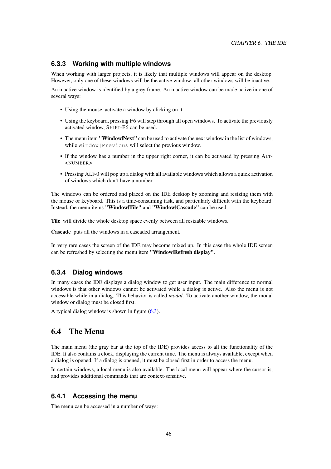#### **6.3.3 Working with multiple windows**

When working with larger projects, it is likely that multiple windows will appear on the desktop. However, only one of these windows will be the active window; all other windows will be inactive.

An inactive window is identified by a grey frame. An inactive window can be made active in one of several ways:

- Using the mouse, activate a window by clicking on it.
- Using the keyboard, pressing F6 will step through all open windows. To activate the previously activated window, SHIFT-F6 can be used.
- The menu item "Window|Next" can be used to activate the next window in the list of windows, while Window|Previous will select the previous window.
- If the window has a number in the upper right corner, it can be activated by pressing ALT- <NUMBER>.
- Pressing ALT-0 will pop up a dialog with all available windows which allows a quick activation of windows which don't have a number.

The windows can be ordered and placed on the IDE desktop by zooming and resizing them with the mouse or keyboard. This is a time-consuming task, and particularly difficult with the keyboard. Instead, the menu items "Window|Tile" and "Window|Cascade" can be used:

Tile will divide the whole desktop space evenly between all resizable windows.

Cascade puts all the windows in a cascaded arrangement.

In very rare cases the screen of the IDE may become mixed up. In this case the whole IDE screen can be refreshed by selecting the menu item "Window|Refresh display".

#### <span id="page-46-1"></span>**6.3.4 Dialog windows**

In many cases the IDE displays a dialog window to get user input. The main difference to normal windows is that other windows cannot be activated while a dialog is active. Also the menu is not accessible while in a dialog. This behavior is called *modal*. To activate another window, the modal window or dialog must be closed first.

A typical dialog window is shown in figure [\(6.3\)](#page-47-0).

# <span id="page-46-0"></span>6.4 The Menu

The main menu (the gray bar at the top of the IDE) provides access to all the functionality of the IDE. It also contains a clock, displaying the current time. The menu is always available, except when a dialog is opened. If a dialog is opened, it must be closed first in order to access the menu.

In certain windows, a local menu is also available. The local menu will appear where the cursor is, and provides additional commands that are context-sensitive.

#### **6.4.1 Accessing the menu**

The menu can be accessed in a number of ways: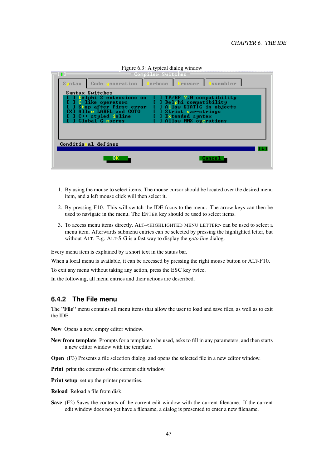| Figure 6.3: A typical dialog window |                                                                                                                                                                                                                                                                                                                                                  |                                     |  |  |           |  |  |
|-------------------------------------|--------------------------------------------------------------------------------------------------------------------------------------------------------------------------------------------------------------------------------------------------------------------------------------------------------------------------------------------------|-------------------------------------|--|--|-----------|--|--|
|                                     | Compiler Switches                                                                                                                                                                                                                                                                                                                                |                                     |  |  |           |  |  |
|                                     | Suntax                                                                                                                                                                                                                                                                                                                                           | Code generation   Derbose   Browser |  |  | fssembler |  |  |
|                                     |                                                                                                                                                                                                                                                                                                                                                  |                                     |  |  |           |  |  |
|                                     | Syntax Switches<br>1 Delphi 2 extensions on<br>[ ] TP/BP 7.0 compatibility<br>1 C-like operators<br>[ ] Delphi compatibility<br>I I Stop after first error<br>[ ] Allow STATIC in objects<br>[X] Allow LABEL and GOTO<br>[ ] Strict var-strings<br>[ ] C++ styled inline<br>I 1 Extended syntax<br>1 Global C macros<br>[ ] Allow MMX operations |                                     |  |  |           |  |  |
| Conditional defines                 |                                                                                                                                                                                                                                                                                                                                                  |                                     |  |  |           |  |  |
|                                     | Cance]                                                                                                                                                                                                                                                                                                                                           |                                     |  |  |           |  |  |

<span id="page-47-0"></span>Figure 6.3: A typical dialog window

- 1. By using the mouse to select items. The mouse cursor should be located over the desired menu item, and a left mouse click will then select it.
- 2. By pressing F10. This will switch the IDE focus to the menu. The arrow keys can then be used to navigate in the menu. The ENTER key should be used to select items.
- 3. To access menu items directly, ALT-<HIGHLIGHTED MENU LETTER> can be used to select a menu item. Afterwards submenu entries can be selected by pressing the highlighted letter, but without ALT. E.g. ALT-S G is a fast way to display the *goto line* dialog.

Every menu item is explained by a short text in the status bar.

When a local menu is available, it can be accessed by pressing the right mouse button or ALT-F10.

To exit any menu without taking any action, press the ESC key twice.

In the following, all menu entries and their actions are described.

# **6.4.2 The File menu**

The "File" menu contains all menu items that allow the user to load and save files, as well as to exit the IDE.

New Opens a new, empty editor window.

New from template Prompts for a template to be used, asks to fill in any parameters, and then starts a new editor window with the template.

Open (F3) Presents a file selection dialog, and opens the selected file in a new editor window.

Print print the contents of the current edit window.

Print setup set up the printer properties.

- Reload Reload a file from disk.
- Save (F2) Saves the contents of the current edit window with the current filename. If the current edit window does not yet have a filename, a dialog is presented to enter a new filename.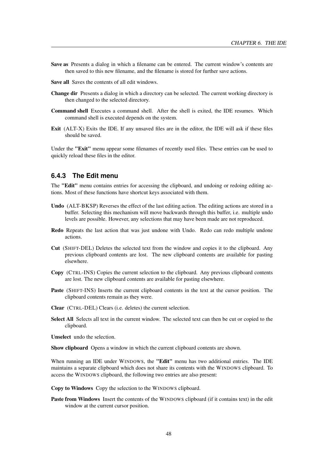- Save as Presents a dialog in which a filename can be entered. The current window's contents are then saved to this new filename, and the filename is stored for further save actions.
- Save all Saves the contents of all edit windows.
- Change dir Presents a dialog in which a directory can be selected. The current working directory is then changed to the selected directory.
- Command shell Executes a command shell. After the shell is exited, the IDE resumes. Which command shell is executed depends on the system.
- Exit (ALT-X) Exits the IDE. If any unsaved files are in the editor, the IDE will ask if these files should be saved.

Under the "Exit" menu appear some filenames of recently used files. These entries can be used to quickly reload these files in the editor.

#### **6.4.3 The Edit menu**

The "Edit" menu contains entries for accessing the clipboard, and undoing or redoing editing actions. Most of these functions have shortcut keys associated with them.

- Undo (ALT-BKSP) Reverses the effect of the last editing action. The editing actions are stored in a buffer. Selecting this mechanism will move backwards through this buffer, i.e. multiple undo levels are possible. However, any selections that may have been made are not reproduced.
- Redo Repeats the last action that was just undone with Undo. Redo can redo multiple undone actions.
- Cut (SHIFT-DEL) Deletes the selected text from the window and copies it to the clipboard. Any previous clipboard contents are lost. The new clipboard contents are available for pasting elsewhere.
- Copy (CTRL-INS) Copies the current selection to the clipboard. Any previous clipboard contents are lost. The new clipboard contents are available for pasting elsewhere.
- Paste (SHIFT-INS) Inserts the current clipboard contents in the text at the cursor position. The clipboard contents remain as they were.
- Clear (CTRL-DEL) Clears (i.e. deletes) the current selection.
- Select All Selects all text in the current window. The selected text can then be cut or copied to the clipboard.

Unselect undo the selection.

Show clipboard Opens a window in which the current clipboard contents are shown.

When running an IDE under WINDOWS, the "Edit" menu has two additional entries. The IDE maintains a separate clipboard which does not share its contents with the WINDOWS clipboard. To access the WINDOWS clipboard, the following two entries are also present:

Copy to Windows Copy the selection to the WINDOWS clipboard.

Paste from Windows Insert the contents of the WINDOWS clipboard (if it contains text) in the edit window at the current cursor position.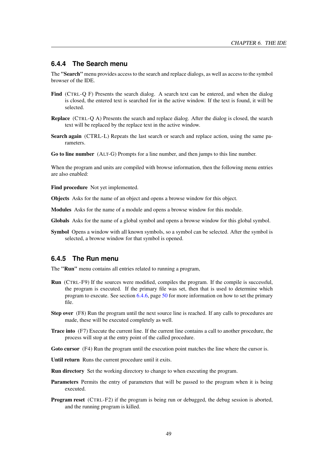#### **6.4.4 The Search menu**

The "Search" menu provides access to the search and replace dialogs, as well as access to the symbol browser of the IDE.

- Find (CTRL-Q F) Presents the search dialog. A search text can be entered, and when the dialog is closed, the entered text is searched for in the active window. If the text is found, it will be selected.
- Replace (CTRL-Q A) Presents the search and replace dialog. After the dialog is closed, the search text will be replaced by the replace text in the active window.
- Search again (CTRL-L) Repeats the last search or search and replace action, using the same parameters.

Go to line number (ALT-G) Prompts for a line number, and then jumps to this line number.

When the program and units are compiled with browse information, then the following menu entries are also enabled:

Find procedure Not yet implemented.

Objects Asks for the name of an object and opens a browse window for this object.

Modules Asks for the name of a module and opens a browse window for this module.

Globals Asks for the name of a global symbol and opens a browse window for this global symbol.

Symbol Opens a window with all known symbols, so a symbol can be selected. After the symbol is selected, a browse window for that symbol is opened.

#### **6.4.5 The Run menu**

The "Run" menu contains all entries related to running a program,

- Run (CTRL-F9) If the sources were modified, compiles the program. If the compile is successful, the program is executed. If the primary file was set, then that is used to determine which program to execute. See section [6.4.6,](#page-50-0) page [50](#page-50-0) for more information on how to set the primary file.
- Step over (F8) Run the program until the next source line is reached. If any calls to procedures are made, these will be executed completely as well.
- Trace into (F7) Execute the current line. If the current line contains a call to another procedure, the process will stop at the entry point of the called procedure.
- Goto cursor (F4) Run the program until the execution point matches the line where the cursor is.
- Until return Runs the current procedure until it exits.
- Run directory Set the working directory to change to when executing the program.
- Parameters Permits the entry of parameters that will be passed to the program when it is being executed.
- Program reset (CTRL-F2) if the program is being run or debugged, the debug session is aborted, and the running program is killed.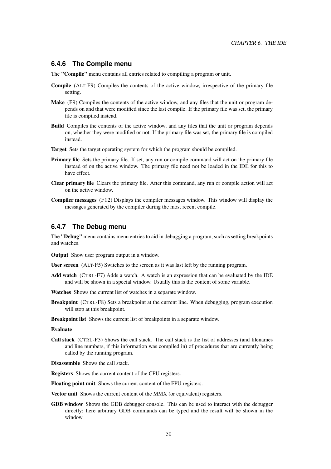#### <span id="page-50-0"></span>**6.4.6 The Compile menu**

The "Compile" menu contains all entries related to compiling a program or unit.

- Compile (ALT-F9) Compiles the contents of the active window, irrespective of the primary file setting.
- Make (F9) Compiles the contents of the active window, and any files that the unit or program depends on and that were modified since the last compile. If the primary file was set, the primary file is compiled instead.
- Build Compiles the contents of the active window, and any files that the unit or program depends on, whether they were modified or not. If the primary file was set, the primary file is compiled instead.
- Target Sets the target operating system for which the program should be compiled.
- Primary file Sets the primary file. If set, any run or compile command will act on the primary file instead of on the active window. The primary file need not be loaded in the IDE for this to have effect.
- Clear primary file Clears the primary file. After this command, any run or compile action will act on the active window.
- Compiler messages (F12) Displays the compiler messages window. This window will display the messages generated by the compiler during the most recent compile.

#### **6.4.7 The Debug menu**

The "Debug" menu contains menu entries to aid in debugging a program, such as setting breakpoints and watches.

Output Show user program output in a window.

User screen (ALT-F5) Switches to the screen as it was last left by the running program.

- Add watch (CTRL-F7) Adds a watch. A watch is an expression that can be evaluated by the IDE and will be shown in a special window. Usually this is the content of some variable.
- Watches Shows the current list of watches in a separate window.
- Breakpoint (CTRL-F8) Sets a breakpoint at the current line. When debugging, program execution will stop at this breakpoint.

Breakpoint list Shows the current list of breakpoints in a separate window.

#### Evaluate

- Call stack (CTRL-F3) Shows the call stack. The call stack is the list of addresses (and filenames and line numbers, if this information was compiled in) of procedures that are currently being called by the running program.
- Disassemble Shows the call stack.

Registers Shows the current content of the CPU registers.

Floating point unit Shows the current content of the FPU registers.

Vector unit Shows the current content of the MMX (or equivalent) registers.

GDB window Shows the GDB debugger console. This can be used to interact with the debugger directly; here arbitrary GDB commands can be typed and the result will be shown in the window.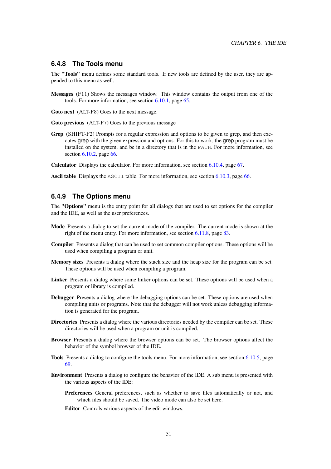#### **6.4.8 The Tools menu**

The "Tools" menu defines some standard tools. If new tools are defined by the user, they are appended to this menu as well.

Messages (F11) Shows the messages window. This window contains the output from one of the tools. For more information, see section [6.10.1,](#page-65-0) page [65.](#page-65-0)

Goto next (ALT-F8) Goes to the next message.

- Goto previous (ALT-F7) Goes to the previous message
- Grep (SHIFT-F2) Prompts for a regular expression and options to be given to grep, and then executes grep with the given expression and options. For this to work, the grep program must be installed on the system, and be in a directory that is in the PATH. For more information, see section **6.10.2**, page **66**.

Calculator Displays the calculator. For more information, see section [6.10.4,](#page-67-0) page [67.](#page-67-0)

**Ascii table** Displays the ASCII table. For more information, see section  $6.10.3$ , page  $66$ .

#### **6.4.9 The Options menu**

The "Options" menu is the entry point for all dialogs that are used to set options for the compiler and the IDE, as well as the user preferences.

- Mode Presents a dialog to set the current mode of the compiler. The current mode is shown at the right of the menu entry. For more information, see section [6.11.8,](#page-83-0) page [83.](#page-83-0)
- Compiler Presents a dialog that can be used to set common compiler options. These options will be used when compiling a program or unit.
- Memory sizes Presents a dialog where the stack size and the heap size for the program can be set. These options will be used when compiling a program.
- Linker Presents a dialog where some linker options can be set. These options will be used when a program or library is compiled.
- Debugger Presents a dialog where the debugging options can be set. These options are used when compiling units or programs. Note that the debugger will not work unless debugging information is generated for the program.
- Directories Presents a dialog where the various directories needed by the compiler can be set. These directories will be used when a program or unit is compiled.
- Browser Presents a dialog where the browser options can be set. The browser options affect the behavior of the symbol browser of the IDE.
- Tools Presents a dialog to configure the tools menu. For more information, see section [6.10.5,](#page-69-0) page [69.](#page-69-0)
- Environment Presents a dialog to configure the behavior of the IDE. A sub menu is presented with the various aspects of the IDE:
	- Preferences General preferences, such as whether to save files automatically or not, and which files should be saved. The video mode can also be set here.

Editor Controls various aspects of the edit windows.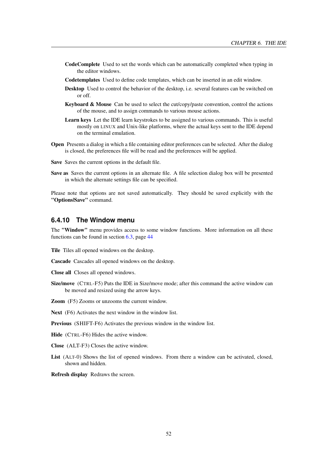- CodeComplete Used to set the words which can be automatically completed when typing in the editor windows.
- Codetemplates Used to define code templates, which can be inserted in an edit window.
- Desktop Used to control the behavior of the desktop, i.e. several features can be switched on or off.
- Keyboard & Mouse Can be used to select the cut/copy/paste convention, control the actions of the mouse, and to assign commands to various mouse actions.
- Learn keys Let the IDE learn keystrokes to be assigned to various commands. This is useful mostly on LINUX and Unix-like platforms, where the actual keys sent to the IDE depend on the terminal emulation.
- Open Presents a dialog in which a file containing editor preferences can be selected. After the dialog is closed, the preferences file will be read and the preferences will be applied.
- Save Saves the current options in the default file.
- Save as Saves the current options in an alternate file. A file selection dialog box will be presented in which the alternate settings file can be specified.

Please note that options are not saved automatically. They should be saved explicitly with the "Options|Save" command.

#### **6.4.10 The Window menu**

The "Window" menu provides access to some window functions. More information on all these functions can be found in section [6.3,](#page-44-1) page [44](#page-44-1)

Tile Tiles all opened windows on the desktop.

Cascade Cascades all opened windows on the desktop.

Close all Closes all opened windows.

Size/move (CTRL-F5) Puts the IDE in Size/move mode; after this command the active window can be moved and resized using the arrow keys.

Zoom (F5) Zooms or unzooms the current window.

Next (F6) Activates the next window in the window list.

Previous (SHIFT-F6) Activates the previous window in the window list.

Hide (CTRL-F6) Hides the active window.

Close (ALT-F3) Closes the active window.

List (ALT-0) Shows the list of opened windows. From there a window can be activated, closed, shown and hidden.

Refresh display Redraws the screen.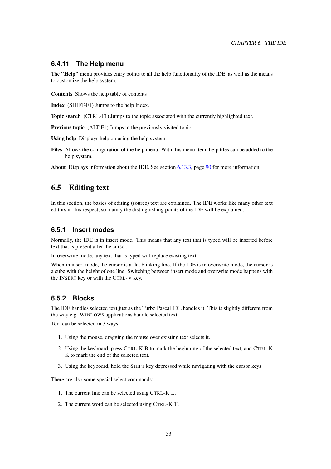#### **6.4.11 The Help menu**

The "Help" menu provides entry points to all the help functionality of the IDE, as well as the means to customize the help system.

Contents Shows the help table of contents

Index (SHIFT-F1) Jumps to the help Index.

Topic search (CTRL-F1) Jumps to the topic associated with the currently highlighted text.

Previous topic (ALT-F1) Jumps to the previously visited topic.

Using help Displays help on using the help system.

- Files Allows the configuration of the help menu. With this menu item, help files can be added to the help system.
- About Displays information about the IDE. See section [6.13.3,](#page-90-0) page [90](#page-90-0) for more information.

# <span id="page-53-0"></span>6.5 Editing text

In this section, the basics of editing (source) text are explained. The IDE works like many other text editors in this respect, so mainly the distinguishing points of the IDE will be explained.

#### **6.5.1 Insert modes**

Normally, the IDE is in insert mode. This means that any text that is typed will be inserted before text that is present after the cursor.

In overwrite mode, any text that is typed will replace existing text.

When in insert mode, the cursor is a flat blinking line. If the IDE is in overwrite mode, the cursor is a cube with the height of one line. Switching between insert mode and overwrite mode happens with the INSERT key or with the CTRL-V key.

#### **6.5.2 Blocks**

The IDE handles selected text just as the Turbo Pascal IDE handles it. This is slightly different from the way e.g. WINDOWS applications handle selected text.

Text can be selected in 3 ways:

- 1. Using the mouse, dragging the mouse over existing text selects it.
- 2. Using the keyboard, press CTRL-K B to mark the beginning of the selected text, and CTRL-K K to mark the end of the selected text.
- 3. Using the keyboard, hold the SHIFT key depressed while navigating with the cursor keys.

There are also some special select commands:

- 1. The current line can be selected using CTRL-K L.
- 2. The current word can be selected using CTRL-K T.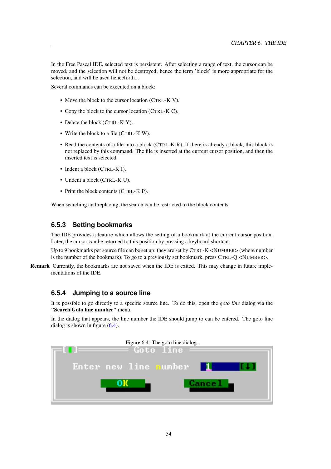In the Free Pascal IDE, selected text is persistent. After selecting a range of text, the cursor can be moved, and the selection will not be destroyed; hence the term 'block' is more appropriate for the selection, and will be used henceforth...

Several commands can be executed on a block:

- Move the block to the cursor location (CTRL-K V).
- Copy the block to the cursor location (CTRL-K C).
- Delete the block (CTRL-K Y).
- Write the block to a file (CTRL-K W).
- Read the contents of a file into a block (CTRL-K R). If there is already a block, this block is not replaced by this command. The file is inserted at the current cursor position, and then the inserted text is selected.
- Indent a block (CTRL-K I).
- Undent a block (CTRL-K U).
- Print the block contents (CTRL-K P).

When searching and replacing, the search can be restricted to the block contents.

#### **6.5.3 Setting bookmarks**

The IDE provides a feature which allows the setting of a bookmark at the current cursor position. Later, the cursor can be returned to this position by pressing a keyboard shortcut.

Up to 9 bookmarks per source file can be set up; they are set by CTRL-K <NUMBER> (where number is the number of the bookmark). To go to a previously set bookmark, press CTRL-Q <NUMBER>.

Remark Currently, the bookmarks are not saved when the IDE is exited. This may change in future implementations of the IDE.

#### **6.5.4 Jumping to a source line**

It is possible to go directly to a specific source line. To do this, open the *goto line* dialog via the "Search|Goto line number" menu.

<span id="page-54-0"></span>In the dialog that appears, the line number the IDE should jump to can be entered. The goto line dialog is shown in figure [\(6.4\)](#page-54-0).

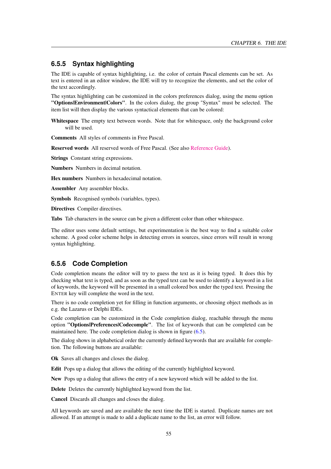# **6.5.5 Syntax highlighting**

The IDE is capable of syntax highlighting, i.e. the color of certain Pascal elements can be set. As text is entered in an editor window, the IDE will try to recognize the elements, and set the color of the text accordingly.

The syntax highlighting can be customized in the colors preferences dialog, using the menu option "Options|Environment|Colors". In the colors dialog, the group "Syntax" must be selected. The item list will then display the various syntactical elements that can be colored:

Whitespace The empty text between words. Note that for whitespace, only the background color will be used.

Comments All styles of comments in Free Pascal.

Reserved words All reserved words of Free Pascal. (See also [Reference Guide\)](../ref/ref.html).

Strings Constant string expressions.

Numbers Numbers in decimal notation.

Hex numbers Numbers in hexadecimal notation.

Assembler Any assembler blocks.

Symbols Recognised symbols (variables, types).

Directives Compiler directives.

Tabs Tab characters in the source can be given a different color than other whitespace.

The editor uses some default settings, but experimentation is the best way to find a suitable color scheme. A good color scheme helps in detecting errors in sources, since errors will result in wrong syntax highlighting.

#### **6.5.6 Code Completion**

Code completion means the editor will try to guess the text as it is being typed. It does this by checking what text is typed, and as soon as the typed text can be used to identify a keyword in a list of keywords, the keyword will be presented in a small colored box under the typed text. Pressing the ENTER key will complete the word in the text.

There is no code completion yet for filling in function arguments, or choosing object methods as in e.g. the Lazarus or Delphi IDEs.

Code completion can be customized in the Code completion dialog, reachable through the menu option "Options|Preferences|Codecomple". The list of keywords that can be completed can be maintained here. The code completion dialog is shown in figure [\(6.5\)](#page-56-0).

The dialog shows in alphabetical order the currently defined keywords that are available for completion. The following buttons are available:

Ok Saves all changes and closes the dialog.

Edit Pops up a dialog that allows the editing of the currently highlighted keyword.

New Pops up a dialog that allows the entry of a new keyword which will be added to the list.

Delete Deletes the currently highlighted keyword from the list.

Cancel Discards all changes and closes the dialog.

All keywords are saved and are available the next time the IDE is started. Duplicate names are not allowed. If an attempt is made to add a duplicate name to the list, an error will follow.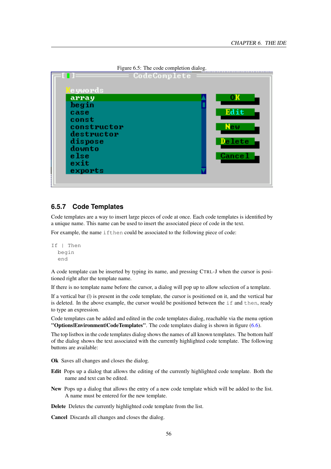<span id="page-56-0"></span>

#### **6.5.7 Code Templates**

Code templates are a way to insert large pieces of code at once. Each code templates is identified by a unique name. This name can be used to insert the associated piece of code in the text.

For example, the name if then could be associated to the following piece of code:

```
If | Then
  begin
  end
```
A code template can be inserted by typing its name, and pressing CTRL-J when the cursor is positioned right after the template name.

If there is no template name before the cursor, a dialog will pop up to allow selection of a template.

If a vertical bar (I) is present in the code template, the cursor is positioned on it, and the vertical bar is deleted. In the above example, the cursor would be positioned between the  $if$  and then, ready to type an expression.

Code templates can be added and edited in the code templates dialog, reachable via the menu option "Options|Environment|CodeTemplates". The code templates dialog is shown in figure  $(6.6)$ .

The top listbox in the code templates dialog shows the names of all known templates. The bottom half of the dialog shows the text associated with the currently highlighted code template. The following buttons are available:

- Ok Saves all changes and closes the dialog.
- Edit Pops up a dialog that allows the editing of the currently highlighted code template. Both the name and text can be edited.
- New Pops up a dialog that allows the entry of a new code template which will be added to the list. A name must be entered for the new template.

Delete Deletes the currently highlighted code template from the list.

Cancel Discards all changes and closes the dialog.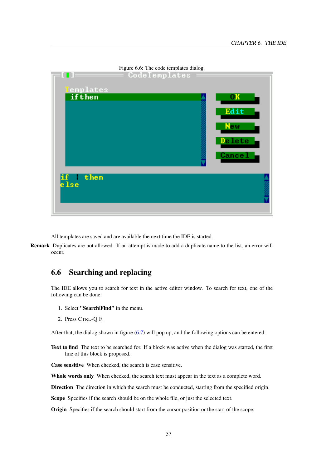<span id="page-57-0"></span>

All templates are saved and are available the next time the IDE is started.

Remark Duplicates are not allowed. If an attempt is made to add a duplicate name to the list, an error will occur.

# 6.6 Searching and replacing

The IDE allows you to search for text in the active editor window. To search for text, one of the following can be done:

- 1. Select "Search|Find" in the menu.
- 2. Press CTRL-Q F.

After that, the dialog shown in figure [\(6.7\)](#page-58-0) will pop up, and the following options can be entered:

Text to find The text to be searched for. If a block was active when the dialog was started, the first line of this block is proposed.

Case sensitive When checked, the search is case sensitive.

Whole words only When checked, the search text must appear in the text as a complete word.

Direction The direction in which the search must be conducted, starting from the specified origin.

Scope Specifies if the search should be on the whole file, or just the selected text.

Origin Specifies if the search should start from the cursor position or the start of the scope.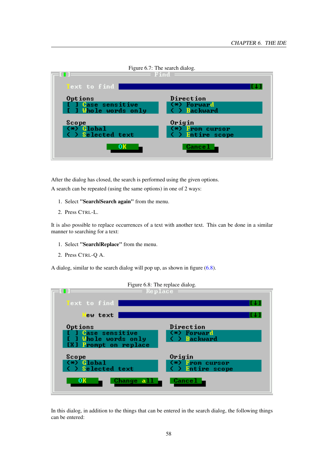<span id="page-58-0"></span>

| Figure 6.7: The search dialog. |                       |  |  |  |
|--------------------------------|-----------------------|--|--|--|
| 1 D I I<br>Text to find        | $\, = \,$ Find $\, =$ |  |  |  |
| Options                        | Direction             |  |  |  |
| I I Case sensitive             | (*) Forward           |  |  |  |
| [ ] Whole words only           | ( ) Backward          |  |  |  |
| Scope                          | Origin                |  |  |  |
| (*) Global                     | (*) From cursor       |  |  |  |
| () Selected text               | () Entire scope       |  |  |  |
| OК                             | Cancel                |  |  |  |

After the dialog has closed, the search is performed using the given options.

A search can be repeated (using the same options) in one of 2 ways:

- 1. Select "Search|Search again" from the menu.
- 2. Press CTRL-L.

It is also possible to replace occurrences of a text with another text. This can be done in a similar manner to searching for a text:

- 1. Select "Search|Replace" from the menu.
- <span id="page-58-1"></span>2. Press CTRL-Q A.

A dialog, similar to the search dialog will pop up, as shown in figure [\(6.8\)](#page-58-1).

| Figure 6.8: The replace dialog.<br>= Replace =                             |                                             |  |  |  |  |
|----------------------------------------------------------------------------|---------------------------------------------|--|--|--|--|
| Text to find                                                               |                                             |  |  |  |  |
| ew text                                                                    |                                             |  |  |  |  |
| Options<br>I Case sensitive<br>1 Whole words only<br>[X] Prompt on replace | Direction<br>(*) Forward<br>( ) Backward    |  |  |  |  |
| Scope<br>(*) Global<br>> Selected text                                     | Origin<br>(*) From cursor<br>> Entire scope |  |  |  |  |
| ок<br>Change all                                                           | Cancel                                      |  |  |  |  |

In this dialog, in addition to the things that can be entered in the search dialog, the following things can be entered: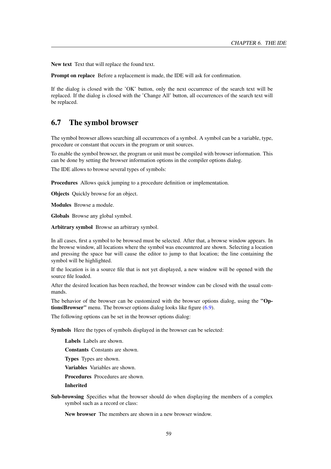New text Text that will replace the found text.

Prompt on replace Before a replacement is made, the IDE will ask for confirmation.

If the dialog is closed with the 'OK' button, only the next occurrence of the search text will be replaced. If the dialog is closed with the 'Change All' button, all occurrences of the search text will be replaced.

# 6.7 The symbol browser

The symbol browser allows searching all occurrences of a symbol. A symbol can be a variable, type, procedure or constant that occurs in the program or unit sources.

To enable the symbol browser, the program or unit must be compiled with browser information. This can be done by setting the browser information options in the compiler options dialog.

The IDE allows to browse several types of symbols:

Procedures Allows quick jumping to a procedure definition or implementation.

Objects Quickly browse for an object.

Modules Browse a module.

Globals Browse any global symbol.

Arbitrary symbol Browse an arbitrary symbol.

In all cases, first a symbol to be browsed must be selected. After that, a browse window appears. In the browse window, all locations where the symbol was encountered are shown. Selecting a location and pressing the space bar will cause the editor to jump to that location; the line containing the symbol will be highlighted.

If the location is in a source file that is not yet displayed, a new window will be opened with the source file loaded.

After the desired location has been reached, the browser window can be closed with the usual commands.

The behavior of the browser can be customized with the browser options dialog, using the "Options|Browser" menu. The browser options dialog looks like figure [\(6.9\)](#page-60-0).

The following options can be set in the browser options dialog:

Symbols Here the types of symbols displayed in the browser can be selected:

Labels Labels are shown. Constants Constants are shown. Types Types are shown. Variables Variables are shown. Procedures Procedures are shown.

**Inherited** 

Sub-browsing Specifies what the browser should do when displaying the members of a complex symbol such as a record or class:

New browser The members are shown in a new browser window.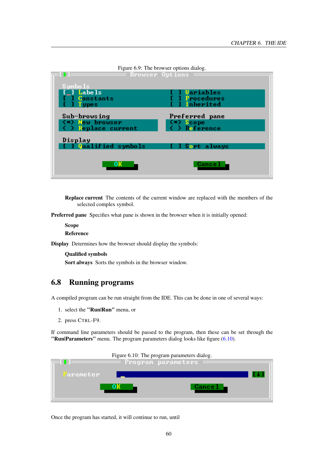<span id="page-60-0"></span>

| Figure 6.9: The browser options dialog.                |                                              |  |  |  |  |
|--------------------------------------------------------|----------------------------------------------|--|--|--|--|
| a sa s                                                 | <b>Browser Options =</b>                     |  |  |  |  |
| S umbo 1s<br>Labe 1s                                   | <b><i><u>Uariables</u></i></b>               |  |  |  |  |
| <b>Constants</b>                                       | 1 Procedures                                 |  |  |  |  |
| <b>Types</b>                                           | 1 Inherited                                  |  |  |  |  |
| Sub-browsing<br>(*) New browser<br>( ) Replace current | Preferred pane<br>$(*)$ Scope<br>> Reference |  |  |  |  |
| Display                                                |                                              |  |  |  |  |
| I I Qualified symbols                                  | [ ] Sort always                              |  |  |  |  |
| ΟК                                                     | Cancel                                       |  |  |  |  |

Replace current The contents of the current window are replaced with the members of the selected complex symbol.

Preferred pane Specifies what pane is shown in the browser when it is initially opened:

Scope Reference

Display Determines how the browser should display the symbols:

Qualified symbols

Sort always Sorts the symbols in the browser window.

# 6.8 Running programs

A compiled program can be run straight from the IDE. This can be done in one of several ways:

- 1. select the "Run|Run" menu, or
- 2. press CTRL-F9.

If command line parameters should be passed to the program, then these can be set through the "Run|Parameters" menu. The program parameters dialog looks like figure [\(6.10\)](#page-60-1).

<span id="page-60-1"></span>

|  |  | Figure 6.10: The program parameters dialog. |  |
|--|--|---------------------------------------------|--|
|  |  |                                             |  |

|                  | Program parameters |               |
|------------------|--------------------|---------------|
| <b>Farameter</b> |                    |               |
|                  |                    | <b>Cancel</b> |
|                  |                    |               |

Once the program has started, it will continue to run, until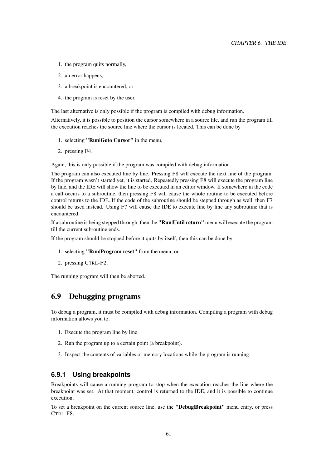- 1. the program quits normally,
- 2. an error happens,
- 3. a breakpoint is encountered, or
- 4. the program is reset by the user.

The last alternative is only possible if the program is compiled with debug information.

Alternatively, it is possible to position the cursor somewhere in a source file, and run the program till the execution reaches the source line where the cursor is located. This can be done by

- 1. selecting "Run|Goto Cursor" in the menu,
- 2. pressing F4.

Again, this is only possible if the program was compiled with debug information.

The program can also executed line by line. Pressing F8 will execute the next line of the program. If the program wasn't started yet, it is started. Repeatedly pressing F8 will execute the program line by line, and the IDE will show the line to be executed in an editor window. If somewhere in the code a call occurs to a subroutine, then pressing F8 will cause the whole routine to be executed before control returns to the IDE. If the code of the subroutine should be stepped through as well, then F7 should be used instead. Using F7 will cause the IDE to execute line by line any subroutine that is encountered.

If a subroutine is being stepped through, then the "Run|Until return" menu will execute the program till the current subroutine ends.

If the program should be stopped before it quits by itself, then this can be done by

- 1. selecting "Run|Program reset" from the menu, or
- 2. pressing CTRL-F2.

The running program will then be aborted.

# 6.9 Debugging programs

To debug a program, it must be compiled with debug information. Compiling a program with debug information allows you to:

- 1. Execute the program line by line.
- 2. Run the program up to a certain point (a breakpoint).
- 3. Inspect the contents of variables or memory locations while the program is running.

#### **6.9.1 Using breakpoints**

Breakpoints will cause a running program to stop when the execution reaches the line where the breakpoint was set. At that moment, control is returned to the IDE, and it is possible to continue execution.

To set a breakpoint on the current source line, use the "Debug|Breakpoint" menu entry, or press CTRL-F8.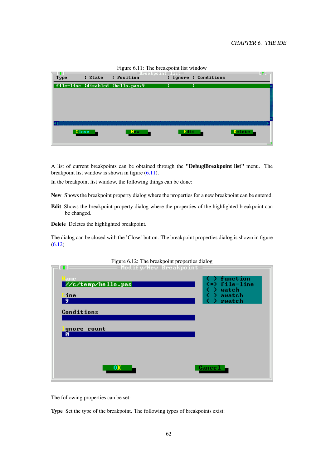| <b>Type</b> | : State      | $\check{ }$<br>- Breakpo int<br>: Position | л.<br>I Ignore : Conditions |               |
|-------------|--------------|--------------------------------------------|-----------------------------|---------------|
|             |              | file-line {disabled {hello.pas:9}          |                             |               |
|             |              |                                            |                             |               |
|             |              |                                            |                             |               |
|             |              |                                            |                             |               |
| łП          |              |                                            |                             |               |
|             | <b>Close</b> | <b>New</b>                                 | Edit                        | <b>Delete</b> |
|             |              |                                            |                             |               |

<span id="page-62-0"></span>Figure 6.11: The breakpoint list window

A list of current breakpoints can be obtained through the "Debug|Breakpoint list" menu. The breakpoint list window is shown in figure [\(6.11\)](#page-62-0).

In the breakpoint list window, the following things can be done:

- New Shows the breakpoint property dialog where the properties for a new breakpoint can be entered.
- Edit Shows the breakpoint property dialog where the properties of the highlighted breakpoint can be changed.

Delete Deletes the highlighted breakpoint.

The dialog can be closed with the 'Close' button. The breakpoint properties dialog is shown in figure  $(6.12)$ 

| = Modify/New Breakpoint =<br>T T                        |                                                                    |
|---------------------------------------------------------|--------------------------------------------------------------------|
| <b>Name</b><br>$\frac{7}{c}$ temp/hello.pas<br>ine<br>9 | function<br>$(*)$ file-line<br>( ) watch<br>( ) awatch<br>) rwatch |
| Conditions<br>gnore count                               |                                                                    |
| Й                                                       |                                                                    |
| $_{0k}$                                                 | <b>Cancel</b>                                                      |

<span id="page-62-1"></span>Figure 6.12: The breakpoint properties dialog

The following properties can be set:

Type Set the type of the breakpoint. The following types of breakpoints exist: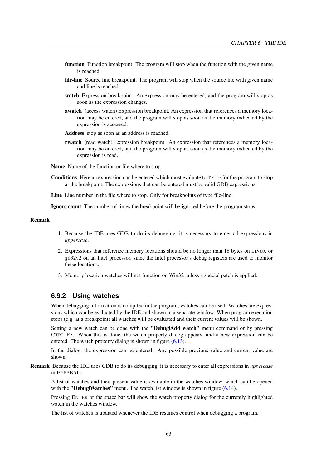- function Function breakpoint. The program will stop when the function with the given name is reached.
- file-line Source line breakpoint. The program will stop when the source file with given name and line is reached.
- watch Expression breakpoint. An expression may be entered, and the program will stop as soon as the expression changes.
- awatch (access watch) Expression breakpoint. An expression that references a memory location may be entered, and the program will stop as soon as the memory indicated by the expression is accessed.
- Address stop as soon as an address is reached.
- rwatch (read watch) Expression breakpoint. An expression that references a memory location may be entered, and the program will stop as soon as the memory indicated by the expression is read.

Name Name of the function or file where to stop.

**Conditions** Here an expression can be entered which must evaluate to  $T\text{true}$  for the program to stop at the breakpoint. The expressions that can be entered must be valid GDB expressions.

Line Line number in the file where to stop. Only for breakpoints of type file-line.

Ignore count The number of times the breakpoint will be ignored before the program stops.

#### Remark

- 1. Because the IDE uses GDB to do its debugging, it is necessary to enter all expressions in *uppercase*.
- 2. Expressions that reference memory locations should be no longer than 16 bytes on LINUX or go32v2 on an Intel processor, since the Intel processor's debug registers are used to monitor these locations.
- 3. Memory location watches will not function on Win32 unless a special patch is applied.

#### **6.9.2 Using watches**

When debugging information is compiled in the program, watches can be used. Watches are expressions which can be evaluated by the IDE and shown in a separate window. When program execution stops (e.g. at a breakpoint) all watches will be evaluated and their current values will be shown.

Setting a new watch can be done with the "Debug|Add watch" menu command or by pressing CTRL-F7. When this is done, the watch property dialog appears, and a new expression can be entered. The watch property dialog is shown in figure [\(6.13\)](#page-64-0).

In the dialog, the expression can be entered. Any possible previous value and current value are shown.

Remark Because the IDE uses GDB to do its debugging, it is necessary to enter all expressions in *uppercase* in FREEBSD.

A list of watches and their present value is available in the watches window, which can be opened with the "Debug|Watches" menu. The watch list window is shown in figure [\(6.14\)](#page-64-1).

Pressing ENTER or the space bar will show the watch property dialog for the currently highlighted watch in the watches window.

The list of watches is updated whenever the IDE resumes control when debugging a program.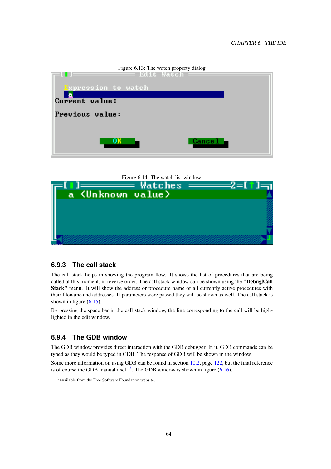<span id="page-64-0"></span>

| Figure 6.13: The watch property dialog |
|----------------------------------------|
| = Edit Watch =                         |
| Expression to watch                    |
|                                        |
| Current value:                         |
|                                        |
| Previous value:                        |
|                                        |
|                                        |
|                                        |
| <b>Cancel</b><br>ок                    |
|                                        |

#### <span id="page-64-1"></span>Figure 6.14: The watch list window.



#### **6.9.3 The call stack**

The call stack helps in showing the program flow. It shows the list of procedures that are being called at this moment, in reverse order. The call stack window can be shown using the "Debug|Call Stack" menu. It will show the address or procedure name of all currently active procedures with their filename and addresses. If parameters were passed they will be shown as well. The call stack is shown in figure  $(6.15)$ .

By pressing the space bar in the call stack window, the line corresponding to the call will be highlighted in the edit window.

#### **6.9.4 The GDB window**

The GDB window provides direct interaction with the GDB debugger. In it, GDB commands can be typed as they would be typed in GDB. The response of GDB will be shown in the window.

Some more information on using GDB can be found in section [10.2,](#page-122-0) page [122,](#page-122-0) but the final reference is of course the GDB manual itself  $3$ . The GDB window is shown in figure [\(6.16\)](#page-65-2).

<span id="page-64-2"></span><sup>3</sup>Available from the Free Software Foundation website.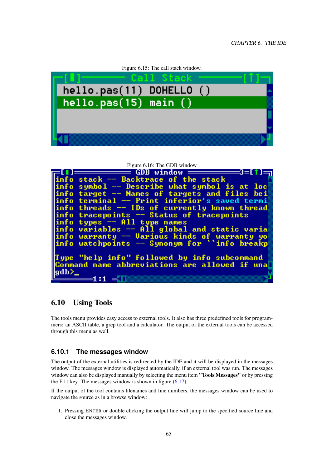

#### <span id="page-65-2"></span><span id="page-65-1"></span>Figure 6.16: The GDB window

| linfo symbol -- Describe what symbol is at loc                          |
|-------------------------------------------------------------------------|
| $\ $ info target $-$ Mames of targets and files bei                     |
| info terminal -- Print inferior's saved termi                           |
| linfo threads -- IDs of currently known thread                          |
| $\ $ info tracepoints $-$ Status of tracepoints                         |
| $\left  \right $ info types -- All type names                           |
| $\parallel$ info variables -- All global and static varia               |
| $\left\  \text{info} \right\ $ warranty -- Various kinds of warranty yo |
| $\parallel$ info watchpoints -- Synonym for ``info breakp $\parallel$   |
|                                                                         |
| Type "help info" followed by info subcommand"                           |
| Command name abbreviations are allowed if una                           |
| $gdb$ = $1:1 = 1$                                                       |
|                                                                         |

# 6.10 Using Tools

The tools menu provides easy access to external tools. It also has three predefined tools for programmers: an ASCII table, a grep tool and a calculator. The output of the external tools can be accessed through this menu as well.

#### <span id="page-65-0"></span>**6.10.1 The messages window**

The output of the external utilities is redirected by the IDE and it will be displayed in the messages window. The messages window is displayed automatically, if an external tool was run. The messages window can also be displayed manually by selecting the menu item "**Tools|Messages**" or by pressing the F11 key. The messages window is shown in figure  $(6.17)$ .

If the output of the tool contains filenames and line numbers, the messages window can be used to navigate the source as in a browse window:

1. Pressing ENTER or double clicking the output line will jump to the specified source line and close the messages window.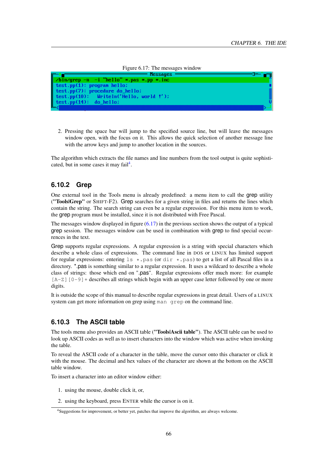#### <span id="page-66-2"></span>Figure 6.17: The messages window

```
Messages
 \sqrt{\frac{1}{2}} of the interval \frac{1}{2} of \frac{1}{2} interval \frac{1}{2} interval \frac{1}{2} interval \frac{1}{2} interval \frac{1}{2} interval \frac{1}{2} interval \frac{1}{2} interval \frac{1}{2} interval \frac{1}{2} interval \frac{1}{2}test.py(1): program hello;
test.pp(7): procedure do_hello;
                                 Writeln('Hello, world !');
test.py(10):test .pp(14):do hello;
```
2. Pressing the space bar will jump to the specified source line, but will leave the messages window open, with the focus on it. This allows the quick selection of another message line with the arrow keys and jump to another location in the sources.

The algorithm which extracts the file names and line numbers from the tool output is quite sophisti-cated, but in some cases it may fail<sup>[4](#page-66-3)</sup>.

# <span id="page-66-0"></span>**6.10.2 Grep**

One external tool in the Tools menu is already predefined: a menu item to call the grep utility ("Tools|Grep" or SHIFT-F2). Grep searches for a given string in files and returns the lines which contain the string. The search string can even be a regular expression. For this menu item to work, the grep program must be installed, since it is not distributed with Free Pascal.

The messages window displayed in figure  $(6.17)$  in the previous section shows the output of a typical grep session. The messages window can be used in combination with grep to find special occurrences in the text.

Grep supports regular expressions. A regular expression is a string with special characters which describe a whole class of expressions. The command line in DOS or LINUX has limited support for regular expressions: entering ls \*.pas (or dir \*.pas) to get a list of all Pascal files in a directory. \*.pas is something similar to a regular expression. It uses a wildcard to describe a whole class of strings: those which end on ".pas". Regular expressions offer much more: for example  $[A-Z]$   $[0-9]+$  describes all strings which begin with an upper case letter followed by one or more digits.

It is outside the scope of this manual to describe regular expressions in great detail. Users of a LINUX system can get more information on grep using man grep on the command line.

#### <span id="page-66-1"></span>**6.10.3 The ASCII table**

The tools menu also provides an ASCII table ("Tools|Ascii table"). The ASCII table can be used to look up ASCII codes as well as to insert characters into the window which was active when invoking the table.

To reveal the ASCII code of a character in the table, move the cursor onto this character or click it with the mouse. The decimal and hex values of the character are shown at the bottom on the ASCII table window.

To insert a character into an editor window either:

- 1. using the mouse, double click it, or,
- 2. using the keyboard, press ENTER while the cursor is on it.

<span id="page-66-3"></span><sup>&</sup>lt;sup>4</sup>Suggestions for improvement, or better yet, patches that improve the algorithm, are always welcome.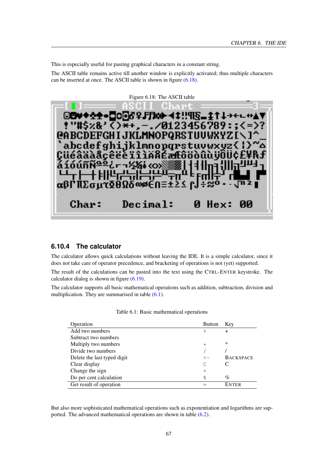This is especially useful for pasting graphical characters in a constant string.

<span id="page-67-1"></span>The ASCII table remains active till another window is explicitly activated; thus multiple characters can be inserted at once. The ASCII table is shown in figure [\(6.18\)](#page-67-1).



#### <span id="page-67-0"></span>**6.10.4 The calculator**

The calculator allows quick calculations without leaving the IDE. It is a simple calculator, since it does not take care of operator precedence, and bracketing of operations is not (yet) supported.

The result of the calculations can be pasted into the text using the CTRL-ENTER keystroke. The calculator dialog is shown in figure [\(6.19\)](#page-68-0).

The calculator supports all basic mathematical operations such as addition, subtraction, division and multiplication. They are summarised in table  $(6.1)$ .

| Operation                   | <b>Button</b> | Key              |
|-----------------------------|---------------|------------------|
| Add two numbers             | $^{+}$        | $\pm$            |
| Subtract two numbers        |               |                  |
| Multiply two numbers        | $\star$       | *                |
| Divide two numbers          |               |                  |
| Delete the last typed digit | $\lt-$        | <b>BACKSPACE</b> |
| Clear display               | C             | C                |
| Change the sign             | $^{+}$        |                  |
| Do per cent calculation     | $\frac{6}{5}$ | $\%$             |
| Get result of operation     |               | <b>ENTER</b>     |

<span id="page-67-2"></span>

|  | Table 6.1: Basic mathematical operations |  |
|--|------------------------------------------|--|
|  |                                          |  |

But also more sophisticated mathematical operations such as exponentiation and logarithms are supported. The advanced mathematical operations are shown in table [\(6.2\)](#page-68-1).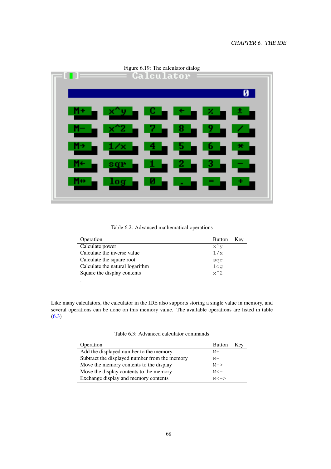<span id="page-68-0"></span>

Figure 6.19: The calculator dialog

<span id="page-68-1"></span>Table 6.2: Advanced mathematical operations

| Operation                       | <b>Button</b> | Key |
|---------------------------------|---------------|-----|
| Calculate power                 | $x^y$         |     |
| Calculate the inverse value     | 1/x           |     |
| Calculate the square root       | sqr           |     |
| Calculate the natural logarithm | log           |     |
| Square the display contents     | $x^2$         |     |
|                                 |               |     |

Like many calculators, the calculator in the IDE also supports storing a single value in memory, and several operations can be done on this memory value. The available operations are listed in table  $(6.3)$ 

<span id="page-68-2"></span>Table 6.3: Advanced calculator commands

| Operation                                     | <b>Button</b> | Kev |
|-----------------------------------------------|---------------|-----|
| Add the displayed number to the memory        | $M+$          |     |
| Subtract the displayed number from the memory | $M -$         |     |
| Move the memory contents to the display       | $M->$         |     |
| Move the display contents to the memory       | $M < -$       |     |
| Exchange display and memory contents          | $M < -$       |     |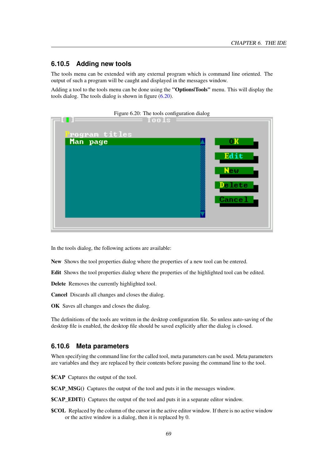#### <span id="page-69-0"></span>**6.10.5 Adding new tools**

The tools menu can be extended with any external program which is command line oriented. The output of such a program will be caught and displayed in the messages window.

<span id="page-69-1"></span>Adding a tool to the tools menu can be done using the "Options|Tools" menu. This will display the tools dialog. The tools dialog is shown in figure [\(6.20\)](#page-69-1).



In the tools dialog, the following actions are available:

New Shows the tool properties dialog where the properties of a new tool can be entered.

Edit Shows the tool properties dialog where the properties of the highlighted tool can be edited.

Delete Removes the currently highlighted tool.

Cancel Discards all changes and closes the dialog.

OK Saves all changes and closes the dialog.

The definitions of the tools are written in the desktop configuration file. So unless auto-saving of the desktop file is enabled, the desktop file should be saved explicitly after the dialog is closed.

#### **6.10.6 Meta parameters**

When specifying the command line for the called tool, meta parameters can be used. Meta parameters are variables and they are replaced by their contents before passing the command line to the tool.

**\$CAP** Captures the output of the tool.

\$CAP\_MSG() Captures the output of the tool and puts it in the messages window.

\$CAP\_EDIT() Captures the output of the tool and puts it in a separate editor window.

\$COL Replaced by the column of the cursor in the active editor window. If there is no active window or the active window is a dialog, then it is replaced by 0.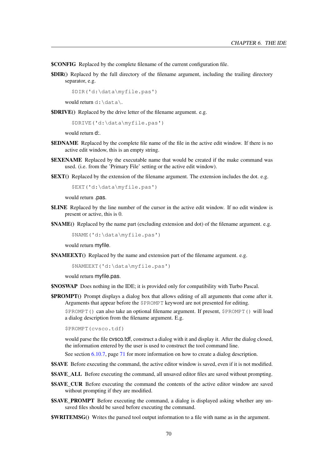\$CONFIG Replaced by the complete filename of the current configuration file.

\$DIR() Replaced by the full directory of the filename argument, including the trailing directory separator, e.g.

```
$DIR('d:\data\myfile.pas')
```
would return d:\data\.

\$DRIVE() Replaced by the drive letter of the filename argument. e.g.

\$DRIVE('d:\data\myfile.pas')

would return d:.

- **\$EDNAME** Replaced by the complete file name of the file in the active edit window. If there is no active edit window, this is an empty string.
- \$EXENAME Replaced by the executable name that would be created if the make command was used. (i.e. from the 'Primary File' setting or the active edit window).
- **\$EXT()** Replaced by the extension of the filename argument. The extension includes the dot. e.g.

\$EXT('d:\data\myfile.pas')

would return .pas.

- **\$LINE** Replaced by the line number of the cursor in the active edit window. If no edit window is present or active, this is 0.
- \$NAME() Replaced by the name part (excluding extension and dot) of the filename argument. e.g.

\$NAME('d:\data\myfile.pas')

would return myfile.

\$NAMEEXT() Replaced by the name and extension part of the filename argument. e.g.

\$NAMEEXT('d:\data\myfile.pas')

would return myfile.pas.

\$NOSWAP Does nothing in the IDE; it is provided only for compatibility with Turbo Pascal.

\$PROMPT() Prompt displays a dialog box that allows editing of all arguments that come after it. Arguments that appear before the \$PROMPT keyword are not presented for editing.

\$PROMPT() can also take an optional filename argument. If present, \$PROMPT() will load a dialog description from the filename argument. E.g.

\$PROMPT(cvsco.tdf)

would parse the file cvsco.tdf, construct a dialog with it and display it. After the dialog closed, the information entered by the user is used to construct the tool command line.

See section [6.10.7,](#page-71-0) page [71](#page-71-0) for more information on how to create a dialog description.

\$SAVE Before executing the command, the active editor window is saved, even if it is not modified.

- \$SAVE\_ALL Before executing the command, all unsaved editor files are saved without prompting.
- \$SAVE\_CUR Before executing the command the contents of the active editor window are saved without prompting if they are modified.
- \$SAVE\_PROMPT Before executing the command, a dialog is displayed asking whether any unsaved files should be saved before executing the command.

\$WRITEMSG() Writes the parsed tool output information to a file with name as in the argument.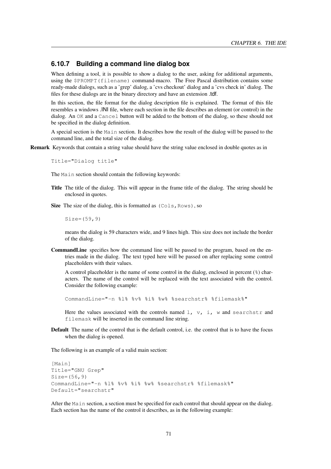#### <span id="page-71-0"></span>**6.10.7 Building a command line dialog box**

When defining a tool, it is possible to show a dialog to the user, asking for additional arguments, using the \$PROMPT(filename) command-macro. The Free Pascal distribution contains some ready-made dialogs, such as a 'grep' dialog, a 'cvs checkout' dialog and a 'cvs check in' dialog. The files for these dialogs are in the binary directory and have an extension .tdf.

In this section, the file format for the dialog description file is explained. The format of this file resembles a windows .INI file, where each section in the file describes an element (or control) in the dialog. An OK and a Cancel button will be added to the bottom of the dialog, so these should not be specified in the dialog definition.

A special section is the Main section. It describes how the result of the dialog will be passed to the command line, and the total size of the dialog.

Remark Keywords that contain a string value should have the string value enclosed in double quotes as in

Title="Dialog title"

The Main section should contain the following keywords:

- Title The title of the dialog. This will appear in the frame title of the dialog. The string should be enclosed in quotes.
- Size The size of the dialog, this is formatted as  $(Cols, Rows)$ , so

Size=(59,9)

means the dialog is 59 characters wide, and 9 lines high. This size does not include the border of the dialog.

CommandLine specifies how the command line will be passed to the program, based on the entries made in the dialog. The text typed here will be passed on after replacing some control placeholders with their values.

A control placeholder is the name of some control in the dialog, enclosed in percent  $(*)$  characters. The name of the control will be replaced with the text associated with the control. Consider the following example:

CommandLine="-n %1% %v% %i% %w% %searchstr% %filemask%"

Here the values associated with the controls named  $l$ ,  $v$ ,  $i$ , w and searchstr and filemask will be inserted in the command line string.

Default The name of the control that is the default control, i.e. the control that is to have the focus when the dialog is opened.

The following is an example of a valid main section:

```
[Main]
Title="GNU Grep"
Size=(56,9)
CommandLine="-n %l% %v% %i% %w% %searchstr% %filemask%"
Default="searchstr"
```
After the Main section, a section must be specified for each control that should appear on the dialog. Each section has the name of the control it describes, as in the following example: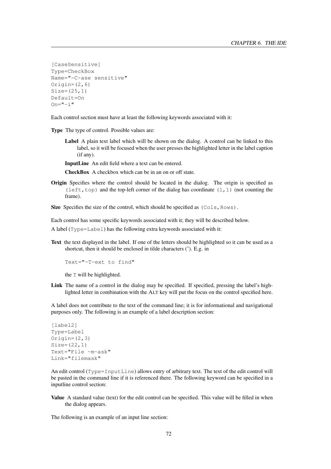```
[CaseSensitive]
Type=CheckBox
Name="~C~ase sensitive"
Origin=(2,6)Size=(25,1)
Default=On
On="-1"
```
Each control section must have at least the following keywords associated with it:

Type The type of control. Possible values are:

Label A plain text label which will be shown on the dialog. A control can be linked to this label, so it will be focused when the user presses the highlighted letter in the label caption (if any).

InputLine An edit field where a text can be entered.

CheckBox A checkbox which can be in an on or off state.

Origin Specifies where the control should be located in the dialog. The origin is specified as (left, top) and the top-left corner of the dialog has coordinate  $(1, 1)$  (not counting the frame).

Size Specifies the size of the control, which should be specified as (Cols, Rows).

Each control has some specific keywords associated with it; they will be described below.

A label (Type=Label) has the following extra keywords associated with it:

Text the text displayed in the label. If one of the letters should be highlighted so it can be used as a shortcut, then it should be enclosed in tilde characters  $(\tilde{\ })$ . E.g. in

Text="~T~ext to find"

the T will be highlighted.

Link The name of a control in the dialog may be specified. If specified, pressing the label's highlighted letter in combination with the ALT key will put the focus on the control specified here.

A label does not contribute to the text of the command line; it is for informational and navigational purposes only. The following is an example of a label description section:

```
[label2]
Type=Label
Origin=(2,3)Size=(22,1)
Text="File ~m~ask"
Link="filemask"
```
An edit control (Type=InputLine) allows entry of arbitrary text. The text of the edit control will be pasted in the command line if it is referenced there. The following keyword can be specified in a inputline control section:

Value A standard value (text) for the edit control can be specified. This value will be filled in when the dialog appears.

The following is an example of an input line section: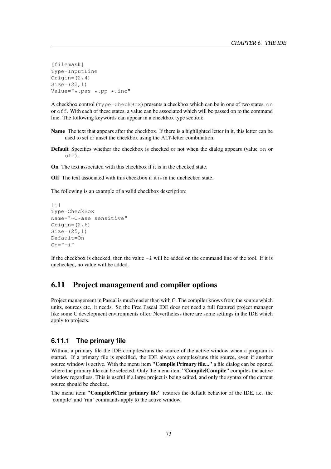```
[filemask]
Type=InputLine
Origin=(2, 4)Size=(22,1)
Value="*.pas *.pp *.inc"
```
A checkbox control (Type=CheckBox) presents a checkbox which can be in one of two states, on or  $\circ$ ff. With each of these states, a value can be associated which will be passed on to the command line. The following keywords can appear in a checkbox type section:

- Name The text that appears after the checkbox. If there is a highlighted letter in it, this letter can be used to set or unset the checkbox using the ALT-letter combination.
- Default Specifies whether the checkbox is checked or not when the dialog appears (value on or off).
- On The text associated with this checkbox if it is in the checked state.

Off The text associated with this checkbox if it is in the unchecked state.

The following is an example of a valid checkbox description:

```
[i]Type=CheckBox
Name="~C~ase sensitive"
Origin=(2, 6)Size=(25,1)
Default=On
On="i" - i"
```
If the checkbox is checked, then the value  $-i$  will be added on the command line of the tool. If it is unchecked, no value will be added.

## 6.11 Project management and compiler options

Project management in Pascal is much easier than with C. The compiler knows from the source which units, sources etc. it needs. So the Free Pascal IDE does not need a full featured project manager like some C development environments offer. Nevertheless there are some settings in the IDE which apply to projects.

### **6.11.1 The primary file**

Without a primary file the IDE compiles/runs the source of the active window when a program is started. If a primary file is specified, the IDE always compiles/runs this source, even if another source window is active. With the menu item "Compile|Primary file..." a file dialog can be opened where the primary file can be selected. Only the menu item "Compile|Compile" compiles the active window regardless. This is useful if a large project is being edited, and only the syntax of the current source should be checked.

The menu item "Compiler|Clear primary file" restores the default behavior of the IDE, i.e. the 'compile' and 'run' commands apply to the active window.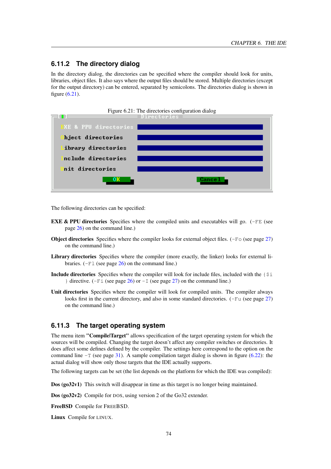## **6.11.2 The directory dialog**

<span id="page-74-0"></span>In the directory dialog, the directories can be specified where the compiler should look for units, libraries, object files. It also says where the output files should be stored. Multiple directories (except for the output directory) can be entered, separated by semicolons. The directories dialog is shown in figure [\(6.21\)](#page-74-0).



The following directories can be specified:

- **EXE & PPU directories** Specifies where the compiled units and executables will go.  $(-FE)$  (see page [26\)](#page-26-0) on the command line.)
- **Object directories** Specifies where the compiler looks for external object files.  $(-F \circ$  (see page [27\)](#page-26-0) on the command line.)
- Library directories Specifies where the compiler (more exactly, the linker) looks for external libraries.  $(-F1$  (see page [26\)](#page-26-0) on the command line.)
- **Include directories** Specifies where the compiler will look for include files, included with the  $\{\hat{\phi}\}$ } directive. ( $-Fi$  (see page [26\)](#page-26-0) or  $-I$  (see page [27\)](#page-26-0) on the command line.)
- Unit directories Specifies where the compiler will look for compiled units. The compiler always looks first in the current directory, and also in some standard directories. ( $-Fu$  (see page [27\)](#page-26-0) on the command line.)

### **6.11.3 The target operating system**

The menu item "Compile|Target" allows specification of the target operating system for which the sources will be compiled. Changing the target doesn't affect any compiler switches or directories. It does affect some defines defined by the compiler. The settings here correspond to the option on the command line  $-T$  (see page [31\)](#page-27-0). A sample compilation target dialog is shown in figure [\(6.22\)](#page-75-0): the actual dialog will show only those targets that the IDE actually supports.

The following targets can be set (the list depends on the platform for which the IDE was compiled):

Dos (go32v1) This switch will disappear in time as this target is no longer being maintained.

Dos (go32v2) Compile for DOS, using version 2 of the Go32 extender.

FreeBSD Compile for FREEBSD.

Linux Compile for LINUX.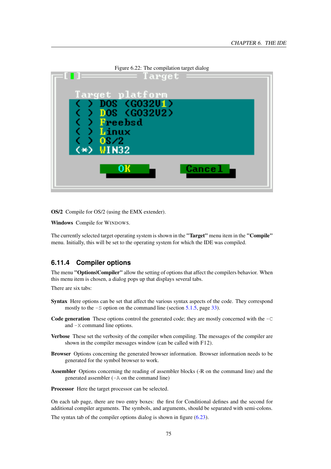<span id="page-75-0"></span>

OS/2 Compile for OS/2 (using the EMX extender).

Windows Compile for WINDOWS.

The currently selected target operating system is shown in the "Target" menu item in the "Compile" menu. Initially, this will be set to the operating system for which the IDE was compiled.

### **6.11.4 Compiler options**

The menu "Options|Compiler" allow the setting of options that affect the compilers behavior. When this menu item is chosen, a dialog pops up that displays several tabs.

There are six tabs:

- Syntax Here options can be set that affect the various syntax aspects of the code. They correspond mostly to the  $-5$  option on the command line (section [5.1.5,](#page-33-0) page [33\)](#page-33-0).
- Code generation These options control the generated code; they are mostly concerned with the  $-C$ and -X command line options.
- Verbose These set the verbosity of the compiler when compiling. The messages of the compiler are shown in the compiler messages window (can be called with F12).
- Browser Options concerning the generated browser information. Browser information needs to be generated for the symbol browser to work.
- Assembler Options concerning the reading of assembler blocks (-R on the command line) and the generated assembler  $(-A)$  on the command line)

Processor Here the target processor can be selected.

On each tab page, there are two entry boxes: the first for Conditional defines and the second for additional compiler arguments. The symbols, and arguments, should be separated with semi-colons.

The syntax tab of the compiler options dialog is shown in figure [\(6.23\)](#page-76-0).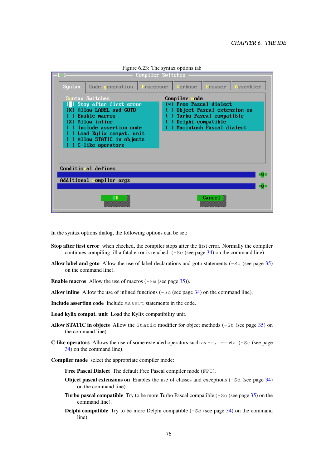

<span id="page-76-0"></span>Figure 6.23: The syntax options tab

In the syntax options dialog, the following options can be set:

- Stop after first error when checked, the compiler stops after the first error. Normally the compiler continues compiling till a fatal error is reached. (-Se (see page [34\)](#page-33-0) on the command line)
- Allow label and goto Allow the use of label declarations and goto statements  $(-Sq$  (see page [35\)](#page-33-0) on the command line).

**Enable macros** Allow the use of macros  $(-\text{Sm} (\text{see page 35})).$ 

Allow inline Allow the use of inlined functions  $(-5c$  (see page [34\)](#page-33-0) on the command line).

Include assertion code Include Assert statements in the code.

Load kylix compat. unit Load the Kylix compatibility unit.

- Allow STATIC in objects Allow the Static modifier for object methods  $(-5t)$  (see page [35\)](#page-33-0) on the command line)
- **C-like operators** Allows the use of some extended operators such as  $+=$ ,  $-$  = etc. (-Sc (see page [34\)](#page-33-0) on the command line).

Compiler mode select the appropriate compiler mode:

Free Pascal Dialect The default Free Pascal compiler mode (FPC).

- **Object pascal extensions on** Enables the use of classes and exceptions  $(-Sd$  (see page [34\)](#page-33-0) on the command line).
- **Turbo pascal compatible** Try to be more Turbo Pascal compatible  $(-5)$  (see page [35\)](#page-33-0) on the command line).
- **Delphi compatible** Try to be more Delphi compatible  $(-Sd$  (see page [34\)](#page-33-0) on the command line).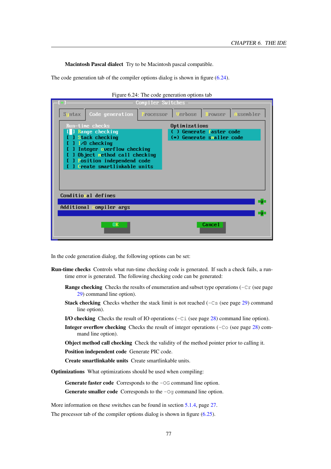Macintosh Pascal dialect Try to be Macintosh pascal compatible.

The code generation tab of the compiler options dialog is shown in figure [\(6.24\)](#page-77-0).

|                                                                                                                                                                                                               | Compiler Switches | --------- - <sub>r</sub>                   |                      |          |
|---------------------------------------------------------------------------------------------------------------------------------------------------------------------------------------------------------------|-------------------|--------------------------------------------|----------------------|----------|
| <b>S</b> Intax<br>Code generation                                                                                                                                                                             | <b>POCESSOP</b>   | erbose                                     | <b>Prowser</b>       | ssembler |
| Run-time checks<br>1 Range checking<br>[ ] Stack checking<br>$11/0$ checking<br>I Integer overflow checking<br>1 Object method call checking<br>[ ] Position independend code<br>1 Create smartlinkable units |                   | Optimizations<br>(*) Generate smaller code | Generate faster code |          |
| Conditional defines                                                                                                                                                                                           |                   |                                            |                      | nya      |
| Additional compiler args                                                                                                                                                                                      |                   |                                            |                      | ny i     |
| <b>OK</b>                                                                                                                                                                                                     |                   |                                            | Cancel <b>8</b>      |          |

<span id="page-77-0"></span>

In the code generation dialog, the following options can be set:

- Run-time checks Controls what run-time checking code is generated. If such a check fails, a runtime error is generated. The following checking code can be generated:
	- **Range checking** Checks the results of enumeration and subset type operations  $(-Cr)$  (see page [29\)](#page-27-0) command line option).
	- Stack checking Checks whether the stack limit is not reached  $(-Cs$  (see page [29\)](#page-27-0) command line option).
	- I/O checking Checks the result of IO operations  $(-C_i)$  (see page [28\)](#page-27-0) command line option).
	- **Integer overflow checking** Checks the result of integer operations  $(-C)$  (see page [28\)](#page-27-0) command line option).
	- Object method call checking Check the validity of the method pointer prior to calling it.

Position independent code Generate PIC code.

Create smartlinkable units Create smartlinkable units.

Optimizations What optimizations should be used when compiling:

Generate faster code Corresponds to the -OG command line option.

Generate smaller code Corresponds to the -Og command line option.

More information on these switches can be found in section [5.1.4,](#page-27-0) page [27.](#page-27-0)

The processor tab of the compiler options dialog is shown in figure [\(6.25\)](#page-78-0).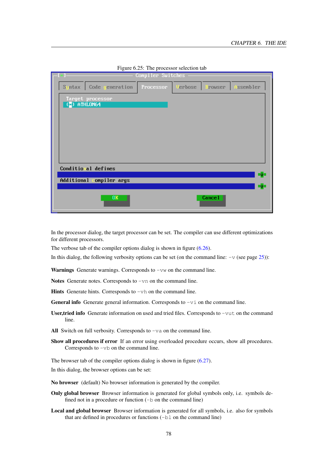|                |                          | rigare 0.25. The processor senection tal<br>Compiler Switches |        |        |          |
|----------------|--------------------------|---------------------------------------------------------------|--------|--------|----------|
|                | Suntax   Code generation | Processor                                                     | erbose | rowser | ssembler |
| $(3)$ ATHLON64 | Target processor         |                                                               |        |        |          |
|                |                          |                                                               |        |        |          |
|                |                          |                                                               |        |        |          |
|                |                          |                                                               |        |        |          |
|                |                          |                                                               |        |        |          |
|                | Conditional defines      |                                                               |        |        |          |
|                | Additional compiler args |                                                               |        |        | 90       |
|                |                          |                                                               |        |        | nja,     |
|                | B<br>0 <sub>K</sub>      |                                                               |        | Cancel |          |
|                |                          |                                                               |        |        |          |

### <span id="page-78-0"></span>Figure  $6.25$ : The processor selection tab

In the processor dialog, the target processor can be set. The compiler can use different optimizations for different processors.

The verbose tab of the compiler options dialog is shown in figure [\(6.26\)](#page-79-0).

In this dialog, the following verbosity options can be set (on the command line:  $-v$  (see page [25\)](#page-25-0)):

**Warnings** Generate warnings. Corresponds to  $-vw$  on the command line.

Notes Generate notes. Corresponds to  $-vn$  on the command line.

**Hints** Generate hints. Corresponds to  $-\nu h$  on the command line.

**General info** Generate general information. Corresponds to  $-\nu i$  on the command line.

User, tried information on used and tried files. Corresponds to  $-\text{vut}$  on the command line.

All Switch on full verbosity. Corresponds to  $-\nu a$  on the command line.

Show all procedures if error If an error using overloaded procedure occurs, show all procedures. Corresponds to  $-\nu b$  on the command line.

The browser tab of the compiler options dialog is shown in figure [\(6.27\)](#page-80-0).

In this dialog, the browser options can be set:

No browser (default) No browser information is generated by the compiler.

- Only global browser Browser information is generated for global symbols only, i.e. symbols defined not in a procedure or function  $(-b)$  on the command line)
- Local and global browser Browser information is generated for all symbols, i.e. also for symbols that are defined in procedures or functions (-bl on the command line)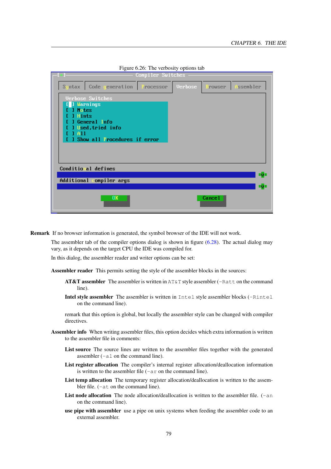|                                       | rigule 0.20. The verbosity options tab |                 |                  |
|---------------------------------------|----------------------------------------|-----------------|------------------|
| Compiler Switches                     |                                        |                 |                  |
|                                       |                                        |                 |                  |
| Suntax   Code generation<br>Processor | <b>Verbose</b>                         | <b>Prowser</b>  | <b>Assembler</b> |
|                                       |                                        |                 |                  |
| Verbose Switches                      |                                        |                 |                  |
|                                       |                                        |                 |                  |
| [ ] Warnings                          |                                        |                 |                  |
| 1 Notes                               |                                        |                 |                  |
| 1 Hints                               |                                        |                 |                  |
| l General Info                        |                                        |                 |                  |
| 1 Used, tried info                    |                                        |                 |                  |
| -1 A11                                |                                        |                 |                  |
| I Show all Procedures if error        |                                        |                 |                  |
|                                       |                                        |                 |                  |
|                                       |                                        |                 |                  |
|                                       |                                        |                 |                  |
|                                       |                                        |                 |                  |
|                                       |                                        |                 |                  |
| Conditional defines                   |                                        |                 |                  |
|                                       |                                        |                 | nya              |
| Additional<br>compiler args           |                                        |                 |                  |
|                                       |                                        |                 | -7               |
|                                       |                                        |                 |                  |
| <b>OK</b>                             |                                        | Cancel <b>1</b> |                  |
|                                       |                                        |                 |                  |
|                                       |                                        |                 |                  |
|                                       |                                        |                 |                  |

<span id="page-79-0"></span> $r<sub>0</sub> 6.26$ . The verbosity options tab

Remark If no browser information is generated, the symbol browser of the IDE will not work.

The assembler tab of the compiler options dialog is shown in figure [\(6.28\)](#page-81-0). The actual dialog may vary, as it depends on the target CPU the IDE was compiled for.

In this dialog, the assembler reader and writer options can be set:

Assembler reader This permits setting the style of the assembler blocks in the sources:

- **AT&T assembler** The assembler is written in  $AT\&T$  style assembler (-Ratt on the command line).
- Intel style assembler The assembler is written in Intel style assembler blocks (-Rintel on the command line).

remark that this option is global, but locally the assembler style can be changed with compiler directives.

- Assembler info When writing assembler files, this option decides which extra information is written to the assembler file in comments:
	- List source The source lines are written to the assembler files together with the generated assembler (-al on the command line).
	- List register allocation The compiler's internal register allocation/deallocation information is written to the assembler file  $(-a)^r$  on the command line).
	- List temp allocation The temporary register allocation/deallocation is written to the assembler file. (-at on the command line).
	- List node allocation The node allocation/deallocation is written to the assembler file.  $(-an)$ on the command line).
	- use pipe with assembler use a pipe on unix systems when feeding the assembler code to an external assembler.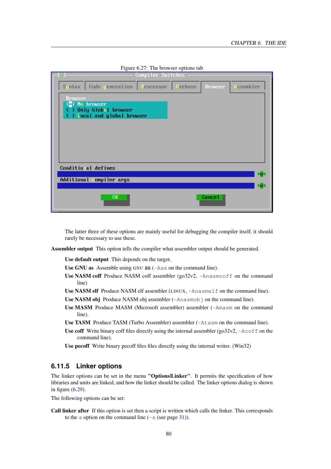|                |                                                                           | $1.15$ and $0.27$ . The provisor options tab<br>Compiler Switches |                |                 |          |
|----------------|---------------------------------------------------------------------------|-------------------------------------------------------------------|----------------|-----------------|----------|
|                | Sintax   Code generation   Processor                                      |                                                                   | <b>Lerbose</b> | Browser         | ssembler |
| <b>Browser</b> | (s) No browser<br>( ) Only Global browser<br>( ) Local and global browser |                                                                   |                |                 |          |
|                | Conditional defines                                                       |                                                                   |                |                 | ng.      |
|                | Additional compiler args<br>0 <sub>K</sub>                                |                                                                   |                | Cancel <b>1</b> | -9       |
|                |                                                                           |                                                                   |                |                 |          |

<span id="page-80-0"></span>Figure  $6.27$ : The browser options tab

The latter three of these options are mainly useful for debugging the compiler itself, it should rarely be necessary to use these.

Assembler output This option tells the compiler what assembler output should be generated.

Use default output This depends on the target.

- Use GNU as Assemble using GNU as  $(-\text{Aas on the command line}).$
- Use NASM coff Produce NASM coff assembler (go32v2,  $-\text{Anasmcoff}$  on the command line)
- Use NASM elf Produce NASM elf assembler (LINUX, -Anasmelf on the command line).
- Use NASM obj Produce NASM obj assembler (-Anasmobj on the command line).
- Use MASM Produce MASM (Microsoft assembler) assembler (-Amasm on the command line).
- Use TASM Produce TASM (Turbo Assembler) assembler (-Atasm on the command line).
- Use coff Write binary coff files directly using the internal assembler ( $g_0$  $32v_2$ ,  $-\text{Acoff}$  on the command line).
- Use pecoff Write binary pecoff files files directly using the internal writer. (Win32)

### **6.11.5 Linker options**

The linker options can be set in the menu "Options|Linker". It permits the specification of how libraries and units are linked, and how the linker should be called. The linker options dialog is shown in figure  $(6.29)$ .

The following options can be set:

Call linker after If this option is set then a script is written which calls the linker. This corresponds to the s option on the command line  $(-s$  (see page [31\)](#page-27-0)).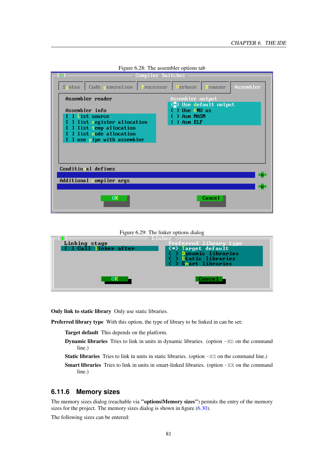|                                                      | $\frac{1}{2}$ . The assemble options the<br>Compiler Switches |
|------------------------------------------------------|---------------------------------------------------------------|
| Suntax   Code generation   Processor   Verbose       | Assembler<br><b>Hrowser</b>                                   |
| Assembler reader<br>Assembler info                   | Assembler output<br>(*) Use default output<br>( ) Use GNU as  |
| 1 List source<br>[ ] list register allocation        | ( ) Asm MASM<br>( ) Asm ELF                                   |
| [ ] list temp allocation<br>[ ] list node allocation |                                                               |
| I I use pipe with assembler                          |                                                               |
|                                                      |                                                               |
|                                                      |                                                               |
| Conditional defines                                  | nya                                                           |
| Additional compiler args                             |                                                               |
|                                                      | DV I                                                          |
| 0K                                                   | Cancel ▒                                                      |

<span id="page-81-0"></span>Figure 6.28: The assembler options tab

#### <span id="page-81-1"></span>Figure 6.29: The linker options dialog

| Linking stage<br>I I Call Linker after | Preferred library type<br>(*) Target default<br>( ) Dynamic libraries<br>() Static libraries<br>( ) Smart libraries |
|----------------------------------------|---------------------------------------------------------------------------------------------------------------------|
|                                        | <b>Cance IV</b>                                                                                                     |

Only link to static library Only use static libraries.

Preferred library type With this option, the type of library to be linked in can be set:

Target default This depends on the platform.

**Dynamic libraries** Tries to link in units in dynamic libraries. (option  $-XD$  on the command line.)

Static libraries Tries to link in units in static libraries. (option  $-XS$  on the command line.)

**Smart libraries** Tries to link in units in smart-linked libraries. (option  $-XX$  on the command line.)

## **6.11.6 Memory sizes**

The memory sizes dialog (reachable via "options|Memory sizes") permits the entry of the memory sizes for the project. The memory sizes dialog is shown in figure [\(6.30\)](#page-82-0).

The following sizes can be entered: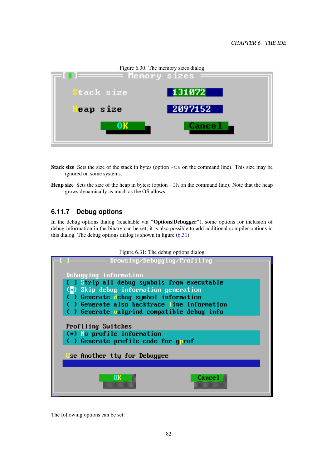<span id="page-82-0"></span>

**Stack size** Sets the size of the stack in bytes (option  $-Cs$  on the command line). This size may be ignored on some systems.

**Heap size** Sets the size of the heap in bytes; (option  $-Ch$  on the command line). Note that the heap grows dynamically as much as the OS allows.

## **6.11.7 Debug options**

In the debug options dialog (reachable via "Options|Debugger"), some options for inclusion of debug information in the binary can be set; it is also possible to add additional compiler options in this dialog. The debug options dialog is shown in figure [\(6.31\)](#page-82-1).

<span id="page-82-1"></span>



The following options can be set: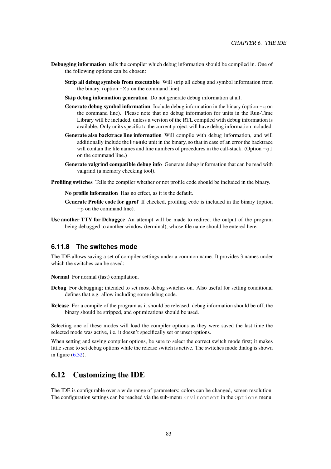- Debugging information tells the compiler which debug information should be compiled in. One of the following options can be chosen:
	- Strip all debug symbols from executable Will strip all debug and symbol information from the binary. (option  $-Xs$  on the command line).
	- Skip debug information generation Do not generate debug information at all.
	- **Generate debug symbol information** Include debug information in the binary (option  $-\alpha$  on the command line). Please note that no debug information for units in the Run-Time Library will be included, unless a version of the RTL compiled with debug information is available. Only units specific to the current project will have debug information included.
	- Generate also backtrace line information Will compile with debug information, and will additionally include the lineinfo unit in the binary, so that in case of an error the backtrace will contain the file names and line numbers of procedures in the call-stack. (Option  $-q1$ on the command line.)
	- Generate valgrind compatible debug info Generate debug information that can be read with valgrind (a memory checking tool).

Profiling switches Tells the compiler whether or not profile code should be included in the binary.

No profile information Has no effect, as it is the default.

- Generate Profile code for gprof If checked, profiling code is included in the binary (option -p on the command line).
- Use another TTY for Debuggee An attempt will be made to redirect the output of the program being debugged to another window (terminal), whose file name should be entered here.

### **6.11.8 The switches mode**

The IDE allows saving a set of compiler settings under a common name. It provides 3 names under which the switches can be saved:

Normal For normal (fast) compilation.

- Debug For debugging; intended to set most debug switches on. Also useful for setting conditional defines that e.g. allow including some debug code.
- Release For a compile of the program as it should be released, debug information should be off, the binary should be stripped, and optimizations should be used.

Selecting one of these modes will load the compiler options as they were saved the last time the selected mode was active, i.e. it doesn't specifically set or unset options.

When setting and saving compiler options, be sure to select the correct switch mode first; it makes little sense to set debug options while the release switch is active. The switches mode dialog is shown in figure  $(6.32)$ .

## 6.12 Customizing the IDE

The IDE is configurable over a wide range of parameters: colors can be changed, screen resolution. The configuration settings can be reached via the sub-menu Environment in the Options menu.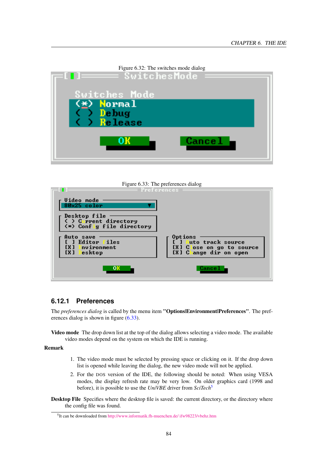<span id="page-84-0"></span>

| Figure 6.32: The switches mode dialog<br>: SwitchesMode |
|---------------------------------------------------------|
| <b>Switches Mode</b>                                    |
| (*) Normal<br>$\langle \rangle$ Debug                   |
| ( ) Release                                             |
| Cancel                                                  |
|                                                         |

<span id="page-84-1"></span>Figure 6.33: The preferences dialog



### **6.12.1 Preferences**

The *preferences dialog* is called by the menu item "Options|Environment|Preferences". The preferences dialog is shown in figure [\(6.33\)](#page-84-1).

Video mode The drop down list at the top of the dialog allows selecting a video mode. The available video modes depend on the system on which the IDE is running.

#### Remark

- 1. The video mode must be selected by pressing space or clicking on it. If the drop down list is opened while leaving the dialog, the new video mode will not be applied.
- 2. For the DOS version of the IDE, the following should be noted: When using VESA modes, the display refresh rate may be very low. On older graphics card (1998 and before), it is possible to use the *UniVBE* driver from *SciTech*[5](#page-84-2)

Desktop File Specifies where the desktop file is saved: the current directory, or the directory where the config file was found.

<span id="page-84-2"></span><sup>&</sup>lt;sup>5</sup>It can be downloaded from [http://www.informatik.fh-muenchen.de/ ifw98223/vbehz.htm](http://www.informatik.fh-muenchen.de/~{}ifw98223/vbehz.htm)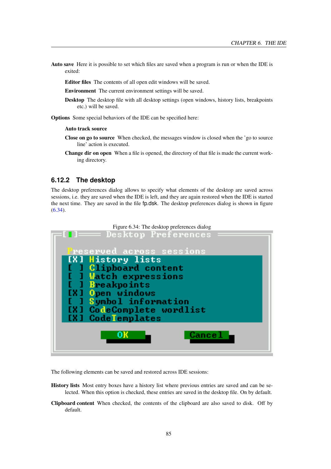Auto save Here it is possible to set which files are saved when a program is run or when the IDE is exited:

Editor files The contents of all open edit windows will be saved.

- Environment The current environment settings will be saved.
- Desktop The desktop file with all desktop settings (open windows, history lists, breakpoints etc.) will be saved.

Options Some special behaviors of the IDE can be specified here:

#### Auto track source

- Close on go to source When checked, the messages window is closed when the 'go to source line' action is executed.
- Change dir on open When a file is opened, the directory of that file is made the current working directory.

### **6.12.2 The desktop**

The desktop preferences dialog allows to specify what elements of the desktop are saved across sessions, i.e. they are saved when the IDE is left, and they are again restored when the IDE is started the next time. They are saved in the file fp.dsk. The desktop preferences dialog is shown in figure  $(6.34).$  $(6.34).$ 

<span id="page-85-0"></span>



The following elements can be saved and restored across IDE sessions:

- History lists Most entry boxes have a history list where previous entries are saved and can be selected. When this option is checked, these entries are saved in the desktop file. On by default.
- Clipboard content When checked, the contents of the clipboard are also saved to disk. Off by default.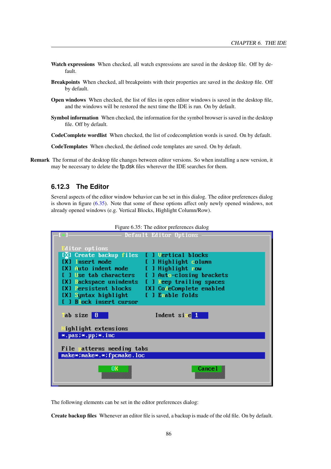- Watch expressions When checked, all watch expressions are saved in the desktop file. Off by default.
- Breakpoints When checked, all breakpoints with their properties are saved in the desktop file. Off by default.
- Open windows When checked, the list of files in open editor windows is saved in the desktop file, and the windows will be restored the next time the IDE is run. On by default.
- Symbol information When checked, the information for the symbol browser is saved in the desktop file. Off by default.

CodeComplete wordlist When checked, the list of codecompletion words is saved. On by default.

CodeTemplates When checked, the defined code templates are saved. On by default.

Remark The format of the desktop file changes between editor versions. So when installing a new version, it may be necessary to delete the fp.dsk files wherever the IDE searches for them.

### **6.12.3 The Editor**

Several aspects of the editor window behavior can be set in this dialog. The editor preferences dialog is shown in figure [\(6.35\)](#page-86-0). Note that some of these options affect only newly opened windows, not already opened windows (e.g. Vertical Blocks, Highlight Column/Row).

<span id="page-86-0"></span>

|                                                   | Default Editor Options                       |  |  |
|---------------------------------------------------|----------------------------------------------|--|--|
|                                                   |                                              |  |  |
| <b>Editor</b> options                             |                                              |  |  |
| [M] Create backup files                           | [ ] <b>Vertical</b> blocks                   |  |  |
| [X] Insert mode                                   | 1 Highlight column<br>E.                     |  |  |
| [X] Auto indent mode                              | 1 Highlight row<br>E.                        |  |  |
| [ ] Ise tab characters                            | [ ] Auto-closing brackets                    |  |  |
| [X] Backspace unindents                           | I I keep trailing spaces                     |  |  |
| [X] Persistent blocks                             | [X] CodeComplete enabled<br>[ ] Enable folds |  |  |
| [X] Syntax highlight —<br>[ ] Block insert cursor |                                              |  |  |
|                                                   |                                              |  |  |
| ab size 8                                         | Indent size <sup>1</sup>                     |  |  |
| ighlight extensions                               |                                              |  |  |
| *.pas:*.pp:*.inc                                  |                                              |  |  |
| File patterns needing tabs                        |                                              |  |  |
| make*;make*.*; fpcmake.loc                        |                                              |  |  |
|                                                   | Cance l                                      |  |  |
|                                                   |                                              |  |  |

The following elements can be set in the editor preferences dialog:

Create backup files Whenever an editor file is saved, a backup is made of the old file. On by default.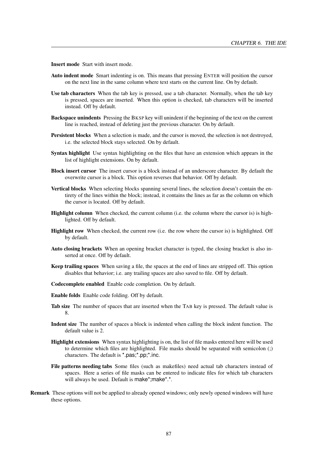Insert mode Start with insert mode.

- Auto indent mode Smart indenting is on. This means that pressing ENTER will position the cursor on the next line in the same column where text starts on the current line. On by default.
- Use tab characters When the tab key is pressed, use a tab character. Normally, when the tab key is pressed, spaces are inserted. When this option is checked, tab characters will be inserted instead. Off by default.
- Backspace unindents Pressing the BKSP key will unindent if the beginning of the text on the current line is reached, instead of deleting just the previous character. On by default.
- Persistent blocks When a selection is made, and the cursor is moved, the selection is not destroyed, i.e. the selected block stays selected. On by default.
- Syntax highlight Use syntax highlighting on the files that have an extension which appears in the list of highlight extensions. On by default.
- Block insert cursor The insert cursor is a block instead of an underscore character. By default the overwrite cursor is a block. This option reverses that behavior. Off by default.
- Vertical blocks When selecting blocks spanning several lines, the selection doesn't contain the entirety of the lines within the block; instead, it contains the lines as far as the column on which the cursor is located. Off by default.
- Highlight column When checked, the current column (i.e. the column where the cursor is) is highlighted. Off by default.
- Highlight row When checked, the current row (i.e. the row where the cursor is) is highlighted. Off by default.
- Auto closing brackets When an opening bracket character is typed, the closing bracket is also inserted at once. Off by default.
- Keep trailing spaces When saving a file, the spaces at the end of lines are stripped off. This option disables that behavior; i.e. any trailing spaces are also saved to file. Off by default.
- Codecomplete enabled Enable code completion. On by default.
- Enable folds Enable code folding. Off by default.
- Tab size The number of spaces that are inserted when the TAB key is pressed. The default value is 8.
- Indent size The number of spaces a block is indented when calling the block indent function. The default value is 2.
- Highlight extensions When syntax highlighting is on, the list of file masks entered here will be used to determine which files are highlighted. File masks should be separated with semicolon (;) characters. The default is \*.pas;\*.pp;\*.inc.
- File patterns needing tabs Some files (such as makefiles) need actual tab characters instead of spaces. Here a series of file masks can be entered to indicate files for which tab characters will always be used. Default is make\*; make\*.\*.
- Remark These options will not be applied to already opened windows; only newly opened windows will have these options.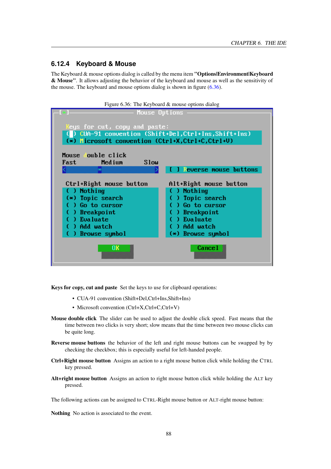### **6.12.4 Keyboard & Mouse**

The Keyboard  $&$  mouse options dialog is called by the menu item "Options|Environment|Keyboard & Mouse". It allows adjusting the behavior of the keyboard and mouse as well as the sensitivity of the mouse. The keyboard and mouse options dialog is shown in figure [\(6.36\)](#page-88-0).

<span id="page-88-0"></span>



Keys for copy, cut and paste Set the keys to use for clipboard operations:

- CUA-91 convention (Shift+Del,Ctrl+Ins,Shift+Ins)
- Microsoft convention (Ctrl+X,Ctrl+C,Ctrl+V)
- Mouse double click The slider can be used to adjust the double click speed. Fast means that the time between two clicks is very short; slow means that the time between two mouse clicks can be quite long.
- Reverse mouse buttons the behavior of the left and right mouse buttons can be swapped by by checking the checkbox; this is especially useful for left-handed people.
- Ctrl+Right mouse button Assigns an action to a right mouse button click while holding the CTRL key pressed.
- Alt+right mouse button Assigns an action to right mouse button click while holding the ALT key pressed.

The following actions can be assigned to CTRL-Right mouse button or ALT-right mouse button:

Nothing No action is associated to the event.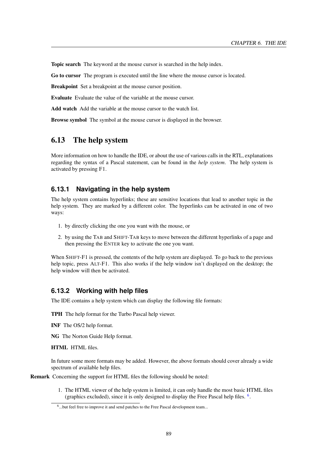Topic search The keyword at the mouse cursor is searched in the help index.

Go to cursor The program is executed until the line where the mouse cursor is located.

Breakpoint Set a breakpoint at the mouse cursor position.

Evaluate Evaluate the value of the variable at the mouse cursor.

Add watch Add the variable at the mouse cursor to the watch list.

Browse symbol The symbol at the mouse cursor is displayed in the browser.

## 6.13 The help system

More information on how to handle the IDE, or about the use of various calls in the RTL, explanations regarding the syntax of a Pascal statement, can be found in the *help system*. The help system is activated by pressing F1.

### **6.13.1 Navigating in the help system**

The help system contains hyperlinks; these are sensitive locations that lead to another topic in the help system. They are marked by a different color. The hyperlinks can be activated in one of two ways:

- 1. by directly clicking the one you want with the mouse, or
- 2. by using the TAB and SHIFT-TAB keys to move between the different hyperlinks of a page and then pressing the ENTER key to activate the one you want.

When SHIFT-F1 is pressed, the contents of the help system are displayed. To go back to the previous help topic, press ALT-F1. This also works if the help window isn't displayed on the desktop; the help window will then be activated.

### **6.13.2 Working with help files**

The IDE contains a help system which can display the following file formats:

TPH The help format for the Turbo Pascal help viewer.

INF The OS/2 help format.

NG The Norton Guide Help format.

HTML HTML files.

In future some more formats may be added. However, the above formats should cover already a wide spectrum of available help files.

Remark Concerning the support for HTML files the following should be noted:

1. The HTML viewer of the help system is limited, it can only handle the most basic HTML files (graphics excluded), since it is only designed to display the Free Pascal help files. <sup>[6](#page-89-0)</sup>.

<span id="page-89-0"></span><sup>&</sup>lt;sup>6</sup>...but feel free to improve it and send patches to the Free Pascal development team...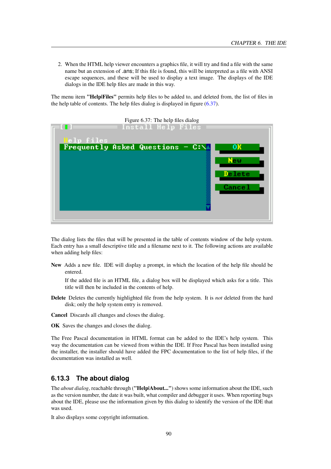2. When the HTML help viewer encounters a graphics file, it will try and find a file with the same name but an extension of .ans; If this file is found, this will be interpreted as a file with ANSI escape sequences, and these will be used to display a text image. The displays of the IDE dialogs in the IDE help files are made in this way.

<span id="page-90-0"></span>The menu item "HelplFiles" permits help files to be added to, and deleted from, the list of files in the help table of contents. The help files dialog is displayed in figure [\(6.37\)](#page-90-0).



The dialog lists the files that will be presented in the table of contents window of the help system. Each entry has a small descriptive title and a filename next to it. The following actions are available when adding help files:

New Adds a new file. IDE will display a prompt, in which the location of the help file should be entered.

If the added file is an HTML file, a dialog box will be displayed which asks for a title. This title will then be included in the contents of help.

Delete Deletes the currently highlighted file from the help system. It is *not* deleted from the hard disk; only the help system entry is removed.

Cancel Discards all changes and closes the dialog.

OK Saves the changes and closes the dialog.

The Free Pascal documentation in HTML format can be added to the IDE's help system. This way the documentation can be viewed from within the IDE. If Free Pascal has been installed using the installer, the installer should have added the FPC documentation to the list of help files, if the documentation was installed as well.

### **6.13.3 The about dialog**

The *about dialog*, reachable through ("Help|About...") shows some information about the IDE, such as the version number, the date it was built, what compiler and debugger it uses. When reporting bugs about the IDE, please use the information given by this dialog to identify the version of the IDE that was used.

It also displays some copyright information.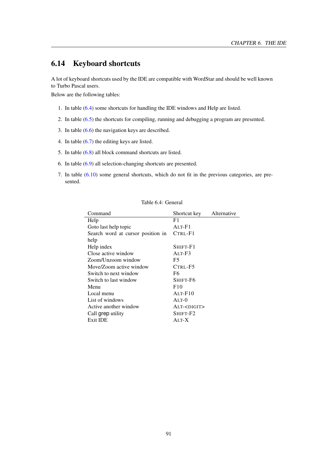# 6.14 Keyboard shortcuts

A lot of keyboard shortcuts used by the IDE are compatible with WordStar and should be well known to Turbo Pascal users.

Below are the following tables:

- 1. In table [\(6.4\)](#page-91-0) some shortcuts for handling the IDE windows and Help are listed.
- 2. In table [\(6.5\)](#page-92-0) the shortcuts for compiling, running and debugging a program are presented.
- 3. In table [\(6.6\)](#page-92-1) the navigation keys are described.
- 4. In table [\(6.7\)](#page-93-0) the editing keys are listed.
- 5. In table [\(6.8\)](#page-93-1) all block command shortcuts are listed.
- 6. In table [\(6.9\)](#page-94-0) all selection-changing shortcuts are presented.
- 7. In table [\(6.10\)](#page-94-1) some general shortcuts, which do not fit in the previous categories, are presented.

#### <span id="page-91-0"></span>Table 6.4: General

| Command                           | Shortcut key Alternative |  |
|-----------------------------------|--------------------------|--|
| Help                              | F1                       |  |
| Goto last help topic              | $A$ lt-F1                |  |
| Search word at cursor position in | CTRL-F1                  |  |
| help                              |                          |  |
| Help index                        | $S$ HIFT- $F1$           |  |
| Close active window               | ALT-F3                   |  |
| Zoom/Unzoom window                | F5                       |  |
| Move/Zoom active window           | CTRL-F5                  |  |
| Switch to next window             | F6                       |  |
| Switch to last window             | $S$ HIFT- $F6$           |  |
| Menu                              | F10                      |  |
| Local menu                        | $A$ LT-F10               |  |
| List of windows                   | $A1.T-0$                 |  |
| Active another window             | ALT- <digit></digit>     |  |
| Call grep utility                 | $S$ HIFT- $F2$           |  |
| Exit IDE                          | $ALT-X$                  |  |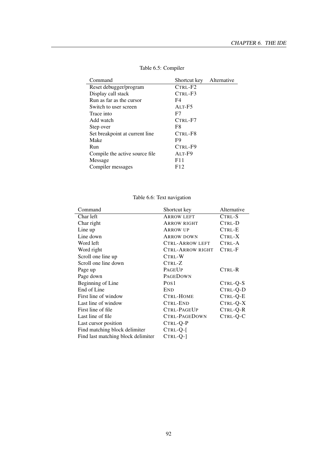| Shortcut key | Alternative |
|--------------|-------------|
| CTRL-F2      |             |
| CTRL-F3      |             |
| F4           |             |
| $AL$ T-F5    |             |
| F7           |             |
| CTRL-F7      |             |
| F8           |             |
| CTRL-F8      |             |
| F9           |             |
| CTRL-F9      |             |
| ALT-F9       |             |
| F11          |             |
| F12          |             |
|              |             |

<span id="page-92-0"></span>Table 6.5: Compiler

### <span id="page-92-1"></span>Table 6.6: Text navigation

| Command                            | Shortcut key            | Alternative |
|------------------------------------|-------------------------|-------------|
| Char left                          | ARROW LEFT              | CTRL-S      |
| Char right                         | <b>ARROW RIGHT</b>      | CTRL-D      |
| Line up                            | Arrow up                | CTRL-E      |
| Line down                          | <b>ARROW DOWN</b>       | CTRL-X      |
| Word left                          | <b>CTRL-ARROW LEFT</b>  | CTRL-A      |
| Word right                         | <b>CTRL-ARROW RIGHT</b> | CTRL-F      |
| Scroll one line up                 | CTRL-W                  |             |
| Scroll one line down               | CTRL-Z                  |             |
| Page up                            | <b>PAGEUP</b>           | CTRL-R      |
| Page down                          | <b>PAGEDOWN</b>         |             |
| Beginning of Line                  | Pos <sub>1</sub>        | CTRL-Q-S    |
| End of Line                        | <b>END</b>              | CTRL-Q-D    |
| First line of window               | <b>CTRL-HOME</b>        | CTRL-Q-E    |
| Last line of window                | <b>CTRL-END</b>         | CTRL-Q-X    |
| First line of file                 | CTRL-PAGEUP             | CTRL-Q-R    |
| Last line of file                  | <b>CTRL-PAGEDOWN</b>    | CTRL-Q-C    |
| Last cursor position               | CTRL-Q-P                |             |
| Find matching block delimiter      | $CTRL-Q-[$              |             |
| Find last matching block delimiter | CTRL-Q-]                |             |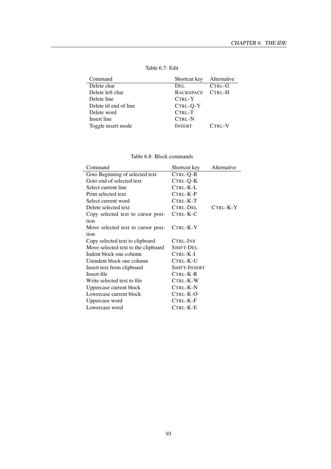| Command                | Shortcut key Alternative |        |
|------------------------|--------------------------|--------|
| Delete char            | Del.                     | CTRL-G |
| Delete left char       | BACKSPACE CTRL-H         |        |
| Delete line            | CTRL-Y                   |        |
| Delete til end of line | CTRL-Q-Y                 |        |
| Delete word            | CTRL-T                   |        |
| Insert line            | <b>CTRL-N</b>            |        |
| Toggle insert mode     | <b>INSERT</b>            | CTRL-V |

<span id="page-93-0"></span>Table 6.7: Edit

<span id="page-93-1"></span>Table 6.8: Block commands

| Command                             | Shortcut key     | Alternative |  |  |
|-------------------------------------|------------------|-------------|--|--|
| Goto Beginning of selected text     | CTRL-Q-B         |             |  |  |
| Goto end of selected text           | CTRL-Q-K         |             |  |  |
| Select current line                 | CTRL-K-L         |             |  |  |
| Print selected text                 | CTRL-K-P         |             |  |  |
| Select current word                 | CTRL-K-T         |             |  |  |
| Delete selected text                | <b>CTRL-DEL</b>  | CTRL-K-Y    |  |  |
| Copy selected text to cursor posi-  | CTRL-K-C         |             |  |  |
| tion                                |                  |             |  |  |
| Move selected text to cursor posi-  | CTRL-K-V         |             |  |  |
| tion                                |                  |             |  |  |
| Copy selected text to clipboard     | CTRL-INS         |             |  |  |
| Move selected text to the clipboard | <b>SHIFT-DEL</b> |             |  |  |
| Indent block one column             | CTRL-K-I         |             |  |  |
| Unindent block one column           | CTRL-K-U         |             |  |  |
| Insert text from clipboard          | SHIFT-INSERT     |             |  |  |
| Insert file                         | CTRL-K-R         |             |  |  |
| Write selected text to file         | CTRL-K-W         |             |  |  |
| Uppercase current block             | CTRL-K-N         |             |  |  |
| Lowercase current block             | CTRL-K-O         |             |  |  |
| Uppercase word                      | CTRL-K-F         |             |  |  |
| Lowercase word                      | CTRL-K-E         |             |  |  |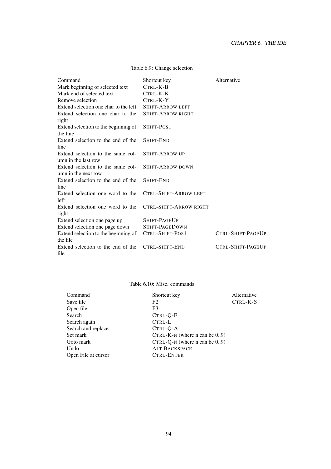| Command                                                  | Shortcut key                  | Alternative       |
|----------------------------------------------------------|-------------------------------|-------------------|
| Mark beginning of selected text                          | CTRL-K-B                      |                   |
| Mark end of selected text                                | CTRL-K-K                      |                   |
| Remove selection                                         | CTRL-K-Y                      |                   |
| Extend selection one char to the left                    | <b>SHIFT-ARROW LEFT</b>       |                   |
| Extend selection one char to the<br>right                | <b>SHIFT-ARROW RIGHT</b>      |                   |
| Extend selection to the beginning of<br>the line         | SHIFT-POS1                    |                   |
| Extend selection to the end of the<br>line               | <b>SHIFT-END</b>              |                   |
| Extend selection to the same col-<br>umn in the last row | <b>SHIFT-ARROW UP</b>         |                   |
| Extend selection to the same col-<br>umn in the next row | <b>SHIFT-ARROW DOWN</b>       |                   |
| Extend selection to the end of the<br>line               | <b>SHIFT-END</b>              |                   |
| Extend selection one word to the<br>left                 | <b>CTRL-SHIFT-ARROW LEFT</b>  |                   |
| Extend selection one word to the<br>right                | <b>CTRL-SHIFT-ARROW RIGHT</b> |                   |
| Extend selection one page up                             | SHIFT-PAGEUP                  |                   |
| Extend selection one page down                           | <b>SHIFT-PAGEDOWN</b>         |                   |
| Extend selection to the beginning of<br>the file         | CTRL-SHIFT-POS1               | CTRL-SHIFT-PAGEUP |
| Extend selection to the end of the<br>file               | CTRL-SHIFT-END                | CTRL-SHIFT-PAGEUP |

<span id="page-94-0"></span>Table 6.9: Change selection

| Command             | Shortcut key                         | Alternative |
|---------------------|--------------------------------------|-------------|
| Save file           | F <sub>2</sub>                       | CTRL-K-S    |
| Open file           | F <sub>3</sub>                       |             |
| Search              | CTRL-Q-F                             |             |
| Search again        | CTRL-L                               |             |
| Search and replace  | CTRL-O-A                             |             |
| Set mark            | $CTRL-K-N$ (where n can be $(0.9)$ ) |             |
| Goto mark           | $CTRL-Q-N$ (where n can be $(0.9)$ ) |             |
| Undo                | <b>ALT-BACKSPACE</b>                 |             |
| Open File at cursor | <b>CTRL-ENTER</b>                    |             |

<span id="page-94-1"></span>Table 6.10: Misc. commands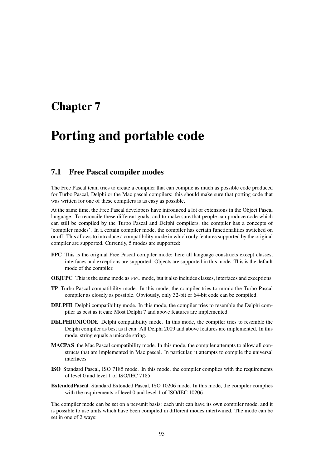# Chapter 7

# Porting and portable code

## 7.1 Free Pascal compiler modes

The Free Pascal team tries to create a compiler that can compile as much as possible code produced for Turbo Pascal, Delphi or the Mac pascal compilers: this should make sure that porting code that was written for one of these compilers is as easy as possible.

At the same time, the Free Pascal developers have introduced a lot of extensions in the Object Pascal language. To reconcile these different goals, and to make sure that people can produce code which can still be compiled by the Turbo Pascal and Delphi compilers, the compiler has a concepts of 'compiler modes'. In a certain compiler mode, the compiler has certain functionalities switched on or off. This allows to introduce a compatibility mode in which only features supported by the original compiler are supported. Currently, 5 modes are supported:

- FPC This is the original Free Pascal compiler mode: here all language constructs except classes, interfaces and exceptions are supported. Objects are supported in this mode. This is the default mode of the compiler.
- **OBJFPC** This is the same mode as FPC mode, but it also includes classes, interfaces and exceptions.
- TP Turbo Pascal compatibility mode. In this mode, the compiler tries to mimic the Turbo Pascal compiler as closely as possible. Obviously, only 32-bit or 64-bit code can be compiled.
- DELPHI Delphi compatibility mode. In this mode, the compiler tries to resemble the Delphi compiler as best as it can: Most Delphi 7 and above features are implemented.
- DELPHIUNICODE Delphi compatibility mode. In this mode, the compiler tries to resemble the Delphi compiler as best as it can: All Delphi 2009 and above features are implemented. In this mode, string equals a unicode string.
- MACPAS the Mac Pascal compatibility mode. In this mode, the compiler attempts to allow all constructs that are implemented in Mac pascal. In particular, it attempts to compile the universal interfaces.
- ISO Standard Pascal, ISO 7185 mode. In this mode, the compiler complies with the requirements of level 0 and level 1 of ISO/IEC 7185.
- ExtendedPascal Standard Extended Pascal, ISO 10206 mode. In this mode, the compiler complies with the requirements of level 0 and level 1 of ISO/IEC 10206.

The compiler mode can be set on a per-unit basis: each unit can have its own compiler mode, and it is possible to use units which have been compiled in different modes intertwined. The mode can be set in one of 2 ways: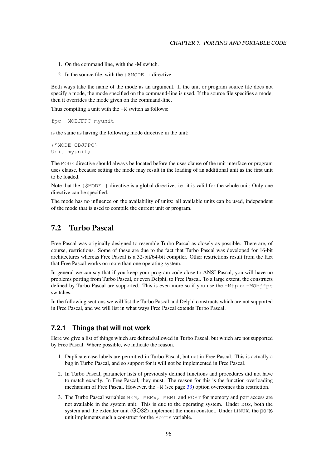- 1. On the command line, with the -M switch.
- 2. In the source file, with the  $\{\S$ MODE  $\}$  directive.

Both ways take the name of the mode as an argument. If the unit or program source file does not specify a mode, the mode specified on the command-line is used. If the source file specifies a mode, then it overrides the mode given on the command-line.

Thus compiling a unit with the  $-M$  switch as follows:

```
fpc -MOBJFPC myunit
```
is the same as having the following mode directive in the unit:

```
{$MODE OBJFPC}
Unit myunit;
```
The MODE directive should always be located before the uses clause of the unit interface or program uses clause, because setting the mode may result in the loading of an additional unit as the first unit to be loaded.

Note that the {\$MODE} directive is a global directive, i.e. it is valid for the whole unit; Only one directive can be specified.

The mode has no influence on the availability of units: all available units can be used, independent of the mode that is used to compile the current unit or program.

## 7.2 Turbo Pascal

Free Pascal was originally designed to resemble Turbo Pascal as closely as possible. There are, of course, restrictions. Some of these are due to the fact that Turbo Pascal was developed for 16-bit architectures whereas Free Pascal is a 32-bit/64-bit compiler. Other restrictions result from the fact that Free Pascal works on more than one operating system.

In general we can say that if you keep your program code close to ANSI Pascal, you will have no problems porting from Turbo Pascal, or even Delphi, to Free Pascal. To a large extent, the constructs defined by Turbo Pascal are supported. This is even more so if you use the  $-Mtp$  or  $-MOb$  fpc switches.

In the following sections we will list the Turbo Pascal and Delphi constructs which are not supported in Free Pascal, and we will list in what ways Free Pascal extends Turbo Pascal.

### **7.2.1 Things that will not work**

Here we give a list of things which are defined/allowed in Turbo Pascal, but which are not supported by Free Pascal. Where possible, we indicate the reason.

- 1. Duplicate case labels are permitted in Turbo Pascal, but not in Free Pascal. This is actually a bug in Turbo Pascal, and so support for it will not be implemented in Free Pascal.
- 2. In Turbo Pascal, parameter lists of previously defined functions and procedures did not have to match exactly. In Free Pascal, they must. The reason for this is the function overloading mechanism of Free Pascal. However, the -M (see page [33\)](#page-33-0) option overcomes this restriction.
- 3. The Turbo Pascal variables MEM, MEMW, MEML and PORT for memory and port access are not available in the system unit. This is due to the operating system. Under DOS, both the system and the extender unit (GO32) implement the mem constuct. Under LINUX, the ports unit implements such a construct for the Ports variable.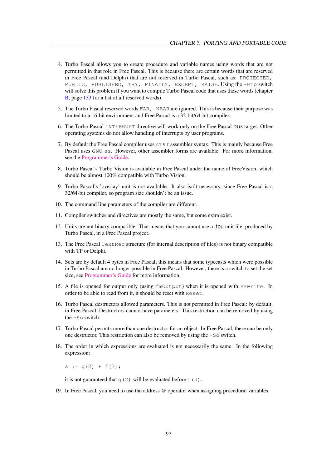- 4. Turbo Pascal allows you to create procedure and variable names using words that are not permitted in that role in Free Pascal. This is because there are certain words that are reserved in Free Pascal (and Delphi) that are not reserved in Turbo Pascal, such as: PROTECTED, PUBLIC, PUBLISHED, TRY, FINALLY, EXCEPT, RAISE. Using the -Mtp switch will solve this problem if you want to compile Turbo Pascal code that uses these words (chapter [B,](#page-133-0) page [133](#page-133-0) for a list of all reserved words).
- 5. The Turbo Pascal reserved words FAR, NEAR are ignored. This is because their purpose was limited to a 16-bit environment and Free Pascal is a 32-bit/64-bit compiler.
- 6. The Turbo Pascal INTERRUPT directive will work only on the Free Pascal DOS target. Other operating systems do not allow handling of interrupts by user programs.
- 7. By default the Free Pascal compiler uses  $AT \& T$  assembler syntax. This is mainly because Free Pascal uses GNU as. However, other assembler forms are available. For more information, see the [Programmer's Guide.](../prog/prog.html)
- 8. Turbo Pascal's Turbo Vision is available in Free Pascal under the name of FreeVision, which should be almost 100% compatible with Turbo Vision.
- 9. Turbo Pascal's 'overlay' unit is not available. It also isn't necessary, since Free Pascal is a 32/64-bit compiler, so program size shouldn't be an issue.
- 10. The command line parameters of the compiler are different.
- 11. Compiler switches and directives are mostly the same, but some extra exist.
- 12. Units are not binary compatible. That means that you cannot use a .tpu unit file, produced by Turbo Pascal, in a Free Pascal project.
- 13. The Free Pascal TextRec structure (for internal description of files) is not binary compatible with TP or Delphi.
- 14. Sets are by default 4 bytes in Free Pascal; this means that some typecasts which were possible in Turbo Pascal are no longer possible in Free Pascal. However, there is a switch to set the set size, see [Programmer's Guide](../prog/prog.html) for more information.
- 15. A file is opened for output only (using fmOutput) when it is opened with Rewrite. In order to be able to read from it, it should be reset with Reset.
- 16. Turbo Pascal destructors allowed parameters. This is not permitted in Free Pascal: by default, in Free Pascal, Destructors cannot have parameters. This restriction can be removed by using the -So switch.
- 17. Turbo Pascal permits more than one destructor for an object. In Free Pascal, there can be only one destructor. This restriction can also be removed by using the -So switch.
- 18. The order in which expressions are evaluated is not necessarily the same. In the following expression:

a :=  $q(2) + f(3)$ ;

it is not guaranteed that  $q(2)$  will be evaluated before  $f(3)$ .

19. In Free Pascal, you need to use the address @ operator when assigning procedural variables.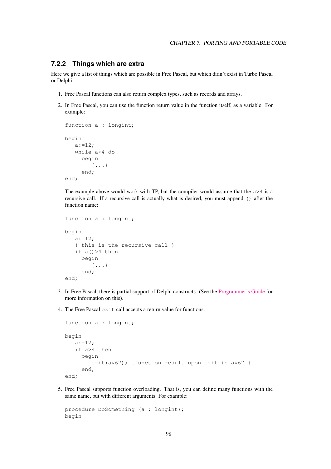### **7.2.2 Things which are extra**

Here we give a list of things which are possible in Free Pascal, but which didn't exist in Turbo Pascal or Delphi.

- 1. Free Pascal functions can also return complex types, such as records and arrays.
- 2. In Free Pascal, you can use the function return value in the function itself, as a variable. For example:

```
function a : longint;
begin
   a:=12;while a>4 do
     begin
         \{\ldots\}end;
end;
```
The example above would work with TP, but the compiler would assume that the  $a > 4$  is a recursive call. If a recursive call is actually what is desired, you must append () after the function name:

```
function a : longint;
begin
   a:=12;{ this is the recursive call }
   if a() > 4 then
     begin
        {...}
     end;
end;
```
- 3. In Free Pascal, there is partial support of Delphi constructs. (See the [Programmer's Guide](../prog/prog.html) for more information on this).
- 4. The Free Pascal exit call accepts a return value for functions.

```
function a : longint;
begin
   a:=12;if a>4 then
    begin
        exit(a*67); {function result upon exit is a*67 }
     end;
end;
```
5. Free Pascal supports function overloading. That is, you can define many functions with the same name, but with different arguments. For example:

```
procedure DoSomething (a : longint);
begin
```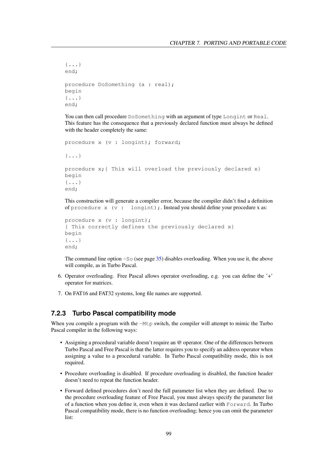```
{...}
end;
procedure DoSomething (a : real);
begin
\{\ldots\}end;
```
You can then call procedure DoSomething with an argument of type Longint or Real. This feature has the consequence that a previously declared function must always be defined with the header completely the same:

```
procedure x (v : longint); forward;
{...}
procedure x; { This will overload the previously declared x}
begin
\{\ldots\}end;
```
This construction will generate a compiler error, because the compiler didn't find a definition of procedure  $x \ (v : longint)$ ; Instead you should define your procedure x as:

```
procedure x (v : longint);
{ This correctly defines the previously declared x}
begin
{...}
end;
```
The command line option  $-5\circ$  (see page [35\)](#page-33-0) disables overloading. When you use it, the above will compile, as in Turbo Pascal.

- 6. Operator overloading. Free Pascal allows operator overloading, e.g. you can define the '+' operator for matrices.
- 7. On FAT16 and FAT32 systems, long file names are supported.

### **7.2.3 Turbo Pascal compatibility mode**

When you compile a program with the  $-Mtp$  switch, the compiler will attempt to mimic the Turbo Pascal compiler in the following ways:

- Assigning a procedural variable doesn't require an @ operator. One of the differences between Turbo Pascal and Free Pascal is that the latter requires you to specify an address operator when assigning a value to a procedural variable. In Turbo Pascal compatibility mode, this is not required.
- Procedure overloading is disabled. If procedure overloading is disabled, the function header doesn't need to repeat the function header.
- Forward defined procedures don't need the full parameter list when they are defined. Due to the procedure overloading feature of Free Pascal, you must always specify the parameter list of a function when you define it, even when it was declared earlier with Forward. In Turbo Pascal compatibility mode, there is no function overloading; hence you can omit the parameter list: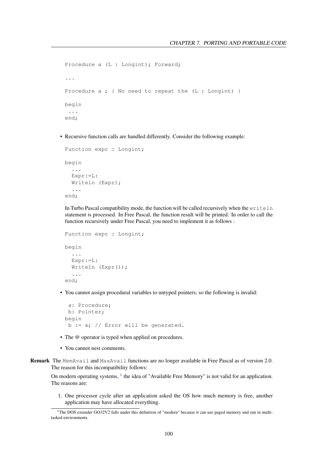```
Procedure a (L : Longint); Forward;
...
Procedure a ; { No need to repeat the (L : Longint) }
begin
 ...
end;
```
• Recursive function calls are handled differently. Consider the following example:

```
Function expr : Longint;
begin
  ...
  Expr:=L:
  Writeln (Expr);
  ...
end;
```
In Turbo Pascal compatibility mode, the function will be called recursively when the  $w$ riteln statement is processed. In Free Pascal, the function result will be printed. In order to call the function recursively under Free Pascal, you need to implement it as follows :

```
Function expr : Longint;
begin
  ...
  Expr:=L:
  Writeln (Expr());
  ...
end;
```
• You cannot assign procedural variables to untyped pointers; so the following is invalid:

```
a: Procedure;
b: Pointer;
begin
b := a; // Error will be generated.
```
- The @ operator is typed when applied on procedures.
- You cannot nest comments.
- Remark The MemAvail and MaxAvail functions are no longer available in Free Pascal as of version 2.0. The reason for this incompatibility follows:

On modern operating systems, <sup>[1](#page-100-0)</sup> the idea of "Available Free Memory" is not valid for an application. The reasons are:

1. One processor cycle after an application asked the OS how much memory is free, another application may have allocated everything.

<span id="page-100-0"></span><sup>&</sup>lt;sup>1</sup>The DOS extender GO32V2 falls under this definition of "modern" because it can use paged memory and run in multitasked environments.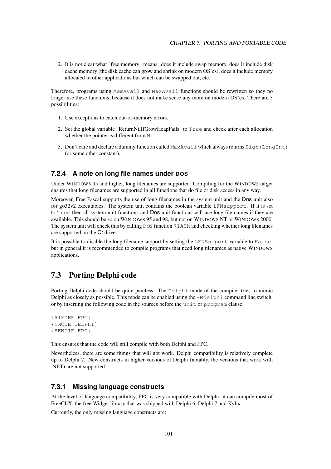2. It is not clear what "free memory" means: does it include swap memory, does it include disk cache memory (the disk cache can grow and shrink on modern OS'es), does it include memory allocated to other applications but which can be swapped out, etc.

Therefore, programs using MemAvail and MaxAvail functions should be rewritten so they no longer use these functions, because it does not make sense any more on modern OS'es. There are 3 possibilities:

- 1. Use exceptions to catch out-of-memory errors.
- 2. Set the global variable "ReturnNilIfGrowHeapFails" to True and check after each allocation whether the pointer is different from Nil.
- 3. Don't care and declare a dummy function called MaxAvail which always returns High(LongInt) (or some other constant).

### **7.2.4 A note on long file names under DOS**

Under WINDOWS 95 and higher, long filenames are supported. Compiling for the WINDOWS target ensures that long filenames are supported in all functions that do file or disk access in any way.

Moreover, Free Pascal supports the use of long filenames in the system unit and the Dos unit also for go32v2 executables. The system unit contains the boolean variable LFNsupport. If it is set to True then all system unit functions and Dos unit functions will use long file names if they are available. This should be so on WINDOWS 95 and 98, but not on WINDOWS NT or WINDOWS 2000. The system unit will check this by calling DOS function 71A0h and checking whether long filenames are supported on the C: drive.

It is possible to disable the long filename support by setting the LFNSupport variable to False; but in general it is recommended to compile programs that need long filenames as native WINDOWS applications.

## 7.3 Porting Delphi code

Porting Delphi code should be quite painless. The Delphi mode of the compiler tries to mimic Delphi as closely as possible. This mode can be enabled using the -Mdelphi command line switch, or by inserting the following code in the sources before the unit or program clause:

```
{$IFDEF FPC}
{$MODE DELPHI}
{$ENDIF FPC}
```
This ensures that the code will still compile with both Delphi and FPC.

Nevertheless, there are some things that will not work. Delphi compatibility is relatively complete up to Delphi 7. New constructs in higher versions of Delphi (notably, the versions that work with .NET) are not supported.

### **7.3.1 Missing language constructs**

At the level of language compatibility, FPC is very compatible with Delphi: it can compile most of FreeCLX, the free Widget library that was shipped with Delphi 6, Delphi 7 and Kylix.

Currently, the only missing language constructs are: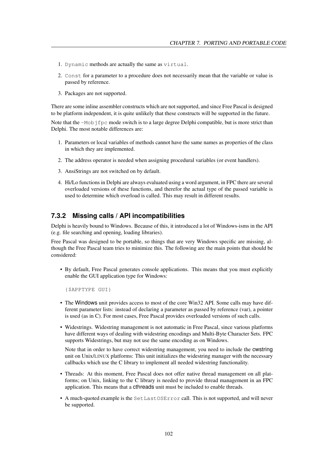- 1. Dynamic methods are actually the same as virtual.
- 2. Const for a parameter to a procedure does not necessarily mean that the variable or value is passed by reference.
- 3. Packages are not supported.

There are some inline assembler constructs which are not supported, and since Free Pascal is designed to be platform independent, it is quite unlikely that these constructs will be supported in the future.

Note that the  $-Mob$  if  $pc$  mode switch is to a large degree Delphi compatible, but is more strict than Delphi. The most notable differences are:

- 1. Parameters or local variables of methods cannot have the same names as properties of the class in which they are implemented.
- 2. The address operator is needed when assigning procedural variables (or event handlers).
- 3. AnsiStrings are not switched on by default.
- 4. Hi/Lo functions in Delphi are always evaluated using a word argument, in FPC there are several overloaded versions of these functions, and therefor the actual type of the passed variable is used to determine which overload is called. This may result in different results.

## **7.3.2 Missing calls / API incompatibilities**

Delphi is heavily bound to Windows. Because of this, it introduced a lot of Windows-isms in the API (e.g. file searching and opening, loading libraries).

Free Pascal was designed to be portable, so things that are very Windows specific are missing, although the Free Pascal team tries to minimize this. The following are the main points that should be considered:

• By default, Free Pascal generates console applications. This means that you must explicitly enable the GUI application type for Windows:

{\$APPTYPE GUI}

- The Windows unit provides access to most of the core Win32 API. Some calls may have different parameter lists: instead of declaring a parameter as passed by reference (var), a pointer is used (as in C). For most cases, Free Pascal provides overloaded versions of such calls.
- Widestrings. Widestring management is not automatic in Free Pascal, since various platforms have different ways of dealing with widestring encodings and Multi-Byte Character Sets. FPC supports Widestrings, but may not use the same encoding as on Windows.

Note that in order to have correct widestring management, you need to include the cwstring unit on Unix/LINUX platforms: This unit initializes the widestring manager with the necessary callbacks which use the C library to implement all needed widestring functionality.

- Threads: At this moment, Free Pascal does not offer native thread management on all platforms; on Unix, linking to the C library is needed to provide thread management in an FPC application. This means that a cthreads unit must be included to enable threads.
- A much-quoted example is the SetLastOSError call. This is not supported, and will never be supported.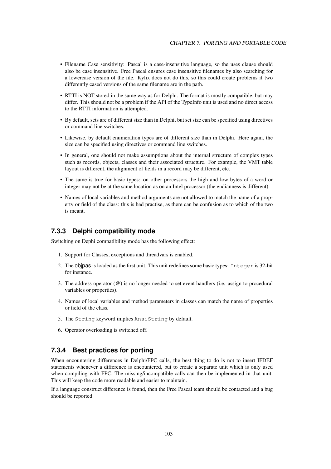- Filename Case sensitivity: Pascal is a case-insensitive language, so the uses clause should also be case insensitive. Free Pascal ensures case insensitive filenames by also searching for a lowercase version of the file. Kylix does not do this, so this could create problems if two differently cased versions of the same filename are in the path.
- RTTI is NOT stored in the same way as for Delphi. The format is mostly compatible, but may differ. This should not be a problem if the API of the TypeInfo unit is used and no direct access to the RTTI information is attempted.
- By default, sets are of different size than in Delphi, but set size can be specified using directives or command line switches.
- Likewise, by default enumeration types are of different size than in Delphi. Here again, the size can be specified using directives or command line switches.
- In general, one should not make assumptions about the internal structure of complex types such as records, objects, classes and their associated structure. For example, the VMT table layout is different, the alignment of fields in a record may be different, etc.
- The same is true for basic types: on other processors the high and low bytes of a word or integer may not be at the same location as on an Intel processor (the endianness is different).
- Names of local variables and method arguments are not allowed to match the name of a property or field of the class: this is bad practise, as there can be confusion as to which of the two is meant.

### **7.3.3 Delphi compatibility mode**

Switching on Dephi compatibility mode has the following effect:

- 1. Support for Classes, exceptions and threadvars is enabled.
- 2. The objpas is loaded as the first unit. This unit redefines some basic types:  $Int\leftarrow$  is 32-bit for instance.
- 3. The address operator (@) is no longer needed to set event handlers (i.e. assign to procedural variables or properties).
- 4. Names of local variables and method parameters in classes can match the name of properties or field of the class.
- 5. The String keyword implies AnsiString by default.
- 6. Operator overloading is switched off.

### **7.3.4 Best practices for porting**

When encountering differences in Delphi/FPC calls, the best thing to do is not to insert IFDEF statements whenever a difference is encountered, but to create a separate unit which is only used when compiling with FPC. The missing/incompatible calls can then be implemented in that unit. This will keep the code more readable and easier to maintain.

If a language construct difference is found, then the Free Pascal team should be contacted and a bug should be reported.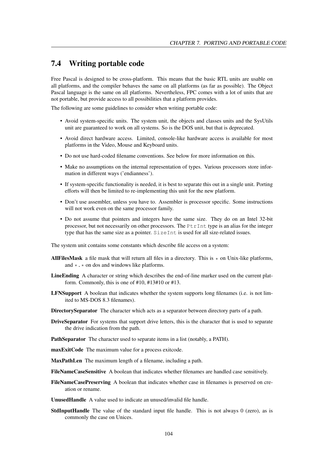## 7.4 Writing portable code

Free Pascal is designed to be cross-platform. This means that the basic RTL units are usable on all platforms, and the compiler behaves the same on all platforms (as far as possible). The Object Pascal language is the same on all platforms. Nevertheless, FPC comes with a lot of units that are not portable, but provide access to all possibilities that a platform provides.

The following are some guidelines to consider when writing portable code:

- Avoid system-specific units. The system unit, the objects and classes units and the SysUtils unit are guaranteed to work on all systems. So is the DOS unit, but that is deprecated.
- Avoid direct hardware access. Limited, console-like hardware access is available for most platforms in the Video, Mouse and Keyboard units.
- Do not use hard-coded filename conventions. See below for more information on this.
- Make no assumptions on the internal representation of types. Various processors store information in different ways ('endianness').
- If system-specific functionality is needed, it is best to separate this out in a single unit. Porting efforts will then be limited to re-implementing this unit for the new platform.
- Don't use assembler, unless you have to. Assembler is processor specific. Some instructions will not work even on the same processor family.
- Do not assume that pointers and integers have the same size. They do on an Intel 32-bit processor, but not necessarily on other processors. The PtrInt type is an alias for the integer type that has the same size as a pointer.  $SizeInt$  is used for all size-related issues.

The system unit contains some constants which describe file access on a system:

- AllFilesMask a file mask that will return all files in a directory. This is  $*$  on Unix-like platforms, and  $\star$ .  $\star$  on dos and windows like platforms.
- LineEnding A character or string which describes the end-of-line marker used on the current platform. Commonly, this is one of #10, #13#10 or #13.
- LFNSupport A boolean that indicates whether the system supports long filenames (i.e. is not limited to MS-DOS 8.3 filenames).

DirectorySeparator The character which acts as a separator between directory parts of a path.

- DriveSeparator For systems that support drive letters, this is the character that is used to separate the drive indication from the path.
- PathSeparator The character used to separate items in a list (notably, a PATH).

maxExitCode The maximum value for a process exitcode.

MaxPathLen The maximum length of a filename, including a path.

FileNameCaseSensitive A boolean that indicates whether filenames are handled case sensitively.

FileNameCasePreserving A boolean that indicates whether case in filenames is preserved on creation or rename.

UnusedHandle A value used to indicate an unused/invalid file handle.

StdInputHandle The value of the standard input file handle. This is not always 0 (zero), as is commonly the case on Unices.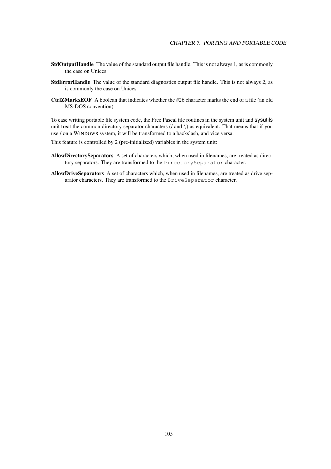- StdOutputHandle The value of the standard output file handle. This is not always 1, as is commonly the case on Unices.
- StdErrorHandle The value of the standard diagnostics output file handle. This is not always 2, as is commonly the case on Unices.
- CtrlZMarksEOF A boolean that indicates whether the #26 character marks the end of a file (an old MS-DOS convention).

To ease writing portable file system code, the Free Pascal file routines in the system unit and sysutils unit treat the common directory separator characters  $($  and  $\setminus$  as equivalent. That means that if you use / on a WINDOWS system, it will be transformed to a backslash, and vice versa.

This feature is controlled by 2 (pre-initialized) variables in the system unit:

- AllowDirectorySeparators A set of characters which, when used in filenames, are treated as directory separators. They are transformed to the DirectorySeparator character.
- AllowDriveSeparators A set of characters which, when used in filenames, are treated as drive separator characters. They are transformed to the DriveSeparator character.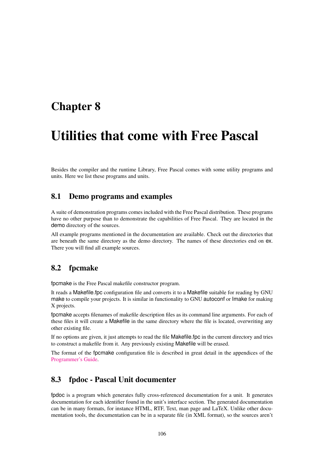# Chapter 8

# Utilities that come with Free Pascal

Besides the compiler and the runtime Library, Free Pascal comes with some utility programs and units. Here we list these programs and units.

## 8.1 Demo programs and examples

A suite of demonstration programs comes included with the Free Pascal distribution. These programs have no other purpose than to demonstrate the capabilities of Free Pascal. They are located in the demo directory of the sources.

All example programs mentioned in the documentation are available. Check out the directories that are beneath the same directory as the demo directory. The names of these directories end on ex. There you will find all example sources.

## 8.2 fpcmake

fpcmake is the Free Pascal makefile constructor program.

It reads a Makefile.fpc configuration file and converts it to a Makefile suitable for reading by GNU make to compile your projects. It is similar in functionality to GNU autoconf or Imake for making X projects.

fpcmake accepts filenames of makefile description files as its command line arguments. For each of these files it will create a Makefile in the same directory where the file is located, overwriting any other existing file.

If no options are given, it just attempts to read the file Makefile.fpc in the current directory and tries to construct a makefile from it. Any previously existing Makefile will be erased.

The format of the fpcmake configuration file is described in great detail in the appendices of the [Programmer's Guide.](../prog/prog.html)

## 8.3 fpdoc - Pascal Unit documenter

fpdoc is a program which generates fully cross-referenced documentation for a unit. It generates documentation for each identifier found in the unit's interface section. The generated documentation can be in many formats, for instance HTML, RTF, Text, man page and LaTeX. Unlike other documentation tools, the documentation can be in a separate file (in XML format), so the sources aren't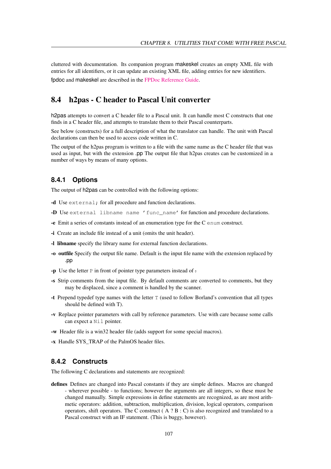cluttered with documentation. Its companion program makeskel creates an empty XML file with entries for all identifiers, or it can update an existing XML file, adding entries for new identifiers.

fpdoc and makeskel are described in the [FPDoc Reference Guide.](../fpdoc/fpdoc.html)

# 8.4 h2pas - C header to Pascal Unit converter

h2pas attempts to convert a C header file to a Pascal unit. It can handle most C constructs that one finds in a C header file, and attempts to translate them to their Pascal counterparts.

See below (constructs) for a full description of what the translator can handle. The unit with Pascal declarations can then be used to access code written in C.

The output of the h2pas program is written to a file with the same name as the C header file that was used as input, but with the extension .pp The output file that h2pas creates can be customized in a number of ways by means of many options.

### **8.4.1 Options**

The output of h2pas can be controlled with the following options:

- -d Use external; for all procedure and function declarations.
- -D Use external libname name 'func\_name' for function and procedure declarations.
- -e Emit a series of constants instead of an enumeration type for the C enum construct.
- -i Create an include file instead of a unit (omits the unit header).
- -l libname specify the library name for external function declarations.
- -o outfile Specify the output file name. Default is the input file name with the extension replaced by .pp
- **-p** Use the letter  $P$  in front of pointer type parameters instead of  $\phi$
- -s Strip comments from the input file. By default comments are converted to comments, but they may be displaced, since a comment is handled by the scanner.
- -t Prepend typedef type names with the letter T (used to follow Borland's convention that all types should be defined with T).
- -v Replace pointer parameters with call by reference parameters. Use with care because some calls can expect a Nil pointer.
- -w Header file is a win32 header file (adds support for some special macros).
- -x Handle SYS\_TRAP of the PalmOS header files.

### **8.4.2 Constructs**

The following C declarations and statements are recognized:

defines Defines are changed into Pascal constants if they are simple defines. Macros are changed - wherever possible - to functions; however the arguments are all integers, so these must be changed manually. Simple expressions in define statements are recognized, as are most arithmetic operators: addition, subtraction, multiplication, division, logical operators, comparison operators, shift operators. The C construct  $(A \tP B : C)$  is also recognized and translated to a Pascal construct with an IF statement. (This is buggy, however).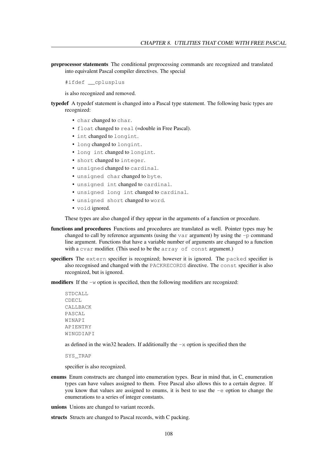preprocessor statements The conditional preprocessing commands are recognized and translated into equivalent Pascal compiler directives. The special

#ifdef \_\_cplusplus

is also recognized and removed.

- typedef A typedef statement is changed into a Pascal type statement. The following basic types are recognized:
	- char changed to char.
	- float changed to real (=double in Free Pascal).
	- int changed to longint.
	- long changed to longint.
	- long int changed to longint.
	- short changed to integer.
	- unsigned changed to cardinal.
	- unsigned char changed to byte.
	- unsigned int changed to cardinal.
	- unsigned long int changed to cardinal.
	- unsigned short changed to word.
	- void ignored.

These types are also changed if they appear in the arguments of a function or procedure.

- functions and procedures Functions and procedures are translated as well. Pointer types may be changed to call by reference arguments (using the var argument) by using the  $-p$  command line argument. Functions that have a variable number of arguments are changed to a function with a cvar modifier. (This used to be the array of const argument.)
- specifiers The extern specifier is recognized; however it is ignored. The packed specifier is also recognised and changed with the PACKRECORDS directive. The const specifier is also recognized, but is ignored.

**modifiers** If the  $-w$  option is specified, then the following modifiers are recognized:

STDCALL CDECL CALLBACK PASCAL WINAPI APIENTRY WINGDIAPI

as defined in the win32 headers. If additionally the  $-x$  option is specified then the

SYS\_TRAP

specifier is also recognized.

enums Enum constructs are changed into enumeration types. Bear in mind that, in C, enumeration types can have values assigned to them. Free Pascal also allows this to a certain degree. If you know that values are assigned to enums, it is best to use the -e option to change the enumerations to a series of integer constants.

unions Unions are changed to variant records.

structs Structs are changed to Pascal records, with C packing.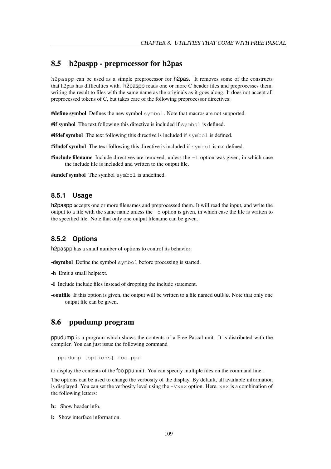# 8.5 h2paspp - preprocessor for h2pas

h2paspp can be used as a simple preprocessor for h2pas. It removes some of the constructs that h2pas has difficulties with. h2paspp reads one or more C header files and preprocesses them, writing the result to files with the same name as the originals as it goes along. It does not accept all preprocessed tokens of C, but takes care of the following preprocessor directives:

**#define symbol** Defines the new symbol symbol. Note that macros are not supported.

#if symbol The text following this directive is included if symbol is defined.

**#ifdef symbol** The text following this directive is included if symbol is defined.

#ifndef symbol The text following this directive is included if symbol is not defined.

**#include filename** Include directives are removed, unless the  $-I$  option was given, in which case the include file is included and written to the output file.

#undef symbol The symbol symbol is undefined.

# **8.5.1 Usage**

h2paspp accepts one or more filenames and preprocessed them. It will read the input, and write the output to a file with the same name unless the  $-\circ$  option is given, in which case the file is written to the specified file. Note that only one output filename can be given.

# **8.5.2 Options**

h2paspp has a small number of options to control its behavior:

-dsymbol Define the symbol symbol before processing is started.

```
-h Emit a small helptext.
```
-I Include include files instead of dropping the include statement.

-ooutfile If this option is given, the output will be written to a file named outfile. Note that only one output file can be given.

# 8.6 ppudump program

ppudump is a program which shows the contents of a Free Pascal unit. It is distributed with the compiler. You can just issue the following command

ppudump [options] foo.ppu

to display the contents of the foo.ppu unit. You can specify multiple files on the command line.

The options can be used to change the verbosity of the display. By default, all available information is displayed. You can set the verbosity level using the  $-\sqrt{x}$ xx option. Here,  $x \times x$  is a combination of the following letters:

- h: Show header info.
- i: Show interface information.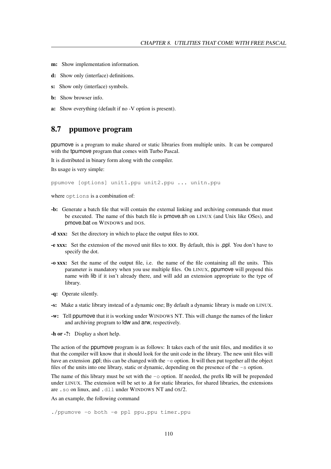- m: Show implementation information.
- d: Show only (interface) definitions.
- s: Show only (interface) symbols.
- b: Show browser info.
- a: Show everything (default if no -V option is present).

# 8.7 ppumove program

ppumove is a program to make shared or static libraries from multiple units. It can be compared with the tpumove program that comes with Turbo Pascal.

It is distributed in binary form along with the compiler.

Its usage is very simple:

ppumove [options] unit1.ppu unit2.ppu ... unitn.ppu

where options is a combination of:

- -b: Generate a batch file that will contain the external linking and archiving commands that must be executed. The name of this batch file is pmove.sh on LINUX (and Unix like OSes), and pmove.bat on WINDOWS and DOS.
- -d xxx: Set the directory in which to place the output files to xxx.
- -e xxx: Set the extension of the moved unit files to xxx. By default, this is .ppl. You don't have to specify the dot.
- -o xxx: Set the name of the output file, i.e. the name of the file containing all the units. This parameter is mandatory when you use multiple files. On LINUX, ppumove will prepend this name with lib if it isn't already there, and will add an extension appropriate to the type of library.
- -q: Operate silently.
- -s: Make a static library instead of a dynamic one; By default a dynamic library is made on LINUX.
- -w: Tell ppumove that it is working under WINDOWS NT. This will change the names of the linker and archiving program to ldw and arw, respectively.

-h or -?: Display a short help.

The action of the ppumove program is as follows: It takes each of the unit files, and modifies it so that the compiler will know that it should look for the unit code in the library. The new unit files will have an extension .ppl; this can be changed with the  $-e$  option. It will then put together all the object files of the units into one library, static or dynamic, depending on the presence of the -s option.

The name of this library must be set with the  $-\circ$  option. If needed, the prefix lib will be prepended under LINUX. The extension will be set to .a for static libraries, for shared libraries, the extensions are .so on linux, and .dll under WINDOWS NT and OS/2.

As an example, the following command

./ppumove -o both -e ppl ppu.ppu timer.ppu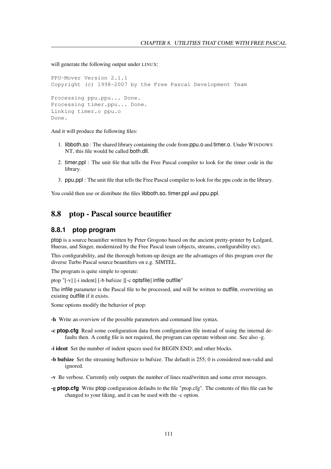will generate the following output under LINUX:

```
PPU-Mover Version 2.1.1
Copyright (c) 1998-2007 by the Free Pascal Development Team
Processing ppu.ppu... Done.
Processing timer.ppu... Done.
Linking timer.o ppu.o
Done.
```
And it will produce the following files:

- 1. libboth.so : The shared library containing the code from ppu.o and timer.o. Under WINDOWS NT, this file would be called both.dll.
- 2. timer.ppl : The unit file that tells the Free Pascal compiler to look for the timer code in the library.
- 3. ppu.ppl : The unit file that tells the Free Pascal compiler to look for the ppu code in the library.

You could then use or distribute the files libboth.so, timer.ppl and ppu.ppl.

# 8.8 ptop - Pascal source beautifier

# **8.8.1 ptop program**

ptop is a source beautifier written by Peter Grogono based on the ancient pretty-printer by Ledgard, Hueras, and Singer, modernized by the Free Pascal team (objects, streams, configurability etc).

This configurability, and the thorough bottom-up design are the advantages of this program over the diverse Turbo Pascal source beautifiers on e.g. SIMTEL.

The program is quite simple to operate:

ptop "[-v] [-i indent] [-b bufsize ][-c optsfile] infile outfile"

The infile parameter is the Pascal file to be processed, and will be written to outfile, overwriting an existing outfile if it exists.

Some options modify the behavior of ptop:

-h Write an overview of the possible parameters and command line syntax.

- -c **ptop.cfg** Read some configuration data from configuration file instead of using the internal defaults then. A config file is not required, the program can operate without one. See also -g.
- -i ident Set the number of indent spaces used for BEGIN END; and other blocks.
- -b bufsize Set the streaming buffersize to bufsize. The default is 255; 0 is considered non-valid and ignored.
- -v Be verbose. Currently only outputs the number of lines read/written and some error messages.
- -g **ptop.cfg** Write ptop configuration defaults to the file "ptop.cfg". The contents of this file can be changed to your liking, and it can be used with the -c option.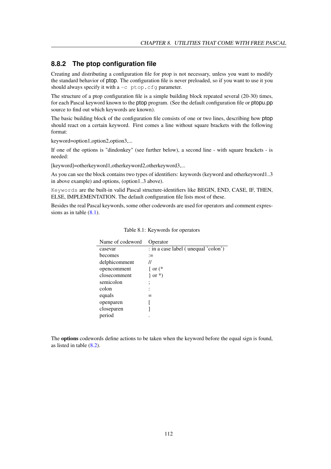# **8.8.2 The ptop configuration file**

Creating and distributing a configuration file for ptop is not necessary, unless you want to modify the standard behavior of ptop. The configuration file is never preloaded, so if you want to use it you should always specify it with  $a - c$  ptop.cfg parameter.

The structure of a ptop configuration file is a simple building block repeated several (20-30) times, for each Pascal keyword known to the ptop program. (See the default configuration file or ptopu.pp source to find out which keywords are known).

The basic building block of the configuration file consists of one or two lines, describing how ptop should react on a certain keyword. First comes a line without square brackets with the following format:

keyword=option1,option2,option3,...

If one of the options is "dindonkey" (see further below), a second line - with square brackets - is needed:

[keyword]=otherkeyword1,otherkeyword2,otherkeyword3,...

As you can see the block contains two types of identifiers: keywords (keyword and otherkeyword1..3 in above example) and options, (option1..3 above).

Keywords are the built-in valid Pascal structure-identifiers like BEGIN, END, CASE, IF, THEN, ELSE, IMPLEMENTATION. The default configuration file lists most of these.

Besides the real Pascal keywords, some other codewords are used for operators and comment expressions as in table  $(8.1)$ .

| Name of codeword | Operator                            |
|------------------|-------------------------------------|
| casevar          | : in a case label (unequal 'colon') |
| becomes          | ≔∶                                  |
| delphicomment    | //                                  |
| opencomment      | $\{$ or $(*$                        |
| closecomment     | or $*)$                             |
| semicolon        |                                     |
| colon            |                                     |
| equals           | $=$                                 |
| openparen        |                                     |
| closeparen       |                                     |
| period           |                                     |
|                  |                                     |

<span id="page-112-0"></span>Table 8.1: Keywords for operators

The options codewords define actions to be taken when the keyword before the equal sign is found, as listed in table [\(8.2\)](#page-113-0).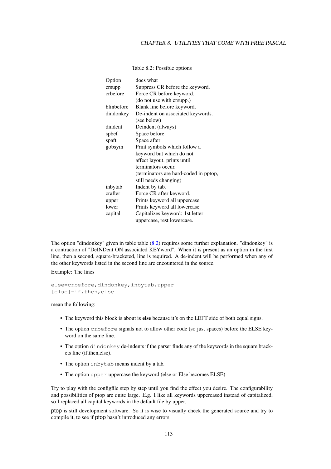| Option     | does what                             |  |
|------------|---------------------------------------|--|
| crsupp     | Suppress CR before the keyword.       |  |
| crbefore   | Force CR before keyword.              |  |
|            | (do not use with crsupp.)             |  |
| blinbefore | Blank line before keyword.            |  |
| dindonkey  | De-indent on associated keywords.     |  |
|            | (see below)                           |  |
| dindent    | Deindent (always)                     |  |
| spbef      | Space before                          |  |
| spaft      | Space after                           |  |
| gobsym     | Print symbols which follow a          |  |
|            | keyword but which do not              |  |
|            | affect layout. prints until           |  |
|            | terminators occur.                    |  |
|            | (terminators are hard-coded in pptop, |  |
|            | still needs changing)                 |  |
| inbytab    | Indent by tab.                        |  |
| crafter    | Force CR after keyword.               |  |
| upper      | Prints keyword all uppercase          |  |
| lower      | Prints keyword all lowercase          |  |
| capital    | Capitalizes keyword: 1st letter       |  |
|            | uppercase, rest lowercase.            |  |
|            |                                       |  |

<span id="page-113-0"></span>Table 8.2: Possible options

The option "dindonkey" given in table table [\(8.2\)](#page-113-0) requires some further explanation. "dindonkey" is a contraction of "DeINDent ON associated KEYword". When it is present as an option in the first line, then a second, square-bracketed, line is required. A de-indent will be performed when any of the other keywords listed in the second line are encountered in the source.

Example: The lines

```
else=crbefore, dindonkey, inbytab, upper
[else]=if, then, else
```
mean the following:

- The keyword this block is about is else because it's on the LEFT side of both equal signs.
- The option crbefore signals not to allow other code (so just spaces) before the ELSE keyword on the same line.
- The option dindonkey de-indents if the parser finds any of the keywords in the square brackets line (if,then,else).
- The option inbytab means indent by a tab.
- The option upper uppercase the keyword (else or Else becomes ELSE)

Try to play with the configfile step by step until you find the effect you desire. The configurability and possibilities of ptop are quite large. E.g. I like all keywords uppercased instead of capitalized, so I replaced all capital keywords in the default file by upper.

ptop is still development software. So it is wise to visually check the generated source and try to compile it, to see if ptop hasn't introduced any errors.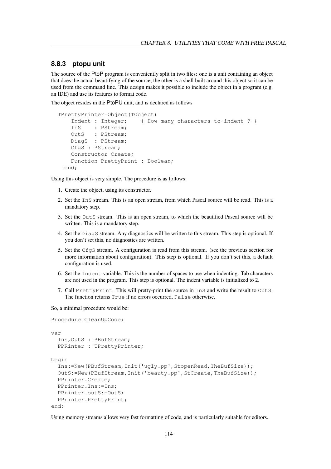# **8.8.3 ptopu unit**

The source of the PtoP program is conveniently split in two files: one is a unit containing an object that does the actual beautifying of the source, the other is a shell built around this object so it can be used from the command line. This design makes it possible to include the object in a program (e.g. an IDE) and use its features to format code.

The object resides in the PtoPU unit, and is declared as follows

```
TPrettyPrinter=Object(TObject)
   Indent : Integer; { How many characters to indent ? }
   InS : PStream;
   OutS : PStream;
   DiagS : PStream;
   CfgS : PStream;
   Constructor Create;
   Function PrettyPrint : Boolean;
 end;
```
Using this object is very simple. The procedure is as follows:

- 1. Create the object, using its constructor.
- 2. Set the InS stream. This is an open stream, from which Pascal source will be read. This is a mandatory step.
- 3. Set the OutS stream. This is an open stream, to which the beautified Pascal source will be written. This is a mandatory step.
- 4. Set the DiagS stream. Any diagnostics will be written to this stream. This step is optional. If you don't set this, no diagnostics are written.
- 5. Set the  $Cf \circ S$  stream. A configuration is read from this stream. (see the previous section for more information about configuration). This step is optional. If you don't set this, a default configuration is used.
- 6. Set the Indent variable. This is the number of spaces to use when indenting. Tab characters are not used in the program. This step is optional. The indent variable is initialized to 2.
- 7. Call PrettyPrint. This will pretty-print the source in InS and write the result to OutS. The function returns True if no errors occurred, False otherwise.

So, a minimal procedure would be:

```
Procedure CleanUpCode;
var
 Ins,OutS : PBufStream;
 PPRinter : TPrettyPrinter;
begin
 Ins:=New(PBufStream,Init('ugly.pp',StopenRead,TheBufSize));
 OutS:=New(PBufStream,Init('beauty.pp',StCreate,TheBufSize));
 PPrinter.Create;
 PPrinter.Ins:=Ins;
 PPrinter.outS:=OutS;
 PPrinter.PrettyPrint;
end;
```
Using memory streams allows very fast formatting of code, and is particularly suitable for editors.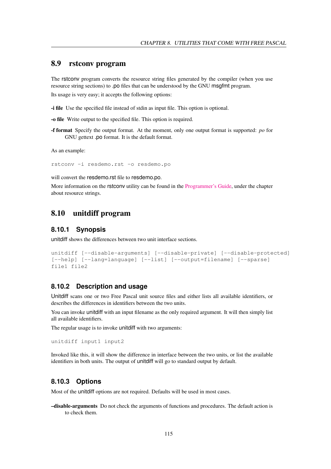# 8.9 rstconv program

The rstconv program converts the resource string files generated by the compiler (when you use resource string sections) to .po files that can be understood by the GNU msgfmt program.

Its usage is very easy; it accepts the following options:

-i file Use the specified file instead of stdin as input file. This option is optional.

-o file Write output to the specified file. This option is required.

-f format Specify the output format. At the moment, only one output format is supported: *po* for GNU gettext .po format. It is the default format.

As an example:

rstconv -i resdemo.rst -o resdemo.po

will convert the resdemo.rst file to resdemo.po.

More information on the rstconv utility can be found in the [Programmer's Guide,](../prog/prog.html) under the chapter about resource strings.

# 8.10 unitdiff program

# **8.10.1 Synopsis**

unitdiff shows the differences between two unit interface sections.

```
unitdiff [--disable-arguments] [--disable-private] [--disable-protected]
[--help] [--lang=language] [--list] [--output=filename] [--sparse]
file1 file2
```
# **8.10.2 Description and usage**

Unitdiff scans one or two Free Pascal unit source files and either lists all available identifiers, or describes the differences in identifiers between the two units.

You can invoke unitdiff with an input filename as the only required argument. It will then simply list all available identifiers.

The regular usage is to invoke unitdiff with two arguments:

unitdiff input1 input2

Invoked like this, it will show the difference in interface between the two units, or list the available identifiers in both units. The output of unitdiff will go to standard output by default.

# **8.10.3 Options**

Most of the unitdiff options are not required. Defaults will be used in most cases.

–disable-arguments Do not check the arguments of functions and procedures. The default action is to check them.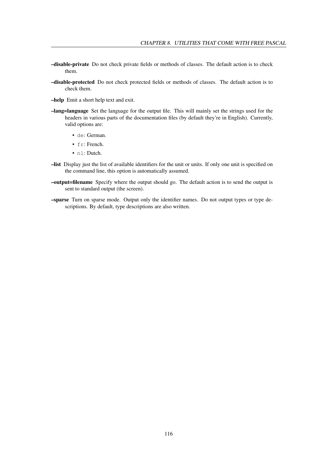- –disable-private Do not check private fields or methods of classes. The default action is to check them.
- –disable-protected Do not check protected fields or methods of classes. The default action is to check them.
- –help Emit a short help text and exit.
- –lang=language Set the language for the output file. This will mainly set the strings used for the headers in various parts of the documentation files (by default they're in English). Currently, valid options are:
	- de: German.
	- fr: French.
	- nl: Dutch.
- –list Display just the list of available identifiers for the unit or units. If only one unit is specified on the command line, this option is automatically assumed.
- –output=filename Specify where the output should go. The default action is to send the output is sent to standard output (the screen).
- –sparse Turn on sparse mode. Output only the identifier names. Do not output types or type descriptions. By default, type descriptions are also written.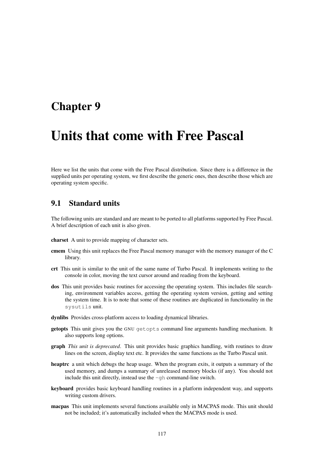# Chapter 9

# Units that come with Free Pascal

Here we list the units that come with the Free Pascal distribution. Since there is a difference in the supplied units per operating system, we first describe the generic ones, then describe those which are operating system specific.

# 9.1 Standard units

The following units are standard and are meant to be ported to all platforms supported by Free Pascal. A brief description of each unit is also given.

charset A unit to provide mapping of character sets.

- cmem Using this unit replaces the Free Pascal memory manager with the memory manager of the C library.
- crt This unit is similar to the unit of the same name of Turbo Pascal. It implements writing to the console in color, moving the text cursor around and reading from the keyboard.
- dos This unit provides basic routines for accessing the operating system. This includes file searching, environment variables access, getting the operating system version, getting and setting the system time. It is to note that some of these routines are duplicated in functionality in the sysutils unit.
- dynlibs Provides cross-platform access to loading dynamical libraries.
- getopts This unit gives you the GNU getopts command line arguments handling mechanism. It also supports long options.
- graph *This unit is deprecated*. This unit provides basic graphics handling, with routines to draw lines on the screen, display text etc. It provides the same functions as the Turbo Pascal unit.
- heaptrc a unit which debugs the heap usage. When the program exits, it outputs a summary of the used memory, and dumps a summary of unreleased memory blocks (if any). You should not include this unit directly, instead use the  $-\alpha h$  command-line switch.
- keyboard provides basic keyboard handling routines in a platform independent way, and supports writing custom drivers.
- macpas This unit implements several functions available only in MACPAS mode. This unit should not be included; it's automatically included when the MACPAS mode is used.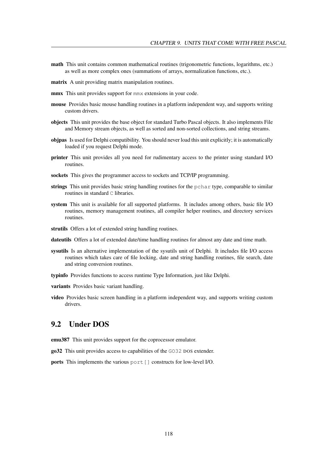- math This unit contains common mathematical routines (trigonometric functions, logarithms, etc.) as well as more complex ones (summations of arrays, normalization functions, etc.).
- matrix A unit providing matrix manipulation routines.
- mmx This unit provides support for mmx extensions in your code.
- mouse Provides basic mouse handling routines in a platform independent way, and supports writing custom drivers.
- objects This unit provides the base object for standard Turbo Pascal objects. It also implements File and Memory stream objects, as well as sorted and non-sorted collections, and string streams.
- objpas Is used for Delphi compatibility. You should never load this unit explicitly; it is automatically loaded if you request Delphi mode.
- printer This unit provides all you need for rudimentary access to the printer using standard I/O routines.
- sockets This gives the programmer access to sockets and TCP/IP programming.
- strings This unit provides basic string handling routines for the pchar type, comparable to similar routines in standard C libraries.
- system This unit is available for all supported platforms. It includes among others, basic file I/O routines, memory management routines, all compiler helper routines, and directory services routines.
- strutils Offers a lot of extended string handling routines.
- dateutils Offers a lot of extended date/time handling routines for almost any date and time math.
- sysutils Is an alternative implementation of the sysutils unit of Delphi. It includes file I/O access routines which takes care of file locking, date and string handling routines, file search, date and string conversion routines.
- typinfo Provides functions to access runtime Type Information, just like Delphi.
- variants Provides basic variant handling.
- video Provides basic screen handling in a platform independent way, and supports writing custom drivers.

# 9.2 Under DOS

emu387 This unit provides support for the coprocessor emulator.

- go32 This unit provides access to capabilities of the GO32 DOS extender.
- ports This implements the various port[] constructs for low-level I/O.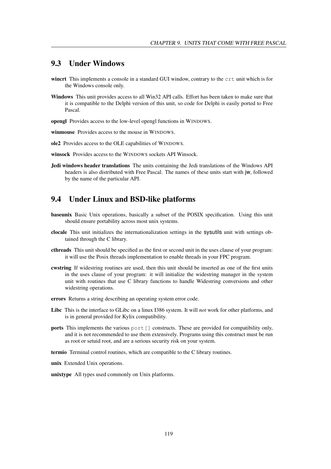# 9.3 Under Windows

- wincrt This implements a console in a standard GUI window, contrary to the  $crt$  unit which is for the Windows console only.
- Windows This unit provides access to all Win32 API calls. Effort has been taken to make sure that it is compatible to the Delphi version of this unit, so code for Delphi is easily ported to Free Pascal.
- opengl Provides access to the low-level opengl functions in WINDOWS.
- winmouse Provides access to the mouse in WINDOWS.
- ole2 Provides access to the OLE capabilities of WINDOWS.
- winsock Provides access to the WINDOWS sockets API Winsock.
- Jedi windows header translations The units containing the Jedi translations of the Windows API headers is also distributed with Free Pascal. The names of these units start with jw, followed by the name of the particular API.

# 9.4 Under Linux and BSD-like platforms

- baseunix Basic Unix operations, basically a subset of the POSIX specification. Using this unit should ensure portability across most unix systems.
- clocale This unit initializes the internationalization settings in the sysutils unit with settings obtained through the C library.
- cthreads This unit should be specified as the first or second unit in the uses clause of your program: it will use the Posix threads implementation to enable threads in your FPC program.
- cwstring If widestring routines are used, then this unit should be inserted as one of the first units in the uses clause of your program: it will initialize the widestring manager in the system unit with routines that use C library functions to handle Widestring conversions and other widestring operations.
- errors Returns a string describing an operating system error code.
- Libc This is the interface to GLibc on a linux I386 system. It will *not* work for other platforms, and is in general provided for Kylix compatibility.
- **ports** This implements the various  $\text{port} \left[ \cdot \right]$  constructs. These are provided for compatibility only, and it is not recommended to use them extensively. Programs using this construct must be run as root or setuid root, and are a serious security risk on your system.
- termio Terminal control routines, which are compatible to the C library routines.
- unix Extended Unix operations.
- unixtype All types used commonly on Unix platforms.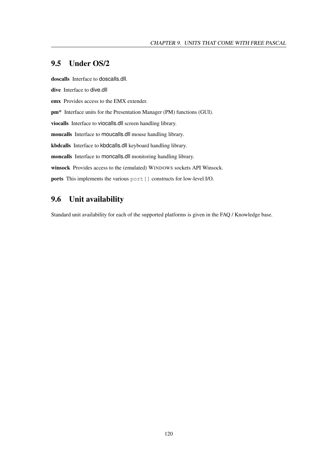# 9.5 Under OS/2

doscalls Interface to doscalls.dll. dive Interface to dive.dll emx Provides access to the EMX extender. pm\* Interface units for the Presentation Manager (PM) functions (GUI). viocalls Interface to viocalls.dll screen handling library. moucalls Interface to moucalls.dll mouse handling library. kbdcalls Interface to kbdcalls.dll keyboard handling library. moncalls Interface to moncalls.dll monitoring handling library. winsock Provides access to the (emulated) WINDOWS sockets API Winsock. ports This implements the various port[] constructs for low-level I/O.

# 9.6 Unit availability

Standard unit availability for each of the supported platforms is given in the FAQ / Knowledge base.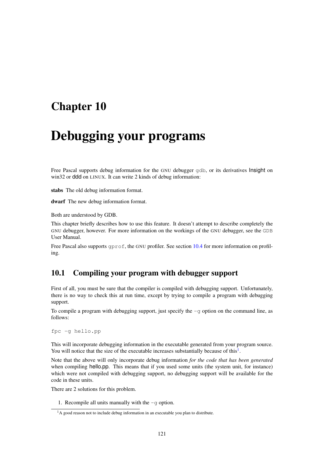# Chapter 10

# Debugging your programs

Free Pascal supports debug information for the GNU debugger gdb, or its derivatives Insight on win32 or ddd on LINUX. It can write 2 kinds of debug information:

stabs The old debug information format.

dwarf The new debug information format.

Both are understood by GDB.

This chapter briefly describes how to use this feature. It doesn't attempt to describe completely the GNU debugger, however. For more information on the workings of the GNU debugger, see the GDB User Manual.

Free Pascal also supports  $qpr\circ f$ , the GNU profiler. See section [10.4](#page-124-0) for more information on profiling.

# 10.1 Compiling your program with debugger support

First of all, you must be sure that the compiler is compiled with debugging support. Unfortunately, there is no way to check this at run time, except by trying to compile a program with debugging support.

To compile a program with debugging support, just specify the  $-q$  option on the command line, as follows:

fpc -g hello.pp

This will incorporate debugging information in the executable generated from your program source. You will notice that the size of the executable increases substantially because of this<sup>[1](#page-121-0)</sup>.

Note that the above will only incorporate debug information *for the code that has been generated* when compiling hello.pp. This means that if you used some units (the system unit, for instance) which were not compiled with debugging support, no debugging support will be available for the code in these units.

There are 2 solutions for this problem.

1. Recompile all units manually with the  $-q$  option.

<span id="page-121-0"></span> $1A$  good reason not to include debug information in an executable you plan to distribute.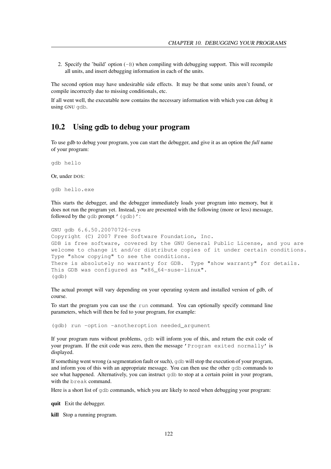2. Specify the 'build' option  $(-B)$  when compiling with debugging support. This will recompile all units, and insert debugging information in each of the units.

The second option may have undesirable side effects. It may be that some units aren't found, or compile incorrectly due to missing conditionals, etc.

If all went well, the executable now contains the necessary information with which you can debug it using GNU gdb.

# 10.2 Using **gdb** to debug your program

To use gdb to debug your program, you can start the debugger, and give it as an option the *full* name of your program:

gdb hello

Or, under DOS:

gdb hello.exe

This starts the debugger, and the debugger immediately loads your program into memory, but it does not run the program yet. Instead, you are presented with the following (more or less) message, followed by the gdb prompt '(gdb)':

```
GNU gdb 6.6.50.20070726-cvs
Copyright (C) 2007 Free Software Foundation, Inc.
GDB is free software, covered by the GNU General Public License, and you are
welcome to change it and/or distribute copies of it under certain conditions.
Type "show copying" to see the conditions.
There is absolutely no warranty for GDB. Type "show warranty" for details.
This GDB was configured as "x86_64-suse-linux".
(gdb)
```
The actual prompt will vary depending on your operating system and installed version of gdb, of course.

To start the program you can use the run command. You can optionally specify command line parameters, which will then be fed to your program, for example:

(gdb) run -option -anotheroption needed\_argument

If your program runs without problems, gdb will inform you of this, and return the exit code of your program. If the exit code was zero, then the message 'Program exited normally' is displayed.

If something went wrong (a segmentation fault or such), gdb will stop the execution of your program, and inform you of this with an appropriate message. You can then use the other gdb commands to see what happened. Alternatively, you can instruct gdb to stop at a certain point in your program, with the break command.

Here is a short list of gdb commands, which you are likely to need when debugging your program:

quit Exit the debugger.

kill Stop a running program.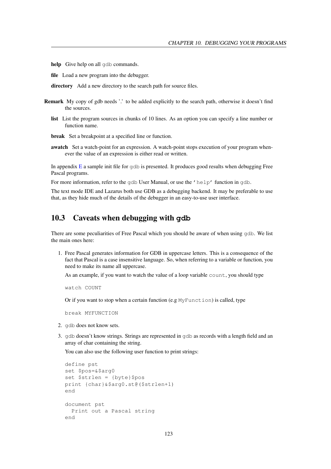help Give help on all qdb commands.

file Load a new program into the debugger.

directory Add a new directory to the search path for source files.

- Remark My copy of gdb needs '.' to be added explicitly to the search path, otherwise it doesn't find the sources.
	- list List the program sources in chunks of 10 lines. As an option you can specify a line number or function name.

break Set a breakpoint at a specified line or function.

awatch Set a watch-point for an expression. A watch-point stops execution of your program whenever the value of an expression is either read or written.

In appendix [E](#page-212-0) a sample init file for  $qdb$  is presented. It produces good results when debugging Free Pascal programs.

For more information, refer to the gdb User Manual, or use the 'help' function in gdb.

The text mode IDE and Lazarus both use GDB as a debugging backend. It may be preferable to use that, as they hide much of the details of the debugger in an easy-to-use user interface.

# 10.3 Caveats when debugging with **gdb**

There are some peculiarities of Free Pascal which you should be aware of when using gdb. We list the main ones here:

1. Free Pascal generates information for GDB in uppercase letters. This is a consequence of the fact that Pascal is a case insensitive language. So, when referring to a variable or function, you need to make its name all uppercase.

As an example, if you want to watch the value of a loop variable count, you should type

watch COUNT

Or if you want to stop when a certain function (e.g MyFunction) is called, type

break MYFUNCTION

- 2. gdb does not know sets.
- 3. gdb doesn't know strings. Strings are represented in gdb as records with a length field and an array of char containing the string.

You can also use the following user function to print strings:

```
define pst
set $pos=&$arg0
set $strlen = {byte}$pos
print {char}&$arg0.st@($strlen+1)
end
document pst
 Print out a Pascal string
end
```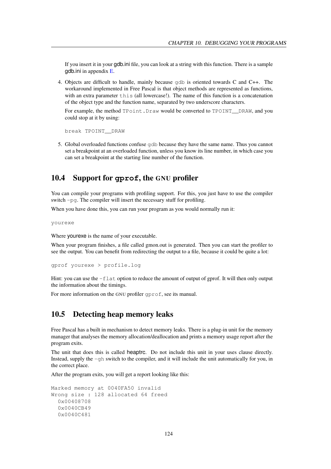If you insert it in your gdb.ini file, you can look at a string with this function. There is a sample gdb.ini in appendix [E.](#page-212-0)

4. Objects are difficult to handle, mainly because gdb is oriented towards C and C++. The workaround implemented in Free Pascal is that object methods are represented as functions, with an extra parameter this (all lowercase!). The name of this function is a concatenation of the object type and the function name, separated by two underscore characters.

For example, the method TPoint.Draw would be converted to TPOINT\_\_DRAW, and you could stop at it by using:

break TPOINT\_\_DRAW

5. Global overloaded functions confuse gdb because they have the same name. Thus you cannot set a breakpoint at an overloaded function, unless you know its line number, in which case you can set a breakpoint at the starting line number of the function.

# <span id="page-124-0"></span>10.4 Support for **gprof**, the GNU profiler

You can compile your programs with profiling support. For this, you just have to use the compiler switch  $-pq$ . The compiler will insert the necessary stuff for profiling.

When you have done this, you can run your program as you would normally run it:

yourexe

Where yourexe is the name of your executable.

When your program finishes, a file called gmon.out is generated. Then you can start the profiler to see the output. You can benefit from redirecting the output to a file, because it could be quite a lot:

gprof yourexe > profile.log

Hint: you can use the  $-f$  lat option to reduce the amount of output of gprof. It will then only output the information about the timings.

For more information on the GNU profiler gprof, see its manual.

# 10.5 Detecting heap memory leaks

Free Pascal has a built in mechanism to detect memory leaks. There is a plug-in unit for the memory manager that analyses the memory allocation/deallocation and prints a memory usage report after the program exits.

The unit that does this is called heaptrc. Do not include this unit in your uses clause directly. Instead, supply the  $-\text{gh}$  switch to the compiler, and it will include the unit automatically for you, in the correct place.

After the program exits, you will get a report looking like this:

```
Marked memory at 0040FA50 invalid
Wrong size : 128 allocated 64 freed
 0x00408708
 0x0040CB49
  0x0040C481
```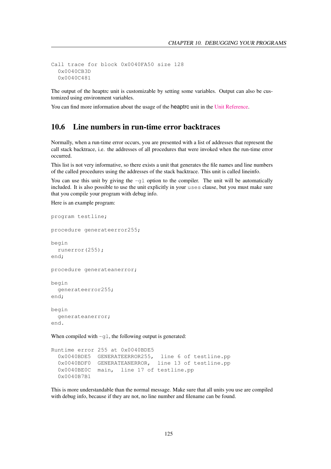```
Call trace for block 0x0040FA50 size 128
 0x0040CB3D
 0x0040C481
```
The output of the heaptrc unit is customizable by setting some variables. Output can also be customized using environment variables.

You can find more information about the usage of the heaptrc unit in the [Unit Reference.](../rtl/index.html)

# 10.6 Line numbers in run-time error backtraces

Normally, when a run-time error occurs, you are presented with a list of addresses that represent the call stack backtrace, i.e. the addresses of all procedures that were invoked when the run-time error occurred.

This list is not very informative, so there exists a unit that generates the file names and line numbers of the called procedures using the addresses of the stack backtrace. This unit is called lineinfo.

You can use this unit by giving the  $-g1$  option to the compiler. The unit will be automatically included. It is also possible to use the unit explicitly in your uses clause, but you must make sure that you compile your program with debug info.

Here is an example program:

```
program testline;
procedure generateerror255;
begin
  runerror(255);
end;
procedure generateanerror;
begin
  generateerror255;
end;
begin
  generateanerror;
end.
```
When compiled with  $-g\mathbf{1}$ , the following output is generated:

```
Runtime error 255 at 0x0040BDE5
 0x0040BDE5 GENERATEERROR255, line 6 of testline.pp
 0x0040BDF0 GENERATEANERROR, line 13 of testline.pp
 0x0040BE0C main, line 17 of testline.pp
 0x0040B7B1
```
This is more understandable than the normal message. Make sure that all units you use are compiled with debug info, because if they are not, no line number and filename can be found.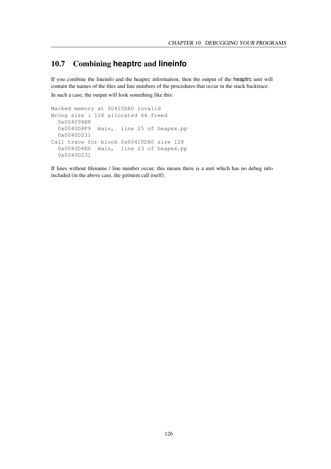# 10.7 Combining **heaptrc** and **lineinfo**

If you combine the lineinfo and the heaptrc information, then the output of the heaptrc unit will contain the names of the files and line numbers of the procedures that occur in the stack backtrace.

In such a case, the output will look something like this:

```
Marked memory at 00410DA0 invalid
Wrong size : 128 allocated 64 freed
  0x004094B8
  0x0040D8F9 main, line 25 of heapex.pp
  0x0040D231
Call trace for block 0x00410DA0 size 128
  0x0040D8ED main, line 23 of heapex.pp
  0x0040D231
```
If lines without filename / line number occur, this means there is a unit which has no debug info included (in the above case, the getmem call itself).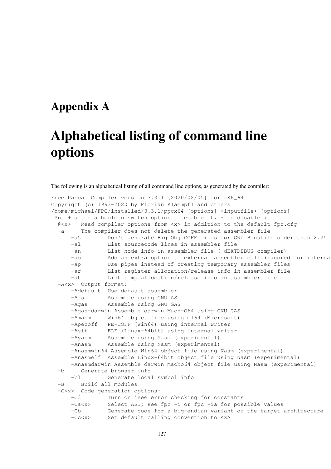# Appendix A

# Alphabetical listing of command line options

The following is an alphabetical listing of all command line options, as generated by the compiler:

```
Free Pascal Compiler version 3.3.1 [2020/02/05] for x86_64
Copyright (c) 1993-2020 by Florian Klaempfl and others
/home/michael/FPC/installed/3.3.1/ppcx64 [options] <inputfile> [options]
Put + after a boolean switch option to enable it, - to disable it.
 @<x> Read compiler options from <x> in addition to the default fpc.cfg
 -a The compiler does not delete the generated assembler file
     -a5 Don't generate Big Obj COFF files for GNU Binutils older than 2.25
     -al List sourcecode lines in assembler file
     -an List node info in assembler file (-dEXTDEBUG compiler)
     -ao Add an extra option to external assembler call (ignored for interna
     -ap Use pipes instead of creating temporary assembler files
     -ar List register allocation/release info in assembler file
     -at List temp allocation/release info in assembler file
 -A<x> Output format:
     -Adefault Use default assembler
     -Aas Assemble using GNU AS
     -Agas Assemble using GNU GAS
     -Agas-darwin Assemble darwin Mach-O64 using GNU GAS
     -Amasm Win64 object file using ml64 (Microsoft)
     -Apecoff PE-COFF (Win64) using internal writer
     -Aelf ELF (Linux-64bit) using internal writer
     -Ayasm - Assemble using Yasm (experimental)
     -Anasm Assemble using Nasm (experimental)
     -Anasmwin64 Assemble Win64 object file using Nasm (experimental)
     -Anasmelf Assemble Linux-64bit object file using Nasm (experimental)
     -Anasmdarwin Assemble darwin macho64 object file using Nasm (experimental)
 -b Generate browser info
     -bl Generate local symbol info
 -B Build all modules
 -C<x> Code generation options:
     -C3 Turn on ieee error checking for constants
     -Ca<x> Select ABI; see fpc -i or fpc -ia for possible values
     -Cb Generate code for a big-endian variant of the target architecture
     -Cc<x> Set default calling convention to <x>
```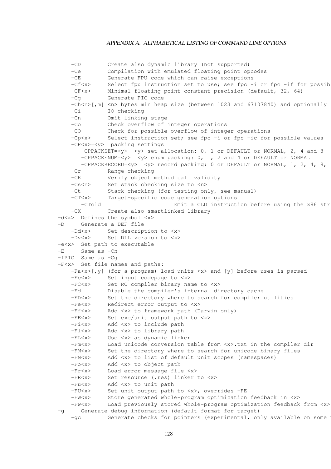```
-CD Create also dynamic library (not supported)
   -Ce Compilation with emulated floating point opcodes
   -CE Generate FPU code which can raise exceptions
   -cf < x Select fpu instruction set to use; see fpc -i or fpc -if for possib
   -CF<x> Minimal floating point constant precision (default, 32, 64)
   -Cg Generate PIC code
   -Ch\langle n\rangle (m] \langle n\rangle bytes min heap size (between 1023 and 67107840) and optionally
   -Ci IO-checking
   -Cn Omit linking stage
   -Co Check overflow of integer operations
   -CO Check for possible overflow of integer operations
   -Cp<x> Select instruction set; see fpc -i or fpc -ic for possible values
   -CP<x>=<y> packing settings
      -CPPACKSET=<y> <y> set allocation: 0, 1 or DEFAULT or NORMAL, 2, 4 and 8
      -CPPACKENUM=<y> <y> enum packing: 0, 1, 2 and 4 or DEFAULT or NORMAL
      -CPPACKRECORD=<y> <y> record packing: 0 or DEFAULT or NORMAL, 1, 2, 4, 8,
   -Cr Range checking
   -CR Verify object method call validity
   -Cs<n> Set stack checking size to <n>
   -Ct Stack checking (for testing only, see manual)
   -CT<x> Target-specific code generation options
      -CTcld Emit a CLD instruction before using the x86 str
   -CX Create also smartlinked library
-d<x> Defines the symbol <x>
-D Generate a DEF file
   -Dd<x> Set description to <x>
   -Dv<x> Set DLL version to <x>
-e<x> Set path to executable
-E Same as -Cn
-fPIC Same as -Cq
-F<x> Set file names and paths:
   -Fa<x>[,y] (for a program) load units <x> and [y] before uses is parsed
   -Fc<x> Set input codepage to <x>
   -FC<x> Set RC compiler binary name to <x>
   -Fd Disable the compiler's internal directory cache
   -FD<x> Set the directory where to search for compiler utilities
   -Fe<x> Redirect error output to <x>
   -Ff<x> Add <x> to framework path (Darwin only)
   -FE<x> Set exe/unit output path to <x>
   -Fi<x> Add <x> to include path
   -Fl<x> Add <x> to library path
   -FL<x> Use <x> as dynamic linker
   -Fm<x> Load unicode conversion table from <x>.txt in the compiler dir
   -FM<x> Set the directory where to search for unicode binary files
   -FN<x> Add <x> to list of default unit scopes (namespaces)
   -Fo<x> Add <x> to object path
   -Fr<x> Load error message file <x>
   -FR<x> Set resource (.res) linker to <x>
   -Fu<x> Add <x> to unit path
   -FU<x> Set unit output path to <x>, overrides -FE
   -FW<x> Store generated whole-program optimization feedback in <x>
   -Fw<x> Load previously stored whole-program optimization feedback from <x>
-g Generate debug information (default format for target)
   -gc Generate checks for pointers (experimental, only available on some
```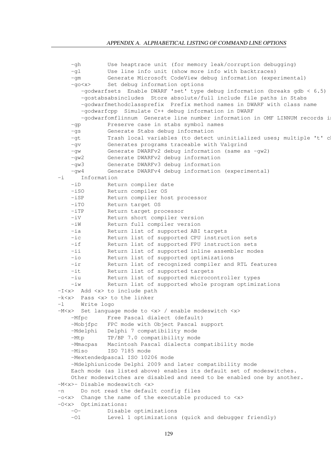```
-gh Use heaptrace unit (for memory leak/corruption debugging)
   -gl Use line info unit (show more info with backtraces)
   -gm Generate Microsoft CodeView debug information (experimental)
   -go<x> Set debug information options
      -godwarfsets Enable DWARF 'set' type debug information (breaks gdb < 6.5)
      -gostabsabsincludes Store absolute/full include file paths in Stabs
      -godwarfmethodclassprefix Prefix method names in DWARF with class name
      -godwarfcpp Simulate C++ debug information in DWARF
      -godwarfomflinnum Generate line number information in OMF LINNUM records i
   -qp Preserve case in stabs symbol names
   -gs Generate Stabs debug information
   -gt Trash local variables (to detect uninitialized uses; multiple 't' c
   -gv Generates programs traceable with Valgrind
   -gw Generate DWARFv2 debug information (same as -gw2)
   -gw2 Generate DWARFv2 debug information
   -gw3 Generate DWARFv3 debug information
   -gw4 Generate DWARFv4 debug information (experimental)
-i Information
   -iD Return compiler date
   -iSO Return compiler OS
   -iSP Return compiler host processor
   -iTO Return target OS
   -iTP Return target processor
   -iV Return short compiler version
   -iW Return full compiler version
   -ia Return list of supported ABI targets
   -ic Return list of supported CPU instruction sets
   -if Return list of supported FPU instruction sets
   -ii Return list of supported inline assembler modes
   -io Return list of supported optimizations
   -ir Return list of recognized compiler and RTL features
   -it Return list of supported targets
   -iu Return list of supported microcontroller types
   -iw Return list of supported whole program optimizations
-I<x> Add <x> to include path
-k<x> Pass <x> to the linker
-l Write logo
-M<x> Set language mode to <x> / enable modeswitch <x>
   -Mfpc Free Pascal dialect (default)
   -Mobjfpc FPC mode with Object Pascal support
   -Mdelphi Delphi 7 compatibility mode
   -Mtp TP/BP 7.0 compatibility mode
   -Mmacpas Macintosh Pascal dialects compatibility mode
   -Miso ISO 7185 mode
   -Mextendedpascal ISO 10206 mode
   -Mdelphiunicode Delphi 2009 and later compatibility mode
   Each mode (as listed above) enables its default set of modeswitches.
   Other modeswitches are disabled and need to be enabled one by another.
-M<x>- Disable modeswitch <x>
-n Do not read the default config files
-o<x> Change the name of the executable produced to <x>
-O<x> Optimizations:
   -O- Disable optimizations
   -O1 Level 1 optimizations (quick and debugger friendly)
```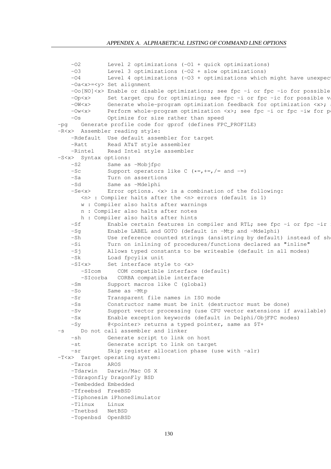```
-O2 Level 2 optimizations (-O1 + quick optimizations)
   -O3 Level 3 optimizations (-O2 + slow optimizations)
   -O4 Level 4 optimizations (-O3 + optimizations which might have unexpec
   -Oa<x>=<y> Set alignment
   -Oo[NO] <x> Enable or disable optimizations; see fpc -i or fpc -io for possible
   -Op <math>\times</math> Set target cpu for optimizing; see fpc -i or fpc -ic for possible v
   -OW<x Generate whole-program optimization feedback for optimization \langle x \rangle;
   -0w < x> Perform whole-program optimization \langle x \rangle; see fpc -i or fpc -iw for p
   -Os Optimize for size rather than speed
-pg Generate profile code for gprof (defines FPC_PROFILE)
-R<x> Assembler reading style:
   -Rdefault Use default assembler for target
   -Ratt Read AT&T style assembler
   -Rintel Read Intel style assembler
-S<x> Syntax options:
   -S2 Same as -Mobjfpc
   -Sc Support operators like C (*=,-+=-,-) and -=)-Sa Turn on assertions
   -Sd Same as -Mdelphi
   -Se<x> Error options. <x> is a combination of the following:
      <n> : Compiler halts after the <n> errors (default is 1)
      w : Compiler also halts after warnings
      n : Compiler also halts after notes
      h : Compiler also halts after hints
   -Sf Enable certain features in compiler and RTL; see fpc -i or fpc -ir
   -Sg Enable LABEL and GOTO (default in -Mtp and -Mdelphi)
   -Sh Use reference counted strings (ansistring by default) instead of sh
   -Si Turn on inlining of procedures/functions declared as "inline"
   -Sj Allows typed constants to be writeable (default in all modes)
   -Sk Load fpcylix unit
   -SI<x> Set interface style to <x>
      -SIcom COM compatible interface (default)
      -SIcorba CORBA compatible interface
   -Sm Support macros like C (global)
   -So Same as -Mtp
   -Sr Transparent file names in ISO mode
   -Ss Constructor name must be init (destructor must be done)
   -Sv Support vector processing (use CPU vector extensions if available)
   -Sx Enable exception keywords (default in Delphi/ObjFPC modes)
   -Sy . @<pointer> returns a typed pointer, same as $T+
-s Do not call assembler and linker
   -sh Generate script to link on host
   -st Generate script to link on target
   -sr Skip register allocation phase (use with -alr)
-T<x> Target operating system:
   -Taros AROS
   -Tdarwin Darwin/Mac OS X
   -Tdragonfly DragonFly BSD
   -Tembedded Embedded
   -Tfreebsd FreeBSD
   -Tiphonesim iPhoneSimulator
   -Tlinux Linux
   -Tnetbsd NetBSD
   -Topenbsd OpenBSD
```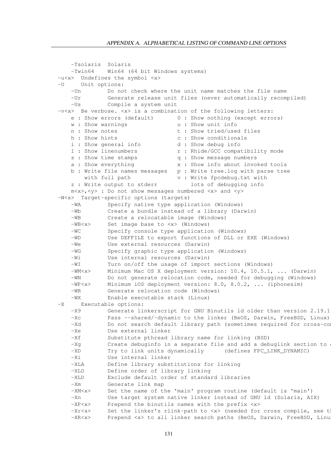```
-Tsolaris Solaris
   -Twin64 Win64 (64 bit Windows systems)
-u<x> Undefines the symbol <x>
-U Unit options:
   -Un Do not check where the unit name matches the file name
   -Ur Generate release unit files (never automatically recompiled)
   -Us Compile a system unit
-v<x> Be verbose. <x> is a combination of the following letters:
   e : Show errors (default) 0 : Show nothing (except errors)<br>w : Show warnings u : Show unit info
   w : Show warnings
   n : Show notes t : Show tried/used files
   h : Show hints c : Show conditionals
    i : Show general info d : Show debug info
    l : Show linenumbers r : Rhide/GCC compatibility mode
    s : Show time stamps q : Show message numbers
    a : Show everything x : Show info about invoked tools
   b : Write file names messages  p : Write tree.log with parse tree
       with full path v : Write fpcdebug.txt with
    z : Write output to stderr lots of debugging info
   m \langle x \rangle, \langle y \rangle : Do not show messages numbered \langle x \rangle and \langle y \rangle-W<x> Target-specific options (targets)
   -WA Specify native type application (Windows)
   -Wb Create a bundle instead of a library (Darwin)
   -WB Create a relocatable image (Windows)
   -WB<x> Set image base to <x> (Windows)
   -WC Specify console type application (Windows)
   -WD Use DEFFILE to export functions of DLL or EXE (Windows)
   -We Use external resources (Darwin)
   -WG Specify graphic type application (Windows)
   -Wi Use internal resources (Darwin)
   -WI Turn on/off the usage of import sections (Windows)
   -WM<x> Minimum Mac OS X deployment version: 10.4, 10.5.1, ... (Darwin)
   -WN Do not generate relocation code, needed for debugging (Windows)
   -WP<x> Minimum iOS deployment version: 8.0, 8.0.2, ... (iphonesim)
   -WR Generate relocation code (Windows)
   -WX Enable executable stack (Linux)
-X Executable options:
   -X9 Generate linkerscript for GNU Binutils 1d older than version 2.19.1
   -Xc Pass --shared/-dynamic to the linker (BeOS, Darwin, FreeBSD, Linux)
   -Xd Do not search default library path (sometimes required for cross-compiled \frac{1}{\sqrt{2}}-Xe Use external linker
   -Xf Substitute pthread library name for linking (BSD)
   -Xq Create debuginfo in a separate file and add a debuglink section to
   -XD Try to link units dynamically (defines FPC_LINK_DYNAMIC)
   -Xi Use internal linker
   -XLA Define library substitutions for linking
   -XLO Define order of library linking
   -XLD Exclude default order of standard libraries
   -Xm Generate link map
   -XM<x> Set the name of the 'main' program routine (default is 'main')
   -Xn Use target system native linker instead of GNU ld (Solaris, AIX)
   -XP<x> Prepend the binutils names with the prefix <x>
   -Xr < x> Set the linker's rlink-path to <x> (needed for cross compile, see the Dinamanus) (BeOS)
   -XR<x> Prepend <x> to all linker search paths (BeOS, Darwin, FreeBSD, Linu
```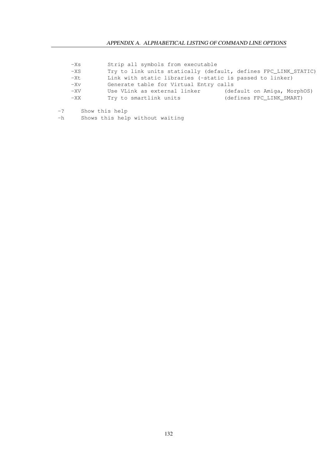| -Xs  |  |  | Strip all symbols from executable |  |  |
|------|--|--|-----------------------------------|--|--|
| ____ |  |  |                                   |  |  |

- -XS Try to link units statically (default, defines FPC\_LINK\_STATIC) -Xt Link with static libraries (-static is passed to linker)
- -Xv Generate table for Virtual Entry calls
- 
- -XV Use VLink as external linker (default on Amiga, MorphOS) -XX Try to smartlink units (defines FPC\_LINK\_SMART)
- -? Show this help
- -h Shows this help without waiting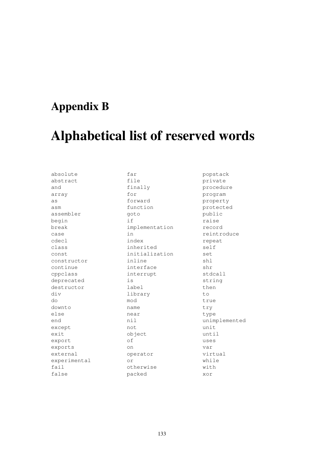# Appendix B

# Alphabetical list of reserved words

absolute abstract and array as asm assembler begin break case cdecl class const constructor continue cppclass deprecated destructor div do downto else end except exit export exports external experimental fail false

far file finally for forward function goto if implementation in index inherited initialization inline interface interrupt is label library mod name near nil not object of on operator or otherwise

packed

popstack private procedure program property protected public raise record reintroduce repeat self set shl shr stdcall string then to true try type unimplemented unit until uses var virtual while with xor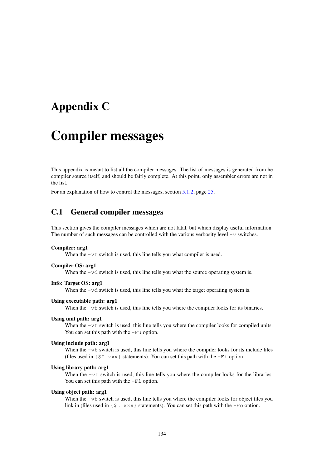# Appendix C

# Compiler messages

This appendix is meant to list all the compiler messages. The list of messages is generated from he compiler source itself, and should be fairly complete. At this point, only assembler errors are not in the list.

For an explanation of how to control the messages, section [5.1.2,](#page-25-0) page [25.](#page-25-0)

# C.1 General compiler messages

This section gives the compiler messages which are not fatal, but which display useful information. The number of such messages can be controlled with the various verbosity level  $-v$  switches.

#### Compiler: arg1

When the  $-vt$  switch is used, this line tells you what compiler is used.

#### Compiler OS: arg1

When the  $-vd$  switch is used, this line tells you what the source operating system is.

#### Info: Target OS: arg1

When the  $-vd$  switch is used, this line tells you what the target operating system is.

### Using executable path: arg1

When the  $-vt$  switch is used, this line tells you where the compiler looks for its binaries.

#### Using unit path: arg1

When the  $-vt$  switch is used, this line tells you where the compiler looks for compiled units. You can set this path with the  $-Fu$  option.

### Using include path: arg1

When the  $-vt$  switch is used, this line tells you where the compiler looks for its include files (files used in  $\{\xi I \quad XXX\}$  statements). You can set this path with the  $-Fi$  option.

#### Using library path: arg1

When the  $-vt$  switch is used, this line tells you where the compiler looks for the libraries. You can set this path with the  $-Fl$  option.

#### Using object path: arg1

When the  $-vt$  switch is used, this line tells you where the compiler looks for object files you link in (files used in  $\{\xi L \times XX\}$  statements). You can set this path with the -Fo option.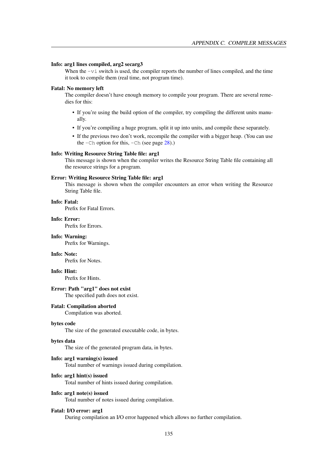#### Info: arg1 lines compiled, arg2 secarg3

When the  $-vi$  switch is used, the compiler reports the number of lines compiled, and the time it took to compile them (real time, not program time).

#### Fatal: No memory left

The compiler doesn't have enough memory to compile your program. There are several remedies for this:

- If you're using the build option of the compiler, try compiling the different units manually.
- If you're compiling a huge program, split it up into units, and compile these separately.
- If the previous two don't work, recompile the compiler with a bigger heap. (You can use the  $-$ Ch option for this,  $-$ Ch (see page  $28$ ).)

#### Info: Writing Resource String Table file: arg1

This message is shown when the compiler writes the Resource String Table file containing all the resource strings for a program.

#### Error: Writing Resource String Table file: arg1

This message is shown when the compiler encounters an error when writing the Resource String Table file.

## Info: Fatal:

Prefix for Fatal Errors.

#### Info: Error:

Prefix for Errors.

#### Info: Warning:

Prefix for Warnings.

#### Info: Note:

Prefix for Notes.

## Info: Hint:

Prefix for Hints.

### Error: Path "arg1" does not exist

The specified path does not exist.

#### Fatal: Compilation aborted

Compilation was aborted.

#### bytes code

The size of the generated executable code, in bytes.

#### bytes data

The size of the generated program data, in bytes.

#### Info: arg1 warning(s) issued

Total number of warnings issued during compilation.

#### Info: arg1 hint(s) issued

Total number of hints issued during compilation.

#### Info: arg1 note(s) issued

Total number of notes issued during compilation.

#### Fatal: I/O error: arg1

During compilation an I/O error happened which allows no further compilation.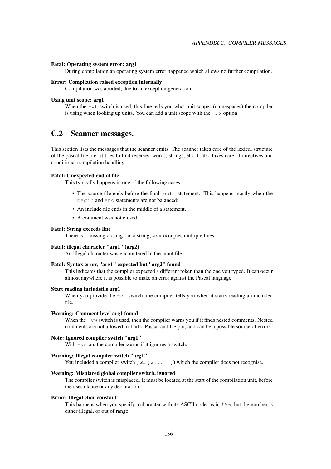#### Fatal: Operating system error: arg1

During compilation an operating system error happened which allows no further compilation.

## Error: Compilation raised exception internally

Compilation was aborted, due to an exception generation.

#### Using unit scope: arg1

When the  $-vt$  switch is used, this line tells you what unit scopes (namespaces) the compiler is using when looking up units. You can add a unit scope with the -FN option.

# C.2 Scanner messages.

This section lists the messages that the scanner emits. The scanner takes care of the lexical structure of the pascal file, i.e. it tries to find reserved words, strings, etc. It also takes care of directives and conditional compilation handling.

#### Fatal: Unexpected end of file

This typically happens in one of the following cases:

- The source file ends before the final end. statement. This happens mostly when the begin and end statements are not balanced;
- An include file ends in the middle of a statement.
- A comment was not closed.

#### Fatal: String exceeds line

There is a missing closing ' in a string, so it occupies multiple lines.

#### Fatal: illegal character "arg1" (arg2)

An illegal character was encountered in the input file.

#### Fatal: Syntax error, "arg1" expected but "arg2" found

This indicates that the compiler expected a different token than the one you typed. It can occur almost anywhere it is possible to make an error against the Pascal language.

#### Start reading includefile arg1

When you provide the  $-vt$  switch, the compiler tells you when it starts reading an included file.

#### Warning: Comment level arg1 found

When the  $-vw$  switch is used, then the compiler warns you if it finds nested comments. Nested comments are not allowed in Turbo Pascal and Delphi, and can be a possible source of errors.

#### Note: Ignored compiler switch "arg1"

With  $-\nu n$  on, the compiler warns if it ignores a switch.

## Warning: Illegal compiler switch "arg1"

You included a compiler switch (i.e.  $\{\hat{S} \ldots\}$ ) which the compiler does not recognise.

#### Warning: Misplaced global compiler switch, ignored

The compiler switch is misplaced. It must be located at the start of the compilation unit, before the uses clause or any declaration.

#### Error: Illegal char constant

This happens when you specify a character with its ASCII code, as in #96, but the number is either illegal, or out of range.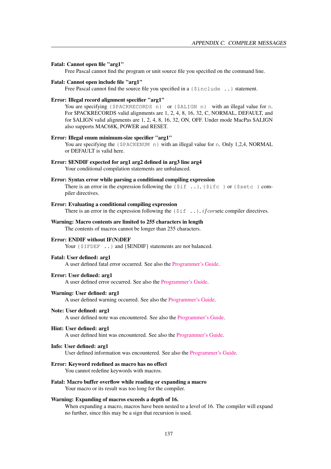#### Fatal: Cannot open file "arg1"

Free Pascal cannot find the program or unit source file you specified on the command line.

## Fatal: Cannot open include file "arg1"

Free Pascal cannot find the source file you specified in a { $$include$  ..} statement.

#### Error: Illegal record alignment specifier "arg1"

You are specifying {\$PACKRECORDS n} or {\$ALIGN n} with an illegal value for n. For \$PACKRECORDS valid alignments are 1, 2, 4, 8, 16, 32, C, NORMAL, DEFAULT, and for \$ALIGN valid alignments are 1, 2, 4, 8, 16, 32, ON, OFF. Under mode MacPas \$ALIGN also supports MAC68K, POWER and RESET.

#### Error: Illegal enum minimum-size specifier "arg1"

You are specifying the  $\{\$PACKENUM\ n\}$  with an illegal value for n. Only 1,2,4, NORMAL or DEFAULT is valid here.

#### Error: \$ENDIF expected for arg1 arg2 defined in arg3 line arg4

Your conditional compilation statements are unbalanced.

## Error: Syntax error while parsing a conditional compiling expression

There is an error in the expression following the  $\{\frac{\xi}{\xi}f \dots\}$ ,  $\{\frac{\xi}{\xi}f\in\}$  or  $\{\frac{\xi}{\xi}f\in\}$  compiler directives.

#### Error: Evaluating a conditional compiling expression

There is an error in the expression following the  $\{\sin f, \dots\}$ , if corsetc compiler directives.

## Warning: Macro contents are limited to 255 characters in length

The contents of macros cannot be longer than 255 characters.

#### Error: ENDIF without IF(N)DEF

Your {\$IFDEF . . } and {\$ENDIF} statements are not balanced.

#### Fatal: User defined: arg1

A user defined fatal error occurred. See also the [Programmer's Guide.](../prog/prog.html)

#### Error: User defined: arg1

A user defined error occurred. See also the [Programmer's Guide.](../prog/prog.html)

#### Warning: User defined: arg1

A user defined warning occurred. See also the [Programmer's Guide.](../prog/prog.html)

# Note: User defined: arg1

A user defined note was encountered. See also the [Programmer's Guide.](../prog/prog.html)

#### Hint: User defined: arg1

A user defined hint was encountered. See also the [Programmer's Guide.](../prog/prog.html)

#### Info: User defined: arg1

User defined information was encountered. See also the [Programmer's Guide.](../prog/prog.html)

#### Error: Keyword redefined as macro has no effect

You cannot redefine keywords with macros.

# Fatal: Macro buffer overflow while reading or expanding a macro

Your macro or its result was too long for the compiler.

#### Warning: Expanding of macros exceeds a depth of 16.

When expanding a macro, macros have been nested to a level of 16. The compiler will expand no further, since this may be a sign that recursion is used.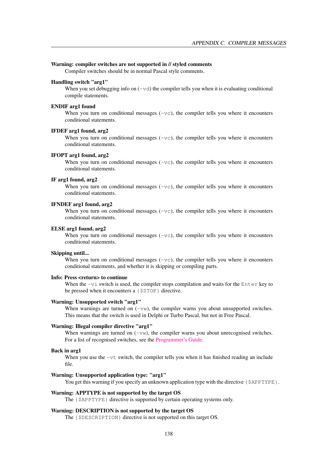## Warning: compiler switches are not supported in // styled comments

Compiler switches should be in normal Pascal style comments.

# Handling switch "arg1"

When you set debugging info on  $(-\nu d)$  the compiler tells you when it is evaluating conditional compile statements.

## ENDIF arg1 found

When you turn on conditional messages  $(-\nu c)$ , the compiler tells you where it encounters conditional statements.

#### IFDEF arg1 found, arg2

When you turn on conditional messages  $(-\nu c)$ , the compiler tells you where it encounters conditional statements.

## IFOPT arg1 found, arg2

When you turn on conditional messages  $(-\nu c)$ , the compiler tells you where it encounters conditional statements.

## IF arg1 found, arg2

When you turn on conditional messages  $(-\nu c)$ , the compiler tells you where it encounters conditional statements.

#### IFNDEF arg1 found, arg2

When you turn on conditional messages  $(-\nu c)$ , the compiler tells you where it encounters conditional statements.

## ELSE arg1 found, arg2

When you turn on conditional messages  $(-\nu c)$ , the compiler tells you where it encounters conditional statements.

## Skipping until...

When you turn on conditional messages  $(-\nu c)$ , the compiler tells you where it encounters conditional statements, and whether it is skipping or compiling parts.

## Info: Press <return> to continue

When the  $-vi$  switch is used, the compiler stops compilation and waits for the Enter key to be pressed when it encounters a {\$STOP} directive.

## Warning: Unsupported switch "arg1"

When warnings are turned on  $(-vw)$ , the compiler warns you about unsupported switches. This means that the switch is used in Delphi or Turbo Pascal, but not in Free Pascal.

#### Warning: Illegal compiler directive "arg1"

When warnings are turned on  $(-vw)$ , the compiler warns you about unrecognised switches. For a list of recognised switches, see the [Programmer's Guide.](../prog/prog.html)

### Back in arg1

When you use the  $-vt$  switch, the compiler tells you when it has finished reading an include file.

#### Warning: Unsupported application type: "arg1"

You get this warning if you specify an unknown application type with the directive {  $$APPTYPE$  }.

## Warning: APPTYPE is not supported by the target OS

The {\$APPTYPE} directive is supported by certain operating systems only.

## Warning: DESCRIPTION is not supported by the target OS

The {\$DESCRIPTION} directive is not supported on this target OS.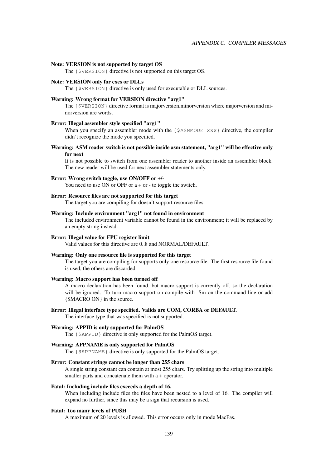#### Note: VERSION is not supported by target OS

The { \$VERSION} directive is not supported on this target OS.

### Note: VERSION only for exes or DLLs

The {\$VERSION} directive is only used for executable or DLL sources.

#### Warning: Wrong format for VERSION directive "arg1"

The {\$VERSION} directive format is majorversion.minorversion where majorversion and minorversion are words.

#### Error: Illegal assembler style specified "arg1"

When you specify an assembler mode with the {\$ASMMODE xxx} directive, the compiler didn't recognize the mode you specified.

### Warning: ASM reader switch is not possible inside asm statement, "arg1" will be effective only for next

It is not possible to switch from one assembler reader to another inside an assembler block. The new reader will be used for next assembler statements only.

#### Error: Wrong switch toggle, use ON/OFF or +/-

You need to use ON or OFF or  $a + or - to$  to toggle the switch.

#### Error: Resource files are not supported for this target

The target you are compiling for doesn't support resource files.

## Warning: Include environment "arg1" not found in environment

The included environment variable cannot be found in the environment; it will be replaced by an empty string instead.

#### Error: Illegal value for FPU register limit

Valid values for this directive are 0..8 and NORMAL/DEFAULT.

#### Warning: Only one resource file is supported for this target

The target you are compiling for supports only one resource file. The first resource file found is used, the others are discarded.

## Warning: Macro support has been turned off

A macro declaration has been found, but macro support is currently off, so the declaration will be ignored. To turn macro support on compile with -Sm on the command line or add {\$MACRO ON} in the source.

# Error: Illegal interface type specified. Valids are COM, CORBA or DEFAULT.

The interface type that was specified is not supported.

### Warning: APPID is only supported for PalmOS

The {\$APPID} directive is only supported for the PalmOS target.

#### Warning: APPNAME is only supported for PalmOS

The {\$APPNAME} directive is only supported for the PalmOS target.

#### Error: Constant strings cannot be longer than 255 chars

A single string constant can contain at most 255 chars. Try splitting up the string into multiple smaller parts and concatenate them with a + operator.

#### Fatal: Including include files exceeds a depth of 16.

When including include files the files have been nested to a level of 16. The compiler will expand no further, since this may be a sign that recursion is used.

#### Fatal: Too many levels of PUSH

A maximum of 20 levels is allowed. This error occurs only in mode MacPas.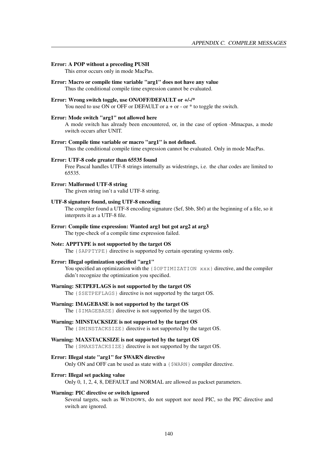## Error: A POP without a preceding PUSH

This error occurs only in mode MacPas.

Error: Macro or compile time variable "arg1" does not have any value

Thus the conditional compile time expression cannot be evaluated.

Error: Wrong switch toggle, use ON/OFF/DEFAULT or +/-/\*

You need to use ON or OFF or DEFAULT or  $a + or - or *$  to toggle the switch.

#### Error: Mode switch "arg1" not allowed here

A mode switch has already been encountered, or, in the case of option -Mmacpas, a mode switch occurs after UNIT.

Error: Compile time variable or macro "arg1" is not defined. Thus the conditional compile time expression cannot be evaluated. Only in mode MacPas.

#### Error: UTF-8 code greater than 65535 found

Free Pascal handles UTF-8 strings internally as widestrings, i.e. the char codes are limited to 65535.

#### Error: Malformed UTF-8 string

The given string isn't a valid UTF-8 string.

#### UTF-8 signature found, using UTF-8 encoding

The compiler found a UTF-8 encoding signature (\$ef, \$bb, \$bf) at the beginning of a file, so it interprets it as a UTF-8 file.

#### Error: Compile time expression: Wanted arg1 but got arg2 at arg3 The type-check of a compile time expression failed.

#### Note: APPTYPE is not supported by the target OS

The {\$APPTYPE} directive is supported by certain operating systems only.

#### Error: Illegal optimization specified "arg1"

You specified an optimization with the  $\{\text{\$OPTIMIZATION }$  xxx $\}$  directive, and the compiler didn't recognize the optimization you specified.

#### Warning: SETPEFLAGS is not supported by the target OS

The {\$SETPEFLAGS} directive is not supported by the target OS.

#### Warning: IMAGEBASE is not supported by the target OS

The {\$IMAGEBASE} directive is not supported by the target OS.

#### Warning: MINSTACKSIZE is not supported by the target OS

The {\$MINSTACKSIZE} directive is not supported by the target OS.

# Warning: MAXSTACKSIZE is not supported by the target OS

The {\$MAXSTACKSIZE} directive is not supported by the target OS.

#### Error: Illegal state "arg1" for \$WARN directive

Only ON and OFF can be used as state with a {\$WARN} compiler directive.

#### Error: Illegal set packing value

Only 0, 1, 2, 4, 8, DEFAULT and NORMAL are allowed as packset parameters.

#### Warning: PIC directive or switch ignored

Several targets, such as WINDOWS, do not support nor need PIC, so the PIC directive and switch are ignored.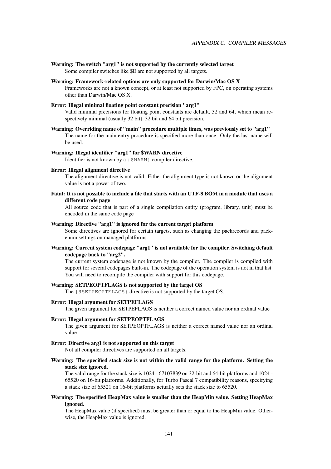- Warning: The switch "arg1" is not supported by the currently selected target Some compiler switches like \$E are not supported by all targets.
- Warning: Framework-related options are only supported for Darwin/Mac OS X Frameworks are not a known concept, or at least not supported by FPC, on operating systems other than Darwin/Mac OS X.

## Error: Illegal minimal floating point constant precision "arg1" Valid minimal precisions for floating point constants are default, 32 and 64, which mean respectively minimal (usually 32 bit), 32 bit and 64 bit precision.

Warning: Overriding name of "main" procedure multiple times, was previously set to "arg1" The name for the main entry procedure is specified more than once. Only the last name will be used.

#### Warning: Illegal identifier "arg1" for \$WARN directive

Identifier is not known by a {\$WARN} compiler directive.

#### Error: Illegal alignment directive

The alignment directive is not valid. Either the alignment type is not known or the alignment value is not a power of two.

Fatal: It is not possible to include a file that starts with an UTF-8 BOM in a module that uses a different code page

All source code that is part of a single compilation entity (program, library, unit) must be encoded in the same code page

# Warning: Directive "arg1" is ignored for the current target platform

Some directives are ignored for certain targets, such as changing the packrecords and packenum settings on managed platforms.

Warning: Current system codepage "arg1" is not available for the compiler. Switching default codepage back to "arg2".

The current system codepage is not known by the compiler. The compiler is compiled with support for several codepages built-in. The codepage of the operation system is not in that list. You will need to recompile the compiler with support for this codepage.

#### Warning: SETPEOPTFLAGS is not supported by the target OS

The {\$SETPEOPTFLAGS} directive is not supported by the target OS.

## Error: Illegal argument for SETPEFLAGS

The given argument for SETPEFLAGS is neither a correct named value nor an ordinal value

# Error: Illegal argument for SETPEOPTFLAGS

The given argument for SETPEOPTFLAGS is neither a correct named value nor an ordinal value

### Error: Directive arg1 is not supported on this target

Not all compiler directives are supported on all targets.

## Warning: The specified stack size is not within the valid range for the platform. Setting the stack size ignored.

The valid range for the stack size is 1024 - 67107839 on 32-bit and 64-bit platforms and 1024 - 65520 on 16-bit platforms. Additionally, for Turbo Pascal 7 compatibility reasons, specifying a stack size of 65521 on 16-bit platforms actually sets the stack size to 65520.

## Warning: The specified HeapMax value is smaller than the HeapMin value. Setting HeapMax ignored.

The HeapMax value (if specified) must be greater than or equal to the HeapMin value. Otherwise, the HeapMax value is ignored.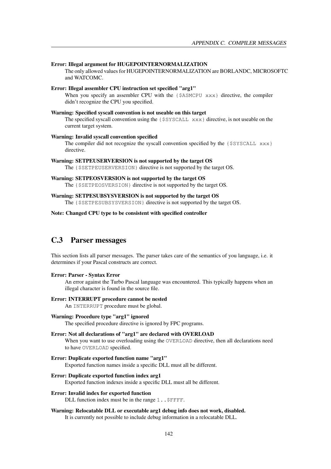| Error: Illegal argument for HUGEPOINTERNORMALIZATION<br>The only allowed values for HUGEPOINTERNORMALIZATION are BORLANDC, MICROSOFTC<br>and WATCOMC.                                                     |
|-----------------------------------------------------------------------------------------------------------------------------------------------------------------------------------------------------------|
| Error: Illegal assembler CPU instruction set specified "arg1"<br>When you specify an assembler CPU with the $\{\frac{5}{4}$ SMCPU xxx} directive, the compiler<br>didn't recognize the CPU you specified. |
| Warning: Specified syscall convention is not useable on this target<br>The specified syscall convention using the $\{\$SYSCALL \; XXX\}$ directive, is not useable on the<br>current target system.       |
| Warning: Invalid syscall convention specified<br>The compiler did not recognize the syscall convention specified by the $\{\$SYSCALL$ $xxx\}$<br>directive.                                               |
| Warning: SETPEUSERVERSION is not supported by the target OS<br>The {\$SETPEUSERVERSION} directive is not supported by the target OS.                                                                      |
| Warning: SETPEOSVERSION is not supported by the target OS<br>The {\$SETPEOSVERSION} directive is not supported by the target OS.                                                                          |

Warning: SETPESUBSYSVERSION is not supported by the target OS The {\$SETPESUBSYSVERSION} directive is not supported by the target OS.

#### Note: Changed CPU type to be consistent with specified controller

# C.3 Parser messages

This section lists all parser messages. The parser takes care of the semantics of you language, i.e. it determines if your Pascal constructs are correct.

## Error: Parser - Syntax Error

An error against the Turbo Pascal language was encountered. This typically happens when an illegal character is found in the source file.

Error: INTERRUPT procedure cannot be nested

An INTERRUPT procedure must be global.

## Warning: Procedure type "arg1" ignored

The specified procedure directive is ignored by FPC programs.

# Error: Not all declarations of "arg1" are declared with OVERLOAD

When you want to use overloading using the OVERLOAD directive, then all declarations need to have OVERLOAD specified.

Error: Duplicate exported function name "arg1"

Exported function names inside a specific DLL must all be different.

Error: Duplicate exported function index arg1

Exported function indexes inside a specific DLL must all be different.

## Error: Invalid index for exported function

DLL function index must be in the range  $1$ .  $$$   $$$ FFFF.

Warning: Relocatable DLL or executable arg1 debug info does not work, disabled. It is currently not possible to include debug information in a relocatable DLL.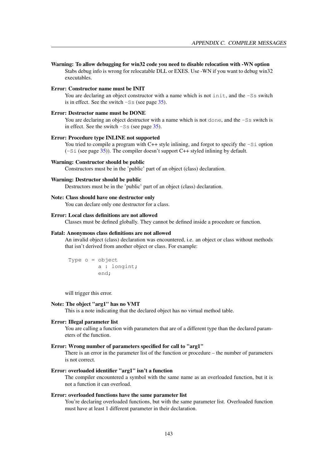Warning: To allow debugging for win32 code you need to disable relocation with -WN option Stabs debug info is wrong for relocatable DLL or EXES. Use -WN if you want to debug win32 executables.

#### Error: Constructor name must be INIT

You are declaring an object constructor with a name which is not  $init$ , and the  $-Ss$  switch is in effect. See the switch  $-$  Ss (see page [35\)](#page-33-0).

#### Error: Destructor name must be DONE

You are declaring an object destructor with a name which is not done, and the  $-$ Ss switch is in effect. See the switch  $-$ Ss (see page [35\)](#page-33-0).

#### Error: Procedure type INLINE not supported

You tried to compile a program with  $C++$  style inlining, and forgot to specify the  $-Si$  option  $(-S_i)$  (see page [35\)](#page-33-0)). The compiler doesn't support C++ styled inlining by default.

#### Warning: Constructor should be public

Constructors must be in the 'public' part of an object (class) declaration.

#### Warning: Destructor should be public

Destructors must be in the 'public' part of an object (class) declaration.

#### Note: Class should have one destructor only

You can declare only one destructor for a class.

#### Error: Local class definitions are not allowed

Classes must be defined globally. They cannot be defined inside a procedure or function.

#### Fatal: Anonymous class definitions are not allowed

An invalid object (class) declaration was encountered, i.e. an object or class without methods that isn't derived from another object or class. For example:

Type  $o = object$ a : longint; end;

will trigger this error.

#### Note: The object "arg1" has no VMT

This is a note indicating that the declared object has no virtual method table.

#### Error: Illegal parameter list

You are calling a function with parameters that are of a different type than the declared parameters of the function.

#### Error: Wrong number of parameters specified for call to "arg1"

There is an error in the parameter list of the function or procedure – the number of parameters is not correct.

## Error: overloaded identifier "arg1" isn't a function

The compiler encountered a symbol with the same name as an overloaded function, but it is not a function it can overload.

#### Error: overloaded functions have the same parameter list

You're declaring overloaded functions, but with the same parameter list. Overloaded function must have at least 1 different parameter in their declaration.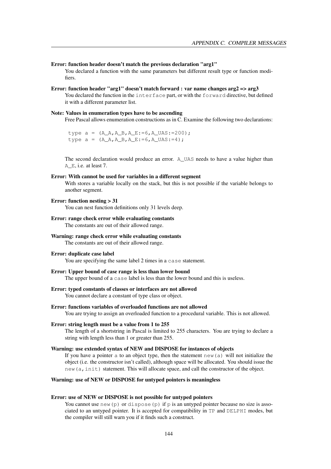#### Error: function header doesn't match the previous declaration "arg1"

You declared a function with the same parameters but different result type or function modifiers.

Error: function header "arg1" doesn't match forward : var name changes  $\arg 2$  =>  $\arg 3$ You declared the function in the interface part, or with the forward directive, but defined it with a different parameter list.

## Note: Values in enumeration types have to be ascending

Free Pascal allows enumeration constructions as in C. Examine the following two declarations:

type  $a = (A A, A B, A E := 6, A UAS := 200)$ ; type  $a = (A_A, A_B, A_E := 6, A_UAS := 4)$ ;

The second declaration would produce an error. A\_UAS needs to have a value higher than A E, i.e. at least 7.

## Error: With cannot be used for variables in a different segment

With stores a variable locally on the stack, but this is not possible if the variable belongs to another segment.

## Error: function nesting > 31

You can nest function definitions only 31 levels deep.

# Error: range check error while evaluating constants

The constants are out of their allowed range.

# Warning: range check error while evaluating constants

The constants are out of their allowed range.

## Error: duplicate case label

You are specifying the same label 2 times in a case statement.

## Error: Upper bound of case range is less than lower bound

The upper bound of a case label is less than the lower bound and this is useless.

# Error: typed constants of classes or interfaces are not allowed

You cannot declare a constant of type class or object.

## Error: functions variables of overloaded functions are not allowed

You are trying to assign an overloaded function to a procedural variable. This is not allowed.

#### Error: string length must be a value from 1 to 255

The length of a shortstring in Pascal is limited to 255 characters. You are trying to declare a string with length less than 1 or greater than 255.

#### Warning: use extended syntax of NEW and DISPOSE for instances of objects

If you have a pointer a to an object type, then the statement  $new(a)$  will not initialize the object (i.e. the constructor isn't called), although space will be allocated. You should issue the new(a,init) statement. This will allocate space, and call the constructor of the object.

## Warning: use of NEW or DISPOSE for untyped pointers is meaningless

#### Error: use of NEW or DISPOSE is not possible for untyped pointers

You cannot use  $n \in \mathbb{N}$  (p) or dispose (p) if p is an untyped pointer because no size is associated to an untyped pointer. It is accepted for compatibility in TP and DELPHI modes, but the compiler will still warn you if it finds such a construct.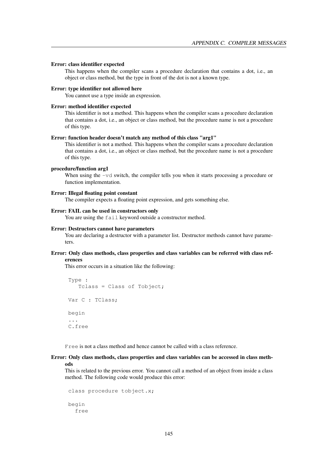# Error: class identifier expected

This happens when the compiler scans a procedure declaration that contains a dot, i.e., an object or class method, but the type in front of the dot is not a known type.

#### Error: type identifier not allowed here

You cannot use a type inside an expression.

# Error: method identifier expected

This identifier is not a method. This happens when the compiler scans a procedure declaration that contains a dot, i.e., an object or class method, but the procedure name is not a procedure of this type.

## Error: function header doesn't match any method of this class "arg1"

This identifier is not a method. This happens when the compiler scans a procedure declaration that contains a dot, i.e., an object or class method, but the procedure name is not a procedure of this type.

## procedure/function arg1

When using the  $-vd$  switch, the compiler tells you when it starts processing a procedure or function implementation.

#### Error: Illegal floating point constant

The compiler expects a floating point expression, and gets something else.

## Error: FAIL can be used in constructors only

You are using the fail keyword outside a constructor method.

## Error: Destructors cannot have parameters

You are declaring a destructor with a parameter list. Destructor methods cannot have parameters.

## Error: Only class methods, class properties and class variables can be referred with class references

This error occurs in a situation like the following:

```
Type :
   Tclass = Class of Tobject;
Var C : TClass;
begin
...
C.free
```
Free is not a class method and hence cannot be called with a class reference.

#### Error: Only class methods, class properties and class variables can be accessed in class methods

This is related to the previous error. You cannot call a method of an object from inside a class method. The following code would produce this error:

```
class procedure tobject.x;
begin
  free
```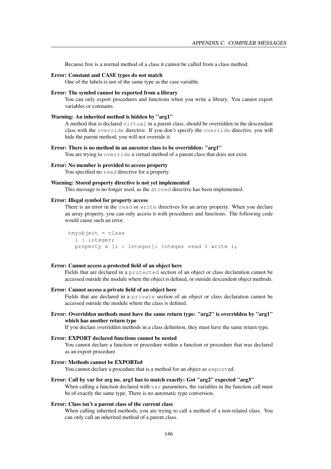Because free is a normal method of a class it cannot be called from a class method.

#### Error: Constant and CASE types do not match

One of the labels is not of the same type as the case variable.

#### Error: The symbol cannot be exported from a library

You can only export procedures and functions when you write a library. You cannot export variables or constants.

#### Warning: An inherited method is hidden by "arg1"

A method that is declared virtual in a parent class, should be overridden in the descendant class with the override directive. If you don't specify the override directive, you will hide the parent method; you will not override it.

## Error: There is no method in an ancestor class to be overridden: "arg1"

You are trying to override a virtual method of a parent class that does not exist.

#### Error: No member is provided to access property

You specified no read directive for a property.

#### Warning: Stored property directive is not yet implemented

This message is no longer used, as the stored directive has been implemented.

## Error: Illegal symbol for property access

There is an error in the read or write directives for an array property. When you declare an array property, you can only access it with procedures and functions. The following code would cause such an error.

tmyobject = class i : integer; property x [i : integer]: integer read I write i;

## Error: Cannot access a protected field of an object here

Fields that are declared in a protected section of an object or class declaration cannot be accessed outside the module where the object is defined, or outside descendent object methods.

# Error: Cannot access a private field of an object here

Fields that are declared in a private section of an object or class declaration cannot be accessed outside the module where the class is defined.

Error: Overridden methods must have the same return type: "arg2" is overridden by "arg1" which has another return type

If you declare overridden methods in a class definition, they must have the same return type.

## Error: EXPORT declared functions cannot be nested

You cannot declare a function or procedure within a function or procedure that was declared as an export procedure.

# Error: Methods cannot be EXPORTed

You cannot declare a procedure that is a method for an object as exported.

Error: Call by var for arg no. arg1 has to match exactly: Got "arg2" expected "arg3"

When calling a function declared with var parameters, the variables in the function call must be of exactly the same type. There is no automatic type conversion.

## Error: Class isn't a parent class of the current class

When calling inherited methods, you are trying to call a method of a non-related class. You can only call an inherited method of a parent class.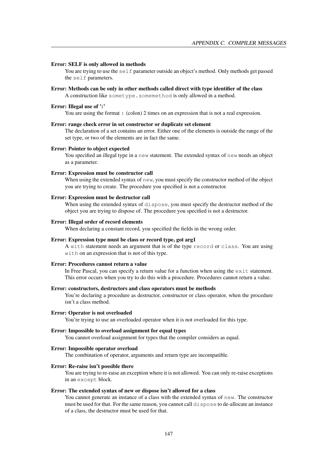## Error: SELF is only allowed in methods

You are trying to use the self parameter outside an object's method. Only methods get passed the self parameters.

Error: Methods can be only in other methods called direct with type identifier of the class

A construction like sometype.somemethod is only allowed in a method.

# Error: Illegal use of ':'

You are using the format : (colon) 2 times on an expression that is not a real expression.

## Error: range check error in set constructor or duplicate set element

The declaration of a set contains an error. Either one of the elements is outside the range of the set type, or two of the elements are in fact the same.

#### Error: Pointer to object expected

You specified an illegal type in a new statement. The extended syntax of new needs an object as a parameter.

## Error: Expression must be constructor call

When using the extended syntax of new, you must specify the constructor method of the object you are trying to create. The procedure you specified is not a constructor.

# Error: Expression must be destructor call

When using the extended syntax of dispose, you must specify the destructor method of the object you are trying to dispose of. The procedure you specified is not a destructor.

## Error: Illegal order of record elements

When declaring a constant record, you specified the fields in the wrong order.

## Error: Expression type must be class or record type, got arg1

A with statement needs an argument that is of the type record or class. You are using with on an expression that is not of this type.

## Error: Procedures cannot return a value

In Free Pascal, you can specify a return value for a function when using the exit statement. This error occurs when you try to do this with a procedure. Procedures cannot return a value.

#### Error: constructors, destructors and class operators must be methods

You're declaring a procedure as destructor, constructor or class operator, when the procedure isn't a class method.

# Error: Operator is not overloaded

You're trying to use an overloaded operator when it is not overloaded for this type.

## Error: Impossible to overload assignment for equal types

You cannot overload assignment for types that the compiler considers as equal.

# Error: Impossible operator overload

The combination of operator, arguments and return type are incompatible.

## Error: Re-raise isn't possible there

You are trying to re-raise an exception where it is not allowed. You can only re-raise exceptions in an except block.

## Error: The extended syntax of new or dispose isn't allowed for a class

You cannot generate an instance of a class with the extended syntax of new. The constructor must be used for that. For the same reason, you cannot call dispose to de-allocate an instance of a class, the destructor must be used for that.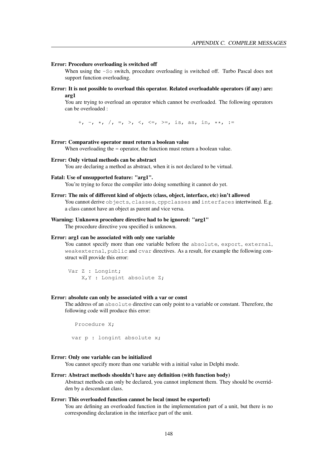## Error: Procedure overloading is switched off

When using the  $-50$  switch, procedure overloading is switched off. Turbo Pascal does not support function overloading.

Error: It is not possible to overload this operator. Related overloadable operators (if any) are: arg1

You are trying to overload an operator which cannot be overloaded. The following operators can be overloaded :

+, -, \*, /, =, >, <, <=, >=, is, as, in, \*\*, :=

#### Error: Comparative operator must return a boolean value

When overloading the = operator, the function must return a boolean value.

#### Error: Only virtual methods can be abstract

You are declaring a method as abstract, when it is not declared to be virtual.

Fatal: Use of unsupported feature: "arg1".

You're trying to force the compiler into doing something it cannot do yet.

Error: The mix of different kind of objects (class, object, interface, etc) isn't allowed

You cannot derive objects, classes, cppclasses and interfaces intertwined. E.g. a class cannot have an object as parent and vice versa.

#### Warning: Unknown procedure directive had to be ignored: "arg1"

The procedure directive you specified is unknown.

## Error: arg1 can be associated with only one variable

You cannot specify more than one variable before the absolute, export, external, weakexternal, public and cvar directives. As a result, for example the following construct will provide this error:

```
Var Z : Longint;
    X,Y : Longint absolute Z;
```
# Error: absolute can only be associated with a var or const

The address of an absolute directive can only point to a variable or constant. Therefore, the following code will produce this error:

```
Procedure X;
var p : longint absolute x;
```
#### Error: Only one variable can be initialized

You cannot specify more than one variable with a initial value in Delphi mode.

# Error: Abstract methods shouldn't have any definition (with function body)

Abstract methods can only be declared, you cannot implement them. They should be overridden by a descendant class.

#### Error: This overloaded function cannot be local (must be exported)

You are defining an overloaded function in the implementation part of a unit, but there is no corresponding declaration in the interface part of the unit.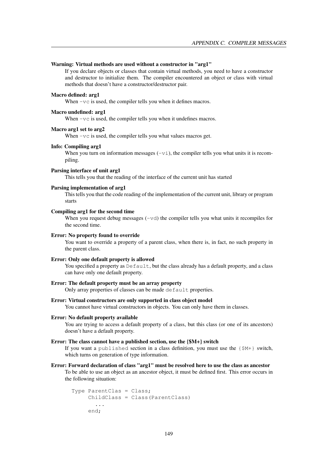## Warning: Virtual methods are used without a constructor in "arg1"

If you declare objects or classes that contain virtual methods, you need to have a constructor and destructor to initialize them. The compiler encountered an object or class with virtual methods that doesn't have a constructor/destructor pair.

## Macro defined: arg1

When  $-\nu c$  is used, the compiler tells you when it defines macros.

# Macro undefined: arg1

When  $-\nu c$  is used, the compiler tells you when it undefines macros.

#### Macro arg1 set to arg2

When  $-vc$  is used, the compiler tells you what values macros get.

#### Info: Compiling arg1

When you turn on information messages  $(-\nu i)$ , the compiler tells you what units it is recompiling.

#### Parsing interface of unit arg1

This tells you that the reading of the interface of the current unit has started

## Parsing implementation of arg1

This tells you that the code reading of the implementation of the current unit, library or program starts

#### Compiling arg1 for the second time

When you request debug messages  $(-\nu d)$  the compiler tells you what units it recompiles for the second time.

#### Error: No property found to override

You want to override a property of a parent class, when there is, in fact, no such property in the parent class.

## Error: Only one default property is allowed

You specified a property as  $Default$ , but the class already has a default property, and a class can have only one default property.

# Error: The default property must be an array property

Only array properties of classes can be made default properties.

#### Error: Virtual constructors are only supported in class object model

You cannot have virtual constructors in objects. You can only have them in classes.

#### Error: No default property available

You are trying to access a default property of a class, but this class (or one of its ancestors) doesn't have a default property.

#### Error: The class cannot have a published section, use the {\$M+} switch

If you want a published section in a class definition, you must use the  $\{\$M+\}$  switch, which turns on generation of type information.

#### Error: Forward declaration of class "arg1" must be resolved here to use the class as ancestor

To be able to use an object as an ancestor object, it must be defined first. This error occurs in the following situation:

Type ParentClas = Class; ChildClass = Class(ParentClass) ... end;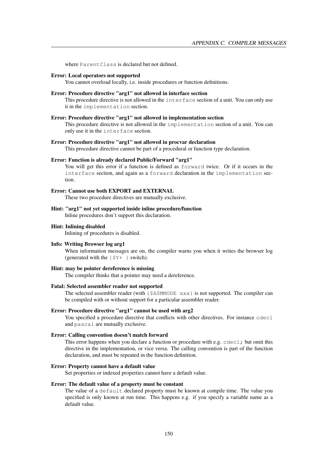where ParentClass is declared but not defined.

#### Error: Local operators not supported

You cannot overload locally, i.e. inside procedures or function definitions.

#### Error: Procedure directive "arg1" not allowed in interface section

This procedure directive is not allowed in the interface section of a unit. You can only use it in the implementation section.

#### Error: Procedure directive "arg1" not allowed in implementation section

This procedure directive is not allowed in the implementation section of a unit. You can only use it in the interface section.

# Error: Procedure directive "arg1" not allowed in procvar declaration

This procedure directive cannot be part of a procedural or function type declaration.

## Error: Function is already declared Public/Forward "arg1"

You will get this error if a function is defined as forward twice. Or if it occurs in the interface section, and again as a forward declaration in the implementation section.

## Error: Cannot use both EXPORT and EXTERNAL

These two procedure directives are mutually exclusive.

## Hint: "arg1" not yet supported inside inline procedure/function Inline procedures don't support this declaration.

#### Hint: Inlining disabled

Inlining of procedures is disabled.

# Info: Writing Browser log arg1

When information messages are on, the compiler warns you when it writes the browser log (generated with the  $\{\$Y+\}\$  switch).

#### Hint: may be pointer dereference is missing

The compiler thinks that a pointer may need a dereference.

## Fatal: Selected assembler reader not supported

The selected assembler reader (with  $\{\frac{5}{4}$ SMMODE xxx } is not supported. The compiler can be compiled with or without support for a particular assembler reader.

## Error: Procedure directive "arg1" cannot be used with arg2

You specified a procedure directive that conflicts with other directives. For instance cdecl and pascal are mutually exclusive.

## Error: Calling convention doesn't match forward

This error happens when you declare a function or procedure with e.g.  $\text{cdel}$ ; but omit this directive in the implementation, or vice versa. The calling convention is part of the function declaration, and must be repeated in the function definition.

## Error: Property cannot have a default value

Set properties or indexed properties cannot have a default value.

#### Error: The default value of a property must be constant

The value of a default declared property must be known at compile time. The value you specified is only known at run time. This happens e.g. if you specify a variable name as a default value.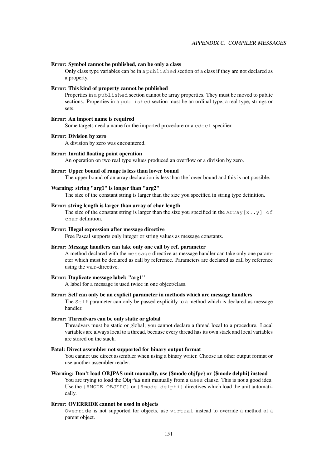## Error: Symbol cannot be published, can be only a class

Only class type variables can be in a published section of a class if they are not declared as a property.

#### Error: This kind of property cannot be published

Properties in a published section cannot be array properties. They must be moved to public sections. Properties in a published section must be an ordinal type, a real type, strings or sets.

# Error: An import name is required

Some targets need a name for the imported procedure or a cdecl specifier.

#### Error: Division by zero

A division by zero was encountered.

## Error: Invalid floating point operation

An operation on two real type values produced an overflow or a division by zero.

#### Error: Upper bound of range is less than lower bound

The upper bound of an array declaration is less than the lower bound and this is not possible.

#### Warning: string "arg1" is longer than "arg2"

The size of the constant string is larger than the size you specified in string type definition.

## Error: string length is larger than array of char length

The size of the constant string is larger than the size you specified in the Array  $[x..y]$  of char definition.

## Error: Illegal expression after message directive

Free Pascal supports only integer or string values as message constants.

## Error: Message handlers can take only one call by ref. parameter

A method declared with the message directive as message handler can take only one parameter which must be declared as call by reference. Parameters are declared as call by reference using the var-directive.

#### Error: Duplicate message label: "arg1"

A label for a message is used twice in one object/class.

#### Error: Self can only be an explicit parameter in methods which are message handlers

The Self parameter can only be passed explicitly to a method which is declared as message handler.

#### Error: Threadvars can be only static or global

Threadvars must be static or global; you cannot declare a thread local to a procedure. Local variables are always local to a thread, because every thread has its own stack and local variables are stored on the stack.

## Fatal: Direct assembler not supported for binary output format

You cannot use direct assembler when using a binary writer. Choose an other output format or use another assembler reader.

#### Warning: Don't load OBJPAS unit manually, use {\$mode objfpc} or {\$mode delphi} instead

You are trying to load the ObjPas unit manually from a uses clause. This is not a good idea. Use the {\$MODE OBJFPC} or {\$mode delphi} directives which load the unit automatically.

## Error: OVERRIDE cannot be used in objects

Override is not supported for objects, use virtual instead to override a method of a parent object.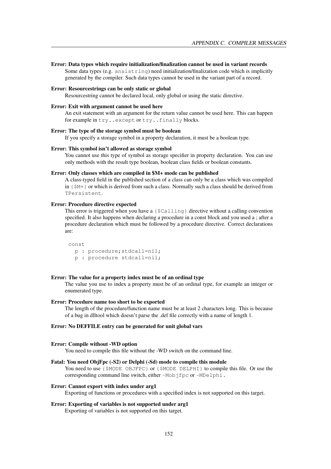```
Error: Data types which require initialization/finalization cannot be used in variant records
      Some data types (e.g. ansistring) need initialization/finalization code which is implicitly
      generated by the compiler. Such data types cannot be used in the variant part of a record.
```
## Error: Resourcestrings can be only static or global

Resourcestring cannot be declared local, only global or using the static directive.

# Error: Exit with argument cannot be used here

An exit statement with an argument for the return value cannot be used here. This can happen for example in try..except or try..finally blocks.

#### Error: The type of the storage symbol must be boolean

If you specify a storage symbol in a property declaration, it must be a boolean type.

#### Error: This symbol isn't allowed as storage symbol

You cannot use this type of symbol as storage specifier in property declaration. You can use only methods with the result type boolean, boolean class fields or boolean constants.

#### Error: Only classes which are compiled in \$M+ mode can be published

A class-typed field in the published section of a class can only be a class which was compiled in {\$M+} or which is derived from such a class. Normally such a class should be derived from TPersistent.

## Error: Procedure directive expected

This error is triggered when you have a  $\{\frac{\xi}{\xi} \leq \frac{1}{\xi} \}$  directive without a calling convention specified. It also happens when declaring a procedure in a const block and you used a ; after a procedure declaration which must be followed by a procedure directive. Correct declarations are:

const p : procedure;stdcall=nil; p : procedure stdcall=nil;

#### Error: The value for a property index must be of an ordinal type

The value you use to index a property must be of an ordinal type, for example an integer or enumerated type.

# Error: Procedure name too short to be exported

The length of the procedure/function name must be at least 2 characters long. This is because of a bug in dlltool which doesn't parse the .def file correctly with a name of length 1.

# Error: No DEFFILE entry can be generated for unit global vars

## Error: Compile without -WD option

You need to compile this file without the -WD switch on the command line.

# Fatal: You need ObjFpc (-S2) or Delphi (-Sd) mode to compile this module

You need to use {\$MODE OBJFPC} or {\$MODE DELPHI} to compile this file. Or use the corresponding command line switch, either -Mobjfpc or -MDelphi.

# Error: Cannot export with index under arg1

Exporting of functions or procedures with a specified index is not supported on this target.

## Error: Exporting of variables is not supported under arg1

Exporting of variables is not supported on this target.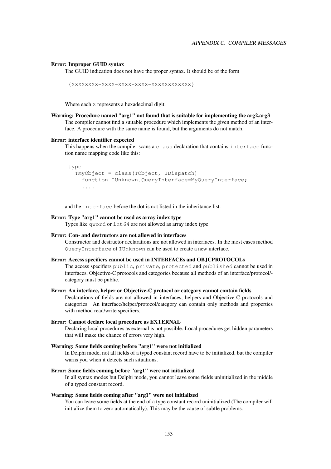## Error: Improper GUID syntax

The GUID indication does not have the proper syntax. It should be of the form

```
{XXXXXXXX-XXXX-XXXX-XXXX-XXXXXXXXXXXX}
```
Where each X represents a hexadecimal digit.

#### Warning: Procedure named "arg1" not found that is suitable for implementing the arg2.arg3

The compiler cannot find a suitable procedure which implements the given method of an interface. A procedure with the same name is found, but the arguments do not match.

#### Error: interface identifier expected

This happens when the compiler scans a class declaration that contains interface function name mapping code like this:

```
type
  TMyObject = class(TObject, IDispatch)
    function IUnknown.QueryInterface=MyQueryInterface;
    ....
```
and the interface before the dot is not listed in the inheritance list.

## Error: Type "arg1" cannot be used as array index type

Types like qword or int64 are not allowed as array index type.

## Error: Con- and destructors are not allowed in interfaces

Constructor and destructor declarations are not allowed in interfaces. In the most cases method QueryInterface of IUnknown can be used to create a new interface.

## Error: Access specifiers cannot be used in INTERFACEs and OBJCPROTOCOLs

The access specifiers public, private, protected and published cannot be used in interfaces, Objective-C protocols and categories because all methods of an interface/protocol/ category must be public.

## Error: An interface, helper or Objective-C protocol or category cannot contain fields

Declarations of fields are not allowed in interfaces, helpers and Objective-C protocols and categories. An interface/helper/protocol/category can contain only methods and properties with method read/write specifiers.

#### Error: Cannot declare local procedure as EXTERNAL

Declaring local procedures as external is not possible. Local procedures get hidden parameters that will make the chance of errors very high.

#### Warning: Some fields coming before "arg1" were not initialized

In Delphi mode, not all fields of a typed constant record have to be initialized, but the compiler warns you when it detects such situations.

#### Error: Some fields coming before "arg1" were not initialized

In all syntax modes but Delphi mode, you cannot leave some fields uninitialized in the middle of a typed constant record.

#### Warning: Some fields coming after "arg1" were not initialized

You can leave some fields at the end of a type constant record uninitialized (The compiler will initialize them to zero automatically). This may be the cause of subtle problems.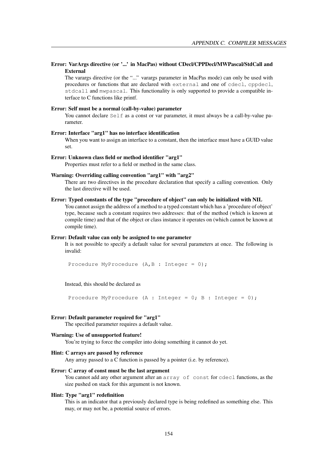# Error: VarArgs directive (or '...' in MacPas) without CDecl/CPPDecl/MWPascal/StdCall and External

The varargs directive (or the "..." varargs parameter in MacPas mode) can only be used with procedures or functions that are declared with external and one of cdecl, cppdecl, stdcall and mwpascal. This functionality is only supported to provide a compatible interface to C functions like printf.

## Error: Self must be a normal (call-by-value) parameter

You cannot declare Self as a const or var parameter, it must always be a call-by-value parameter.

## Error: Interface "arg1" has no interface identification

When you want to assign an interface to a constant, then the interface must have a GUID value set.

#### Error: Unknown class field or method identifier "arg1"

Properties must refer to a field or method in the same class.

# Warning: Overriding calling convention "arg1" with "arg2"

There are two directives in the procedure declaration that specify a calling convention. Only the last directive will be used.

#### Error: Typed constants of the type "procedure of object" can only be initialized with NIL

You cannot assign the address of a method to a typed constant which has a 'procedure of object' type, because such a constant requires two addresses: that of the method (which is known at compile time) and that of the object or class instance it operates on (which cannot be known at compile time).

### Error: Default value can only be assigned to one parameter

It is not possible to specify a default value for several parameters at once. The following is invalid:

Procedure MyProcedure  $(A, B : Integer = 0);$ 

Instead, this should be declared as

Procedure MyProcedure (A : Integer =  $0; B$  : Integer =  $0);$ 

#### Error: Default parameter required for "arg1"

The specified parameter requires a default value.

## Warning: Use of unsupported feature!

You're trying to force the compiler into doing something it cannot do yet.

## Hint: C arrays are passed by reference

Any array passed to a C function is passed by a pointer (i.e. by reference).

## Error: C array of const must be the last argument

You cannot add any other argument after an array of const for cdecl functions, as the size pushed on stack for this argument is not known.

#### Hint: Type "arg1" redefinition

This is an indicator that a previously declared type is being redefined as something else. This may, or may not be, a potential source of errors.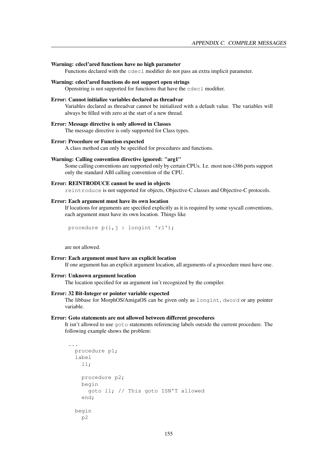```
Warning: cdecl'ared functions have no high parameter
```
Functions declared with the cdecl modifier do not pass an extra implicit parameter.

## Warning: cdecl'ared functions do not support open strings

Openstring is not supported for functions that have the cdecl modifier.

## Error: Cannot initialize variables declared as threadvar

Variables declared as threadvar cannot be initialized with a default value. The variables will always be filled with zero at the start of a new thread.

## Error: Message directive is only allowed in Classes

The message directive is only supported for Class types.

#### Error: Procedure or Function expected

A class method can only be specified for procedures and functions.

## Warning: Calling convention directive ignored: "arg1"

Some calling conventions are supported only by certain CPUs. I.e. most non-i386 ports support only the standard ABI calling convention of the CPU.

#### Error: REINTRODUCE cannot be used in objects

reintroduce is not supported for objects, Objective-C classes and Objective-C protocols.

#### Error: Each argument must have its own location

If locations for arguments are specified explicitly as it is required by some syscall conventions, each argument must have its own location. Things like

procedure p(i,j : longint 'r1');

are not allowed.

## Error: Each argument must have an explicit location

If one argument has an explicit argument location, all arguments of a procedure must have one.

#### Error: Unknown argument location

The location specified for an argument isn't recognized by the compiler.

#### Error: 32 Bit-Integer or pointer variable expected

The libbase for MorphOS/AmigaOS can be given only as longint, dword or any pointer variable.

#### Error: Goto statements are not allowed between different procedures

It isn't allowed to use goto statements referencing labels outside the current procedure. The following example shows the problem:

```
...
 procedure p1;
 label
   l1;
   procedure p2;
   begin
      goto l1; // This goto ISN'T allowed
   end;
 begin
   p2
```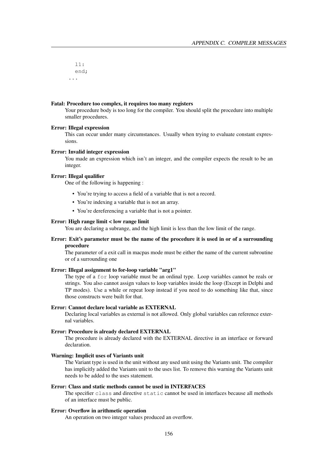l1: end; ...

#### Fatal: Procedure too complex, it requires too many registers

Your procedure body is too long for the compiler. You should split the procedure into multiple smaller procedures.

## Error: Illegal expression

This can occur under many circumstances. Usually when trying to evaluate constant expressions.

#### Error: Invalid integer expression

You made an expression which isn't an integer, and the compiler expects the result to be an integer.

#### Error: Illegal qualifier

One of the following is happening :

- You're trying to access a field of a variable that is not a record.
- You're indexing a variable that is not an array.
- You're dereferencing a variable that is not a pointer.

#### Error: High range limit < low range limit

You are declaring a subrange, and the high limit is less than the low limit of the range.

## Error: Exit's parameter must be the name of the procedure it is used in or of a surrounding procedure

The parameter of a exit call in macpas mode must be either the name of the current subroutine or of a surrounding one

#### Error: Illegal assignment to for-loop variable "arg1"

The type of a for loop variable must be an ordinal type. Loop variables cannot be reals or strings. You also cannot assign values to loop variables inside the loop (Except in Delphi and TP modes). Use a while or repeat loop instead if you need to do something like that, since those constructs were built for that.

# Error: Cannot declare local variable as EXTERNAL

Declaring local variables as external is not allowed. Only global variables can reference external variables.

## Error: Procedure is already declared EXTERNAL

The procedure is already declared with the EXTERNAL directive in an interface or forward declaration.

# Warning: Implicit uses of Variants unit

The Variant type is used in the unit without any used unit using the Variants unit. The compiler has implicitly added the Variants unit to the uses list. To remove this warning the Variants unit needs to be added to the uses statement.

# Error: Class and static methods cannot be used in INTERFACES

The specifier class and directive static cannot be used in interfaces because all methods of an interface must be public.

#### Error: Overflow in arithmetic operation

An operation on two integer values produced an overflow.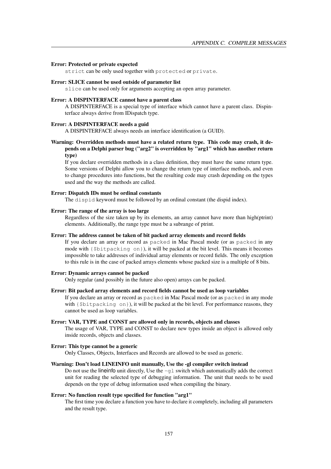## Error: Protected or private expected

strict can be only used together with protected or private.

#### Error: SLICE cannot be used outside of parameter list

slice can be used only for arguments accepting an open array parameter.

## Error: A DISPINTERFACE cannot have a parent class

A DISPINTERFACE is a special type of interface which cannot have a parent class. Dispinterface always derive from IDispatch type.

## Error: A DISPINTERFACE needs a guid

A DISPINTERFACE always needs an interface identification (a GUID).

Warning: Overridden methods must have a related return type. This code may crash, it depends on a Delphi parser bug ("arg2" is overridden by "arg1" which has another return type)

If you declare overridden methods in a class definition, they must have the same return type. Some versions of Delphi allow you to change the return type of interface methods, and even to change procedures into functions, but the resulting code may crash depending on the types used and the way the methods are called.

#### Error: Dispatch IDs must be ordinal constants

The dispid keyword must be followed by an ordinal constant (the dispid index).

#### Error: The range of the array is too large

Regardless of the size taken up by its elements, an array cannot have more than high(ptrint) elements. Additionally, the range type must be a subrange of ptrint.

## Error: The address cannot be taken of bit packed array elements and record fields

If you declare an array or record as packed in Mac Pascal mode (or as packed in any mode with  ${\{\text{Sbitpacking on}\}}$ , it will be packed at the bit level. This means it becomes impossible to take addresses of individual array elements or record fields. The only exception to this rule is in the case of packed arrays elements whose packed size is a multiple of 8 bits.

#### Error: Dynamic arrays cannot be packed

Only regular (and possibly in the future also open) arrays can be packed.

# Error: Bit packed array elements and record fields cannot be used as loop variables

If you declare an array or record as packed in Mac Pascal mode (or as packed in any mode with { \$bitpacking on }), it will be packed at the bit level. For performance reasons, they cannot be used as loop variables.

#### Error: VAR, TYPE and CONST are allowed only in records, objects and classes

The usage of VAR, TYPE and CONST to declare new types inside an object is allowed only inside records, objects and classes.

#### Error: This type cannot be a generic

Only Classes, Objects, Interfaces and Records are allowed to be used as generic.

#### Warning: Don't load LINEINFO unit manually, Use the -gl compiler switch instead

Do not use the lineinfo unit directly, Use the  $-q1$  switch which automatically adds the correct unit for reading the selected type of debugging information. The unit that needs to be used depends on the type of debug information used when compiling the binary.

#### Error: No function result type specified for function "arg1"

The first time you declare a function you have to declare it completely, including all parameters and the result type.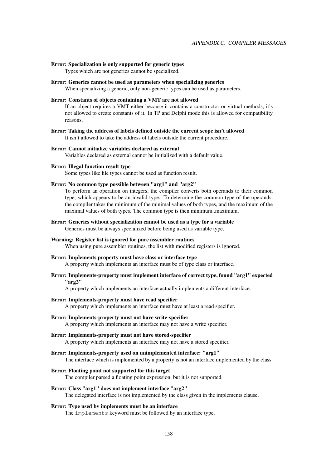# Error: Specialization is only supported for generic types

Types which are not generics cannot be specialized.

#### Error: Generics cannot be used as parameters when specializing generics

When specializing a generic, only non-generic types can be used as parameters.

# Error: Constants of objects containing a VMT are not allowed

If an object requires a VMT either because it contains a constructor or virtual methods, it's not allowed to create constants of it. In TP and Delphi mode this is allowed for compatibility reasons.

Error: Taking the address of labels defined outside the current scope isn't allowed It isn't allowed to take the address of labels outside the current procedure.

#### Error: Cannot initialize variables declared as external

Variables declared as external cannot be initialized with a default value.

## Error: Illegal function result type

Some types like file types cannot be used as function result.

#### Error: No common type possible between "arg1" and "arg2"

To perform an operation on integers, the compiler converts both operands to their common type, which appears to be an invalid type. To determine the common type of the operands, the compiler takes the minimum of the minimal values of both types, and the maximum of the maximal values of both types. The common type is then minimum..maximum.

## Error: Generics without specialization cannot be used as a type for a variable

Generics must be always specialized before being used as variable type.

#### Warning: Register list is ignored for pure assembler routines

When using pure assembler routines, the list with modified registers is ignored.

#### Error: Implements property must have class or interface type

A property which implements an interface must be of type class or interface.

## Error: Implements-property must implement interface of correct type, found "arg1" expected "arg2"

A property which implements an interface actually implements a different interface.

#### Error: Implements-property must have read specifier

A property which implements an interface must have at least a read specifier.

## Error: Implements-property must not have write-specifier

A property which implements an interface may not have a write specifier.

## Error: Implements-property must not have stored-specifier

A property which implements an interface may not have a stored specifier.

#### Error: Implements-property used on unimplemented interface: "arg1"

The interface which is implemented by a property is not an interface implemented by the class.

# Error: Floating point not supported for this target

The compiler parsed a floating point expression, but it is not supported.

#### Error: Class "arg1" does not implement interface "arg2"

The delegated interface is not implemented by the class given in the implements clause.

#### Error: Type used by implements must be an interface

The implements keyword must be followed by an interface type.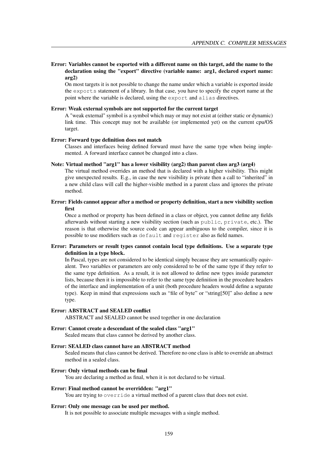# Error: Variables cannot be exported with a different name on this target, add the name to the declaration using the "export" directive (variable name: arg1, declared export name: arg2)

On most targets it is not possible to change the name under which a variable is exported inside the exports statement of a library. In that case, you have to specify the export name at the point where the variable is declared, using the export and alias directives.

#### Error: Weak external symbols are not supported for the current target

A "weak external" symbol is a symbol which may or may not exist at (either static or dynamic) link time. This concept may not be available (or implemented yet) on the current cpu/OS target.

#### Error: Forward type definition does not match

Classes and interfaces being defined forward must have the same type when being implemented. A forward interface cannot be changed into a class.

# Note: Virtual method "arg1" has a lower visibility (arg2) than parent class arg3 (arg4)

The virtual method overrides an method that is declared with a higher visibility. This might give unexpected results. E.g., in case the new visibility is private then a call to "inherited" in a new child class will call the higher-visible method in a parent class and ignores the private method.

# Error: Fields cannot appear after a method or property definition, start a new visibility section first

Once a method or property has been defined in a class or object, you cannot define any fields afterwards without starting a new visibility section (such as public, private, etc.). The reason is that otherwise the source code can appear ambiguous to the compiler, since it is possible to use modifiers such as default and register also as field names.

# Error: Parameters or result types cannot contain local type definitions. Use a separate type definition in a type block.

In Pascal, types are not considered to be identical simply because they are semantically equivalent. Two variables or parameters are only considered to be of the same type if they refer to the same type definition. As a result, it is not allowed to define new types inside parameter lists, because then it is impossible to refer to the same type definition in the procedure headers of the interface and implementation of a unit (both procedure headers would define a separate type). Keep in mind that expressions such as "file of byte" or "string[50]" also define a new type.

## Error: ABSTRACT and SEALED conflict

ABSTRACT and SEALED cannot be used together in one declaration

## Error: Cannot create a descendant of the sealed class "arg1"

Sealed means that class cannot be derived by another class.

# Error: SEALED class cannot have an ABSTRACT method

Sealed means that class cannot be derived. Therefore no one class is able to override an abstract method in a sealed class.

# Error: Only virtual methods can be final

You are declaring a method as final, when it is not declared to be virtual.

#### Error: Final method cannot be overridden: "arg1"

You are trying to override a virtual method of a parent class that does not exist.

#### Error: Only one message can be used per method.

It is not possible to associate multiple messages with a single method.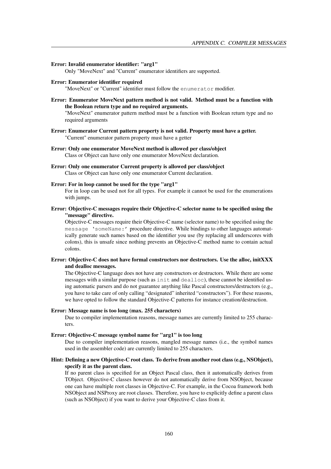Error: Invalid enumerator identifier: "arg1"

Only "MoveNext" and "Current" enumerator identifiers are supported.

#### Error: Enumerator identifier required

"MoveNext" or "Current" identifier must follow the enumerator modifier.

Error: Enumerator MoveNext pattern method is not valid. Method must be a function with the Boolean return type and no required arguments.

"MoveNext" enumerator pattern method must be a function with Boolean return type and no required arguments

- Error: Enumerator Current pattern property is not valid. Property must have a getter. "Current" enumerator pattern property must have a getter
- Error: Only one enumerator MoveNext method is allowed per class/object Class or Object can have only one enumerator MoveNext declaration.
- Error: Only one enumerator Current property is allowed per class/object Class or Object can have only one enumerator Current declaration.

## Error: For in loop cannot be used for the type "arg1"

For in loop can be used not for all types. For example it cannot be used for the enumerations with jumps.

Error: Objective-C messages require their Objective-C selector name to be specified using the "message" directive.

Objective-C messages require their Objective-C name (selector name) to be specified using the message 'someName:' procedure directive. While bindings to other languages automatically generate such names based on the identifier you use (by replacing all underscores with colons), this is unsafe since nothing prevents an Objective-C method name to contain actual colons.

# Error: Objective-C does not have formal constructors nor destructors. Use the alloc, initXXX and dealloc messages.

The Objective-C language does not have any constructors or destructors. While there are some messages with a similar purpose (such as init and  $dealloc$ ), these cannot be identified using automatic parsers and do not guarantee anything like Pascal constructors/destructors (e.g., you have to take care of only calling "designated" inherited "constructors"). For these reasons, we have opted to follow the standard Objective-C patterns for instance creation/destruction.

## Error: Message name is too long (max. 255 characters)

Due to compiler implementation reasons, message names are currently limited to 255 characters.

## Error: Objective-C message symbol name for "arg1" is too long

Due to compiler implementation reasons, mangled message names (i.e., the symbol names used in the assembler code) are currently limited to 255 characters.

# Hint: Defining a new Objective-C root class. To derive from another root class (e.g., NSObject), specify it as the parent class.

If no parent class is specified for an Object Pascal class, then it automatically derives from TObject. Objective-C classes however do not automatically derive from NSObject, because one can have multiple root classes in Objective-C. For example, in the Cocoa framework both NSObject and NSProxy are root classes. Therefore, you have to explicitly define a parent class (such as NSObject) if you want to derive your Objective-C class from it.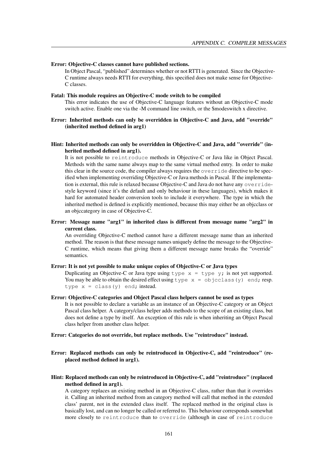## Error: Objective-C classes cannot have published sections.

In Object Pascal, "published" determines whether or not RTTI is generated. Since the Objective-C runtime always needs RTTI for everything, this specified does not make sense for Objective-C classes.

## Fatal: This module requires an Objective-C mode switch to be compiled

This error indicates the use of Objective-C language features without an Objective-C mode switch active. Enable one via the -M command line switch, or the \$modeswitch x directive.

# Error: Inherited methods can only be overridden in Objective-C and Java, add "override" (inherited method defined in arg1)

# Hint: Inherited methods can only be overridden in Objective-C and Java, add "override" (inherited method defined in arg1).

It is not possible to reintroduce methods in Objective-C or Java like in Object Pascal. Methods with the same name always map to the same virtual method entry. In order to make this clear in the source code, the compiler always requires the override directive to be specified when implementing overriding Objective-C or Java methods in Pascal. If the implementation is external, this rule is relaxed because Objective-C and Java do not have any overridestyle keyword (since it's the default and only behaviour in these languages), which makes it hard for automated header conversion tools to include it everywhere. The type in which the inherited method is defined is explicitly mentioned, because this may either be an objcclass or an objccategory in case of Objective-C.

# Error: Message name "arg1" in inherited class is different from message name "arg2" in current class.

An overriding Objective-C method cannot have a different message name than an inherited method. The reason is that these message names uniquely define the message to the Objective-C runtime, which means that giving them a different message name breaks the "override" semantics.

# Error: It is not yet possible to make unique copies of Objective-C or Java types

Duplicating an Objective-C or Java type using  $\forall y \in X = \forall y \in Y$ ; is not yet supported. You may be able to obtain the desired effect using type  $x =$  object ass (y) end; resp. type  $x = class(y)$  end; instead.

# Error: Objective-C categories and Object Pascal class helpers cannot be used as types

It is not possible to declare a variable as an instance of an Objective-C category or an Object Pascal class helper. A category/class helper adds methods to the scope of an existing class, but does not define a type by itself. An exception of this rule is when inheriting an Object Pascal class helper from another class helper.

#### Error: Categories do not override, but replace methods. Use "reintroduce" instead.

Error: Replaced methods can only be reintroduced in Objective-C, add "reintroduce" (replaced method defined in arg1).

# Hint: Replaced methods can only be reintroduced in Objective-C, add "reintroduce" (replaced method defined in arg1).

A category replaces an existing method in an Objective-C class, rather than that it overrides it. Calling an inherited method from an category method will call that method in the extended class' parent, not in the extended class itself. The replaced method in the original class is basically lost, and can no longer be called or referred to. This behaviour corresponds somewhat more closely to reintroduce than to override (although in case of reintroduce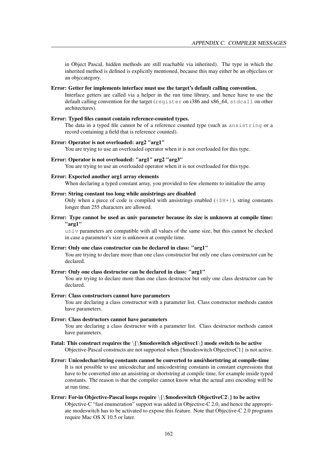in Object Pascal, hidden methods are still reachable via inherited). The type in which the inherited method is defined is explicitly mentioned, because this may either be an objcclass or an objccategory.

Error: Getter for implements interface must use the target's default calling convention.

Interface getters are called via a helper in the run time library, and hence have to use the default calling convention for the target (register on i386 and x86 64, stdcall on other architectures).

#### Error: Typed files cannot contain reference-counted types.

The data in a typed file cannot be of a reference counted type (such as ansistring or a record containing a field that is reference counted).

#### Error: Operator is not overloaded: arg2 "arg1"

You are trying to use an overloaded operator when it is not overloaded for this type.

#### Error: Operator is not overloaded: "arg1" arg2 "arg3"

You are trying to use an overloaded operator when it is not overloaded for this type.

#### Error: Expected another arg1 array elements

When declaring a typed constant array, you provided to few elements to initialize the array

## Error: String constant too long while ansistrings are disabled

Only when a piece of code is compiled with ansistrings enabled  $(\{\$H+\})$ , string constants longer than 255 characters are allowed.

Error: Type cannot be used as univ parameter because its size is unknown at compile time: "arg1"

univ parameters are compatible with all values of the same size, but this cannot be checked in case a parameter's size is unknown at compile time.

# Error: Only one class constructor can be declared in class: "arg1"

You are trying to declare more than one class constructor but only one class constructor can be declared.

#### Error: Only one class destructor can be declared in class: "arg1"

You are trying to declare more than one class destructor but only one class destructor can be declared.

# Error: Class constructors cannot have parameters

You are declaring a class constructor with a parameter list. Class constructor methods cannot have parameters.

# Error: Class destructors cannot have parameters

You are declaring a class destructor with a parameter list. Class destructor methods cannot have parameters.

Fatal: This construct requires the  $\{\$$ modeswitch objectivec1 $\}$  mode switch to be active Objective-Pascal constructs are not supported when {\$modeswitch ObjectiveC1} is not active.

#### Error: Unicodechar/string constants cannot be converted to ansi/shortstring at compile-time

It is not possible to use unicodechar and unicodestring constants in constant expressions that have to be converted into an ansistring or shortstring at compile time, for example inside typed constants. The reason is that the compiler cannot know what the actual ansi encoding will be at run time.

# Error: For-in Objective-Pascal loops require \{\\$modeswitch ObjectiveC2\} to be active

Objective-C "fast enumeration" support was added in Objective-C 2.0, and hence the appropriate modeswitch has to be activated to expose this feature. Note that Objective-C 2.0 programs require Mac OS X 10.5 or later.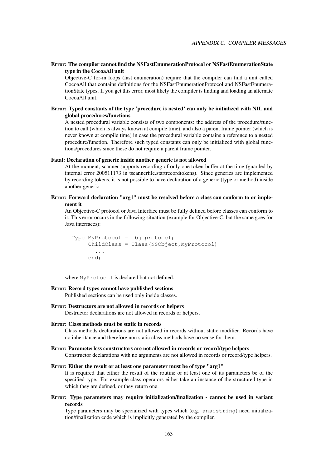# Error: The compiler cannot find the NSFastEnumerationProtocol or NSFastEnumerationState type in the CocoaAll unit

Objective-C for-in loops (fast enumeration) require that the compiler can find a unit called CocoaAll that contains definitions for the NSFastEnumerationProtocol and NSFastEnumerationState types. If you get this error, most likely the compiler is finding and loading an alternate CocoaAll unit.

## Error: Typed constants of the type 'procedure is nested' can only be initialized with NIL and global procedures/functions

A nested procedural variable consists of two components: the address of the procedure/function to call (which is always known at compile time), and also a parent frame pointer (which is never known at compile time) in case the procedural variable contains a reference to a nested procedure/function. Therefore such typed constants can only be initialized with global functions/procedures since these do not require a parent frame pointer.

## Fatal: Declaration of generic inside another generic is not allowed

At the moment, scanner supports recording of only one token buffer at the time (guarded by internal error 200511173 in tscannerfile.startrecordtokens). Since generics are implemented by recording tokens, it is not possible to have declaration of a generic (type or method) inside another generic.

# Error: Forward declaration "arg1" must be resolved before a class can conform to or implement it

An Objective-C protocol or Java Interface must be fully defined before classes can conform to it. This error occurs in the following situation (example for Objective-C, but the same goes for Java interfaces):

```
Type MyProtocol = objcprotoocl;
    ChildClass = Class(NSObject,MyProtocol)
       ...
     end;
```
where MyProtocol is declared but not defined.

# Error: Record types cannot have published sections

Published sections can be used only inside classes.

#### Error: Destructors are not allowed in records or helpers

Destructor declarations are not allowed in records or helpers.

#### Error: Class methods must be static in records

Class methods declarations are not allowed in records without static modifier. Records have no inheritance and therefore non static class methods have no sense for them.

#### Error: Parameterless constructors are not allowed in records or record/type helpers

Constructor declarations with no arguments are not allowed in records or record/type helpers.

## Error: Either the result or at least one parameter must be of type "arg1"

It is required that either the result of the routine or at least one of its parameters be of the specified type. For example class operators either take an instance of the structured type in which they are defined, or they return one.

# Error: Type parameters may require initialization/finalization - cannot be used in variant records

Type parameters may be specialized with types which (e.g. ansistring) need initialization/finalization code which is implicitly generated by the compiler.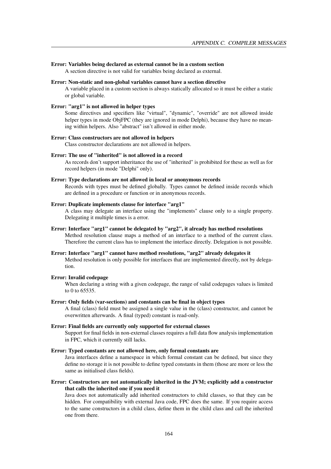# Error: Variables being declared as external cannot be in a custom section

A section directive is not valid for variables being declared as external.

## Error: Non-static and non-global variables cannot have a section directive

A variable placed in a custom section is always statically allocated so it must be either a static or global variable.

# Error: "arg1" is not allowed in helper types

Some directives and specifiers like "virtual", "dynamic", "override" are not allowed inside helper types in mode ObjFPC (they are ignored in mode Delphi), because they have no meaning within helpers. Also "abstract" isn't allowed in either mode.

# Error: Class constructors are not allowed in helpers

Class constructor declarations are not allowed in helpers.

# Error: The use of "inherited" is not allowed in a record

As records don't support inheritance the use of "inherited" is prohibited for these as well as for record helpers (in mode "Delphi" only).

# Error: Type declarations are not allowed in local or anonymous records

Records with types must be defined globally. Types cannot be defined inside records which are defined in a procedure or function or in anonymous records.

# Error: Duplicate implements clause for interface "arg1"

A class may delegate an interface using the "implements" clause only to a single property. Delegating it multiple times is a error.

# Error: Interface "arg1" cannot be delegated by "arg2", it already has method resolutions

Method resolution clause maps a method of an interface to a method of the current class. Therefore the current class has to implement the interface directly. Delegation is not possible.

## Error: Interface "arg1" cannot have method resolutions, "arg2" already delegates it

Method resolution is only possible for interfaces that are implemented directly, not by delegation.

# Error: Invalid codepage

When declaring a string with a given codepage, the range of valid codepages values is limited to 0 to 65535.

# Error: Only fields (var-sections) and constants can be final in object types

A final (class) field must be assigned a single value in the (class) constructor, and cannot be overwritten afterwards. A final (typed) constant is read-only.

## Error: Final fields are currently only supported for external classes

Support for final fields in non-external classes requires a full data flow analysis implementation in FPC, which it currently still lacks.

#### Error: Typed constants are not allowed here, only formal constants are

Java interfaces define a namespace in which formal constant can be defined, but since they define no storage it is not possible to define typed constants in them (those are more or less the same as initialised class fields).

# Error: Constructors are not automatically inherited in the JVM; explicitly add a constructor that calls the inherited one if you need it

Java does not automatically add inherited constructors to child classes, so that they can be hidden. For compatibility with external Java code, FPC does the same. If you require access to the same constructors in a child class, define them in the child class and call the inherited one from there.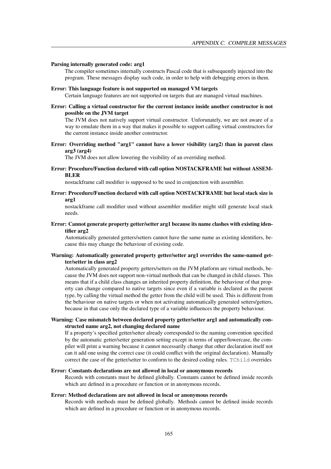## Parsing internally generated code: arg1

The compiler sometimes internally constructs Pascal code that is subsequently injected into the program. These messages display such code, in order to help with debugging errors in them.

#### Error: This language feature is not supported on managed VM targets

Certain language features are not supported on targets that are managed virtual machines.

# Error: Calling a virtual constructor for the current instance inside another constructor is not possible on the JVM target

The JVM does not natively support virtual constructor. Unforunately, we are not aware of a way to emulate them in a way that makes it possible to support calling virtual constructors for the current instance inside another constructor.

Error: Overriding method "arg1" cannot have a lower visibility (arg2) than in parent class arg3 (arg4)

The JVM does not allow lowering the visibility of an overriding method.

Error: Procedure/Function declared with call option NOSTACKFRAME but without ASSEM-**BI FR** 

nostackframe call modifier is supposed to be used in conjunction with assembler.

# Error: Procedure/Function declared with call option NOSTACKFRAME but local stack size is arg1

nostackframe call modifier used without assembler modifier might still generate local stack needs.

Error: Cannot generate property getter/setter arg1 because its name clashes with existing identifier arg2

Automatically generated getters/setters cannot have the same name as existing identifiers, because this may change the behaviour of existing code.

## Warning: Automatically generated property getter/setter arg1 overrides the same-named getter/setter in class arg2

Automatically generated property getters/setters on the JVM platform are virtual methods, because the JVM does not support non-virtual methods that can be changed in child classes. This means that if a child class changes an inherited property definition, the behaviour of that property can change compared to native targets since even if a variable is declared as the parent type, by calling the virtual method the getter from the child will be used. This is different from the behaviour on native targets or when not activating automatically generated setters/getters, because in that case only the declared type of a variable influences the property behaviour.

# Warning: Case mismatch between declared property getter/setter arg1 and automatically constructed name arg2, not changing declared name

If a property's specified getter/setter already corresponded to the naming convention specified by the automatic getter/setter generation setting except in terms of upper/lowercase, the compiler will print a warning because it cannot necessarily change that other declaration itself not can it add one using the correct case (it could conflict with the original declaration). Manually correct the case of the getter/setter to conform to the desired coding rules. TChild overrides

## Error: Constants declarations are not allowed in local or anonymous records

Records with constants must be defined globally. Constants cannot be defined inside records which are defined in a procedure or function or in anonymous records.

#### Error: Method declarations are not allowed in local or anonymous records

Records with methods must be defined globally. Methods cannot be defined inside records which are defined in a procedure or function or in anonymous records.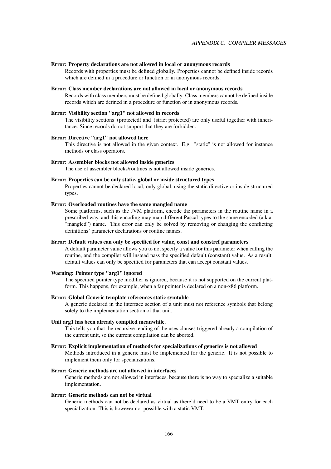## Error: Property declarations are not allowed in local or anonymous records

Records with properties must be defined globally. Properties cannot be defined inside records which are defined in a procedure or function or in anonymous records.

#### Error: Class member declarations are not allowed in local or anonymous records

Records with class members must be defined globally. Class members cannot be defined inside records which are defined in a procedure or function or in anonymous records.

## Error: Visibility section "arg1" not allowed in records

The visibility sections (protected) and (strict protected) are only useful together with inheritance. Since records do not support that they are forbidden.

# Error: Directive "arg1" not allowed here

This directive is not allowed in the given context. E.g. "static" is not allowed for instance methods or class operators.

# Error: Assembler blocks not allowed inside generics

The use of assembler blocks/routines is not allowed inside generics.

# Error: Properties can be only static, global or inside structured types

Properties cannot be declared local, only global, using the static directive or inside structured types.

#### Error: Overloaded routines have the same mangled name

Some platforms, such as the JVM platform, encode the parameters in the routine name in a prescribed way, and this encoding may map different Pascal types to the same encoded (a.k.a. "mangled") name. This error can only be solved by removing or changing the conflicting definitions' parameter declarations or routine names.

#### Error: Default values can only be specified for value, const and constref parameters

A default parameter value allows you to not specify a value for this parameter when calling the routine, and the compiler will instead pass the specified default (constant) value. As a result, default values can only be specified for parameters that can accept constant values.

## Warning: Pointer type "arg1" ignored

The specified pointer type modifier is ignored, because it is not supported on the current platform. This happens, for example, when a far pointer is declared on a non-x86 platform.

## Error: Global Generic template references static symtable

A generic declared in the interface section of a unit must not reference symbols that belong solely to the implementation section of that unit.

## Unit arg1 has been already compiled meanwhile.

This tells you that the recursive reading of the uses clauses triggered already a compilation of the current unit, so the current compilation can be aborted.

## Error: Explicit implementation of methods for specializations of generics is not allowed

Methods introduced in a generic must be implemented for the generic. It is not possible to implement them only for specializations.

## Error: Generic methods are not allowed in interfaces

Generic methods are not allowed in interfaces, because there is no way to specialize a suitable implementation.

#### Error: Generic methods can not be virtual

Generic methods can not be declared as virtual as there'd need to be a VMT entry for each specialization. This is however not possible with a static VMT.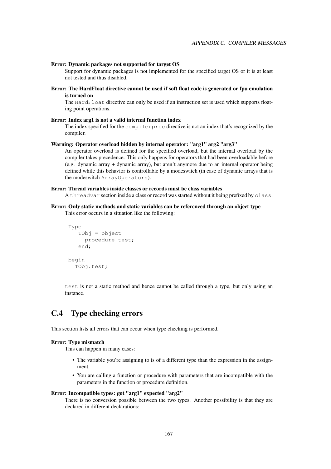```
Error: Dynamic packages not supported for target OS
```
Support for dynamic packages is not implemented for the specified target OS or it is at least not tested and thus disabled.

Error: The HardFloat directive cannot be used if soft float code is generated or fpu emulation is turned on

The HardFloat directive can only be used if an instruction set is used which supports floating point operations.

## Error: Index arg1 is not a valid internal function index

The index specified for the compilerproc directive is not an index that's recognized by the compiler.

## Warning: Operator overload hidden by internal operator: "arg1" arg2 "arg3"

An operator overload is defined for the specified overload, but the internal overload by the compiler takes precedence. This only happens for operators that had been overloadable before (e.g. dynamic array + dynamic array), but aren't anymore due to an internal operator being defined while this behavior is controllable by a modeswitch (in case of dynamic arrays that is the modeswitch ArrayOperators).

#### Error: Thread variables inside classes or records must be class variables

A threadvar section inside a class or record was started without it being prefixed by class.

# Error: Only static methods and static variables can be referenced through an object type

This error occurs in a situation like the following:

```
Type
   TObj = objectprocedure test;
   end;
begin
  TObj.test;
```
test is not a static method and hence cannot be called through a type, but only using an instance.

# C.4 Type checking errors

This section lists all errors that can occur when type checking is performed.

## Error: Type mismatch

This can happen in many cases:

- The variable you're assigning to is of a different type than the expression in the assignment.
- You are calling a function or procedure with parameters that are incompatible with the parameters in the function or procedure definition.

# Error: Incompatible types: got "arg1" expected "arg2"

There is no conversion possible between the two types. Another possibility is that they are declared in different declarations: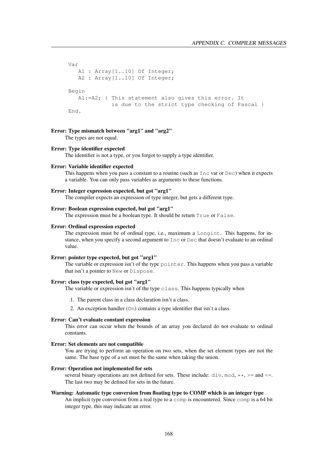```
Var
   A1 : Array<sup>[1..10]</sup> Of Integer;
   A2 : Array[1..10] Of Integer;
Begin
  A1:=A2; { This statement also gives this error. It
              is due to the strict type checking of Pascal }
End.
```
## Error: Type mismatch between "arg1" and "arg2"

The types are not equal.

#### Error: Type identifier expected

The identifier is not a type, or you forgot to supply a type identifier.

#### Error: Variable identifier expected

This happens when you pass a constant to a routine (such as  $Inc$  var or  $Dec$ ) when it expects a variable. You can only pass variables as arguments to these functions.

#### Error: Integer expression expected, but got "arg1"

The compiler expects an expression of type integer, but gets a different type.

#### Error: Boolean expression expected, but got "arg1"

The expression must be a boolean type. It should be return True or False.

#### Error: Ordinal expression expected

The expression must be of ordinal type, i.e., maximum a Longint. This happens, for instance, when you specify a second argument to Inc or Dec that doesn't evaluate to an ordinal value.

#### Error: pointer type expected, but got "arg1"

The variable or expression isn't of the type  $pointer$ . This happens when you pass a variable that isn't a pointer to New or Dispose.

# Error: class type expected, but got "arg1"

The variable or expression isn't of the type class. This happens typically when

- 1. The parent class in a class declaration isn't a class.
- 2. An exception handler (On) contains a type identifier that isn't a class.

#### Error: Can't evaluate constant expression

This error can occur when the bounds of an array you declared do not evaluate to ordinal constants.

# Error: Set elements are not compatible

You are trying to perform an operation on two sets, when the set element types are not the same. The base type of a set must be the same when taking the union.

#### Error: Operation not implemented for sets

several binary operations are not defined for sets. These include:  $div$ ,  $mod$ ,  $\star \star$ ,  $\star$ = and  $\lt$ =. The last two may be defined for sets in the future.

## Warning: Automatic type conversion from floating type to COMP which is an integer type

An implicit type conversion from a real type to a comp is encountered. Since comp is a 64 bit integer type, this may indicate an error.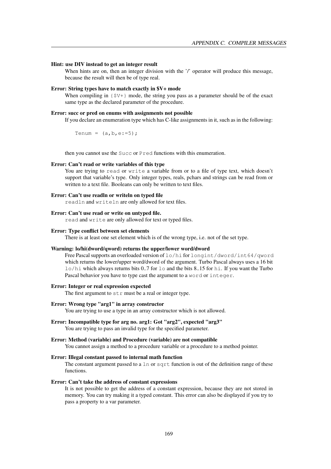## Hint: use DIV instead to get an integer result

When hints are on, then an integer division with the '/' operator will produce this message, because the result will then be of type real.

### Error: String types have to match exactly in \$V+ mode

When compiling in  $\{5V+\}$  mode, the string you pass as a parameter should be of the exact same type as the declared parameter of the procedure.

## Error: succ or pred on enums with assignments not possible

If you declare an enumeration type which has C-like assignments in it, such as in the following:

Tenum =  $(a, b, e := 5)$ ;

then you cannot use the Succ or Pred functions with this enumeration.

#### Error: Can't read or write variables of this type

You are trying to read or write a variable from or to a file of type text, which doesn't support that variable's type. Only integer types, reals, pchars and strings can be read from or written to a text file. Booleans can only be written to text files.

## Error: Can't use readln or writeln on typed file

readln and writeln are only allowed for text files.

## Error: Can't use read or write on untyped file.

read and write are only allowed for text or typed files.

# Error: Type conflict between set elements

There is at least one set element which is of the wrong type, i.e. not of the set type.

#### Warning: lo/hi(dword/qword) returns the upper/lower word/dword

Free Pascal supports an overloaded version of lo/hi for longint/dword/int64/qword which returns the lower/upper word/dword of the argument. Turbo Pascal always uses a 16 bit  $l_0/h$  which always returns bits 0..7 for  $l_0$  and the bits 8..15 for hi. If you want the Turbo Pascal behavior you have to type cast the argument to a word or integer.

## Error: Integer or real expression expected

The first argument to  $str$  must be a real or integer type.

## Error: Wrong type "arg1" in array constructor

You are trying to use a type in an array constructor which is not allowed.

## Error: Incompatible type for arg no. arg1: Got "arg2", expected "arg3" You are trying to pass an invalid type for the specified parameter.

# Error: Method (variable) and Procedure (variable) are not compatible

You cannot assign a method to a procedure variable or a procedure to a method pointer.

# Error: Illegal constant passed to internal math function

The constant argument passed to a  $\ln$  or sqrt function is out of the definition range of these functions.

#### Error: Can't take the address of constant expressions

It is not possible to get the address of a constant expression, because they are not stored in memory. You can try making it a typed constant. This error can also be displayed if you try to pass a property to a var parameter.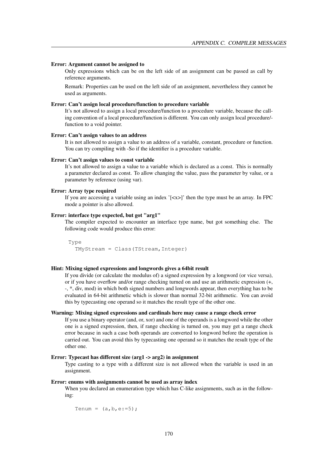#### Error: Argument cannot be assigned to

Only expressions which can be on the left side of an assignment can be passed as call by reference arguments.

Remark: Properties can be used on the left side of an assignment, nevertheless they cannot be used as arguments.

## Error: Can't assign local procedure/function to procedure variable

It's not allowed to assign a local procedure/function to a procedure variable, because the calling convention of a local procedure/function is different. You can only assign local procedure/ function to a void pointer.

#### Error: Can't assign values to an address

It is not allowed to assign a value to an address of a variable, constant, procedure or function. You can try compiling with -So if the identifier is a procedure variable.

## Error: Can't assign values to const variable

It's not allowed to assign a value to a variable which is declared as a const. This is normally a parameter declared as const. To allow changing the value, pass the parameter by value, or a parameter by reference (using var).

#### Error: Array type required

If you are accessing a variable using an index  $\langle \langle x \rangle$  then the type must be an array. In FPC mode a pointer is also allowed.

## Error: interface type expected, but got "arg1"

The compiler expected to encounter an interface type name, but got something else. The following code would produce this error:

```
Type
  TMyStream = Class(TStream,Integer)
```
#### Hint: Mixing signed expressions and longwords gives a 64bit result

If you divide (or calculate the modulus of) a signed expression by a longword (or vice versa), or if you have overflow and/or range checking turned on and use an arithmetic expression (+, -, \*, div, mod) in which both signed numbers and longwords appear, then everything has to be evaluated in 64-bit arithmetic which is slower than normal 32-bit arithmetic. You can avoid this by typecasting one operand so it matches the result type of the other one.

# Warning: Mixing signed expressions and cardinals here may cause a range check error

If you use a binary operator (and, or, xor) and one of the operands is a longword while the other one is a signed expression, then, if range checking is turned on, you may get a range check error because in such a case both operands are converted to longword before the operation is carried out. You can avoid this by typecasting one operand so it matches the result type of the other one.

# Error: Typecast has different size (arg1 -> arg2) in assignment

Type casting to a type with a different size is not allowed when the variable is used in an assignment.

## Error: enums with assignments cannot be used as array index

When you declared an enumeration type which has C-like assignments, such as in the following:

Tenum =  $(a, b, e := 5)$ ;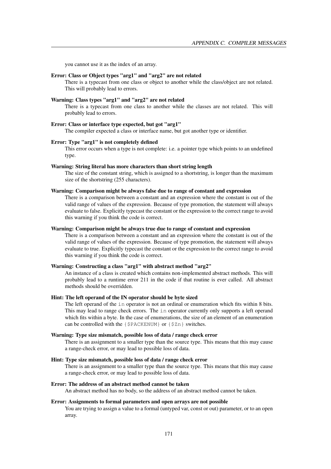you cannot use it as the index of an array.

#### Error: Class or Object types "arg1" and "arg2" are not related

There is a typecast from one class or object to another while the class/object are not related. This will probably lead to errors.

# Warning: Class types "arg1" and "arg2" are not related

There is a typecast from one class to another while the classes are not related. This will probably lead to errors.

#### Error: Class or interface type expected, but got "arg1"

The compiler expected a class or interface name, but got another type or identifier.

#### Error: Type "arg1" is not completely defined

This error occurs when a type is not complete: i.e. a pointer type which points to an undefined type.

## Warning: String literal has more characters than short string length

The size of the constant string, which is assigned to a shortstring, is longer than the maximum size of the shortstring (255 characters).

## Warning: Comparison might be always false due to range of constant and expression

There is a comparison between a constant and an expression where the constant is out of the valid range of values of the expression. Because of type promotion, the statement will always evaluate to false. Explicitly typecast the constant or the expression to the correct range to avoid this warning if you think the code is correct.

## Warning: Comparison might be always true due to range of constant and expression

There is a comparison between a constant and an expression where the constant is out of the valid range of values of the expression. Because of type promotion, the statement will always evaluate to true. Explicitly typecast the constant or the expression to the correct range to avoid this warning if you think the code is correct.

# Warning: Constructing a class "arg1" with abstract method "arg2"

An instance of a class is created which contains non-implemented abstract methods. This will probably lead to a runtime error 211 in the code if that routine is ever called. All abstract methods should be overridden.

# Hint: The left operand of the IN operator should be byte sized

The left operand of the in operator is not an ordinal or enumeration which fits within 8 bits. This may lead to range check errors. The in operator currently only supports a left operand which fits within a byte. In the case of enumerations, the size of an element of an enumeration can be controlled with the {\$PACKENUM} or {\$Zn} switches.

## Warning: Type size mismatch, possible loss of data / range check error

There is an assignment to a smaller type than the source type. This means that this may cause a range-check error, or may lead to possible loss of data.

# Hint: Type size mismatch, possible loss of data / range check error

There is an assignment to a smaller type than the source type. This means that this may cause a range-check error, or may lead to possible loss of data.

#### Error: The address of an abstract method cannot be taken

An abstract method has no body, so the address of an abstract method cannot be taken.

## Error: Assignments to formal parameters and open arrays are not possible

You are trying to assign a value to a formal (untyped var, const or out) parameter, or to an open array.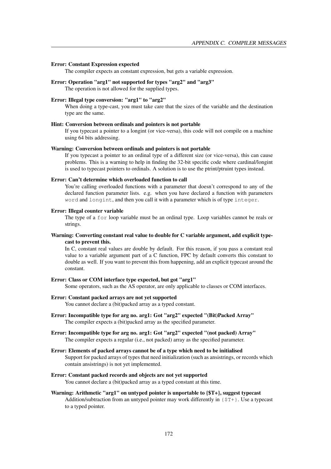#### Error: Constant Expression expected

The compiler expects an constant expression, but gets a variable expression.

Error: Operation "arg1" not supported for types "arg2" and "arg3"

The operation is not allowed for the supplied types.

## Error: Illegal type conversion: "arg1" to "arg2"

When doing a type-cast, you must take care that the sizes of the variable and the destination type are the same.

#### Hint: Conversion between ordinals and pointers is not portable

If you typecast a pointer to a longint (or vice-versa), this code will not compile on a machine using 64 bits addressing.

#### Warning: Conversion between ordinals and pointers is not portable

If you typecast a pointer to an ordinal type of a different size (or vice-versa), this can cause problems. This is a warning to help in finding the 32-bit specific code where cardinal/longint is used to typecast pointers to ordinals. A solution is to use the ptrint/ptruint types instead.

# Error: Can't determine which overloaded function to call

You're calling overloaded functions with a parameter that doesn't correspond to any of the declared function parameter lists. e.g. when you have declared a function with parameters word and longint, and then you call it with a parameter which is of type integer.

#### Error: Illegal counter variable

The type of a for loop variable must be an ordinal type. Loop variables cannot be reals or strings.

# Warning: Converting constant real value to double for C variable argument, add explicit typecast to prevent this.

In C, constant real values are double by default. For this reason, if you pass a constant real value to a variable argument part of a C function, FPC by default converts this constant to double as well. If you want to prevent this from happening, add an explicit typecast around the constant.

#### Error: Class or COM interface type expected, but got "arg1"

Some operators, such as the AS operator, are only applicable to classes or COM interfaces.

## Error: Constant packed arrays are not yet supported

You cannot declare a (bit)packed array as a typed constant.

- Error: Incompatible type for arg no. arg1: Got "arg2" expected "(Bit)Packed Array" The compiler expects a (bit)packed array as the specified parameter.
- Error: Incompatible type for arg no. arg1: Got "arg2" expected "(not packed) Array" The compiler expects a regular (i.e., not packed) array as the specified parameter.

# Error: Elements of packed arrays cannot be of a type which need to be initialised

Support for packed arrays of types that need initialization (such as ansistrings, or records which contain ansistrings) is not yet implemented.

# Error: Constant packed records and objects are not yet supported

You cannot declare a (bit)packed array as a typed constant at this time.

# Warning: Arithmetic "arg1" on untyped pointer is unportable to {\$T+}, suggest typecast Addition/subtraction from an untyped pointer may work differently in  $\{\$T+\}$ . Use a typecast to a typed pointer.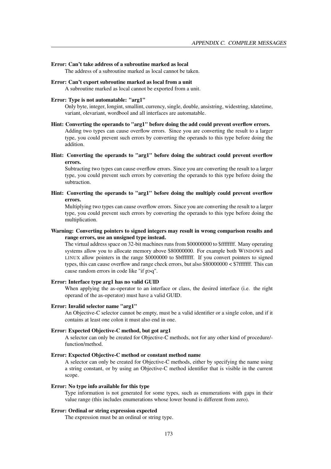Error: Can't take address of a subroutine marked as local

The address of a subroutine marked as local cannot be taken.

Error: Can't export subroutine marked as local from a unit

A subroutine marked as local cannot be exported from a unit.

## Error: Type is not automatable: "arg1"

Only byte, integer, longint, smallint, currency, single, double, ansistring, widestring, tdatetime, variant, olevariant, wordbool and all interfaces are automatable.

Hint: Converting the operands to "arg1" before doing the add could prevent overflow errors. Adding two types can cause overflow errors. Since you are converting the result to a larger type, you could prevent such errors by converting the operands to this type before doing the addition.

Hint: Converting the operands to "arg1" before doing the subtract could prevent overflow errors.

Subtracting two types can cause overflow errors. Since you are converting the result to a larger type, you could prevent such errors by converting the operands to this type before doing the subtraction.

Hint: Converting the operands to "arg1" before doing the multiply could prevent overflow errors.

Multiplying two types can cause overflow errors. Since you are converting the result to a larger type, you could prevent such errors by converting the operands to this type before doing the multiplication.

Warning: Converting pointers to signed integers may result in wrong comparison results and range errors, use an unsigned type instead.

The virtual address space on 32-bit machines runs from \$00000000 to \$ffffffff. Many operating systems allow you to allocate memory above \$80000000. For example both WINDOWS and LINUX allow pointers in the range \$0000000 to \$bfffffff. If you convert pointers to signed types, this can cause overflow and range check errors, but also \$80000000 < \$7fffffff. This can cause random errors in code like "if p>q".

## Error: Interface type arg1 has no valid GUID

When applying the as-operator to an interface or class, the desired interface (i.e. the right operand of the as-operator) must have a valid GUID.

## Error: Invalid selector name "arg1"

An Objective-C selector cannot be empty, must be a valid identifier or a single colon, and if it contains at least one colon it must also end in one.

## Error: Expected Objective-C method, but got arg1

A selector can only be created for Objective-C methods, not for any other kind of procedure/ function/method.

## Error: Expected Objective-C method or constant method name

A selector can only be created for Objective-C methods, either by specifying the name using a string constant, or by using an Objective-C method identifier that is visible in the current scope.

# Error: No type info available for this type

Type information is not generated for some types, such as enumerations with gaps in their value range (this includes enumerations whose lower bound is different from zero).

## Error: Ordinal or string expression expected

The expression must be an ordinal or string type.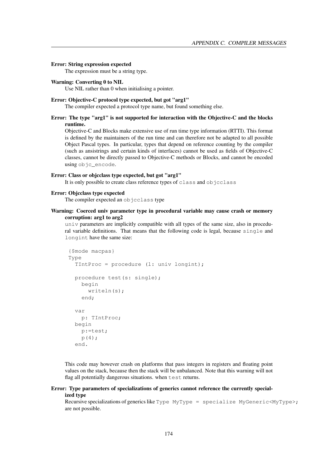## Error: String expression expected

The expression must be a string type.

## Warning: Converting 0 to NIL

Use NIL rather than 0 when initialising a pointer.

# Error: Objective-C protocol type expected, but got "arg1"

The compiler expected a protocol type name, but found something else.

# Error: The type "arg1" is not supported for interaction with the Objective-C and the blocks runtime.

Objective-C and Blocks make extensive use of run time type information (RTTI). This format is defined by the maintainers of the run time and can therefore not be adapted to all possible Object Pascal types. In particular, types that depend on reference counting by the compiler (such as ansistrings and certain kinds of interfaces) cannot be used as fields of Objective-C classes, cannot be directly passed to Objective-C methods or Blocks, and cannot be encoded using objc\_encode.

# Error: Class or objcclass type expected, but got "arg1"

It is only possible to create class reference types of class and objcclass

## Error: Objcclass type expected

The compiler expected an objeclass type

# Warning: Coerced univ parameter type in procedural variable may cause crash or memory corruption: arg1 to arg2

univ parameters are implicitly compatible with all types of the same size, also in procedural variable definitions. That means that the following code is legal, because single and longint have the same size:

```
{$mode macpas}
Type
 TIntProc = procedure (l: univ longint);
 procedure test(s: single);
   begin
      writeln(s);
    end;
  var
   p: TIntProc;
 begin
   p:=test;
   p(4);
  end.
```
This code may however crash on platforms that pass integers in registers and floating point values on the stack, because then the stack will be unbalanced. Note that this warning will not flag all potentially dangerous situations. when test returns.

## Error: Type parameters of specializations of generics cannot reference the currently specialized type

Recursive specializations of generics like  $Type MyType = specialize MyGeneric < MyType$ ; are not possible.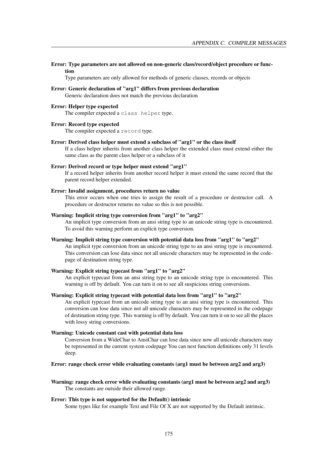# Error: Type parameters are not allowed on non-generic class/record/object procedure or function

Type parameters are only allowed for methods of generic classes, records or objects

Error: Generic declaration of "arg1" differs from previous declaration Generic declaration does not match the previous declaration

# Error: Helper type expected

The compiler expected a class helper type.

## Error: Record type expected

The compiler expected a record type.

#### Error: Derived class helper must extend a subclass of "arg1" or the class itself

If a class helper inherits from another class helper the extended class must extend either the same class as the parent class helper or a subclass of it

#### Error: Derived record or type helper must extend "arg1"

If a record helper inherits from another record helper it must extend the same record that the parent record helper extended.

## Error: Invalid assignment, procedures return no value

This error occurs when one tries to assign the result of a procedure or destructor call. A procedure or destructor returns no value so this is not possible.

## Warning: Implicit string type conversion from "arg1" to "arg2"

An implicit type conversion from an ansi string type to an unicode string type is encountered. To avoid this warning perform an explicit type conversion.

#### Warning: Implicit string type conversion with potential data loss from "arg1" to "arg2"

An implicit type conversion from an unicode string type to an ansi string type is encountered. This conversion can lose data since not all unicode characters may be represented in the codepage of destination string type.

## Warning: Explicit string typecast from "arg1" to "arg2"

An explicit typecast from an ansi string type to an unicode string type is encountered. This warning is off by default. You can turn it on to see all suspicious string conversions.

# Warning: Explicit string typecast with potential data loss from "arg1" to "arg2"

An explicit typecast from an unicode string type to an ansi string type is encountered. This conversion can lose data since not all unicode characters may be represented in the codepage of destination string type. This warning is off by default. You can turn it on to see all the places with lossy string conversions.

## Warning: Unicode constant cast with potential data loss

Conversion from a WideChar to AnsiChar can lose data since now all unicode characters may be represented in the current system codepage You can nest function definitions only 31 levels deep.

Error: range check error while evaluating constants (arg1 must be between arg2 and arg3)

Warning: range check error while evaluating constants (arg1 must be between arg2 and arg3) The constants are outside their allowed range.

## Error: This type is not supported for the Default() intrinsic

Some types like for example Text and File Of X are not supported by the Default intrinsic.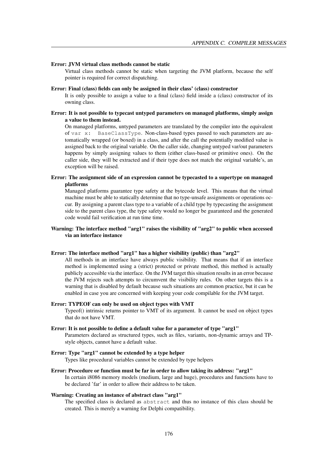#### Error: JVM virtual class methods cannot be static

Virtual class methods cannot be static when targeting the JVM platform, because the self pointer is required for correct dispatching.

## Error: Final (class) fields can only be assigned in their class' (class) constructor

It is only possible to assign a value to a final (class) field inside a (class) constructor of its owning class.

# Error: It is not possible to typecast untyped parameters on managed platforms, simply assign a value to them instead.

On managed platforms, untyped parameters are translated by the compiler into the equivalent of var x: BaseClassType. Non-class-based types passed to such parameters are automatically wrapped (or boxed) in a class, and after the call the potentially modified value is assigned back to the original variable. On the caller side, changing untyped var/out parameters happens by simply assigning values to them (either class-based or primitive ones). On the caller side, they will be extracted and if their type does not match the original variable's, an exception will be raised.

# Error: The assignment side of an expression cannot be typecasted to a supertype on managed platforms

Managed platforms guarantee type safety at the bytecode level. This means that the virtual machine must be able to statically determine that no type-unsafe assignments or operations occur. By assigning a parent class type to a variable of a child type by typecasting the assignment side to the parent class type, the type safety would no longer be guaranteed and the generated code would fail verification at run time time.

# Warning: The interface method "arg1" raises the visibility of "arg2" to public when accessed via an interface instance

#### Error: The interface method "arg1" has a higher visibility (public) than "arg2"

All methods in an interface have always public visibility. That means that if an interface method is implemented using a (strict) protected or private method, this method is actually publicly accessible via the interface. On the JVM target this situation results in an error because the JVM rejects such attempts to circumvent the visibility rules. On other targets this is a warning that is disabled by default because such situations are common practice, but it can be enabled in case you are concerned with keeping your code compilable for the JVM target.

#### Error: TYPEOF can only be used on object types with VMT

Typeof() intrinsic returns pointer to VMT of its argument. It cannot be used on object types that do not have VMT.

## Error: It is not possible to define a default value for a parameter of type "arg1"

Parameters declared as structured types, such as files, variants, non-dynamic arrays and TPstyle objects, cannot have a default value.

## Error: Type "arg1" cannot be extended by a type helper

Types like procedural variables cannot be extended by type helpers

# Error: Procedure or function must be far in order to allow taking its address: "arg1"

In certain i8086 memory models (medium, large and huge), procedures and functions have to be declared 'far' in order to allow their address to be taken.

## Warning: Creating an instance of abstract class "arg1"

The specified class is declared as abstract and thus no instance of this class should be created. This is merely a warning for Delphi compatibility.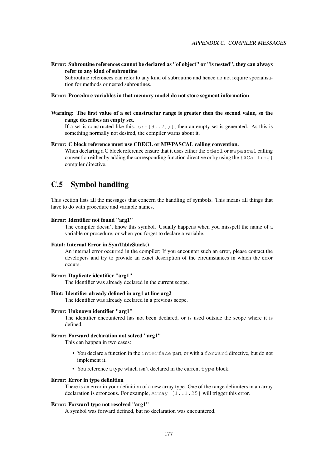# Error: Subroutine references cannot be declared as "of object" or "is nested", they can always refer to any kind of subroutine

Subroutine references can refer to any kind of subroutine and hence do not require specialisation for methods or nested subroutines.

## Error: Procedure variables in that memory model do not store segment information

# Warning: The first value of a set constructur range is greater then the second value, so the range describes an empty set.

If a set is constructed like this:  $s := [9, .7]$ ; l, then an empty set is generated. As this is something normally not desired, the compiler warns about it.

## Error: C block reference must use CDECL or MWPASCAL calling convention.

When declaring a C block reference ensure that it uses either the cdecl or mwpascal calling convention either by adding the corresponding function directive or by using the  $\{\xi \text{Calling}\}\$ compiler directive.

# C.5 Symbol handling

This section lists all the messages that concern the handling of symbols. This means all things that have to do with procedure and variable names.

#### Error: Identifier not found "arg1"

The compiler doesn't know this symbol. Usually happens when you misspell the name of a variable or procedure, or when you forget to declare a variable.

#### Fatal: Internal Error in SymTableStack()

An internal error occurred in the compiler; If you encounter such an error, please contact the developers and try to provide an exact description of the circumstances in which the error occurs.

## Error: Duplicate identifier "arg1"

The identifier was already declared in the current scope.

#### Hint: Identifier already defined in arg1 at line arg2

The identifier was already declared in a previous scope.

## Error: Unknown identifier "arg1"

The identifier encountered has not been declared, or is used outside the scope where it is defined.

#### Error: Forward declaration not solved "arg1"

This can happen in two cases:

- You declare a function in the interface part, or with a forward directive, but do not implement it.
- You reference a type which isn't declared in the current type block.

#### Error: Error in type definition

There is an error in your definition of a new array type. One of the range delimiters in an array declaration is erroneous. For example, Array [1..1.25] will trigger this error.

## Error: Forward type not resolved "arg1"

A symbol was forward defined, but no declaration was encountered.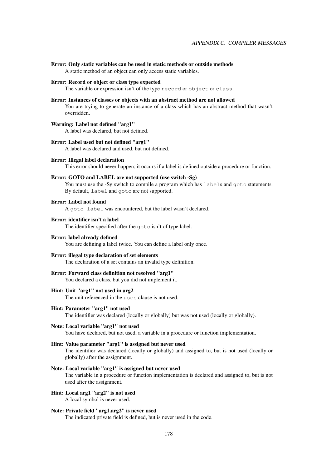|             | Error: Only static variables can be used in static methods or outside methods<br>A static method of an object can only access static variables.                                                     |
|-------------|-----------------------------------------------------------------------------------------------------------------------------------------------------------------------------------------------------|
|             | Error: Record or object or class type expected<br>The variable or expression isn't of the type record or object or class.                                                                           |
| overridden. | Error: Instances of classes or objects with an abstract method are not allowed<br>You are trying to generate an instance of a class which has an abstract method that wasn't                        |
|             | Warning: Label not defined "arg1"<br>A label was declared, but not defined.                                                                                                                         |
|             | Error: Label used but not defined "arg1"<br>A label was declared and used, but not defined.                                                                                                         |
|             | <b>Error: Illegal label declaration</b><br>This error should never happen; it occurs if a label is defined outside a procedure or function.                                                         |
|             | Error: GOTO and LABEL are not supported (use switch -Sg)<br>You must use the -Sg switch to compile a program which has labels and goto statements.<br>By default, label and goto are not supported. |
|             | Error: Label not found<br>A goto label was encountered, but the label wasn't declared.                                                                                                              |
|             | Error: identifier isn't a label<br>The identifier specified after the goto isn't of type label.                                                                                                     |
|             | Error: label already defined<br>You are defining a label twice. You can define a label only once.                                                                                                   |
|             | Error: illegal type declaration of set elements<br>The declaration of a set contains an invalid type definition.                                                                                    |
|             | Error: Forward class definition not resolved "arg1"<br>You declared a class, but you did not implement it.                                                                                          |
|             | Hint: Unit "arg1" not used in arg2<br>The unit referenced in the uses clause is not used.                                                                                                           |
|             | Hint: Parameter "arg1" not used<br>The identifier was declared (locally or globally) but was not used (locally or globally).                                                                        |
|             | Note: Local variable "arg1" not used<br>You have declared, but not used, a variable in a procedure or function implementation.                                                                      |
|             | Hint: Value parameter "arg1" is assigned but never used<br>The identifier was declared (locally or globally) and assigned to, but is not used (locally or<br>globally) after the assignment.        |
|             | Note: Local variable "arg1" is assigned but never used<br>The variable in a procedure or function implementation is declared and assigned to, but is not<br>used after the assignment.              |
|             | Hint: Local arg1 "arg2" is not used<br>A local symbol is never used.                                                                                                                                |
|             |                                                                                                                                                                                                     |

Note: Private field "arg1.arg2" is never used The indicated private field is defined, but is never used in the code.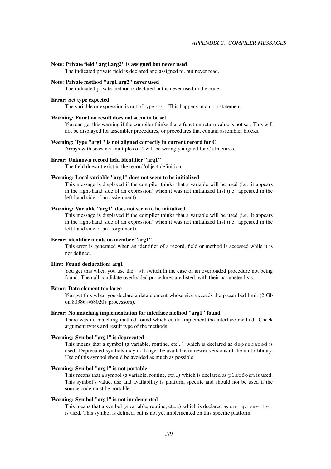# Note: Private field "arg1.arg2" is assigned but never used

The indicated private field is declared and assigned to, but never read.

## Note: Private method "arg1.arg2" never used

The indicated private method is declared but is never used in the code.

#### Error: Set type expected

The variable or expression is not of type set. This happens in an in statement.

#### Warning: Function result does not seem to be set

You can get this warning if the compiler thinks that a function return value is not set. This will not be displayed for assembler procedures, or procedures that contain assembler blocks.

#### Warning: Type "arg1" is not aligned correctly in current record for C

Arrays with sizes not multiples of 4 will be wrongly aligned for C structures.

#### Error: Unknown record field identifier "arg1"

The field doesn't exist in the record/object definition.

## Warning: Local variable "arg1" does not seem to be initialized

This message is displayed if the compiler thinks that a variable will be used (i.e. it appears in the right-hand side of an expression) when it was not initialized first (i.e. appeared in the left-hand side of an assignment).

## Warning: Variable "arg1" does not seem to be initialized

This message is displayed if the compiler thinks that a variable will be used (i.e. it appears in the right-hand side of an expression) when it was not initialized first (i.e. appeared in the left-hand side of an assignment).

#### Error: identifier idents no member "arg1"

This error is generated when an identifier of a record, field or method is accessed while it is not defined.

## Hint: Found declaration: arg1

You get this when you use the  $-\nu h$  switch.In the case of an overloaded procedure not being found. Then all candidate overloaded procedures are listed, with their parameter lists.

#### Error: Data element too large

You get this when you declare a data element whose size exceeds the prescribed limit (2 Gb on 80386+/68020+ processors).

# Error: No matching implementation for interface method "arg1" found

There was no matching method found which could implement the interface method. Check argument types and result type of the methods.

## Warning: Symbol "arg1" is deprecated

This means that a symbol (a variable, routine, etc...) which is declared as deprecated is used. Deprecated symbols may no longer be available in newer versions of the unit / library. Use of this symbol should be avoided as much as possible.

## Warning: Symbol "arg1" is not portable

This means that a symbol (a variable, routine, etc...) which is declared as platform is used. This symbol's value, use and availability is platform specific and should not be used if the source code must be portable.

# Warning: Symbol "arg1" is not implemented

This means that a symbol (a variable, routine, etc...) which is declared as unimplemented is used. This symbol is defined, but is not yet implemented on this specific platform.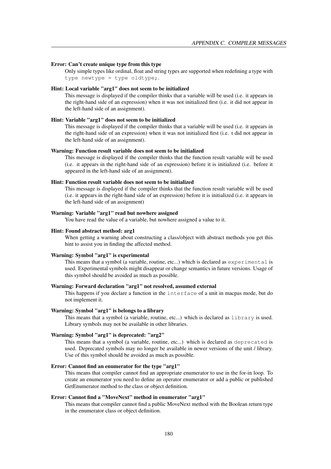#### Error: Can't create unique type from this type

Only simple types like ordinal, float and string types are supported when redefining a type with type newtype = type oldtype;.

#### Hint: Local variable "arg1" does not seem to be initialized

This message is displayed if the compiler thinks that a variable will be used (i.e. it appears in the right-hand side of an expression) when it was not initialized first (i.e. it did not appear in the left-hand side of an assignment).

#### Hint: Variable "arg1" does not seem to be initialized

This message is displayed if the compiler thinks that a variable will be used (i.e. it appears in the right-hand side of an expression) when it was not initialized first (i.e. t did not appear in the left-hand side of an assignment).

#### Warning: Function result variable does not seem to be initialized

This message is displayed if the compiler thinks that the function result variable will be used (i.e. it appears in the right-hand side of an expression) before it is initialized (i.e. before it appeared in the left-hand side of an assignment).

#### Hint: Function result variable does not seem to be initialized

This message is displayed if the compiler thinks that the function result variable will be used (i.e. it appears in the right-hand side of an expression) before it is initialized (i.e. it appears in the left-hand side of an assignment)

#### Warning: Variable "arg1" read but nowhere assigned

You have read the value of a variable, but nowhere assigned a value to it.

#### Hint: Found abstract method: arg1

When getting a warning about constructing a class/object with abstract methods you get this hint to assist you in finding the affected method.

#### Warning: Symbol "arg1" is experimental

This means that a symbol (a variable, routine, etc...) which is declared as experimental is used. Experimental symbols might disappear or change semantics in future versions. Usage of this symbol should be avoided as much as possible.

#### Warning: Forward declaration "arg1" not resolved, assumed external

This happens if you declare a function in the interface of a unit in macpas mode, but do not implement it.

#### Warning: Symbol "arg1" is belongs to a library

This means that a symbol (a variable, routine, etc...) which is declared as library is used. Library symbols may not be available in other libraries.

#### Warning: Symbol "arg1" is deprecated: "arg2"

This means that a symbol (a variable, routine, etc...) which is declared as deprecated is used. Deprecated symbols may no longer be available in newer versions of the unit / library. Use of this symbol should be avoided as much as possible.

#### Error: Cannot find an enumerator for the type "arg1"

This means that compiler cannot find an appropriate enumerator to use in the for-in loop. To create an enumerator you need to define an operator enumerator or add a public or published GetEnumerator method to the class or object definition.

#### Error: Cannot find a "MoveNext" method in enumerator "arg1"

This means that compiler cannot find a public MoveNext method with the Boolean return type in the enumerator class or object definition.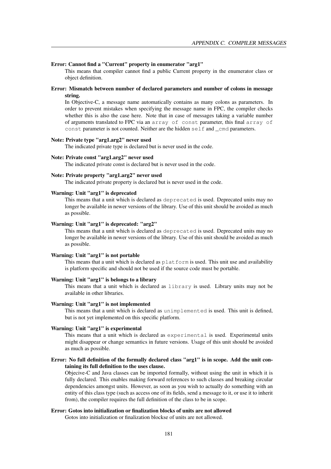#### Error: Cannot find a "Current" property in enumerator "arg1"

This means that compiler cannot find a public Current property in the enumerator class or object definition.

#### Error: Mismatch between number of declared parameters and number of colons in message string.

In Objective-C, a message name automatically contains as many colons as parameters. In order to prevent mistakes when specifying the message name in FPC, the compiler checks whether this is also the case here. Note that in case of messages taking a variable number of arguments translated to FPC via an array of const parameter, this final array of const parameter is not counted. Neither are the hidden self and \_cmd parameters.

#### Note: Private type "arg1.arg2" never used

The indicated private type is declared but is never used in the code.

#### Note: Private const "arg1.arg2" never used

The indicated private const is declared but is never used in the code.

#### Note: Private property "arg1.arg2" never used

The indicated private property is declared but is never used in the code.

#### Warning: Unit "arg1" is deprecated

This means that a unit which is declared as deprecated is used. Deprecated units may no longer be available in newer versions of the library. Use of this unit should be avoided as much as possible.

#### Warning: Unit "arg1" is deprecated: "arg2"

This means that a unit which is declared as deprecated is used. Deprecated units may no longer be available in newer versions of the library. Use of this unit should be avoided as much as possible.

#### Warning: Unit "arg1" is not portable

This means that a unit which is declared as platform is used. This unit use and availability is platform specific and should not be used if the source code must be portable.

#### Warning: Unit "arg1" is belongs to a library

This means that a unit which is declared as library is used. Library units may not be available in other libraries.

#### Warning: Unit "arg1" is not implemented

This means that a unit which is declared as unimplemented is used. This unit is defined, but is not yet implemented on this specific platform.

#### Warning: Unit "arg1" is experimental

This means that a unit which is declared as experimental is used. Experimental units might disappear or change semantics in future versions. Usage of this unit should be avoided as much as possible.

#### Error: No full definition of the formally declared class "arg1" is in scope. Add the unit containing its full definition to the uses clause.

Objecive-C and Java classes can be imported formally, without using the unit in which it is fully declared. This enables making forward references to such classes and breaking circular dependencies amongst units. However, as soon as you wish to actually do something with an entity of this class type (such as access one of its fields, send a message to it, or use it to inherit from), the compiler requires the full definition of the class to be in scope.

#### Error: Gotos into initialization or finalization blocks of units are not allowed

Gotos into initialization or finalization blockse of units are not allowed.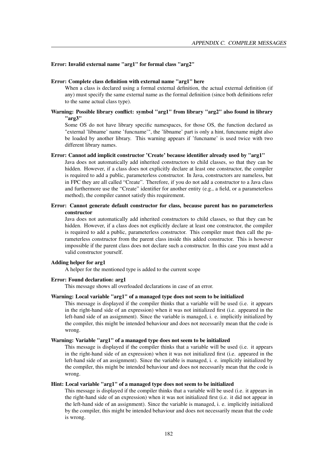#### Error: Invalid external name "arg1" for formal class "arg2"

#### Error: Complete class definition with external name "arg1" here

When a class is declared using a formal external definition, the actual external definition (if any) must specify the same external name as the formal definition (since both definitions refer to the same actual class type).

#### Warning: Possible library conflict: symbol "arg1" from library "arg2" also found in library "arg3"

Some OS do not have library specific namespaces, for those OS, the function declared as "external 'libname' name 'funcname'", the 'libname' part is only a hint, funcname might also be loaded by another library. This warning appears if 'funcname' is used twice with two different library names.

#### Error: Cannot add implicit constructor 'Create' because identifier already used by "arg1"

Java does not automatically add inherited constructors to child classes, so that they can be hidden. However, if a class does not explicitly declare at least one constructor, the compiler is required to add a public, parameterless constructor. In Java, constructors are nameless, but in FPC they are all called "Create". Therefore, if you do not add a constructor to a Java class and furthermore use the "Create" identifier for another entity (e.g., a field, or a parameterless method), the compiler cannot satisfy this requirement.

#### Error: Cannot generate default constructor for class, because parent has no parameterless constructor

Java does not automatically add inherited constructors to child classes, so that they can be hidden. However, if a class does not explicitly declare at least one constructor, the compiler is required to add a public, parameterless constructor. This compiler must then call the parameterless constructor from the parent class inside this added constructor. This is however impossible if the parent class does not declare such a constructor. In this case you must add a valid constructor yourself.

#### Adding helper for arg1

A helper for the mentioned type is added to the current scope

#### Error: Found declaration: arg1

This message shows all overloaded declarations in case of an error.

#### Warning: Local variable "arg1" of a managed type does not seem to be initialized

This message is displayed if the compiler thinks that a variable will be used (i.e. it appears in the right-hand side of an expression) when it was not initialized first (i.e. appeared in the left-hand side of an assignment). Since the variable is managed, i. e. implicitly initialized by the compiler, this might be intended behaviour and does not necessarily mean that the code is wrong.

#### Warning: Variable "arg1" of a managed type does not seem to be initialized

This message is displayed if the compiler thinks that a variable will be used (i.e. it appears in the right-hand side of an expression) when it was not initialized first (i.e. appeared in the left-hand side of an assignment). Since the variable is managed, i. e. implicitly initialized by the compiler, this might be intended behaviour and does not necessarily mean that the code is wrong.

#### Hint: Local variable "arg1" of a managed type does not seem to be initialized

This message is displayed if the compiler thinks that a variable will be used (i.e. it appears in the right-hand side of an expression) when it was not initialized first (i.e. it did not appear in the left-hand side of an assignment). Since the variable is managed, i. e. implicitly initialized by the compiler, this might be intended behaviour and does not necessarily mean that the code is wrong.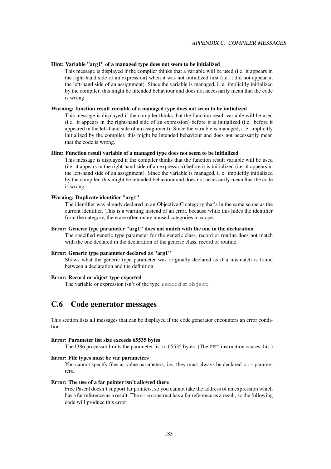#### Hint: Variable "arg1" of a managed type does not seem to be initialized

This message is displayed if the compiler thinks that a variable will be used (i.e. it appears in the right-hand side of an expression) when it was not initialized first (i.e. t did not appear in the left-hand side of an assignment). Since the variable is managed, i. e. implicitly initialized by the compiler, this might be intended behaviour and does not necessarily mean that the code is wrong.

#### Warning: function result variable of a managed type does not seem to be initialized

This message is displayed if the compiler thinks that the function result variable will be used (i.e. it appears in the right-hand side of an expression) before it is initialized (i.e. before it appeared in the left-hand side of an assignment). Since the variable is managed, i. e. implicitly initialized by the compiler, this might be intended behaviour and does not necessarily mean that the code is wrong.

#### Hint: Function result variable of a managed type does not seem to be initialized

This message is displayed if the compiler thinks that the function result variable will be used (i.e. it appears in the right-hand side of an expression) before it is initialized (i.e. it appears in the left-hand side of an assignment). Since the variable is managed, i. e. implicitly initialized by the compiler, this might be intended behaviour and does not necessarily mean that the code is wrong.

#### Warning: Duplicate identifier "arg1"

The identifier was already declared in an Objective-C category that's in the same scope as the current identifier. This is a warning instead of an error, because while this hides the identifier from the category, there are often many unused categories in scope.

#### Error: Generic type parameter "arg1" does not match with the one in the declaration

The specified generic type parameter for the generic class, record or routine does not match with the one declared in the declaration of the generic class, record or routine.

#### Error: Generic type parameter declared as "arg1"

Shows what the generic type parameter was originally declared as if a mismatch is found between a declaration and the definition.

#### Error: Record or object type expected

The variable or expression isn't of the type record or object.

## C.6 Code generator messages

This section lists all messages that can be displayed if the code generator encounters an error condition.

#### Error: Parameter list size exceeds 65535 bytes

The I386 processor limits the parameter list to 65535 bytes. (The RET instruction causes this.)

#### Error: File types must be var parameters

You cannot specify files as value parameters, i.e., they must always be declared var parameters.

#### Error: The use of a far pointer isn't allowed there

Free Pascal doesn't support far pointers, so you cannot take the address of an expression which has a far reference as a result. The mem construct has a far reference as a result, so the following code will produce this error: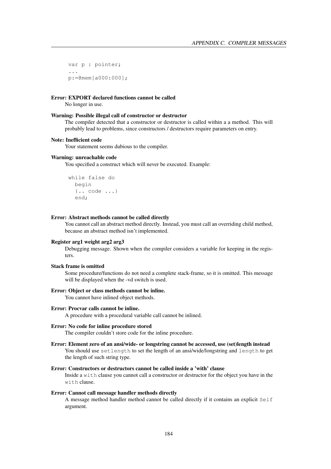var p : pointer; ... p:=@mem[a000:000];

#### Error: EXPORT declared functions cannot be called

No longer in use.

#### Warning: Possible illegal call of constructor or destructor

The compiler detected that a constructor or destructor is called within a a method. This will probably lead to problems, since constructors / destructors require parameters on entry.

#### Note: Inefficient code

Your statement seems dubious to the compiler.

#### Warning: unreachable code

You specified a construct which will never be executed. Example:

```
while false do
  begin
  {.. code ...}
  end;
```
#### Error: Abstract methods cannot be called directly

You cannot call an abstract method directly. Instead, you must call an overriding child method, because an abstract method isn't implemented.

#### Register arg1 weight arg2 arg3

Debugging message. Shown when the compiler considers a variable for keeping in the registers.

#### Stack frame is omitted

Some procedure/functions do not need a complete stack-frame, so it is omitted. This message will be displayed when the -vd switch is used.

#### Error: Object or class methods cannot be inline.

You cannot have inlined object methods.

#### Error: Procvar calls cannot be inline.

A procedure with a procedural variable call cannot be inlined.

#### Error: No code for inline procedure stored

The compiler couldn't store code for the inline procedure.

#### Error: Element zero of an ansi/wide- or longstring cannot be accessed, use (set)length instead

You should use setlength to set the length of an ansi/wide/longstring and length to get the length of such string type.

#### Error: Constructors or destructors cannot be called inside a 'with' clause

Inside a with clause you cannot call a constructor or destructor for the object you have in the with clause.

#### Error: Cannot call message handler methods directly

A message method handler method cannot be called directly if it contains an explicit Self argument.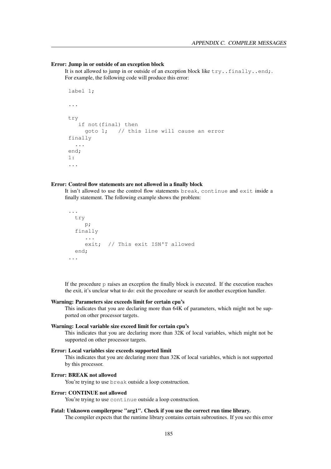#### Error: Jump in or outside of an exception block

It is not allowed to jump in or outside of an exception block like  $\text{try. finally.end;}.$ For example, the following code will produce this error:

```
label 1;
...
try
   if not(final) then
    goto 1; // this line will cause an error
finally
  ...
end;
1:
...
```
#### Error: Control flow statements are not allowed in a finally block

It isn't allowed to use the control flow statements break, continue and exit inside a finally statement. The following example shows the problem:

```
...
 try
    p;
 finally
     ...
     exit; // This exit ISN'T allowed
 end;
...
```
If the procedure  $\beta$  raises an exception the finally block is executed. If the execution reaches the exit, it's unclear what to do: exit the procedure or search for another exception handler.

#### Warning: Parameters size exceeds limit for certain cpu's

This indicates that you are declaring more than 64K of parameters, which might not be supported on other processor targets.

#### Warning: Local variable size exceed limit for certain cpu's

This indicates that you are declaring more than 32K of local variables, which might not be supported on other processor targets.

#### Error: Local variables size exceeds supported limit

This indicates that you are declaring more than 32K of local variables, which is not supported by this processor.

#### Error: BREAK not allowed

You're trying to use break outside a loop construction.

#### Error: CONTINUE not allowed

You're trying to use continue outside a loop construction.

#### Fatal: Unknown compilerproc "arg1". Check if you use the correct run time library.

The compiler expects that the runtime library contains certain subroutines. If you see this error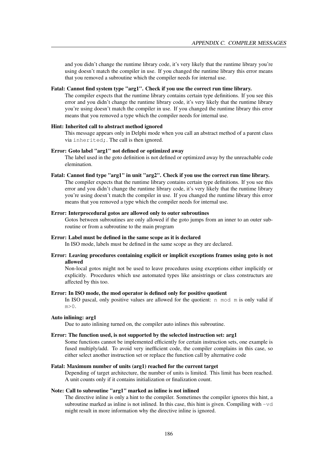and you didn't change the runtime library code, it's very likely that the runtime library you're using doesn't match the compiler in use. If you changed the runtime library this error means that you removed a subroutine which the compiler needs for internal use.

#### Fatal: Cannot find system type "arg1". Check if you use the correct run time library.

The compiler expects that the runtime library contains certain type definitions. If you see this error and you didn't change the runtime library code, it's very likely that the runtime library you're using doesn't match the compiler in use. If you changed the runtime library this error means that you removed a type which the compiler needs for internal use.

#### Hint: Inherited call to abstract method ignored

This message appears only in Delphi mode when you call an abstract method of a parent class via inherited;. The call is then ignored.

#### Error: Goto label "arg1" not defined or optimized away

The label used in the goto definition is not defined or optimized away by the unreachable code elemination.

#### Fatal: Cannot find type "arg1" in unit "arg2". Check if you use the correct run time library.

The compiler expects that the runtime library contains certain type definitions. If you see this error and you didn't change the runtime library code, it's very likely that the runtime library you're using doesn't match the compiler in use. If you changed the runtime library this error means that you removed a type which the compiler needs for internal use.

#### Error: Interprocedural gotos are allowed only to outer subroutines

Gotos between subroutines are only allowed if the goto jumps from an inner to an outer subroutine or from a subroutine to the main program

#### Error: Label must be defined in the same scope as it is declared

In ISO mode, labels must be defined in the same scope as they are declared.

#### Error: Leaving procedures containing explicit or implicit exceptions frames using goto is not allowed

Non-local gotos might not be used to leave procedures using exceptions either implicitly or explicitly. Procedures which use automated types like ansistrings or class constructurs are affected by this too.

#### Error: In ISO mode, the mod operator is defined only for positive quotient

In ISO pascal, only positive values are allowed for the quotient: n mod m is only valid if m>0.

#### Auto inlining: arg1

Due to auto inlining turned on, the compiler auto inlines this subroutine.

#### Error: The function used, is not supported by the selected instruction set: arg1

Some functions cannot be implemented efficiently for certain instruction sets, one example is fused multiply/add. To avoid very inefficient code, the compiler complains in this case, so either select another instruction set or replace the function call by alternative code

#### Fatal: Maximum number of units (arg1) reached for the current target

Depending of target architecture, the number of units is limited. This limit has been reached. A unit counts only if it contains initialization or finalization count.

#### Note: Call to subroutine "arg1" marked as inline is not inlined

The directive inline is only a hint to the compiler. Sometimes the compiler ignores this hint, a subroutine marked as inline is not inlined. In this case, this hint is given. Compiling with  $-\text{vd}$ might result in more information why the directive inline is ignored.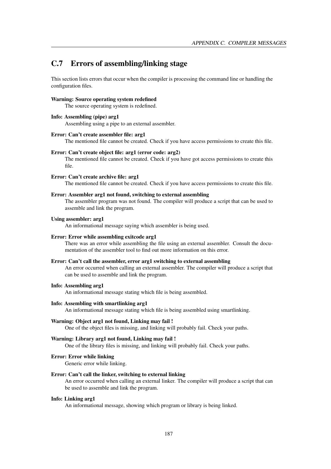# C.7 Errors of assembling/linking stage

This section lists errors that occur when the compiler is processing the command line or handling the configuration files.

#### Warning: Source operating system redefined

The source operating system is redefined.

#### Info: Assembling (pipe) arg1

Assembling using a pipe to an external assembler.

#### Error: Can't create assembler file: arg1

The mentioned file cannot be created. Check if you have access permissions to create this file.

#### Error: Can't create object file: arg1 (error code: arg2)

The mentioned file cannot be created. Check if you have got access permissions to create this file.

#### Error: Can't create archive file: arg1

The mentioned file cannot be created. Check if you have access permissions to create this file.

#### Error: Assembler arg1 not found, switching to external assembling

The assembler program was not found. The compiler will produce a script that can be used to assemble and link the program.

#### Using assembler: arg1

An informational message saying which assembler is being used.

#### Error: Error while assembling exitcode arg1

There was an error while assembling the file using an external assembler. Consult the documentation of the assembler tool to find out more information on this error.

#### Error: Can't call the assembler, error arg1 switching to external assembling

An error occurred when calling an external assembler. The compiler will produce a script that can be used to assemble and link the program.

#### Info: Assembling arg1

An informational message stating which file is being assembled.

#### Info: Assembling with smartlinking arg1

An informational message stating which file is being assembled using smartlinking.

#### Warning: Object arg1 not found, Linking may fail !

One of the object files is missing, and linking will probably fail. Check your paths.

#### Warning: Library arg1 not found, Linking may fail !

One of the library files is missing, and linking will probably fail. Check your paths.

#### Error: Error while linking

Generic error while linking.

#### Error: Can't call the linker, switching to external linking

An error occurred when calling an external linker. The compiler will produce a script that can be used to assemble and link the program.

#### Info: Linking arg1

An informational message, showing which program or library is being linked.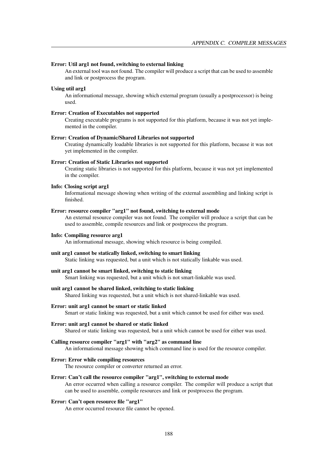#### Error: Util arg1 not found, switching to external linking

An external tool was not found. The compiler will produce a script that can be used to assemble and link or postprocess the program.

#### Using util arg1

An informational message, showing which external program (usually a postprocessor) is being used.

#### Error: Creation of Executables not supported

Creating executable programs is not supported for this platform, because it was not yet implemented in the compiler.

#### Error: Creation of Dynamic/Shared Libraries not supported

Creating dynamically loadable libraries is not supported for this platform, because it was not yet implemented in the compiler.

#### Error: Creation of Static Libraries not supported

Creating static libraries is not supported for this platform, because it was not yet implemented in the compiler.

#### Info: Closing script arg1

Informational message showing when writing of the external assembling and linking script is finished.

#### Error: resource compiler "arg1" not found, switching to external mode

An external resource compiler was not found. The compiler will produce a script that can be used to assemble, compile resources and link or postprocess the program.

#### Info: Compiling resource arg1

An informational message, showing which resource is being compiled.

#### unit arg1 cannot be statically linked, switching to smart linking

Static linking was requested, but a unit which is not statically linkable was used.

#### unit arg1 cannot be smart linked, switching to static linking

Smart linking was requested, but a unit which is not smart-linkable was used.

#### unit arg1 cannot be shared linked, switching to static linking

Shared linking was requested, but a unit which is not shared-linkable was used.

#### Error: unit arg1 cannot be smart or static linked

Smart or static linking was requested, but a unit which cannot be used for either was used.

#### Error: unit arg1 cannot be shared or static linked

Shared or static linking was requested, but a unit which cannot be used for either was used.

#### Calling resource compiler "arg1" with "arg2" as command line

An informational message showing which command line is used for the resource compiler.

#### Error: Error while compiling resources

The resource compiler or converter returned an error.

#### Error: Can't call the resource compiler "arg1", switching to external mode

An error occurred when calling a resource compiler. The compiler will produce a script that can be used to assemble, compile resources and link or postprocess the program.

#### Error: Can't open resource file "arg1"

An error occurred resource file cannot be opened.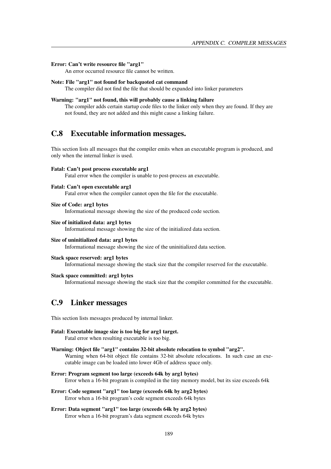#### Error: Can't write resource file "arg1"

An error occurred resource file cannot be written.

#### Note: File "arg1" not found for backquoted cat command

The compiler did not find the file that should be expanded into linker parameters

#### Warning: "arg1" not found, this will probably cause a linking failure

The compiler adds certain startup code files to the linker only when they are found. If they are not found, they are not added and this might cause a linking failure.

## C.8 Executable information messages.

This section lists all messages that the compiler emits when an executable program is produced, and only when the internal linker is used.

#### Fatal: Can't post process executable arg1

Fatal error when the compiler is unable to post-process an executable.

#### Fatal: Can't open executable arg1

Fatal error when the compiler cannot open the file for the executable.

#### Size of Code: arg1 bytes

Informational message showing the size of the produced code section.

#### Size of initialized data: arg1 bytes

Informational message showing the size of the initialized data section.

#### Size of uninitialized data: arg1 bytes

Informational message showing the size of the uninitialized data section.

#### Stack space reserved: arg1 bytes

Informational message showing the stack size that the compiler reserved for the executable.

#### Stack space committed: arg1 bytes

Informational message showing the stack size that the compiler committed for the executable.

## C.9 Linker messages

This section lists messages produced by internal linker.

#### Fatal: Executable image size is too big for arg1 target. Fatal error when resulting executable is too big.

#### Warning: Object file "arg1" contains 32-bit absolute relocation to symbol "arg2".

Warning when 64-bit object file contains 32-bit absolute relocations. In such case an executable image can be loaded into lower 4Gb of address space only.

- Error: Program segment too large (exceeds 64k by arg1 bytes) Error when a 16-bit program is compiled in the tiny memory model, but its size exceeds 64k
- Error: Code segment "arg1" too large (exceeds 64k by arg2 bytes) Error when a 16-bit program's code segment exceeds 64k bytes

#### Error: Data segment "arg1" too large (exceeds 64k by arg2 bytes) Error when a 16-bit program's data segment exceeds 64k bytes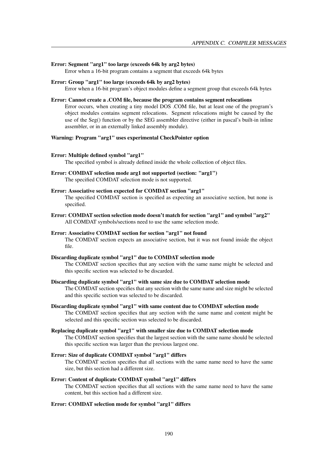#### Error: Segment "arg1" too large (exceeds 64k by arg2 bytes)

Error when a 16-bit program contains a segment that exceeds 64k bytes

#### Error: Group "arg1" too large (exceeds 64k by arg2 bytes)

Error when a 16-bit program's object modules define a segment group that exceeds 64k bytes

#### Error: Cannot create a .COM file, because the program contains segment relocations

Error occurs, when creating a tiny model DOS .COM file, but at least one of the program's object modules contains segment relocations. Segment relocations might be caused by the use of the Seg() function or by the SEG assembler directive (either in pascal's built-in inline assembler, or in an externally linked assembly module).

#### Warning: Program "arg1" uses experimental CheckPointer option

#### Error: Multiple defined symbol "arg1"

The specified symbol is already defined inside the whole collection of object files.

Error: COMDAT selection mode arg1 not supported (section: "arg1") The specified COMDAT selection mode is not supported.

#### Error: Associative section expected for COMDAT section "arg1"

The specified COMDAT section is specified as expecting an associative section, but none is specified.

Error: COMDAT section selection mode doesn't match for section "arg1" and symbol "arg2" All COMDAT symbols/sections need to use the same selection mode.

#### Error: Associative COMDAT section for section "arg1" not found

The COMDAT section expects an associative section, but it was not found inside the object file.

#### Discarding duplicate symbol "arg1" due to COMDAT selection mode

The COMDAT section specifies that any section with the same name might be selected and this specific section was selected to be discarded.

#### Discarding duplicate symbol "arg1" with same size due to COMDAT selection mode

The COMDAT section specifies that any section with the same name and size might be selected and this specific section was selected to be discarded.

#### Discarding duplicate symbol "arg1" with same content due to COMDAT selection mode

The COMDAT section specifies that any section with the same name and content might be selected and this specific section was selected to be discarded.

#### Replacing duplicate symbol "arg1" with smaller size due to COMDAT selection mode

The COMDAT section specifies that the largest section with the same name should be selected this specific section was larger than the previous largest one.

#### Error: Size of duplicate COMDAT symbol "arg1" differs

The COMDAT section specifies that all sections with the same name need to have the same size, but this section had a different size.

#### Error: Content of duplicate COMDAT symbol "arg1" differs

The COMDAT section specifies that all sections with the same name need to have the same content, but this section had a different size.

#### Error: COMDAT selection mode for symbol "arg1" differs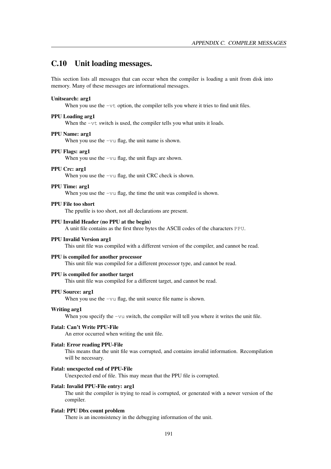## C.10 Unit loading messages.

This section lists all messages that can occur when the compiler is loading a unit from disk into memory. Many of these messages are informational messages.

#### Unitsearch: arg1

When you use the  $-vt$  option, the compiler tells you where it tries to find unit files.

#### PPU Loading arg1

When the  $-vt$  switch is used, the compiler tells you what units it loads.

#### PPU Name: arg1

When you use the  $-\nu u$  flag, the unit name is shown.

#### PPU Flags: arg1

When you use the  $-\nu u$  flag, the unit flags are shown.

#### PPU Crc: arg1

When you use the  $-\nu u$  flag, the unit CRC check is shown.

#### PPU Time: arg1

When you use the  $-\nu u$  flag, the time the unit was compiled is shown.

#### PPU File too short

The ppufile is too short, not all declarations are present.

#### PPU Invalid Header (no PPU at the begin)

A unit file contains as the first three bytes the ASCII codes of the characters PPU.

#### PPU Invalid Version arg1

This unit file was compiled with a different version of the compiler, and cannot be read.

#### PPU is compiled for another processor

This unit file was compiled for a different processor type, and cannot be read.

#### PPU is compiled for another target

This unit file was compiled for a different target, and cannot be read.

#### PPU Source: arg1

When you use the  $-\nu u$  flag, the unit source file name is shown.

#### Writing arg1

When you specify the -vu switch, the compiler will tell you where it writes the unit file.

#### Fatal: Can't Write PPU-File

An error occurred when writing the unit file.

#### Fatal: Error reading PPU-File

This means that the unit file was corrupted, and contains invalid information. Recompilation will be necessary.

#### Fatal: unexpected end of PPU-File

Unexpected end of file. This may mean that the PPU file is corrupted.

#### Fatal: Invalid PPU-File entry: arg1

The unit the compiler is trying to read is corrupted, or generated with a newer version of the compiler.

#### Fatal: PPU Dbx count problem

There is an inconsistency in the debugging information of the unit.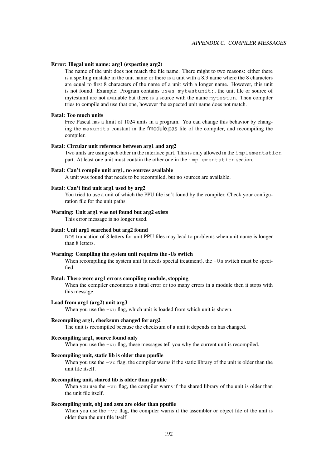#### Error: Illegal unit name: arg1 (expecting arg2)

The name of the unit does not match the file name. There might to two reasons: either there is a spelling mistake in the unit name or there is a unit with a 8.3 name where the 8 characters are equal to first 8 characters of the name of a unit with a longer name. However, this unit is not found. Example: Program contains uses mytestunit;, the unit file or source of mytestunit are not available but there is a source with the name mytestun. Then compiler tries to compile and use that one, however the expected unit name does not match.

#### Fatal: Too much units

Free Pascal has a limit of 1024 units in a program. You can change this behavior by changing the maxunits constant in the fmodule.pas file of the compiler, and recompiling the compiler.

#### Fatal: Circular unit reference between arg1 and arg2

Two units are using each other in the interface part. This is only allowed in the implementation part. At least one unit must contain the other one in the implementation section.

#### Fatal: Can't compile unit arg1, no sources available

A unit was found that needs to be recompiled, but no sources are available.

#### Fatal: Can't find unit arg1 used by arg2

You tried to use a unit of which the PPU file isn't found by the compiler. Check your configuration file for the unit paths.

#### Warning: Unit arg1 was not found but arg2 exists

This error message is no longer used.

#### Fatal: Unit arg1 searched but arg2 found

DOS truncation of 8 letters for unit PPU files may lead to problems when unit name is longer than 8 letters.

#### Warning: Compiling the system unit requires the -Us switch

When recompiling the system unit (it needs special treatment), the -Us switch must be specified.

#### Fatal: There were arg1 errors compiling module, stopping

When the compiler encounters a fatal error or too many errors in a module then it stops with this message.

#### Load from arg1 (arg2) unit arg3

When you use the  $-\nu u$  flag, which unit is loaded from which unit is shown.

#### Recompiling arg1, checksum changed for arg2

The unit is recompiled because the checksum of a unit it depends on has changed.

#### Recompiling arg1, source found only

When you use the  $-\nu u$  flag, these messages tell you why the current unit is recompiled.

#### Recompiling unit, static lib is older than ppufile

When you use the  $-\nu u$  flag, the compiler warns if the static library of the unit is older than the unit file itself.

#### Recompiling unit, shared lib is older than ppufile

When you use the -vu flag, the compiler warns if the shared library of the unit is older than the unit file itself.

#### Recompiling unit, obj and asm are older than ppufile

When you use the  $-vu$  flag, the compiler warns if the assembler or object file of the unit is older than the unit file itself.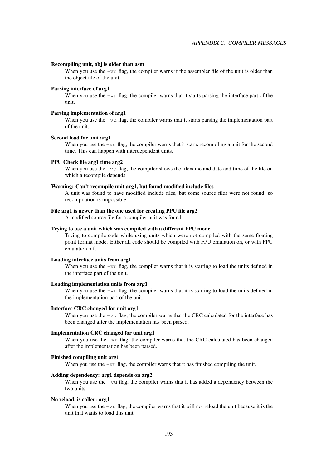#### Recompiling unit, obj is older than asm

When you use the  $-\nu u$  flag, the compiler warns if the assembler file of the unit is older than the object file of the unit.

#### Parsing interface of arg1

When you use the  $-vu$  flag, the compiler warns that it starts parsing the interface part of the unit.

#### Parsing implementation of arg1

When you use the -vu flag, the compiler warns that it starts parsing the implementation part of the unit.

#### Second load for unit arg1

When you use the  $-\nu u$  flag, the compiler warns that it starts recompiling a unit for the second time. This can happen with interdependent units.

#### PPU Check file arg1 time arg2

When you use the  $-\nu u$  flag, the compiler shows the filename and date and time of the file on which a recompile depends.

#### Warning: Can't recompile unit arg1, but found modified include files

A unit was found to have modified include files, but some source files were not found, so recompilation is impossible.

#### File arg1 is newer than the one used for creating PPU file arg2

A modified source file for a compiler unit was found.

#### Trying to use a unit which was compiled with a different FPU mode

Trying to compile code while using units which were not compiled with the same floating point format mode. Either all code should be compiled with FPU emulation on, or with FPU emulation off.

#### Loading interface units from arg1

When you use the -vu flag, the compiler warns that it is starting to load the units defined in the interface part of the unit.

#### Loading implementation units from arg1

When you use the  $-vu$  flag, the compiler warns that it is starting to load the units defined in the implementation part of the unit.

#### Interface CRC changed for unit arg1

When you use the  $-vu$  flag, the compiler warns that the CRC calculated for the interface has been changed after the implementation has been parsed.

#### Implementation CRC changed for unit arg1

When you use the -vu flag, the compiler warns that the CRC calculated has been changed after the implementation has been parsed.

#### Finished compiling unit arg1

When you use the  $-\nu u$  flag, the compiler warns that it has finished compiling the unit.

#### Adding dependency: arg1 depends on arg2

When you use the -vu flag, the compiler warns that it has added a dependency between the two units.

#### No reload, is caller: arg1

When you use the  $-vu$  flag, the compiler warns that it will not reload the unit because it is the unit that wants to load this unit.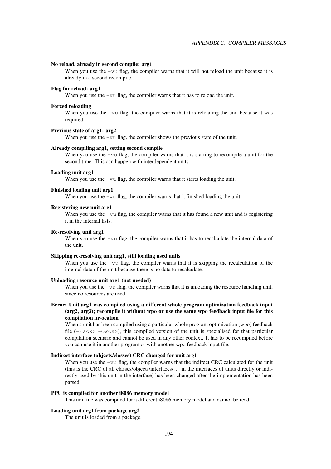#### No reload, already in second compile: arg1

When you use the  $-vu$  flag, the compiler warns that it will not reload the unit because it is already in a second recompile.

#### Flag for reload: arg1

When you use the  $-\nu u$  flag, the compiler warns that it has to reload the unit.

#### Forced reloading

When you use the  $-vu$  flag, the compiler warns that it is reloading the unit because it was required.

#### Previous state of arg1: arg2

When you use the  $-\nu u$  flag, the compiler shows the previous state of the unit.

#### Already compiling arg1, setting second compile

When you use the  $-vu$  flag, the compiler warns that it is starting to recompile a unit for the second time. This can happen with interdependent units.

#### Loading unit arg1

When you use the  $-\nu u$  flag, the compiler warns that it starts loading the unit.

#### Finished loading unit arg1

When you use the  $-\nu u$  flag, the compiler warns that it finished loading the unit.

#### Registering new unit arg1

When you use the  $-vu$  flag, the compiler warns that it has found a new unit and is registering it in the internal lists.

#### Re-resolving unit arg1

When you use the  $-vu$  flag, the compiler warns that it has to recalculate the internal data of the unit.

#### Skipping re-resolving unit arg1, still loading used units

When you use the  $-vu$  flag, the compiler warns that it is skipping the recalculation of the internal data of the unit because there is no data to recalculate.

#### Unloading resource unit arg1 (not needed)

When you use the  $-vu$  flag, the compiler warns that it is unloading the resource handling unit, since no resources are used.

#### Error: Unit arg1 was compiled using a different whole program optimization feedback input (arg2, arg3); recompile it without wpo or use the same wpo feedback input file for this compilation invocation

When a unit has been compiled using a particular whole program optimization (wpo) feedback file ( $-FW < x$ ), this compiled version of the unit is specialised for that particular compilation scenario and cannot be used in any other context. It has to be recompiled before you can use it in another program or with another wpo feedback input file.

#### Indirect interface (objects/classes) CRC changed for unit arg1

When you use the  $-vu$  flag, the compiler warns that the indirect CRC calculated for the unit (this is the CRC of all classes/objects/interfaces/. . . in the interfaces of units directly or indirectly used by this unit in the interface) has been changed after the implementation has been parsed.

#### PPU is compiled for another i8086 memory model

This unit file was compiled for a different i8086 memory model and cannot be read.

#### Loading unit arg1 from package arg2

The unit is loaded from a package.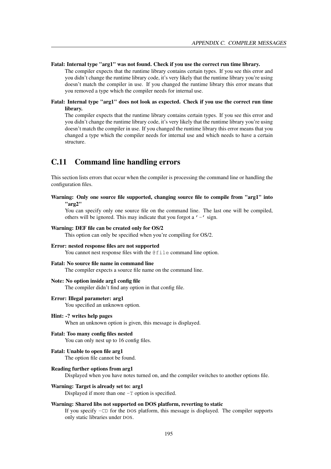Fatal: Internal type "arg1" was not found. Check if you use the correct run time library. The compiler expects that the runtime library contains certain types. If you see this error and you didn't change the runtime library code, it's very likely that the runtime library you're using doesn't match the compiler in use. If you changed the runtime library this error means that you removed a type which the compiler needs for internal use.

#### Fatal: Internal type "arg1" does not look as expected. Check if you use the correct run time library.

The compiler expects that the runtime library contains certain types. If you see this error and you didn't change the runtime library code, it's very likely that the runtime library you're using doesn't match the compiler in use. If you changed the runtime library this error means that you changed a type which the compiler needs for internal use and which needs to have a certain structure.

# C.11 Command line handling errors

This section lists errors that occur when the compiler is processing the command line or handling the configuration files.

Warning: Only one source file supported, changing source file to compile from "arg1" into "arg2"

You can specify only one source file on the command line. The last one will be compiled, others will be ignored. This may indicate that you forgot a  $' -'$  sign.

#### Warning: DEF file can be created only for OS/2

This option can only be specified when you're compiling for OS/2.

#### Error: nested response files are not supported

You cannot nest response files with the @file command line option.

#### Fatal: No source file name in command line

The compiler expects a source file name on the command line.

Note: No option inside arg1 config file

The compiler didn't find any option in that config file.

#### Error: Illegal parameter: arg1

You specified an unknown option.

Hint: -? writes help pages

When an unknown option is given, this message is displayed.

Fatal: Too many config files nested You can only nest up to 16 config files.

#### Fatal: Unable to open file arg1

The option file cannot be found.

#### Reading further options from arg1

Displayed when you have notes turned on, and the compiler switches to another options file.

#### Warning: Target is already set to: arg1

Displayed if more than one  $-T$  option is specified.

#### Warning: Shared libs not supported on DOS platform, reverting to static

If you specify -CD for the DOS platform, this message is displayed. The compiler supports only static libraries under DOS.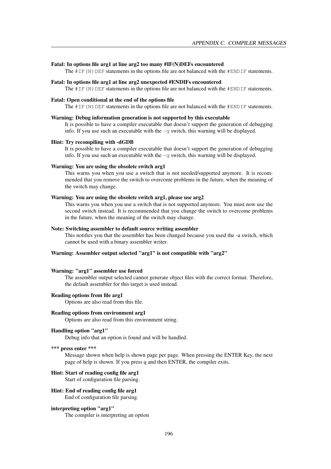#### Fatal: In options file arg1 at line arg2 too many #IF(N)DEFs encountered

The  $\#IF(N)$  DEF statements in the options file are not balanced with the  $\#ENDIF$  statements.

#### Fatal: In options file arg1 at line arg2 unexpected #ENDIFs encountered

The  $\#IF(N)$  DEF statements in the options file are not balanced with the  $\#ENDIF$  statements.

#### Fatal: Open conditional at the end of the options file

The  $#IF(N)$  DEF statements in the options file are not balanced with the  $#ENDIF$  statements.

#### Warning: Debug information generation is not supported by this executable

It is possible to have a compiler executable that doesn't support the generation of debugging info. If you use such an executable with the  $-q$  switch, this warning will be displayed.

#### Hint: Try recompiling with -dGDB

It is possible to have a compiler executable that doesn't support the generation of debugging info. If you use such an executable with the -g switch, this warning will be displayed.

#### Warning: You are using the obsolete switch arg1

This warns you when you use a switch that is not needed/supported anymore. It is recommended that you remove the switch to overcome problems in the future, when the meaning of the switch may change.

#### Warning: You are using the obsolete switch arg1, please use arg2

This warns you when you use a switch that is not supported anymore. You must now use the second switch instead. It is recommended that you change the switch to overcome problems in the future, when the meaning of the switch may change.

#### Note: Switching assembler to default source writing assembler

This notifies you that the assembler has been changed because you used the -a switch, which cannot be used with a binary assembler writer.

#### Warning: Assembler output selected "arg1" is not compatible with "arg2"

#### Warning: "arg1" assembler use forced

The assembler output selected cannot generate object files with the correct format. Therefore, the default assembler for this target is used instead.

#### Reading options from file arg1

Options are also read from this file.

#### Reading options from environment arg1

Options are also read from this environment string.

#### Handling option "arg1"

Debug info that an option is found and will be handled.

#### \*\*\* press enter \*\*\*

Message shown when help is shown page per page. When pressing the ENTER Key, the next page of help is shown. If you press q and then ENTER, the compiler exits.

#### Hint: Start of reading config file arg1

Start of configuration file parsing.

#### Hint: End of reading config file arg1 End of configuration file parsing.

#### interpreting option "arg1"

The compiler is interpreting an option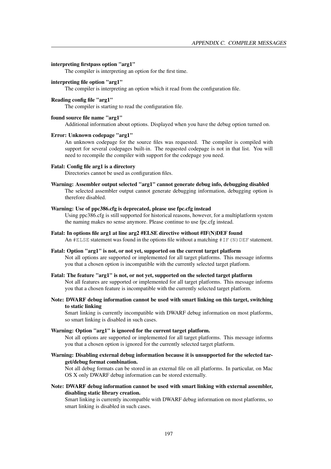#### interpreting firstpass option "arg1"

The compiler is interpreting an option for the first time.

#### interpreting file option "arg1"

The compiler is interpreting an option which it read from the configuration file.

#### Reading config file "arg1"

The compiler is starting to read the configuration file.

#### found source file name "arg1"

Additional information about options. Displayed when you have the debug option turned on.

#### Error: Unknown codepage "arg1"

An unknown codepage for the source files was requested. The compiler is compiled with support for several codepages built-in. The requested codepage is not in that list. You will need to recompile the compiler with support for the codepage you need.

#### Fatal: Config file arg1 is a directory

Directories cannot be used as configuration files.

#### Warning: Assembler output selected "arg1" cannot generate debug info, debugging disabled

The selected assembler output cannot generate debugging information, debugging option is therefore disabled.

#### Warning: Use of ppc386.cfg is deprecated, please use fpc.cfg instead

Using ppc386.cfg is still supported for historical reasons, however, for a multiplatform system the naming makes no sense anymore. Please continue to use fpc.cfg instead.

#### Fatal: In options file arg1 at line arg2 #ELSE directive without #IF(N)DEF found

An  $#E \triangle E$  statement was found in the options file without a matching  $#IF(N)$  DEF statement.

#### Fatal: Option "arg1" is not, or not yet, supported on the current target platform

Not all options are supported or implemented for all target platforms. This message informs you that a chosen option is incompatible with the currently selected target platform.

#### Fatal: The feature "arg1" is not, or not yet, supported on the selected target platform

Not all features are supported or implemented for all target platforms. This message informs you that a chosen feature is incompatible with the currently selected target platform.

#### Note: DWARF debug information cannot be used with smart linking on this target, switching to static linking

Smart linking is currently incompatible with DWARF debug information on most platforms, so smart linking is disabled in such cases.

#### Warning: Option "arg1" is ignored for the current target platform.

Not all options are supported or implemented for all target platforms. This message informs you that a chosen option is ignored for the currently selected target platform.

Warning: Disabling external debug information because it is unsupported for the selected target/debug format combination.

Not all debug formats can be stored in an external file on all platforms. In particular, on Mac OS X only DWARF debug information can be stored externally.

#### Note: DWARF debug information cannot be used with smart linking with external assembler, disabling static library creation.

Smart linking is currently incompatble with DWARF debug information on most platforms, so smart linking is disabled in such cases.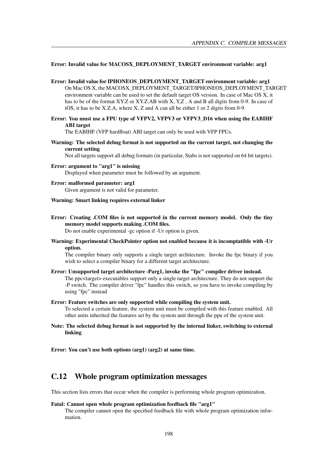#### Error: Invalid value for MACOSX\_DEPLOYMENT\_TARGET environment variable: arg1

- Error: Invalid value for IPHONEOS\_DEPLOYMENT\_TARGET environment variable: arg1 On Mac OS X, the MACOSX\_DEPLOYMENT\_TARGET/IPHONEOS\_DEPLOYMENT\_TARGET environment variable can be used to set the default target OS version. In case of Mac OS X, it has to be of the format XY.Z or XY.Z.AB with X, Y.Z., A and B all digits from 0-9. In case of iOS, it has to be X.Z.A, where X, Z and A can all be either 1 or 2 digits from 0-9.
- Error: You must use a FPU type of VFPV2, VFPV3 or VFPV3\_D16 when using the EABIHF ABI target

The EABIHF (VFP hardfloat) ABI target can only be used with VFP FPUs.

Warning: The selected debug format is not supported on the current target, not changing the current setting

Not all targets support all debug formats (in particular, Stabs is not supported on 64 bit targets).

- Error: argument to "arg1" is missing Displayed when parameter must be followed by an argument.
- Error: malformed parameter: arg1 Given argument is not valid for parameter.

#### Warning: Smart linking requires external linker

Error: Creating .COM files is not supported in the current memory model. Only the tiny memory model supports making .COM files.

Do not enable experimental -gc option if -Ur option is given.

Warning: Experimental CheckPointer option not enabled because it is incomptatible with -Ur option.

The compiler binary only supports a single target architecture. Invoke the fpc binary if you wish to select a compiler binary for a different target architecture.

#### Error: Unsupported target architecture -Parg1, invoke the "fpc" compiler driver instead.

The ppc<target> executables support only a single target architecture. They do not support the -P switch. The compiler driver "fpc" handles this switch, so you have to invoke compiling by using "fpc" instead

#### Error: Feature switches are only supported while compiling the system unit.

To selected a certain feature, the system unit must be compiled with this feature enabled. All other units inherited the features set by the system unit through the ppu of the system unit.

Note: The selected debug format is not supported by the internal linker, switching to external linking

Error: You can't use both options (arg1) (arg2) at same time.

## C.12 Whole program optimization messages

This section lists errors that occur when the compiler is performing whole program optimization.

#### Fatal: Cannot open whole program optimization feedback file "arg1"

The compiler cannot open the specified feedback file with whole program optimization information.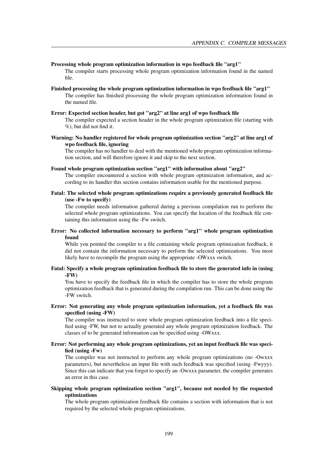- Processing whole program optimization information in wpo feedback file "arg1" The compiler starts processing whole program optimization information found in the named file.
- Finished processing the whole program optimization information in wpo feedback file "arg1" The compiler has finished processing the whole program optimization information found in the named file.
- Error: Expected section header, but got "arg2" at line arg1 of wpo feedback file The compiler expected a section header in the whole program optimization file (starting with %), but did not find it.
- Warning: No handler registered for whole program optimization section "arg2" at line arg1 of wpo feedback file, ignoring

The compiler has no handler to deal with the mentioned whole program optimization information section, and will therefore ignore it and skip to the next section.

Found whole program optimization section "arg1" with information about "arg2"

The compiler encountered a section with whole program optimization information, and according to its handler this section contains information usable for the mentioned purpose.

Fatal: The selected whole program optimizations require a previously generated feedback file (use -Fw to specify)

The compiler needs information gathered during a previous compilation run to perform the selected whole program optimizations. You can specify the location of the feedback file containing this information using the -Fw switch.

Error: No collected information necessary to perform "arg1" whole program optimization found

While you pointed the compiler to a file containing whole program optimization feedback, it did not contain the information necessary to perform the selected optimizations. You most likely have to recompile the program using the appropriate -OWxxx switch.

#### Fatal: Specify a whole program optimization feedback file to store the generated info in (using -FW)

You have to specify the feedback file in which the compiler has to store the whole program optimization feedback that is generated during the compilation run. This can be done using the -FW switch.

Error: Not generating any whole program optimization information, yet a feedback file was specified (using -FW)

The compiler was instructed to store whole program optimization feedback into a file specified using -FW, but not to actually generated any whole program optimization feedback. The classes of to be generated information can be specified using -OWxxx.

#### Error: Not performing any whole program optimizations, yet an input feedback file was specified (using -Fw)

The compiler was not instructed to perform any whole program optimizations (no -Owxxx parameters), but nevertheless an input file with such feedback was specified (using -Fwyyy). Since this can indicate that you forgot to specify an -Owxxx parameter, the compiler generates an error in this case.

#### Skipping whole program optimization section "arg1", because not needed by the requested optimizations

The whole program optimization feedback file contains a section with information that is not required by the selected whole program optimizations.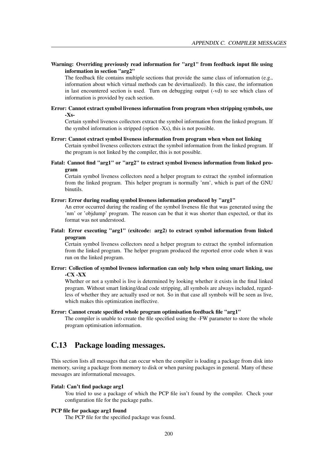#### Warning: Overriding previously read information for "arg1" from feedback input file using information in section "arg2"

The feedback file contains multiple sections that provide the same class of information (e.g., information about which virtual methods can be devirtualized). In this case, the information in last encountered section is used. Turn on debugging output (-vd) to see which class of information is provided by each section.

#### Error: Cannot extract symbol liveness information from program when stripping symbols, use -Xs-

Certain symbol liveness collectors extract the symbol information from the linked program. If the symbol information is stripped (option -Xs), this is not possible.

#### Error: Cannot extract symbol liveness information from program when when not linking

Certain symbol liveness collectors extract the symbol information from the linked program. If the program is not linked by the compiler, this is not possible.

#### Fatal: Cannot find "arg1" or "arg2" to extract symbol liveness information from linked program

Certain symbol liveness collectors need a helper program to extract the symbol information from the linked program. This helper program is normally 'nm', which is part of the GNU binutils.

#### Error: Error during reading symbol liveness information produced by "arg1"

An error occurred during the reading of the symbol liveness file that was generated using the 'nm' or 'objdump' program. The reason can be that it was shorter than expected, or that its format was not understood.

#### Fatal: Error executing "arg1" (exitcode: arg2) to extract symbol information from linked program

Certain symbol liveness collectors need a helper program to extract the symbol information from the linked program. The helper program produced the reported error code when it was run on the linked program.

#### Error: Collection of symbol liveness information can only help when using smart linking, use -CX -XX

Whether or not a symbol is live is determined by looking whether it exists in the final linked program. Without smart linking/dead code stripping, all symbols are always included, regardless of whether they are actually used or not. So in that case all symbols will be seen as live, which makes this optimization ineffective.

#### Error: Cannot create specified whole program optimisation feedback file "arg1"

The compiler is unable to create the file specified using the -FW parameter to store the whole program optimisation information.

## C.13 Package loading messages.

This section lists all messages that can occur when the compiler is loading a package from disk into memory, saving a package from memory to disk or when parsing packages in general. Many of these messages are informational messages.

#### Fatal: Can't find package arg1

You tried to use a package of which the PCP file isn't found by the compiler. Check your configuration file for the package paths.

#### PCP file for package arg1 found

The PCP file for the specified package was found.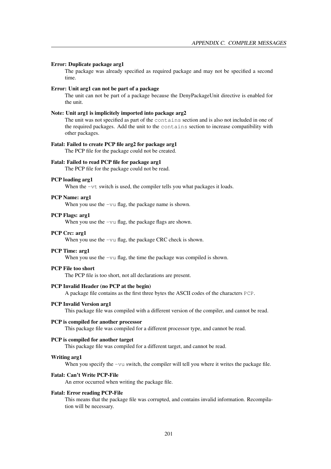#### Error: Duplicate package arg1

The package was already specified as required package and may not be specified a second time.

#### Error: Unit arg1 can not be part of a package

The unit can not be part of a package because the DenyPackageUnit directive is enabled for the unit.

#### Note: Unit arg1 is implicitely imported into package arg2

The unit was not specified as part of the contains section and is also not included in one of the required packages. Add the unit to the contains section to increase compatibility with other packages.

#### Fatal: Failed to create PCP file arg2 for package arg1

The PCP file for the package could not be created.

#### Fatal: Failed to read PCP file for package arg1

The PCP file for the package could not be read.

#### PCP loading arg1

When the  $-vt$  switch is used, the compiler tells you what packages it loads.

#### PCP Name: arg1

When you use the  $-\nu u$  flag, the package name is shown.

#### PCP Flags: arg1

When you use the  $-\nu u$  flag, the package flags are shown.

#### PCP Crc: arg1

When you use the  $-\nu u$  flag, the package CRC check is shown.

#### PCP Time: arg1

When you use the  $-\nu u$  flag, the time the package was compiled is shown.

#### PCP File too short

The PCP file is too short, not all declarations are present.

#### PCP Invalid Header (no PCP at the begin)

A package file contains as the first three bytes the ASCII codes of the characters PCP.

#### PCP Invalid Version arg1

This package file was compiled with a different version of the compiler, and cannot be read.

#### PCP is compiled for another processor

This package file was compiled for a different processor type, and cannot be read.

#### PCP is compiled for another target

This package file was compiled for a different target, and cannot be read.

#### Writing arg1

When you specify the -vu switch, the compiler will tell you where it writes the package file.

#### Fatal: Can't Write PCP-File

An error occurred when writing the package file.

#### Fatal: Error reading PCP-File

This means that the package file was corrupted, and contains invalid information. Recompilation will be necessary.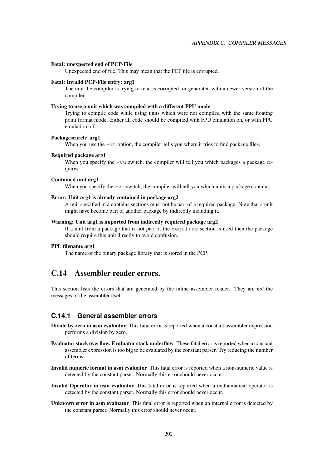#### Fatal: unexpected end of PCP-File

Unexpected end of file. This may mean that the PCP file is corrupted.

#### Fatal: Invalid PCP-File entry: arg1

The unit the compiler is trying to read is corrupted, or generated with a newer version of the compiler.

#### Trying to use a unit which was compiled with a different FPU mode

Trying to compile code while using units which were not compiled with the same floating point format mode. Either all code should be compiled with FPU emulation on, or with FPU emulation off.

#### Packagesearch: arg1

When you use the  $-vt$  option, the compiler tells you where it tries to find package files.

#### Required package arg1

When you specify the  $-vu$  switch, the compiler will tell you which packages a package requires.

#### Contained unit arg1

When you specify the -vu switch, the compiler will tell you which units a package contains.

#### Error: Unit arg1 is already contained in package arg2

A unit specified in a contains sections must not be part of a required package. Note that a unit might have become part of another package by indirectly including it.

#### Warning: Unit arg1 is imported from indirectly required package arg2

If a unit from a package that is not part of the requires section is used then the package should require this unit directly to avoid confusion.

#### PPL filename arg1

The name of the binary package library that is stored in the PCP.

## C.14 Assembler reader errors.

This section lists the errors that are generated by the inline assembler reader. They are *not* the messages of the assembler itself.

#### **C.14.1 General assembler errors**

- Divide by zero in asm evaluator This fatal error is reported when a constant assembler expression performs a division by zero.
- Evaluator stack overflow, Evaluator stack underflow These fatal error is reported when a constant assembler expression is too big to be evaluated by the constant parser. Try reducing the number of terms.
- Invalid numeric format in asm evaluator This fatal error is reported when a non-numeric value is detected by the constant parser. Normally this error should never occur.
- Invalid Operator in asm evaluator This fatal error is reported when a mathematical operator is detected by the constant parser. Normally this error should never occur.
- Unknown error in asm evaluator This fatal error is reported when an internal error is detected by the constant parser. Normally this error should never occur.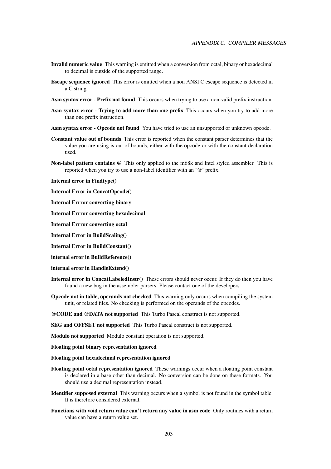- Invalid numeric value This warning is emitted when a conversion from octal, binary or hexadecimal to decimal is outside of the supported range.
- Escape sequence ignored This error is emitted when a non ANSI C escape sequence is detected in a C string.
- Asm syntax error Prefix not found This occurs when trying to use a non-valid prefix instruction.
- Asm syntax error Trying to add more than one prefix This occurs when you try to add more than one prefix instruction.
- Asm syntax error Opcode not found You have tried to use an unsupported or unknown opcode.
- Constant value out of bounds This error is reported when the constant parser determines that the value you are using is out of bounds, either with the opcode or with the constant declaration used.
- Non-label pattern contains @ This only applied to the m68k and Intel styled assembler. This is reported when you try to use a non-label identifier with an '@' prefix.
- Internal error in Findtype()

Internal Error in ConcatOpcode()

Internal Errror converting binary

Internal Errror converting hexadecimal

Internal Errror converting octal

Internal Error in BuildScaling()

Internal Error in BuildConstant()

- internal error in BuildReference()
- internal error in HandleExtend()
- Internal error in ConcatLabeledInstr() These errors should never occur. If they do then you have found a new bug in the assembler parsers. Please contact one of the developers.
- Opcode not in table, operands not checked This warning only occurs when compiling the system unit, or related files. No checking is performed on the operands of the opcodes.

@CODE and @DATA not supported This Turbo Pascal construct is not supported.

SEG and OFFSET not supported This Turbo Pascal construct is not supported.

Modulo not supported Modulo constant operation is not supported.

Floating point binary representation ignored

Floating point hexadecimal representation ignored

- Floating point octal representation ignored These warnings occur when a floating point constant is declared in a base other than decimal. No conversion can be done on these formats. You should use a decimal representation instead.
- Identifier supposed external This warning occurs when a symbol is not found in the symbol table. It is therefore considered external.
- Functions with void return value can't return any value in asm code Only routines with a return value can have a return value set.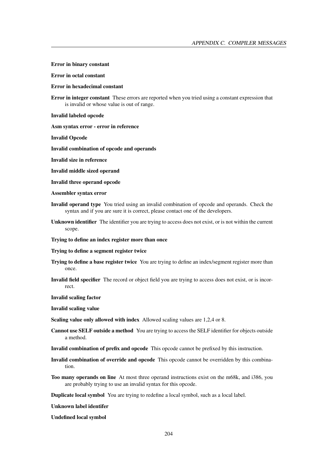#### Error in binary constant

#### Error in octal constant

#### Error in hexadecimal constant

Error in integer constant These errors are reported when you tried using a constant expression that is invalid or whose value is out of range.

#### Invalid labeled opcode

Asm syntax error - error in reference

Invalid Opcode

- Invalid combination of opcode and operands
- Invalid size in reference
- Invalid middle sized operand
- Invalid three operand opcode

Assembler syntax error

- Invalid operand type You tried using an invalid combination of opcode and operands. Check the syntax and if you are sure it is correct, please contact one of the developers.
- Unknown identifier The identifier you are trying to access does not exist, or is not within the current scope.

#### Trying to define an index register more than once

Trying to define a segment register twice

- Trying to define a base register twice You are trying to define an index/segment register more than once.
- Invalid field specifier The record or object field you are trying to access does not exist, or is incorrect.

#### Invalid scaling factor

Invalid scaling value

Scaling value only allowed with index Allowed scaling values are 1,2,4 or 8.

- Cannot use SELF outside a method You are trying to access the SELF identifier for objects outside a method.
- Invalid combination of prefix and opcode This opcode cannot be prefixed by this instruction.
- Invalid combination of override and opcode This opcode cannot be overridden by this combination.
- Too many operands on line At most three operand instructions exist on the m68k, and i386, you are probably trying to use an invalid syntax for this opcode.

Duplicate local symbol You are trying to redefine a local symbol, such as a local label.

Unknown label identifer

Undefined local symbol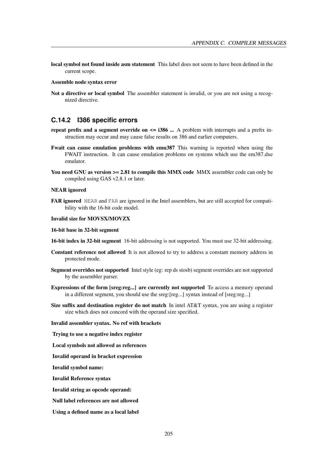local symbol not found inside asm statement This label does not seem to have been defined in the current scope.

Assemble node syntax error

Not a directive or local symbol The assembler statement is invalid, or you are not using a recognized directive.

#### **C.14.2 I386 specific errors**

- repeat prefix and a segment override on **<=** i386 ... A problem with interrupts and a prefix instruction may occur and may cause false results on 386 and earlier computers.
- Fwait can cause emulation problems with emu387 This warning is reported when using the FWAIT instruction. It can cause emulation problems on systems which use the em387.dxe emulator.
- You need GNU as version  $>= 2.81$  to compile this MMX code MMX assembler code can only be compiled using GAS v2.8.1 or later.

#### NEAR ignored

FAR ignored NEAR and FAR are ignored in the Intel assemblers, but are still accepted for compatibility with the 16-bit code model.

#### Invalid size for MOVSX/MOVZX

#### 16-bit base in 32-bit segment

16-bit index in 32-bit segment 16-bit addressing is not supported. You must use 32-bit addressing.

- Constant reference not allowed It is not allowed to try to address a constant memory address in protected mode.
- Segment overrides not supported Intel style (eg: rep ds stosb) segment overrides are not supported by the assembler parser.
- Expressions of the form [sreg:reg...] are currently not supported To access a memory operand in a different segment, you should use the sreg:[reg...] syntax instead of [sreg:reg...]
- Size suffix and destination register do not match In intel AT&T syntax, you are using a register size which does not concord with the operand size specified.

#### Invalid assembler syntax. No ref with brackets

Trying to use a negative index register

Local symbols not allowed as references

Invalid operand in bracket expression

Invalid symbol name:

Invalid Reference syntax

Invalid string as opcode operand:

Null label references are not allowed

Using a defined name as a local label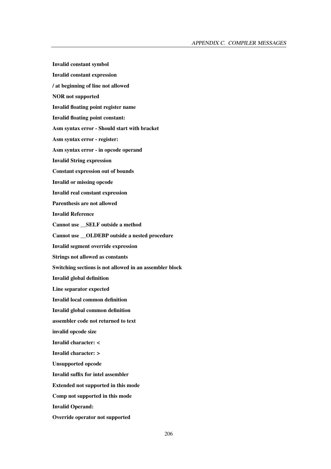Invalid constant symbol Invalid constant expression / at beginning of line not allowed NOR not supported Invalid floating point register name Invalid floating point constant: Asm syntax error - Should start with bracket Asm syntax error - register: Asm syntax error - in opcode operand Invalid String expression Constant expression out of bounds Invalid or missing opcode Invalid real constant expression Parenthesis are not allowed Invalid Reference Cannot use \_\_SELF outside a method Cannot use \_\_OLDEBP outside a nested procedure Invalid segment override expression Strings not allowed as constants Switching sections is not allowed in an assembler block Invalid global definition Line separator expected Invalid local common definition Invalid global common definition assembler code not returned to text invalid opcode size Invalid character: < Invalid character: > Unsupported opcode Invalid suffix for intel assembler Extended not supported in this mode Comp not supported in this mode Invalid Operand: Override operator not supported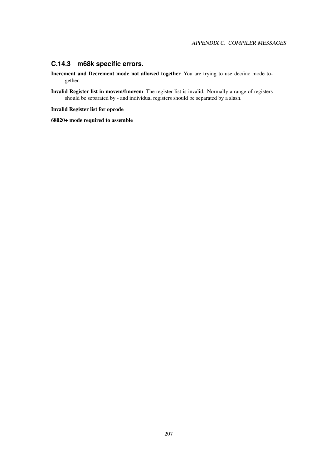### **C.14.3 m68k specific errors.**

- Increment and Decrement mode not allowed together You are trying to use dec/inc mode together.
- Invalid Register list in movem/fmovem The register list is invalid. Normally a range of registers should be separated by - and individual registers should be separated by a slash.

Invalid Register list for opcode

68020+ mode required to assemble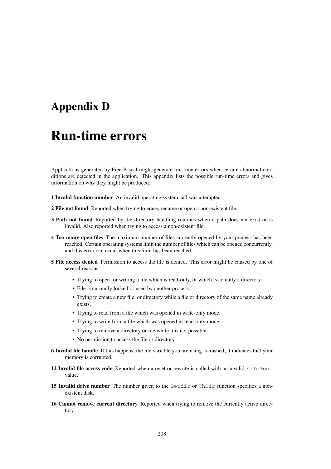# Appendix D

# Run-time errors

Applications generated by Free Pascal might generate run-time errors when certain abnormal conditions are detected in the application. This appendix lists the possible run-time errors and gives information on why they might be produced.

- 1 Invalid function number An invalid operating system call was attempted.
- 2 File not found Reported when trying to erase, rename or open a non-existent file.
- 3 Path not found Reported by the directory handling routines when a path does not exist or is invalid. Also reported when trying to access a non-existent file.
- 4 Too many open files The maximum number of files currently opened by your process has been reached. Certain operating systems limit the number of files which can be opened concurrently, and this error can occur when this limit has been reached.
- 5 File access denied Permission to access the file is denied. This error might be caused by one of several reasons:
	- Trying to open for writing a file which is read-only, or which is actually a directory.
	- File is currently locked or used by another process.
	- Trying to create a new file, or directory while a file or directory of the same name already exists.
	- Trying to read from a file which was opened in write-only mode.
	- Trying to write from a file which was opened in read-only mode.
	- Trying to remove a directory or file while it is not possible.
	- No permission to access the file or directory.
- 6 Invalid file handle If this happens, the file variable you are using is trashed; it indicates that your memory is corrupted.
- 12 Invalid file access code Reported when a reset or rewrite is called with an invalid FileMode value.
- 15 Invalid drive number The number given to the Getdir or ChDir function specifies a nonexistent disk.
- 16 Cannot remove current directory Reported when trying to remove the currently active directory.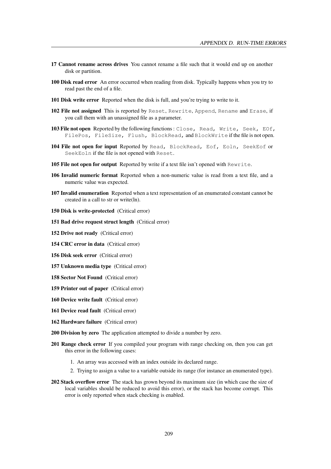- 17 Cannot rename across drives You cannot rename a file such that it would end up on another disk or partition.
- 100 Disk read error An error occurred when reading from disk. Typically happens when you try to read past the end of a file.
- 101 Disk write error Reported when the disk is full, and you're trying to write to it.
- 102 File not assigned This is reported by Reset, Rewrite, Append, Rename and Erase, if you call them with an unassigned file as a parameter.
- 103 File not open Reported by the following functions : Close, Read, Write, Seek, EOf, FilePos, FileSize, Flush, BlockRead, and BlockWrite if the file is not open.
- 104 File not open for input Reported by Read, BlockRead, Eof, Eoln, SeekEof or SeekEoln if the file is not opened with Reset.
- 105 File not open for output Reported by write if a text file isn't opened with Rewrite.
- 106 Invalid numeric format Reported when a non-numeric value is read from a text file, and a numeric value was expected.
- 107 Invalid enumeration Reported when a text representation of an enumerated constant cannot be created in a call to str or write(ln).
- 150 Disk is write-protected (Critical error)
- 151 Bad drive request struct length (Critical error)
- 152 Drive not ready (Critical error)
- 154 CRC error in data (Critical error)
- 156 Disk seek error (Critical error)
- 157 Unknown media type (Critical error)
- 158 Sector Not Found (Critical error)
- 159 Printer out of paper (Critical error)
- 160 Device write fault (Critical error)
- 161 Device read fault (Critical error)
- 162 Hardware failure (Critical error)
- 200 Division by zero The application attempted to divide a number by zero.
- 201 Range check error If you compiled your program with range checking on, then you can get this error in the following cases:
	- 1. An array was accessed with an index outside its declared range.
	- 2. Trying to assign a value to a variable outside its range (for instance an enumerated type).
- 202 Stack overflow error The stack has grown beyond its maximum size (in which case the size of local variables should be reduced to avoid this error), or the stack has become corrupt. This error is only reported when stack checking is enabled.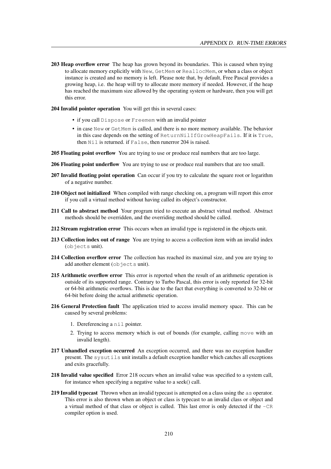- 203 Heap overflow error The heap has grown beyond its boundaries. This is caused when trying to allocate memory explicitly with New, GetMem or ReallocMem, or when a class or object instance is created and no memory is left. Please note that, by default, Free Pascal provides a growing heap, i.e. the heap will try to allocate more memory if needed. However, if the heap has reached the maximum size allowed by the operating system or hardware, then you will get this error.
- 204 Invalid pointer operation You will get this in several cases:
	- if you call Dispose or Freemem with an invalid pointer
	- in case New or GetMem is called, and there is no more memory available. The behavior in this case depends on the setting of ReturnNilIfGrowHeapFails. If it is True, then Nil is returned. if False, then runerror 204 is raised.
- 205 Floating point overflow You are trying to use or produce real numbers that are too large.
- 206 Floating point underflow You are trying to use or produce real numbers that are too small.
- 207 Invalid floating point operation Can occur if you try to calculate the square root or logarithm of a negative number.
- 210 Object not initialized When compiled with range checking on, a program will report this error if you call a virtual method without having called its object's constructor.
- 211 Call to abstract method Your program tried to execute an abstract virtual method. Abstract methods should be overridden, and the overriding method should be called.
- 212 Stream registration error This occurs when an invalid type is registered in the objects unit.
- 213 Collection index out of range You are trying to access a collection item with an invalid index (objects unit).
- 214 Collection overflow error The collection has reached its maximal size, and you are trying to add another element (objects unit).
- 215 Arithmetic overflow error This error is reported when the result of an arithmetic operation is outside of its supported range. Contrary to Turbo Pascal, this error is only reported for 32-bit or 64-bit arithmetic overflows. This is due to the fact that everything is converted to 32-bit or 64-bit before doing the actual arithmetic operation.
- 216 General Protection fault The application tried to access invalid memory space. This can be caused by several problems:
	- 1. Dereferencing a nil pointer.
	- 2. Trying to access memory which is out of bounds (for example, calling move with an invalid length).
- 217 Unhandled exception occurred An exception occurred, and there was no exception handler present. The sysutils unit installs a default exception handler which catches all exceptions and exits gracefully.
- 218 Invalid value specified Error 218 occurs when an invalid value was specified to a system call, for instance when specifying a negative value to a seek() call.
- 219 Invalid typecast Thrown when an invalid typecast is attempted on a class using the as operator. This error is also thrown when an object or class is typecast to an invalid class or object and a virtual method of that class or object is called. This last error is only detected if the  $-CR$ compiler option is used.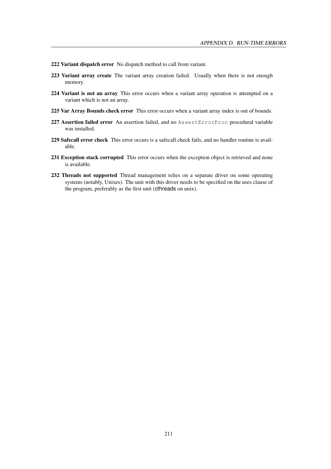- 222 Variant dispatch error No dispatch method to call from variant.
- 223 Variant array create The variant array creation failed. Usually when there is not enough memory.
- 224 Variant is not an array This error occurs when a variant array operation is attempted on a variant which is not an array.
- 225 Var Array Bounds check error This error occurs when a variant array index is out of bounds.
- 227 Assertion failed error An assertion failed, and no AssertErrorProc procedural variable was installed.
- 229 Safecall error check This error occurs is a safecall check fails, and no handler routine is available.
- 231 Exception stack corrupted This error occurs when the exception object is retrieved and none is available.
- 232 Threads not supported Thread management relies on a separate driver on some operating systems (notably, Unixes). The unit with this driver needs to be specified on the uses clause of the program, preferably as the first unit (cthreads on unix).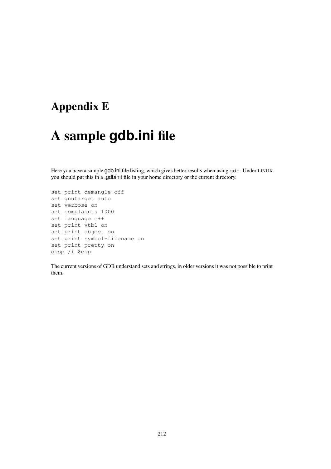# Appendix E

# A sample **gdb.ini** file

Here you have a sample gdb.ini file listing, which gives better results when using gdb. Under LINUX you should put this in a .gdbinit file in your home directory or the current directory.

```
set print demangle off
set gnutarget auto
set verbose on
set complaints 1000
set language c++
set print vtbl on
set print object on
set print symbol-filename on
set print pretty on
disp /i $eip
```
The current versions of GDB understand sets and strings, in older versions it was not possible to print them.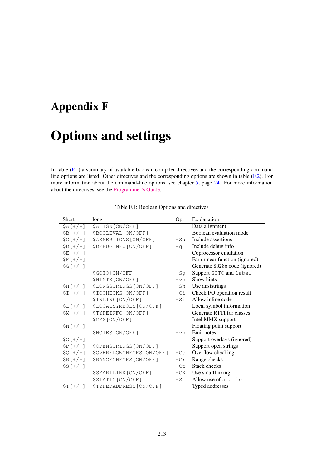# Appendix F

# Options and settings

In table [\(F.1\)](#page-213-0) a summary of available boolean compiler directives and the corresponding command line options are listed. Other directives and the corresponding options are shown in table [\(F.2\)](#page-214-0). For more information about the command-line options, see chapter [5,](#page-24-0) page [24.](#page-24-0) For more information about the directives, see the [Programmer's Guide.](../prog/prog.html)

| Short          | long                      | Opt    | Explanation                    |
|----------------|---------------------------|--------|--------------------------------|
| \$A[+/-]       | \$ALIGN[ON/OFF]           |        | Data alignment                 |
| $$B[+/–]$      | \$BOOLEVAL [ON/OFF]       |        | Boolean evaluation mode        |
| $SC[+/-]$      | \$ASSERTIONS [ON/OFF]     | -Sa    | Include assertions             |
| \$D [+/-]      | \$DEBUGINFO[ON/OFF]       | $-q$   | Include debug info             |
| $SE[+/ - ]$    |                           |        | Coprocessor emulation          |
| $SF [ + / - ]$ |                           |        | Far or near function (ignored) |
| $SG[+/ - ]$    |                           |        | Generate 80286 code (ignored)  |
|                | \$GOTO[ON/OFF]            | $-Sq$  | Support GOTO and Label         |
|                | \$HINTS [ON/OFF]          | $-vh$  | Show hints                     |
| $$H[+/-]$      | \$LONGSTRINGS [ON/OFF]    | $-Sh$  | Use ansistrings                |
| $$I[+/-]$      | \$IOCHECKS[ON/OFF]        | $-Ci$  | Check I/O operation result     |
|                | \$INLINE [ON/OFF]         | $-Si$  | Allow inline code              |
| \$L[+/-]       | \$LOCALSYMBOLS [ON/OFF]   |        | Local symbol information       |
| $$M[+/-]$      | \$TYPEINFO[ON/OFF]        |        | Generate RTTI for classes      |
|                | \$MMX[ON/OFF]             |        | Intel MMX support              |
| $SN[+/-]$      |                           |        | Floating point support         |
|                | \$NOTES [ON/OFF]          | $-vn$  | Emit notes                     |
| $$0[+/-]$      |                           |        | Support overlays (ignored)     |
| $SP[+/ -]$     | \$OPENSTRINGS [ON/OFF]    |        | Support open strings           |
| \$Q[+/-]       | \$OVERFLOWCHECKS [ON/OFF] | $-CO$  | Overflow checking              |
| $$R[+/–]$      | \$RANGECHECKS [ON/OFF]    | $-Cr$  | Range checks                   |
| $$S[+/–]$      |                           | $-$ Ct | Stack checks                   |
|                | \$SMARTLINK [ON/OFF]      | $-CX$  | Use smartlinking               |
|                | \$STATIC [ON/OFF]         | $-St$  | Allow use of static            |
| $ST[+/–]$      | \$TYPEDADDRESS[ON/OFF]    |        | Typed addresses                |

<span id="page-213-0"></span>Table F.1: Boolean Options and directives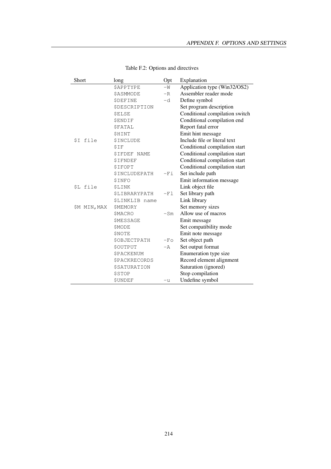| Short        | long                 | Opt           | Explanation                    |
|--------------|----------------------|---------------|--------------------------------|
|              | <b>\$APPTYPE</b>     | $-W$          | Application type (Win32/OS2)   |
|              | <b>\$ASMMODE</b>     | $-R$          | Assembler reader mode          |
|              | <b>\$DEFINE</b>      | -d            | Define symbol                  |
|              | \$DESCRIPTION        |               | Set program description        |
|              | \$ELSE               |               | Conditional compilation switch |
|              | \$ENDIF              |               | Conditional compilation end    |
|              | <b>\$FATAL</b>       |               | Report fatal error             |
|              | \$HINT               |               | Emit hint message              |
| file<br>\$I  | \$INCLUDE            |               | Include file or literal text   |
|              | \$IF                 |               | Conditional compilation start  |
|              | \$IFDEF NAME         |               | Conditional compilation start  |
|              | \$IFNDEF             |               | Conditional compilation start  |
|              | \$IFOPT              |               | Conditional compilation start  |
|              | \$INCLUDEPATH        | $-Fi$         | Set include path               |
|              | \$INFO               |               | Emit information message       |
| \$L file     | \$LINK               |               | Link object file               |
|              | \$LIBRARYPATH        | $-F1$         | Set library path               |
|              | \$LINKLIB name       |               | Link library                   |
| \$M MIN, MAX | <b>\$MEMORY</b>      |               | Set memory sizes               |
|              | \$MACRO              | $-Sm$         | Allow use of macros            |
|              | <b>\$MESSAGE</b>     |               | Emit message                   |
|              | \$MODE               |               | Set compatibility mode         |
|              | \$NOTE               |               | Emit note message              |
|              | <b>\$OBJECTPATH</b>  | $-FO$         | Set object path                |
|              | \$OUTPUT             | $-\mathbb{A}$ | Set output format              |
|              | <b>\$PACKENUM</b>    |               | Enumeration type size          |
|              | <b>\$PACKRECORDS</b> |               | Record element alignment       |
|              | <b>\$SATURATION</b>  |               | Saturation (ignored)           |
|              | \$STOP               |               | Stop compilation               |
|              | \$UNDEF              | -u            | Undefine symbol                |

<span id="page-214-0"></span>Table F.2: Options and directives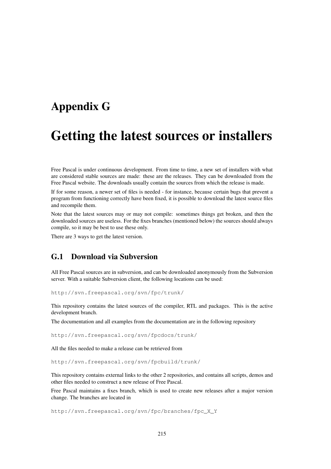# Appendix G

# Getting the latest sources or installers

Free Pascal is under continuous development. From time to time, a new set of installers with what are considered stable sources are made: these are the releases. They can be downloaded from the Free Pascal website. The downloads usually contain the sources from which the release is made.

If for some reason, a newer set of files is needed - for instance, because certain bugs that prevent a program from functioning correctly have been fixed, it is possible to download the latest source files and recompile them.

Note that the latest sources may or may not compile: sometimes things get broken, and then the downloaded sources are useless. For the fixes branches (mentioned below) the sources should always compile, so it may be best to use these only.

There are 3 ways to get the latest version.

# G.1 Download via Subversion

All Free Pascal sources are in subversion, and can be downloaded anonymously from the Subversion server. With a suitable Subversion client, the following locations can be used:

http://svn.freepascal.org/svn/fpc/trunk/

This repository contains the latest sources of the compiler, RTL and packages. This is the active development branch.

The documentation and all examples from the documentation are in the following repository

http://svn.freepascal.org/svn/fpcdocs/trunk/

All the files needed to make a release can be retrieved from

http://svn.freepascal.org/svn/fpcbuild/trunk/

This repository contains external links to the other 2 repositories, and contains all scripts, demos and other files needed to construct a new release of Free Pascal.

Free Pascal maintains a fixes branch, which is used to create new releases after a major version change. The branches are located in

http://svn.freepascal.org/svn/fpc/branches/fpc\_X\_Y